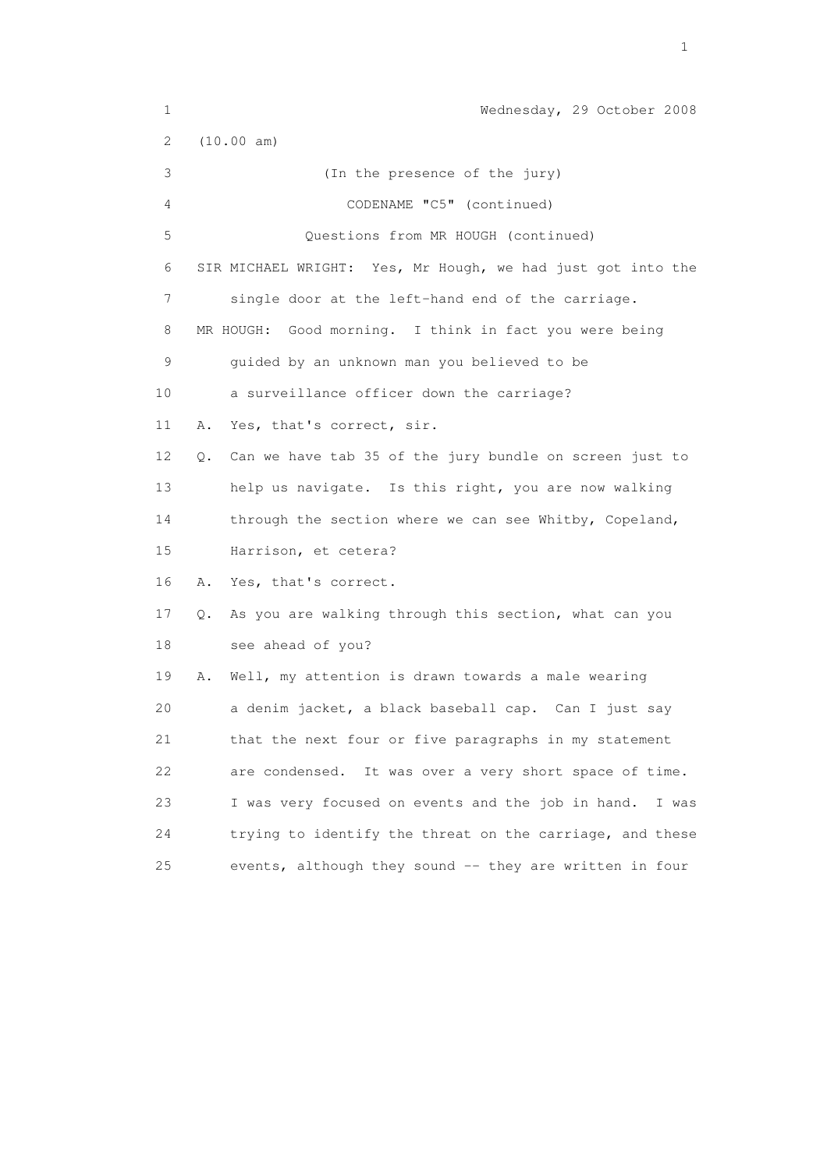| 1                         | Wednesday, 29 October 2008                                    |
|---------------------------|---------------------------------------------------------------|
| $\mathbf{2}^{\mathsf{I}}$ | (10.00 am)                                                    |
| 3                         | (In the presence of the jury)                                 |
| 4                         | CODENAME "C5" (continued)                                     |
| 5                         | Questions from MR HOUGH (continued)                           |
| 6                         | SIR MICHAEL WRIGHT: Yes, Mr Hough, we had just got into the   |
| 7                         | single door at the left-hand end of the carriage.             |
| 8                         | MR HOUGH: Good morning. I think in fact you were being        |
| 9                         | guided by an unknown man you believed to be                   |
| 10                        | a surveillance officer down the carriage?                     |
| 11                        | Yes, that's correct, sir.<br>Α.                               |
| 12                        | Can we have tab 35 of the jury bundle on screen just to<br>О. |
| 13                        | help us navigate. Is this right, you are now walking          |
| 14                        | through the section where we can see Whitby, Copeland,        |
| 15                        | Harrison, et cetera?                                          |
| 16                        | Yes, that's correct.<br>Α.                                    |
| 17                        | As you are walking through this section, what can you<br>Q.   |
| 18                        | see ahead of you?                                             |
| 19                        | Well, my attention is drawn towards a male wearing<br>Α.      |
| 20                        | a denim jacket, a black baseball cap. Can I just say          |
| 21                        | that the next four or five paragraphs in my statement         |
| 22                        | It was over a very short space of time.<br>are condensed.     |
| 23                        | I was very focused on events and the job in hand.<br>I was    |
| 24                        | trying to identify the threat on the carriage, and these      |
| 25                        | events, although they sound -- they are written in four       |

the contract of the contract of the contract of the contract of the contract of the contract of the contract of the contract of the contract of the contract of the contract of the contract of the contract of the contract o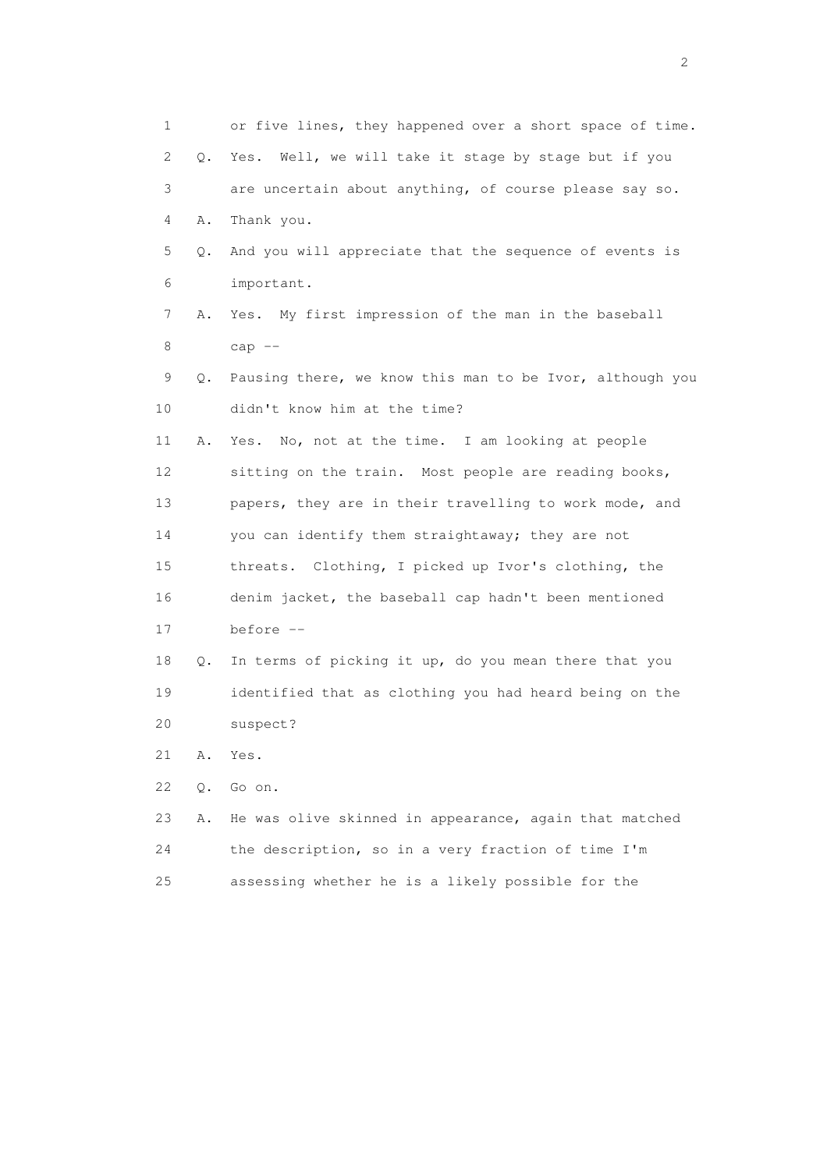1 or five lines, they happened over a short space of time. 2 Q. Yes. Well, we will take it stage by stage but if you 3 are uncertain about anything, of course please say so. 4 A. Thank you. 5 Q. And you will appreciate that the sequence of events is 6 important. 7 A. Yes. My first impression of the man in the baseball 8 cap -- 9 Q. Pausing there, we know this man to be Ivor, although you 10 didn't know him at the time? 11 A. Yes. No, not at the time. I am looking at people 12 sitting on the train. Most people are reading books, 13 papers, they are in their travelling to work mode, and 14 you can identify them straightaway; they are not 15 threats. Clothing, I picked up Ivor's clothing, the 16 denim jacket, the baseball cap hadn't been mentioned 17 before -- 18 Q. In terms of picking it up, do you mean there that you 19 identified that as clothing you had heard being on the 20 suspect? 21 A. Yes. 22 Q. Go on. 23 A. He was olive skinned in appearance, again that matched 24 the description, so in a very fraction of time I'm 25 assessing whether he is a likely possible for the

 $\overline{2}$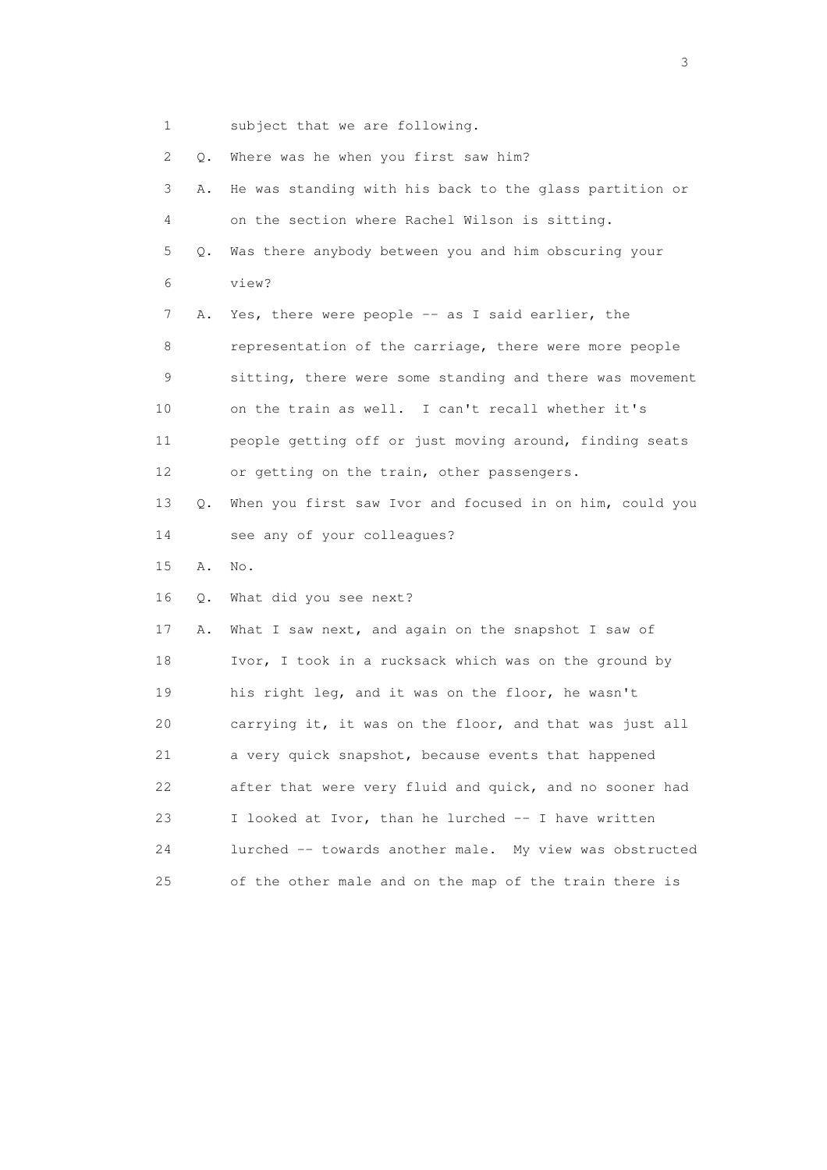1 subject that we are following.

| 2  | Q.        | Where was he when you first saw him?                     |
|----|-----------|----------------------------------------------------------|
| 3  | Α.        | He was standing with his back to the glass partition or  |
| 4  |           | on the section where Rachel Wilson is sitting.           |
| 5  | $\circ$ . | Was there anybody between you and him obscuring your     |
| 6  |           | view?                                                    |
| 7  | Α.        | Yes, there were people -- as I said earlier, the         |
| 8  |           | representation of the carriage, there were more people   |
| 9  |           | sitting, there were some standing and there was movement |
| 10 |           | on the train as well. I can't recall whether it's        |
| 11 |           | people getting off or just moving around, finding seats  |
| 12 |           | or getting on the train, other passengers.               |
| 13 | Q.        | When you first saw Ivor and focused in on him, could you |
| 14 |           | see any of your colleagues?                              |
| 15 | Α.        | No.                                                      |
| 16 | Q.        | What did you see next?                                   |
| 17 | Α.        | What I saw next, and again on the snapshot I saw of      |
| 18 |           | Ivor, I took in a rucksack which was on the ground by    |
| 19 |           | his right leg, and it was on the floor, he wasn't        |
| 20 |           | carrying it, it was on the floor, and that was just all  |
| 21 |           | a very quick snapshot, because events that happened      |
| 22 |           | after that were very fluid and quick, and no sooner had  |
|    |           |                                                          |
| 23 |           | I looked at Ivor, than he lurched -- I have written      |
| 24 |           | lurched -- towards another male. My view was obstructed  |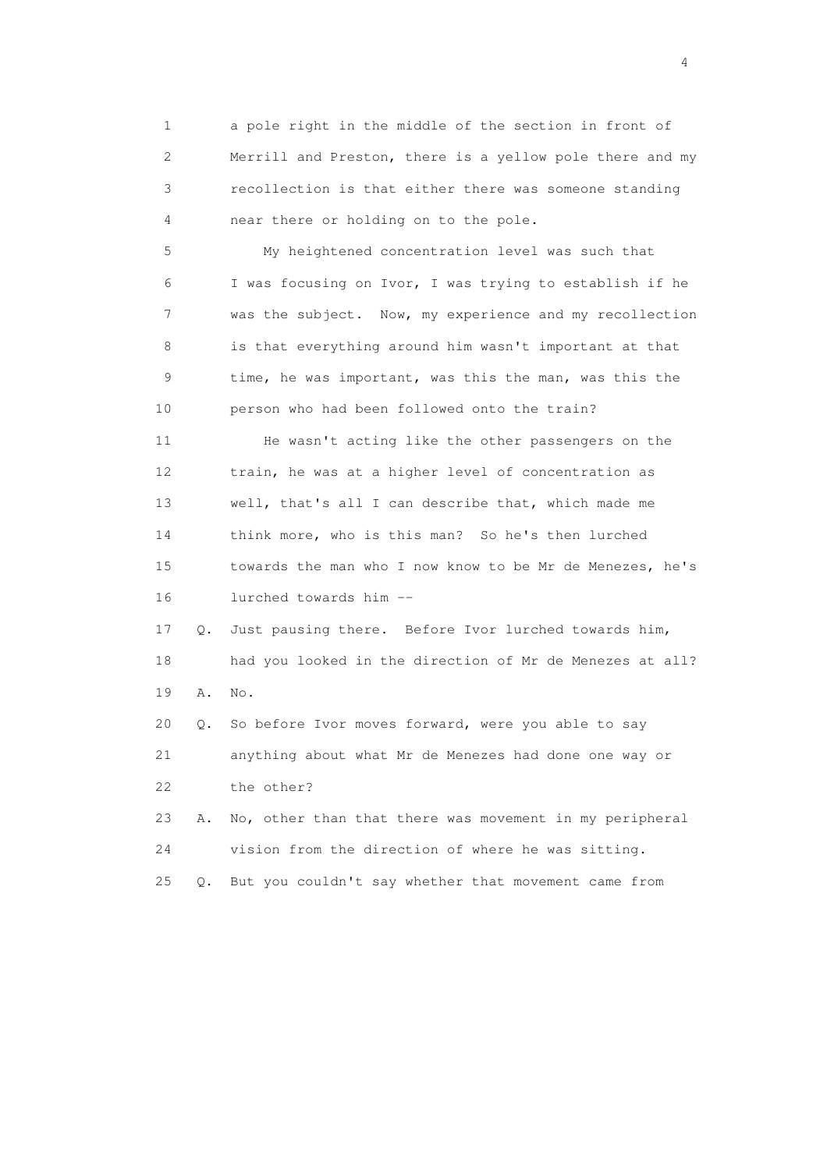1 a pole right in the middle of the section in front of 2 Merrill and Preston, there is a yellow pole there and my 3 recollection is that either there was someone standing 4 near there or holding on to the pole.

 5 My heightened concentration level was such that 6 I was focusing on Ivor, I was trying to establish if he 7 was the subject. Now, my experience and my recollection 8 is that everything around him wasn't important at that 9 time, he was important, was this the man, was this the 10 person who had been followed onto the train?

 11 He wasn't acting like the other passengers on the 12 train, he was at a higher level of concentration as 13 well, that's all I can describe that, which made me 14 think more, who is this man? So he's then lurched 15 towards the man who I now know to be Mr de Menezes, he's 16 lurched towards him --

 17 Q. Just pausing there. Before Ivor lurched towards him, 18 had you looked in the direction of Mr de Menezes at all? 19 A. No.

 20 Q. So before Ivor moves forward, were you able to say 21 anything about what Mr de Menezes had done one way or 22 the other?

 23 A. No, other than that there was movement in my peripheral 24 vision from the direction of where he was sitting. 25 Q. But you couldn't say whether that movement came from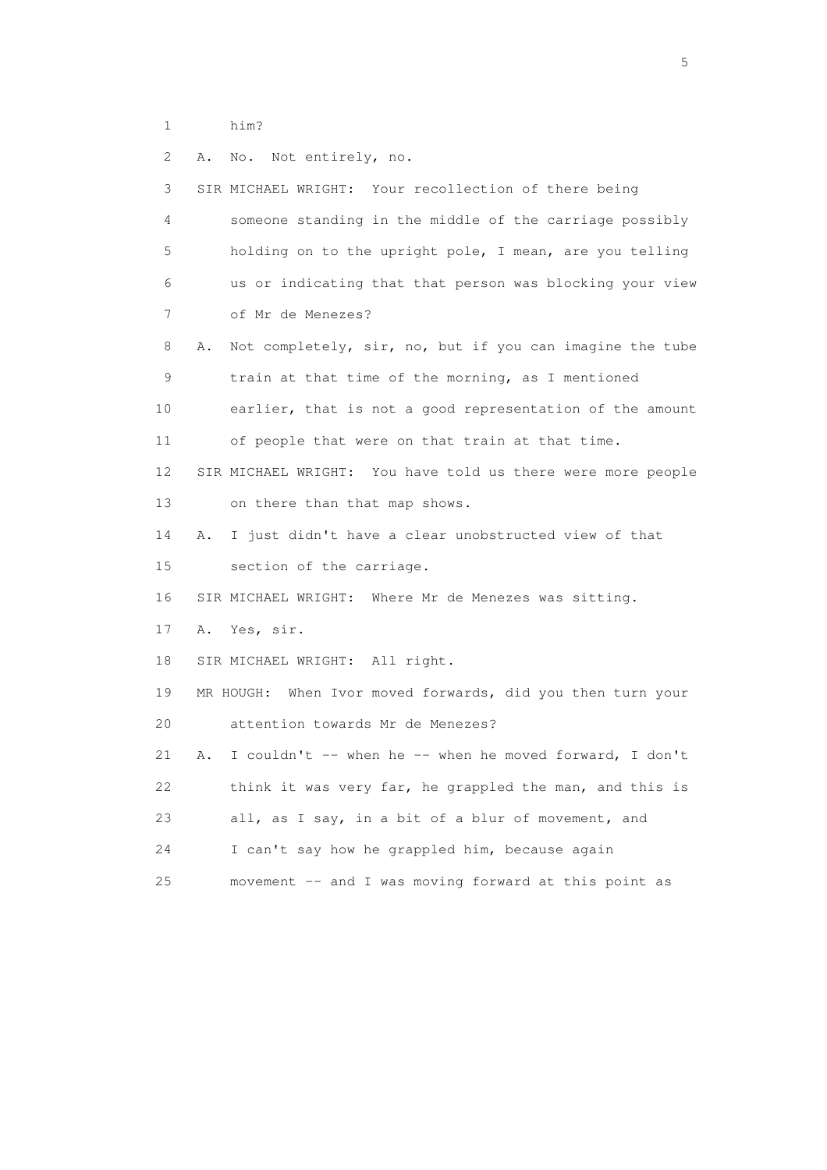- 1 him?
- 2 A. No. Not entirely, no.

| 3  | SIR MICHAEL WRIGHT: Your recollection of there being           |
|----|----------------------------------------------------------------|
| 4  | someone standing in the middle of the carriage possibly        |
| 5  | holding on to the upright pole, I mean, are you telling        |
| 6  | us or indicating that that person was blocking your view       |
| 7  | of Mr de Menezes?                                              |
| 8  | Not completely, sir, no, but if you can imagine the tube<br>Α. |
| 9  | train at that time of the morning, as I mentioned              |
| 10 | earlier, that is not a good representation of the amount       |
| 11 | of people that were on that train at that time.                |
| 12 | SIR MICHAEL WRIGHT: You have told us there were more people    |
| 13 | on there than that map shows.                                  |
| 14 | I just didn't have a clear unobstructed view of that<br>Α.     |
| 15 | section of the carriage.                                       |
| 16 | SIR MICHAEL WRIGHT: Where Mr de Menezes was sitting.           |
| 17 | Yes, sir.<br>Α.                                                |
| 18 | SIR MICHAEL WRIGHT: All right.                                 |
| 19 | MR HOUGH: When Ivor moved forwards, did you then turn your     |
| 20 | attention towards Mr de Menezes?                               |
| 21 | I couldn't -- when he -- when he moved forward, I don't<br>Α.  |
| 22 | think it was very far, he grappled the man, and this is        |
| 23 | all, as I say, in a bit of a blur of movement, and             |
| 24 | I can't say how he grappled him, because again                 |
| 25 | movement -- and I was moving forward at this point as          |

 $\sim$  5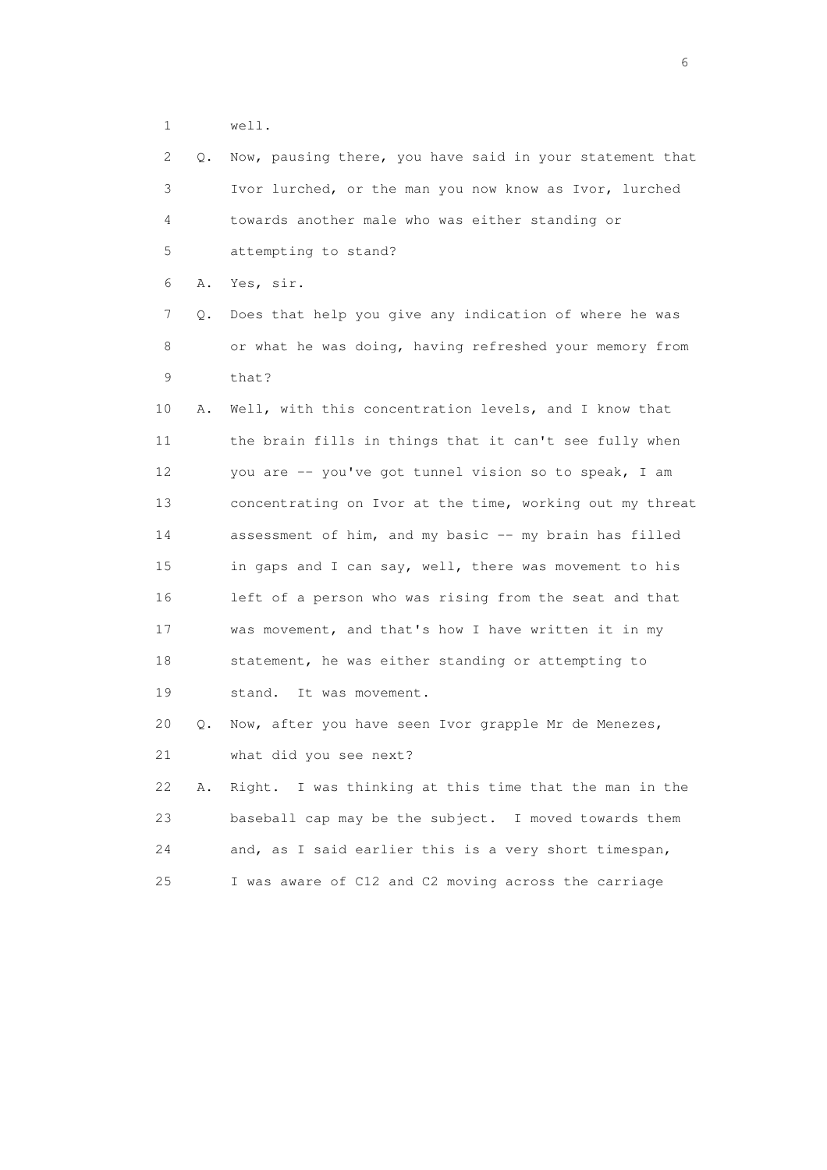1 well.

| 2    | Q. | Now, pausing there, you have said in your statement that |
|------|----|----------------------------------------------------------|
| 3    |    | Ivor lurched, or the man you now know as Ivor, lurched   |
| 4    |    | towards another male who was either standing or          |
| 5    |    | attempting to stand?                                     |
| 6    | Α. | Yes, sir.                                                |
| 7    | Q. | Does that help you give any indication of where he was   |
| 8    |    | or what he was doing, having refreshed your memory from  |
| 9    |    | that?                                                    |
| $10$ | Α. | Well, with this concentration levels, and I know that    |
| 11   |    | the brain fills in things that it can't see fully when   |
| 12   |    | you are -- you've got tunnel vision so to speak, I am    |
| 13   |    | concentrating on Ivor at the time, working out my threat |
| 14   |    | assessment of him, and my basic -- my brain has filled   |
| 15   |    | in gaps and I can say, well, there was movement to his   |
| 16   |    | left of a person who was rising from the seat and that   |
| 17   |    | was movement, and that's how I have written it in my     |
| 18   |    | statement, he was either standing or attempting to       |
| 19   |    | It was movement.<br>stand.                               |
| 20   | Q. | Now, after you have seen Ivor grapple Mr de Menezes,     |
| 21   |    | what did you see next?                                   |
| 22   | Α. | Right. I was thinking at this time that the man in the   |
| 23   |    | baseball cap may be the subject. I moved towards them    |
| 24   |    | and, as I said earlier this is a very short timespan,    |
| 25   |    | I was aware of C12 and C2 moving across the carriage     |

 $\sim$  6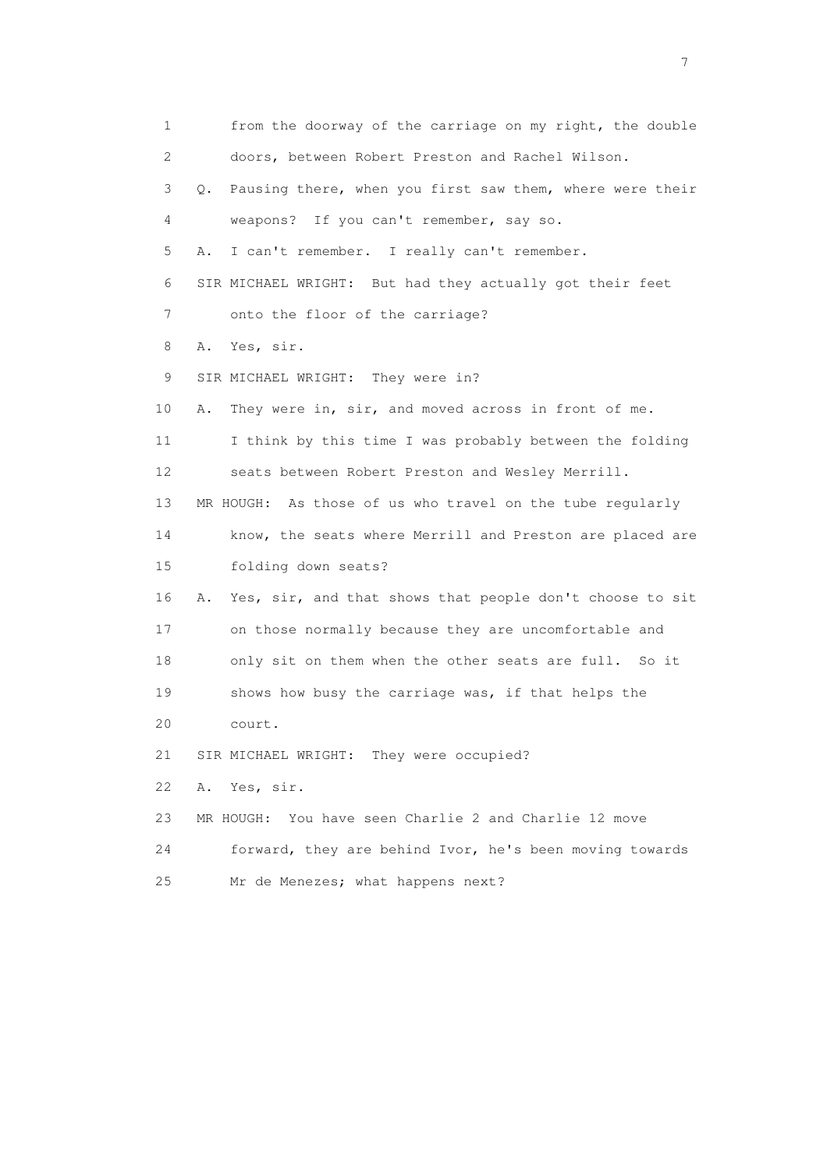1 from the doorway of the carriage on my right, the double 2 doors, between Robert Preston and Rachel Wilson. 3 Q. Pausing there, when you first saw them, where were their 4 weapons? If you can't remember, say so. 5 A. I can't remember. I really can't remember. 6 SIR MICHAEL WRIGHT: But had they actually got their feet 7 onto the floor of the carriage? 8 A. Yes, sir. 9 SIR MICHAEL WRIGHT: They were in? 10 A. They were in, sir, and moved across in front of me. 11 I think by this time I was probably between the folding 12 seats between Robert Preston and Wesley Merrill. 13 MR HOUGH: As those of us who travel on the tube regularly 14 know, the seats where Merrill and Preston are placed are 15 folding down seats? 16 A. Yes, sir, and that shows that people don't choose to sit 17 on those normally because they are uncomfortable and 18 only sit on them when the other seats are full. So it 19 shows how busy the carriage was, if that helps the 20 court. 21 SIR MICHAEL WRIGHT: They were occupied? 22 A. Yes, sir. 23 MR HOUGH: You have seen Charlie 2 and Charlie 12 move 24 forward, they are behind Ivor, he's been moving towards 25 Mr de Menezes; what happens next?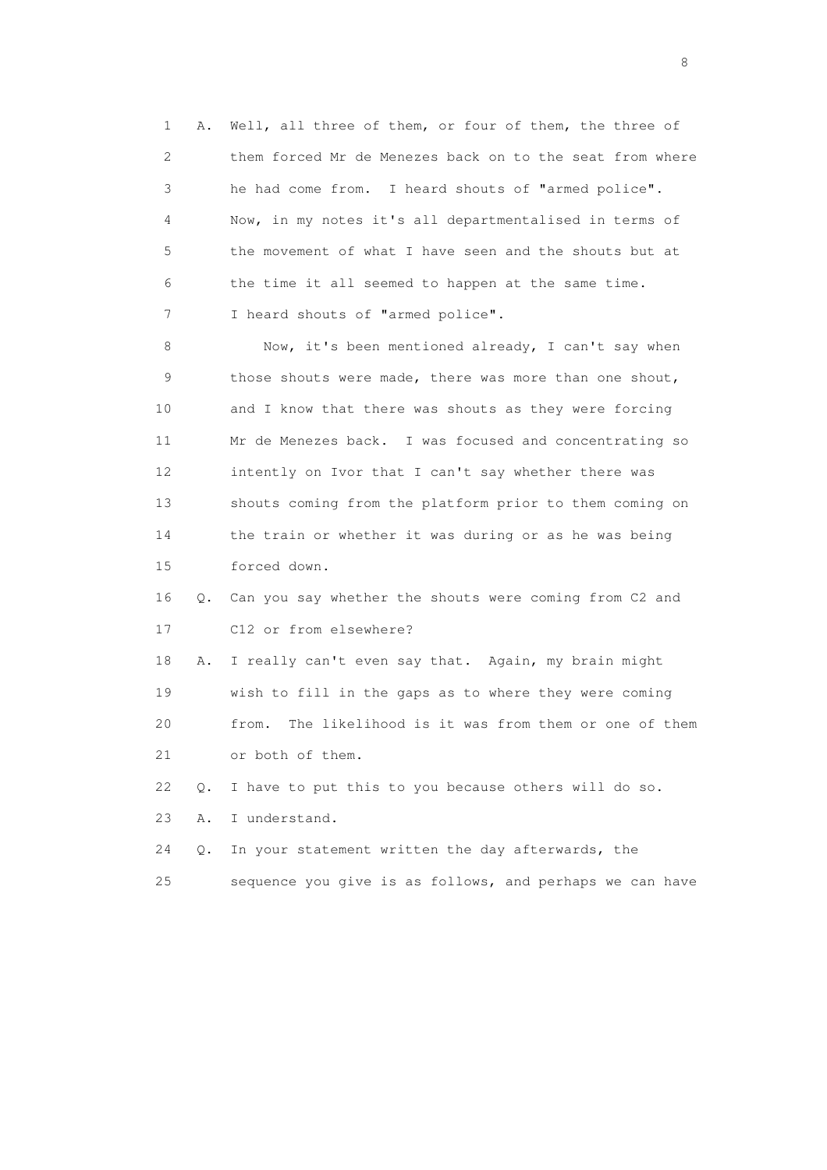1 A. Well, all three of them, or four of them, the three of 2 them forced Mr de Menezes back on to the seat from where 3 he had come from. I heard shouts of "armed police". 4 Now, in my notes it's all departmentalised in terms of 5 the movement of what I have seen and the shouts but at 6 the time it all seemed to happen at the same time. 7 I heard shouts of "armed police".

 8 Now, it's been mentioned already, I can't say when 9 those shouts were made, there was more than one shout, 10 and I know that there was shouts as they were forcing 11 Mr de Menezes back. I was focused and concentrating so 12 intently on Ivor that I can't say whether there was 13 shouts coming from the platform prior to them coming on 14 the train or whether it was during or as he was being 15 forced down.

 16 Q. Can you say whether the shouts were coming from C2 and 17 C12 or from elsewhere?

 18 A. I really can't even say that. Again, my brain might 19 wish to fill in the gaps as to where they were coming 20 from. The likelihood is it was from them or one of them 21 or both of them.

22 Q. I have to put this to you because others will do so.

23 A. I understand.

 24 Q. In your statement written the day afterwards, the 25 sequence you give is as follows, and perhaps we can have

en de la construction de la construction de la construction de la construction de la construction de la constr<br>En 1980, en 1980, en 1980, en 1980, en 1980, en 1980, en 1980, en 1980, en 1980, en 1980, en 1980, en 1980, en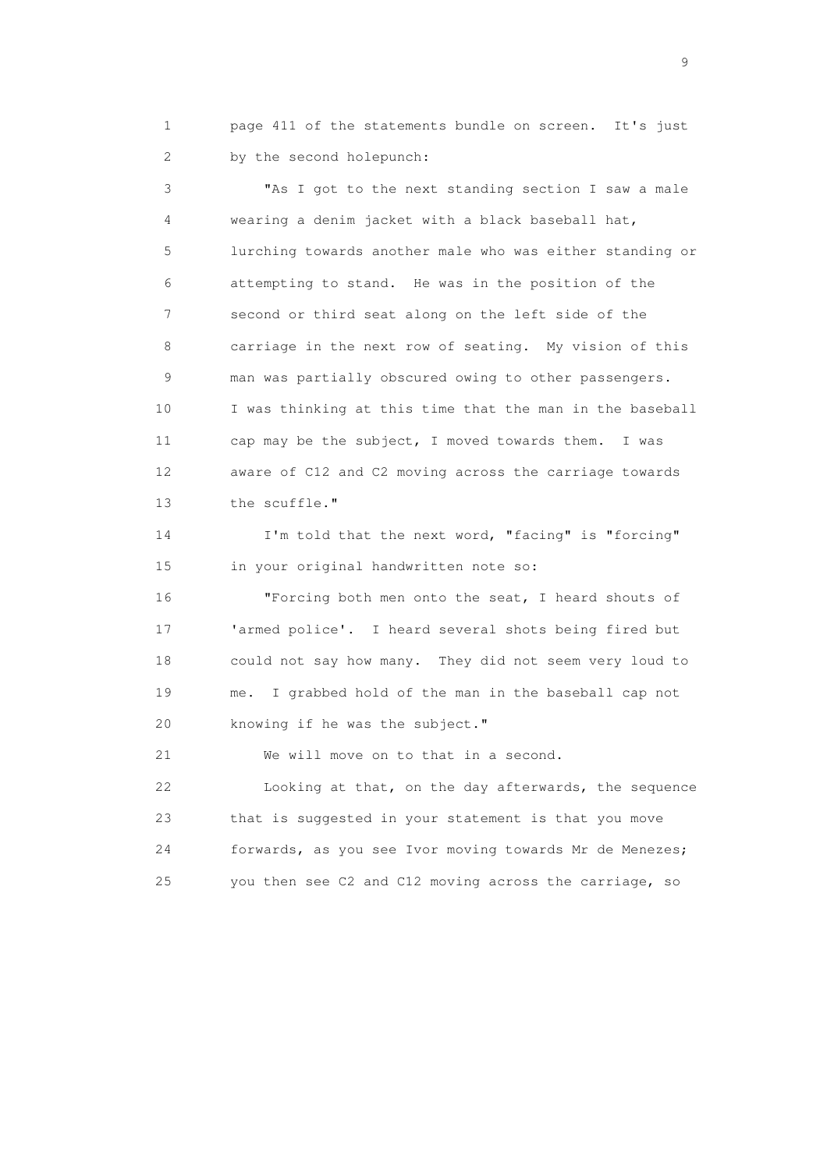1 page 411 of the statements bundle on screen. It's just 2 by the second holepunch:

 3 "As I got to the next standing section I saw a male 4 wearing a denim jacket with a black baseball hat, 5 lurching towards another male who was either standing or 6 attempting to stand. He was in the position of the 7 second or third seat along on the left side of the 8 carriage in the next row of seating. My vision of this 9 man was partially obscured owing to other passengers. 10 I was thinking at this time that the man in the baseball 11 cap may be the subject, I moved towards them. I was 12 aware of C12 and C2 moving across the carriage towards 13 the scuffle."

 14 I'm told that the next word, "facing" is "forcing" 15 in your original handwritten note so:

 16 "Forcing both men onto the seat, I heard shouts of 17 'armed police'. I heard several shots being fired but 18 could not say how many. They did not seem very loud to 19 me. I grabbed hold of the man in the baseball cap not 20 knowing if he was the subject."

21 We will move on to that in a second.

 22 Looking at that, on the day afterwards, the sequence 23 that is suggested in your statement is that you move 24 forwards, as you see Ivor moving towards Mr de Menezes; 25 you then see C2 and C12 moving across the carriage, so

en de la construction de la construction de la construction de la construction de la construction de la constr<br>1911 : la construction de la construction de la construction de la construction de la construction de la const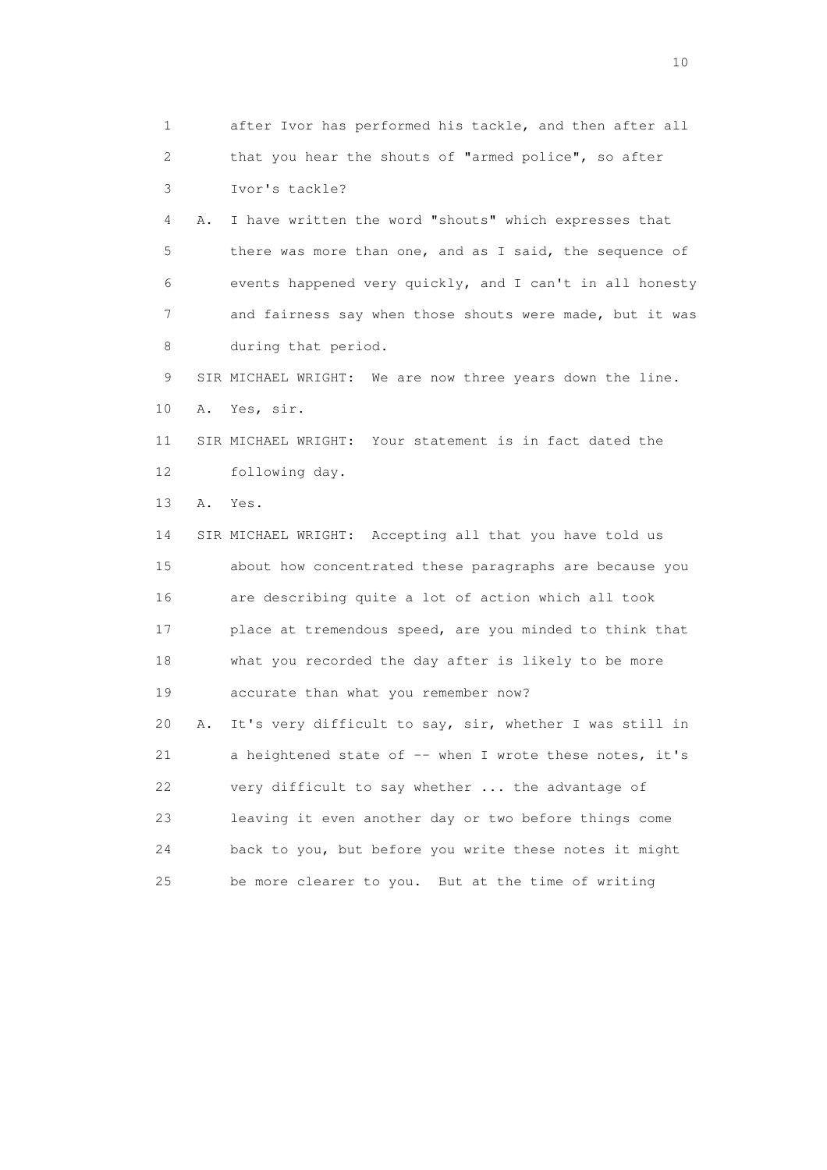1 after Ivor has performed his tackle, and then after all 2 that you hear the shouts of "armed police", so after 3 Ivor's tackle? 4 A. I have written the word "shouts" which expresses that 5 there was more than one, and as I said, the sequence of 6 events happened very quickly, and I can't in all honesty 7 and fairness say when those shouts were made, but it was 8 during that period. 9 SIR MICHAEL WRIGHT: We are now three years down the line. 10 A. Yes, sir. 11 SIR MICHAEL WRIGHT: Your statement is in fact dated the 12 following day. 13 A. Yes. 14 SIR MICHAEL WRIGHT: Accepting all that you have told us 15 about how concentrated these paragraphs are because you 16 are describing quite a lot of action which all took 17 place at tremendous speed, are you minded to think that 18 what you recorded the day after is likely to be more 19 accurate than what you remember now? 20 A. It's very difficult to say, sir, whether I was still in 21 a heightened state of -- when I wrote these notes, it's 22 very difficult to say whether ... the advantage of 23 leaving it even another day or two before things come 24 back to you, but before you write these notes it might 25 be more clearer to you. But at the time of writing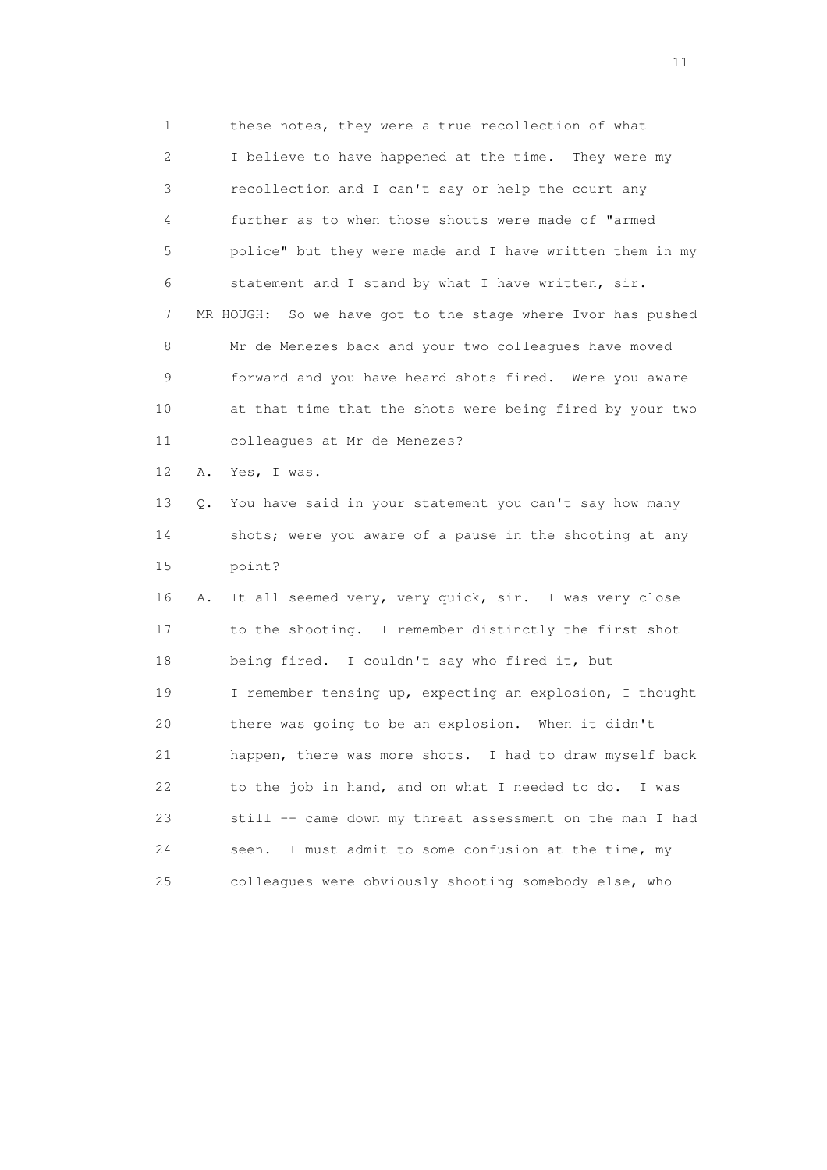1 these notes, they were a true recollection of what 2 I believe to have happened at the time. They were my 3 recollection and I can't say or help the court any 4 further as to when those shouts were made of "armed 5 police" but they were made and I have written them in my 6 statement and I stand by what I have written, sir. 7 MR HOUGH: So we have got to the stage where Ivor has pushed 8 Mr de Menezes back and your two colleagues have moved 9 forward and you have heard shots fired. Were you aware 10 at that time that the shots were being fired by your two 11 colleagues at Mr de Menezes? 12 A. Yes, I was.

 13 Q. You have said in your statement you can't say how many 14 shots; were you aware of a pause in the shooting at any 15 point?

 16 A. It all seemed very, very quick, sir. I was very close 17 to the shooting. I remember distinctly the first shot 18 being fired. I couldn't say who fired it, but 19 I remember tensing up, expecting an explosion, I thought 20 there was going to be an explosion. When it didn't 21 happen, there was more shots. I had to draw myself back 22 to the job in hand, and on what I needed to do. I was 23 still -- came down my threat assessment on the man I had 24 seen. I must admit to some confusion at the time, my 25 colleagues were obviously shooting somebody else, who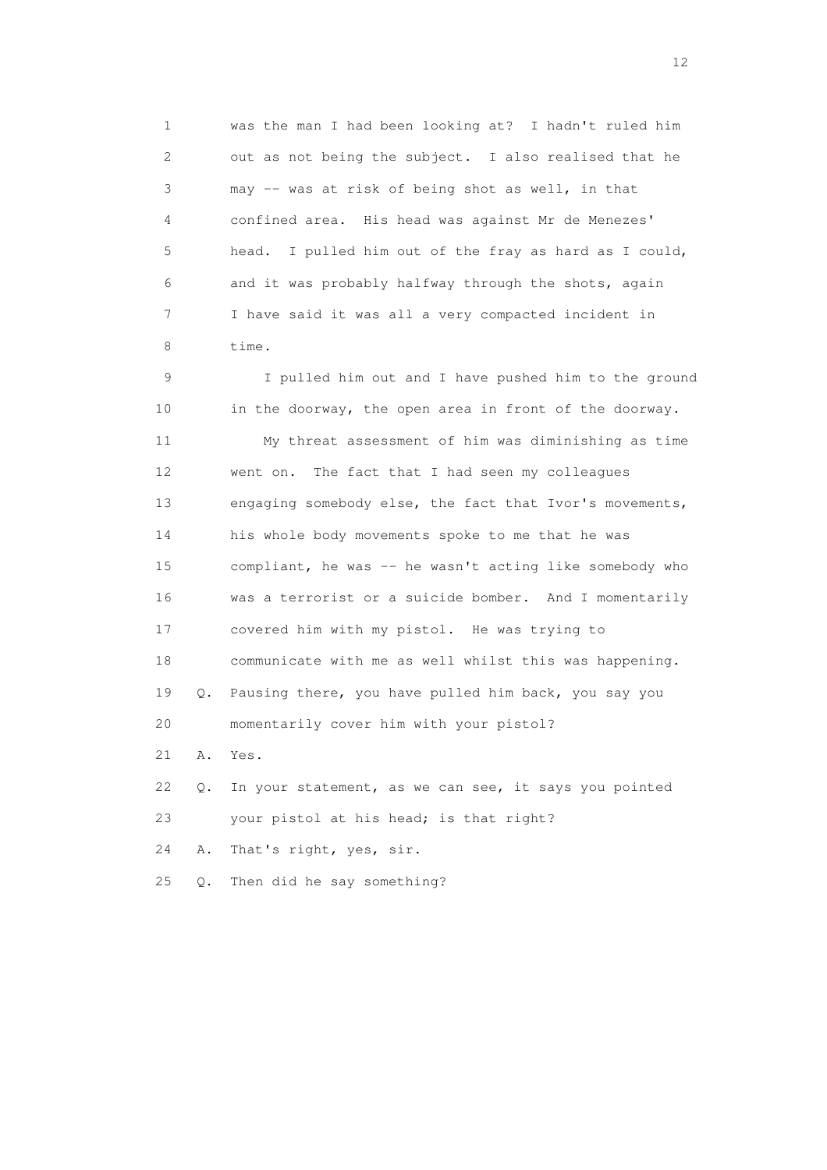1 was the man I had been looking at? I hadn't ruled him 2 out as not being the subject. I also realised that he 3 may -- was at risk of being shot as well, in that 4 confined area. His head was against Mr de Menezes' 5 head. I pulled him out of the fray as hard as I could, 6 and it was probably halfway through the shots, again 7 I have said it was all a very compacted incident in 8 time.

 9 I pulled him out and I have pushed him to the ground 10 in the doorway, the open area in front of the doorway. 11 My threat assessment of him was diminishing as time 12 went on. The fact that I had seen my colleagues 13 engaging somebody else, the fact that Ivor's movements, 14 his whole body movements spoke to me that he was 15 compliant, he was -- he wasn't acting like somebody who 16 was a terrorist or a suicide bomber. And I momentarily 17 covered him with my pistol. He was trying to 18 communicate with me as well whilst this was happening. 19 Q. Pausing there, you have pulled him back, you say you 20 momentarily cover him with your pistol? 21 A. Yes. 22 Q. In your statement, as we can see, it says you pointed 23 your pistol at his head; is that right?

24 A. That's right, yes, sir.

25 Q. Then did he say something?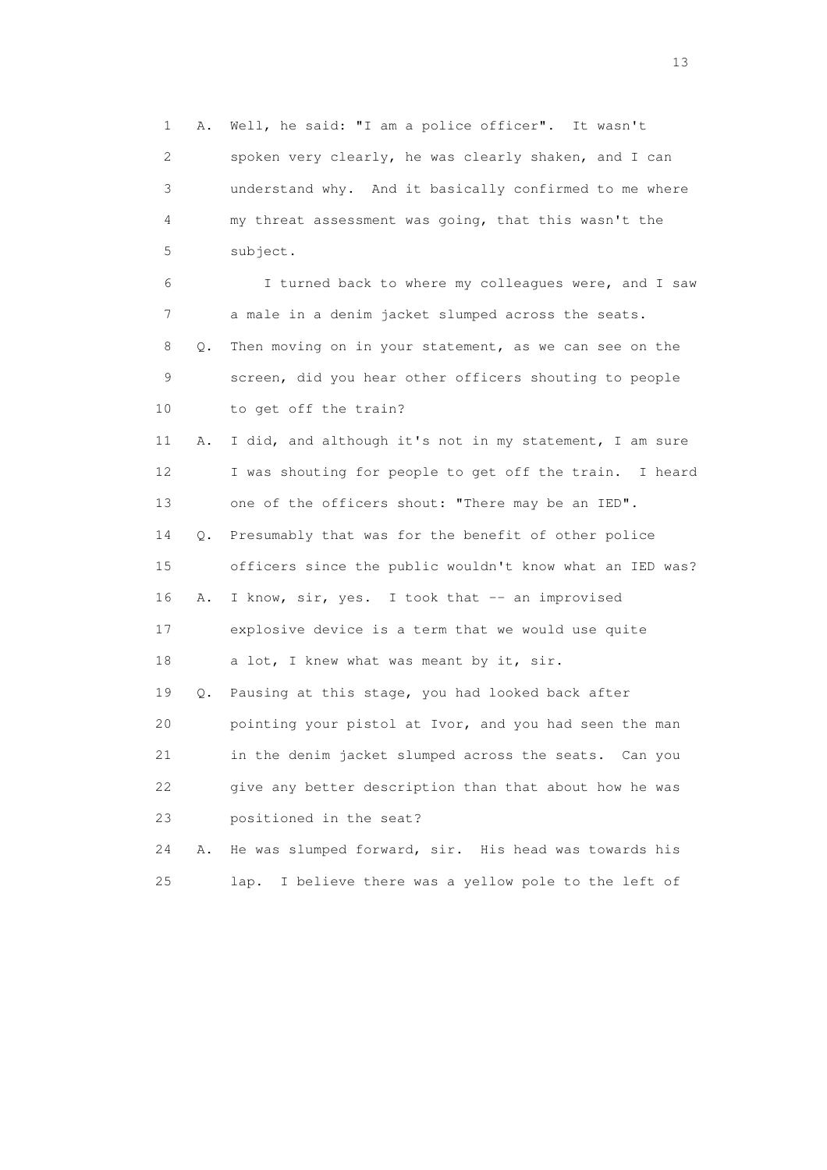1 A. Well, he said: "I am a police officer". It wasn't 2 spoken very clearly, he was clearly shaken, and I can 3 understand why. And it basically confirmed to me where 4 my threat assessment was going, that this wasn't the 5 subject. 6 I turned back to where my colleagues were, and I saw 7 a male in a denim jacket slumped across the seats. 8 Q. Then moving on in your statement, as we can see on the 9 screen, did you hear other officers shouting to people 10 to get off the train? 11 A. I did, and although it's not in my statement, I am sure 12 I was shouting for people to get off the train. I heard 13 one of the officers shout: "There may be an IED". 14 Q. Presumably that was for the benefit of other police 15 officers since the public wouldn't know what an IED was? 16 A. I know, sir, yes. I took that -- an improvised 17 explosive device is a term that we would use quite 18 a lot, I knew what was meant by it, sir. 19 Q. Pausing at this stage, you had looked back after 20 pointing your pistol at Ivor, and you had seen the man 21 in the denim jacket slumped across the seats. Can you 22 give any better description than that about how he was 23 positioned in the seat? 24 A. He was slumped forward, sir. His head was towards his

25 lap. I believe there was a yellow pole to the left of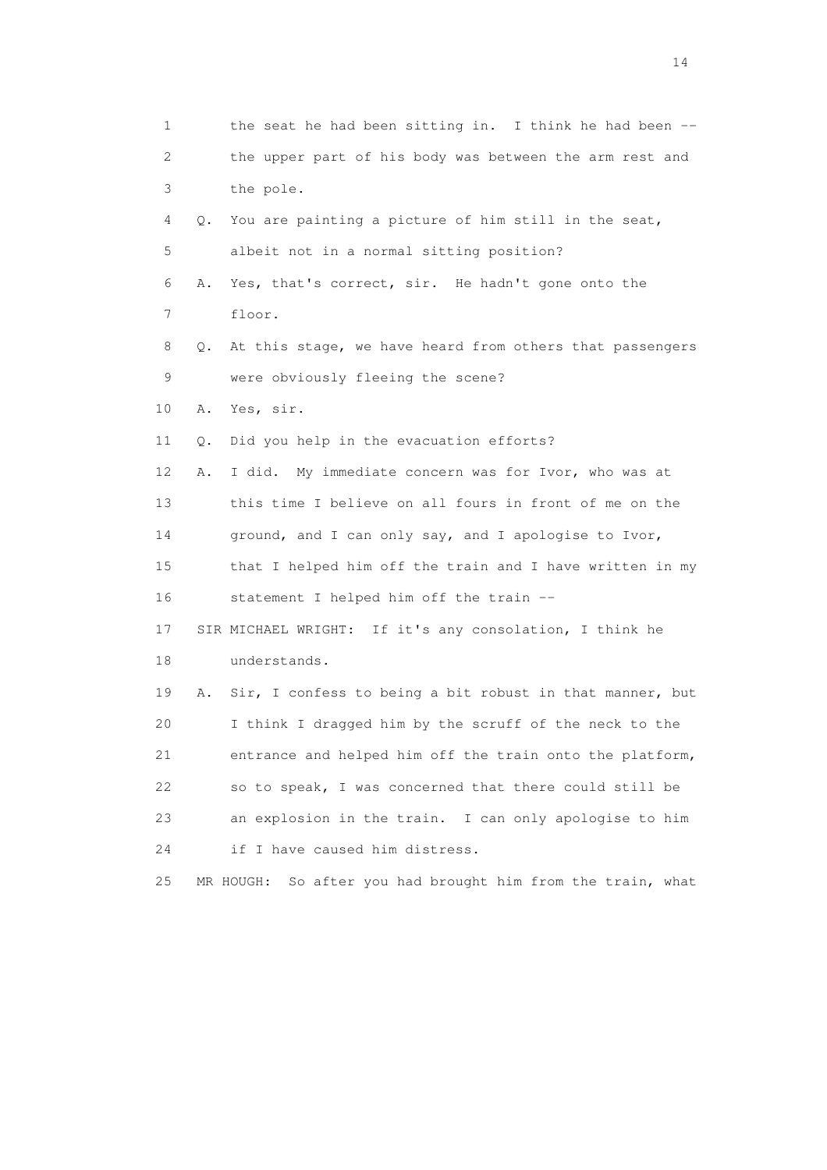| $\mathbf 1$     |    | the seat he had been sitting in. I think he had been --        |
|-----------------|----|----------------------------------------------------------------|
| 2               |    | the upper part of his body was between the arm rest and        |
| 3               |    | the pole.                                                      |
| 4               | 0. | You are painting a picture of him still in the seat,           |
| 5               |    | albeit not in a normal sitting position?                       |
| 6               | Α. | Yes, that's correct, sir. He hadn't gone onto the              |
| 7               |    | floor.                                                         |
| 8               | Q. | At this stage, we have heard from others that passengers       |
| 9               |    | were obviously fleeing the scene?                              |
| 10              | Α. | Yes, sir.                                                      |
| 11              | Q. | Did you help in the evacuation efforts?                        |
| 12 <sup>°</sup> | Α. | I did. My immediate concern was for Ivor, who was at           |
| 13              |    | this time I believe on all fours in front of me on the         |
| 14              |    | ground, and I can only say, and I apologise to Ivor,           |
| 15              |    | that I helped him off the train and I have written in my       |
| 16              |    | statement I helped him off the train --                        |
| 17              |    | SIR MICHAEL WRIGHT: If it's any consolation, I think he        |
| 18              |    | understands.                                                   |
| 19              | Α. | Sir, I confess to being a bit robust in that manner, but       |
| 20              |    | I think I dragged him by the scruff of the neck to the         |
| 21              |    | entrance and helped him off the train onto the platform,       |
| 22              |    | so to speak, I was concerned that there could still be         |
| 23              |    | an explosion in the train. I can only apologise to him         |
| 24              |    | if I have caused him distress.                                 |
| 25              |    | MR HOUGH:<br>So after you had brought him from the train, what |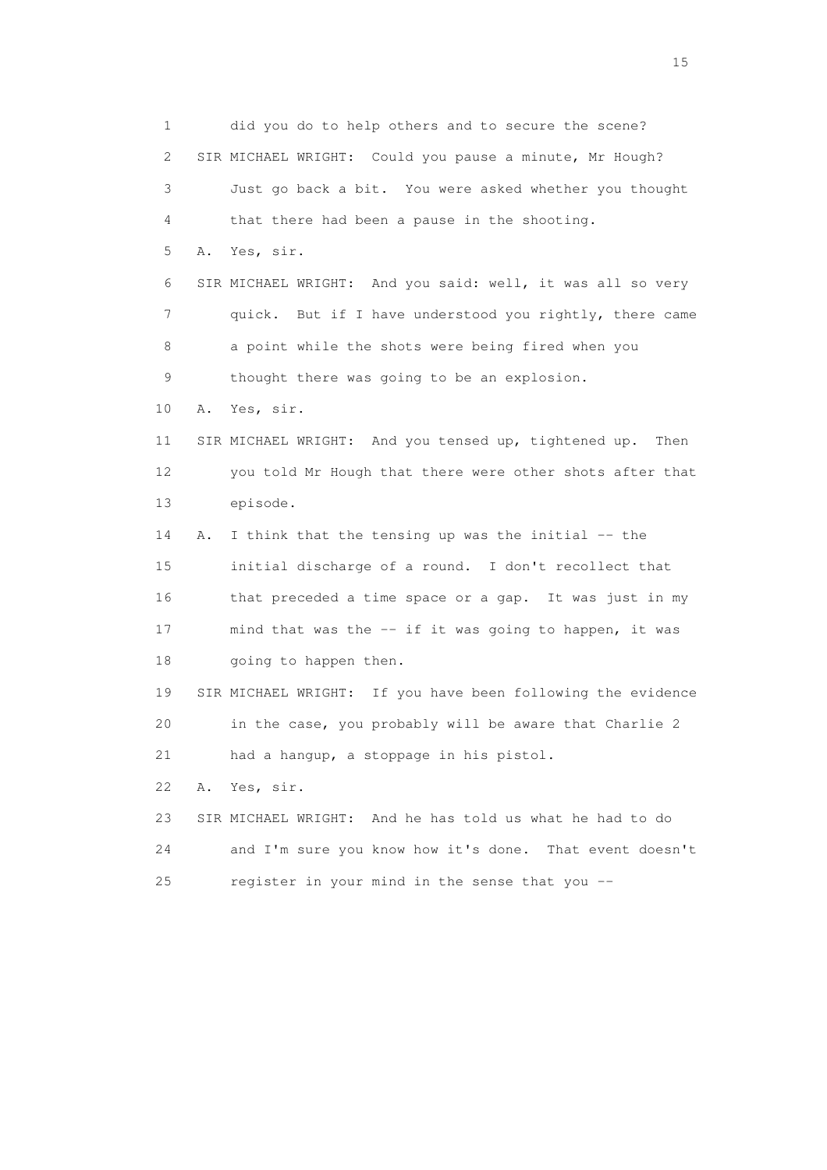1 did you do to help others and to secure the scene? 2 SIR MICHAEL WRIGHT: Could you pause a minute, Mr Hough? 3 Just go back a bit. You were asked whether you thought 4 that there had been a pause in the shooting. 5 A. Yes, sir. 6 SIR MICHAEL WRIGHT: And you said: well, it was all so very 7 quick. But if I have understood you rightly, there came 8 a point while the shots were being fired when you 9 thought there was going to be an explosion. 10 A. Yes, sir. 11 SIR MICHAEL WRIGHT: And you tensed up, tightened up. Then 12 you told Mr Hough that there were other shots after that 13 episode. 14 A. I think that the tensing up was the initial -- the 15 initial discharge of a round. I don't recollect that 16 that preceded a time space or a gap. It was just in my 17 mind that was the -- if it was going to happen, it was 18 going to happen then. 19 SIR MICHAEL WRIGHT: If you have been following the evidence 20 in the case, you probably will be aware that Charlie 2 21 had a hangup, a stoppage in his pistol. 22 A. Yes, sir. 23 SIR MICHAEL WRIGHT: And he has told us what he had to do 24 and I'm sure you know how it's done. That event doesn't 25 register in your mind in the sense that you --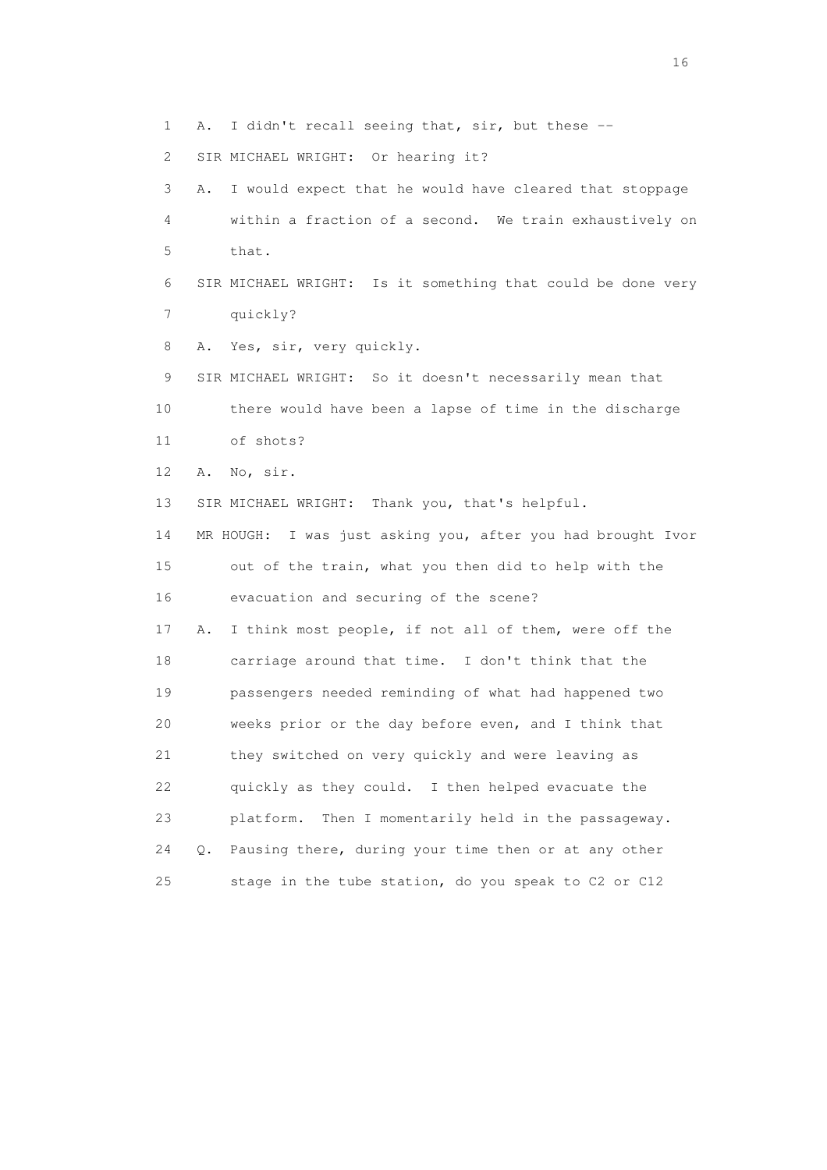3 A. I would expect that he would have cleared that stoppage 4 within a fraction of a second. We train exhaustively on 5 that. 6 SIR MICHAEL WRIGHT: Is it something that could be done very 7 quickly? 8 A. Yes, sir, very quickly. 9 SIR MICHAEL WRIGHT: So it doesn't necessarily mean that 10 there would have been a lapse of time in the discharge 11 of shots? 12 A. No, sir. 13 SIR MICHAEL WRIGHT: Thank you, that's helpful. 14 MR HOUGH: I was just asking you, after you had brought Ivor 15 out of the train, what you then did to help with the 16 evacuation and securing of the scene? 17 A. I think most people, if not all of them, were off the 18 carriage around that time. I don't think that the 19 passengers needed reminding of what had happened two 20 weeks prior or the day before even, and I think that 21 they switched on very quickly and were leaving as 22 quickly as they could. I then helped evacuate the 23 platform. Then I momentarily held in the passageway. 24 Q. Pausing there, during your time then or at any other 25 stage in the tube station, do you speak to C2 or C12

1 A. I didn't recall seeing that, sir, but these --

2 SIR MICHAEL WRIGHT: Or hearing it?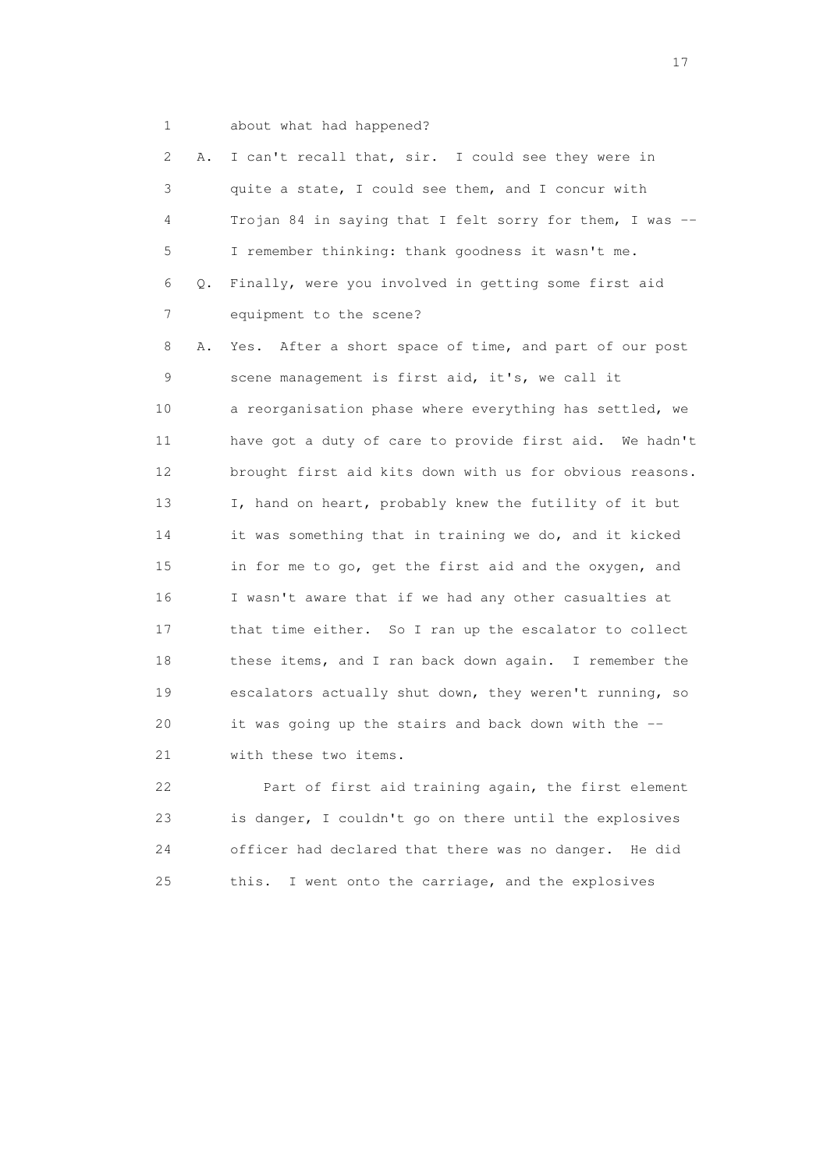- 
- 1 about what had happened?

| 2               | Α. | I can't recall that, sir. I could see they were in        |
|-----------------|----|-----------------------------------------------------------|
| 3               |    | quite a state, I could see them, and I concur with        |
| 4               |    | Trojan 84 in saying that I felt sorry for them, I was --  |
| 5               |    | I remember thinking: thank goodness it wasn't me.         |
| 6               | Q. | Finally, were you involved in getting some first aid      |
| $\overline{7}$  |    | equipment to the scene?                                   |
| 8               | Α. | After a short space of time, and part of our post<br>Yes. |
| 9               |    | scene management is first aid, it's, we call it           |
| 10              |    | a reorganisation phase where everything has settled, we   |
| 11              |    | have got a duty of care to provide first aid. We hadn't   |
| 12 <sup>°</sup> |    | brought first aid kits down with us for obvious reasons.  |
| 13              |    | I, hand on heart, probably knew the futility of it but    |
| 14              |    | it was something that in training we do, and it kicked    |
| 15              |    | in for me to go, get the first aid and the oxygen, and    |
| 16              |    | I wasn't aware that if we had any other casualties at     |
| 17              |    | that time either. So I ran up the escalator to collect    |
| 18              |    | these items, and I ran back down again. I remember the    |
| 19              |    | escalators actually shut down, they weren't running, so   |
| 20              |    | it was going up the stairs and back down with the --      |
| 21              |    | with these two items.                                     |
|                 |    |                                                           |

 22 Part of first aid training again, the first element 23 is danger, I couldn't go on there until the explosives 24 officer had declared that there was no danger. He did 25 this. I went onto the carriage, and the explosives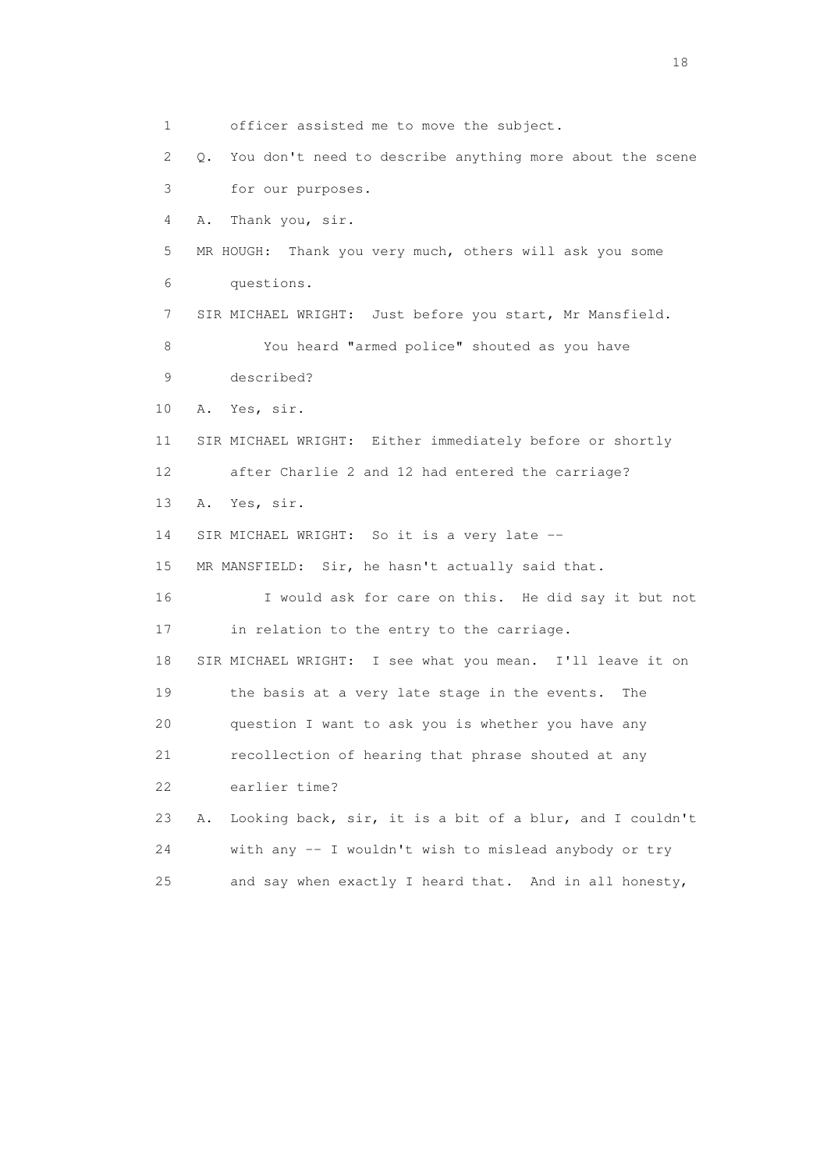1 officer assisted me to move the subject. 2 Q. You don't need to describe anything more about the scene 3 for our purposes. 4 A. Thank you, sir. 5 MR HOUGH: Thank you very much, others will ask you some 6 questions. 7 SIR MICHAEL WRIGHT: Just before you start, Mr Mansfield. 8 You heard "armed police" shouted as you have 9 described? 10 A. Yes, sir. 11 SIR MICHAEL WRIGHT: Either immediately before or shortly 12 after Charlie 2 and 12 had entered the carriage? 13 A. Yes, sir. 14 SIR MICHAEL WRIGHT: So it is a very late -- 15 MR MANSFIELD: Sir, he hasn't actually said that. 16 I would ask for care on this. He did say it but not 17 in relation to the entry to the carriage. 18 SIR MICHAEL WRIGHT: I see what you mean. I'll leave it on 19 the basis at a very late stage in the events. The 20 question I want to ask you is whether you have any 21 recollection of hearing that phrase shouted at any 22 earlier time? 23 A. Looking back, sir, it is a bit of a blur, and I couldn't 24 with any -- I wouldn't wish to mislead anybody or try 25 and say when exactly I heard that. And in all honesty,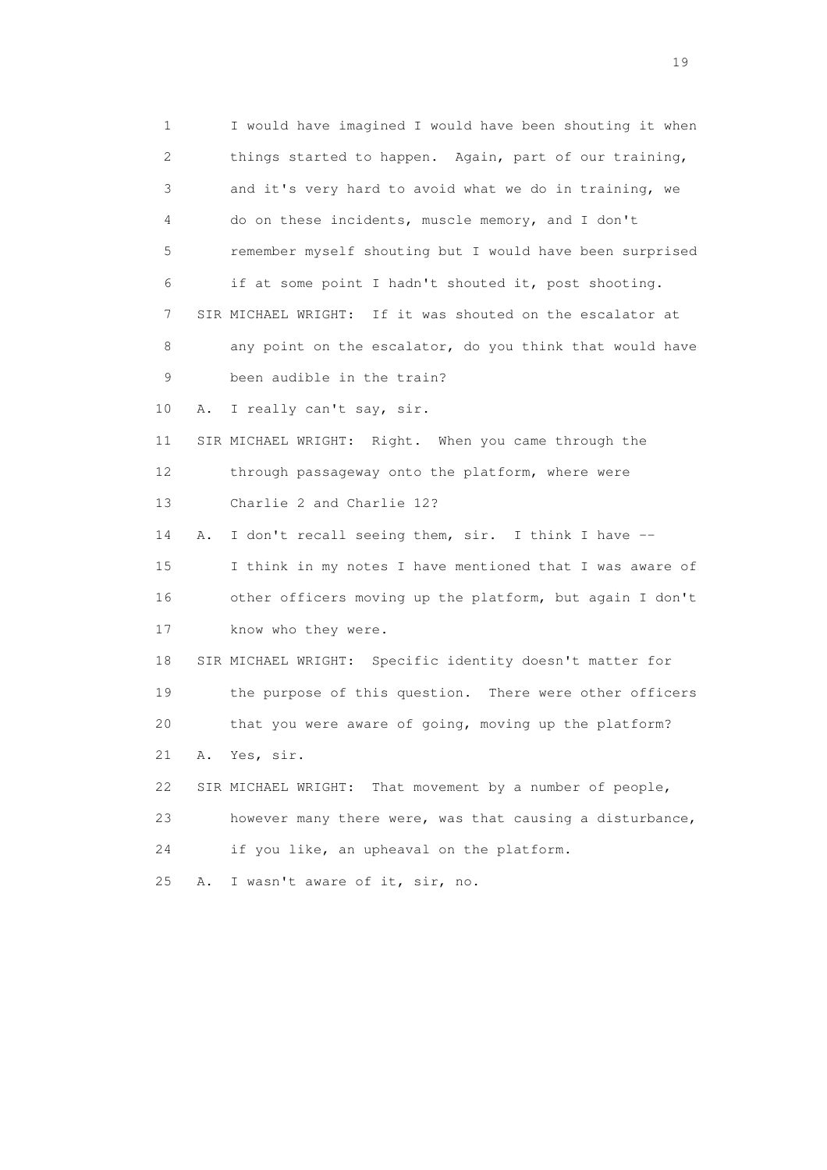1 I would have imagined I would have been shouting it when 2 things started to happen. Again, part of our training, 3 and it's very hard to avoid what we do in training, we 4 do on these incidents, muscle memory, and I don't 5 remember myself shouting but I would have been surprised 6 if at some point I hadn't shouted it, post shooting. 7 SIR MICHAEL WRIGHT: If it was shouted on the escalator at 8 any point on the escalator, do you think that would have 9 been audible in the train? 10 A. I really can't say, sir. 11 SIR MICHAEL WRIGHT: Right. When you came through the 12 through passageway onto the platform, where were 13 Charlie 2 and Charlie 12? 14 A. I don't recall seeing them, sir. I think I have -- 15 I think in my notes I have mentioned that I was aware of 16 other officers moving up the platform, but again I don't 17 know who they were. 18 SIR MICHAEL WRIGHT: Specific identity doesn't matter for 19 the purpose of this question. There were other officers 20 that you were aware of going, moving up the platform? 21 A. Yes, sir. 22 SIR MICHAEL WRIGHT: That movement by a number of people, 23 however many there were, was that causing a disturbance, 24 if you like, an upheaval on the platform. 25 A. I wasn't aware of it, sir, no.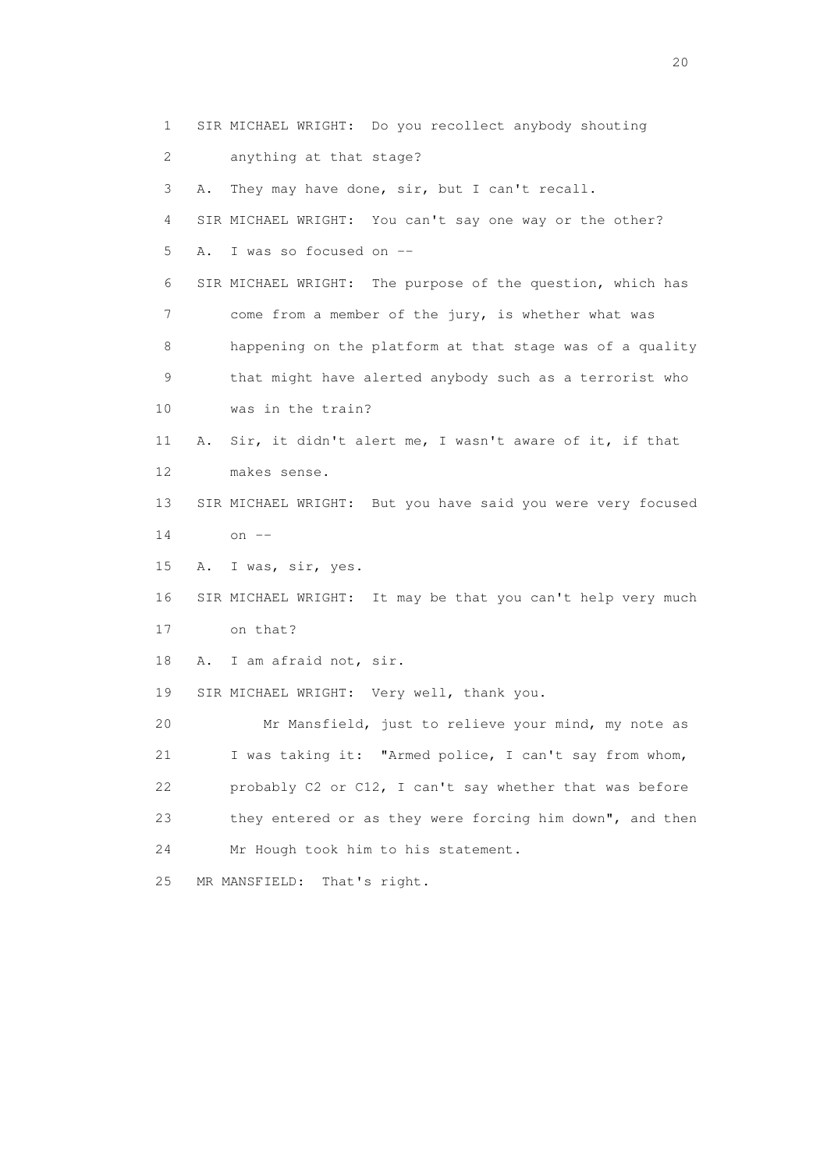1 SIR MICHAEL WRIGHT: Do you recollect anybody shouting 2 anything at that stage? 3 A. They may have done, sir, but I can't recall. 4 SIR MICHAEL WRIGHT: You can't say one way or the other? 5 A. I was so focused on -- 6 SIR MICHAEL WRIGHT: The purpose of the question, which has 7 come from a member of the jury, is whether what was 8 happening on the platform at that stage was of a quality 9 that might have alerted anybody such as a terrorist who 10 was in the train? 11 A. Sir, it didn't alert me, I wasn't aware of it, if that 12 makes sense. 13 SIR MICHAEL WRIGHT: But you have said you were very focused 14 on -- 15 A. I was, sir, yes. 16 SIR MICHAEL WRIGHT: It may be that you can't help very much 17 on that? 18 A. I am afraid not, sir. 19 SIR MICHAEL WRIGHT: Very well, thank you. 20 Mr Mansfield, just to relieve your mind, my note as 21 I was taking it: "Armed police, I can't say from whom, 22 probably C2 or C12, I can't say whether that was before 23 they entered or as they were forcing him down", and then 24 Mr Hough took him to his statement. 25 MR MANSFIELD: That's right.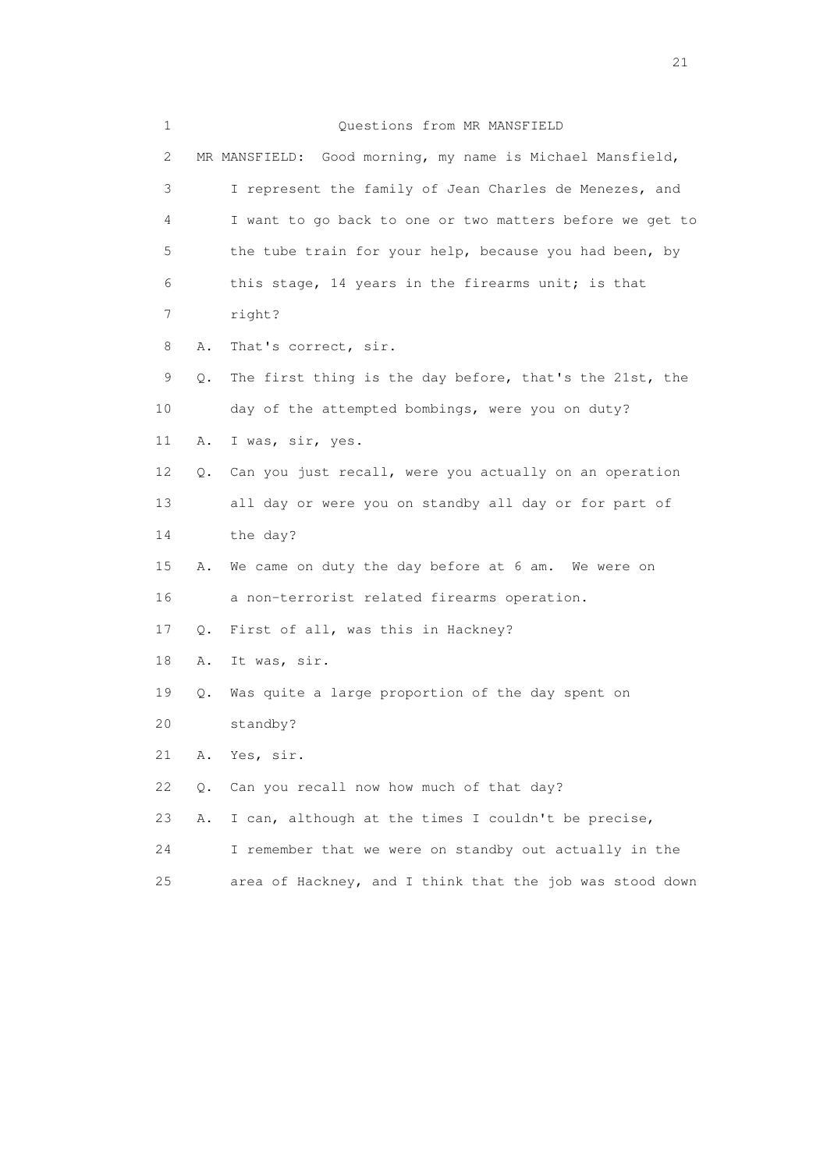| 1  |    | Questions from MR MANSFIELD                               |
|----|----|-----------------------------------------------------------|
| 2  |    | MR MANSFIELD: Good morning, my name is Michael Mansfield, |
| 3  |    | I represent the family of Jean Charles de Menezes, and    |
| 4  |    | I want to go back to one or two matters before we get to  |
| 5  |    | the tube train for your help, because you had been, by    |
| 6  |    | this stage, 14 years in the firearms unit; is that        |
| 7  |    | right?                                                    |
| 8  | Α. | That's correct, sir.                                      |
| 9  | Q. | The first thing is the day before, that's the 21st, the   |
| 10 |    | day of the attempted bombings, were you on duty?          |
| 11 | Α. | I was, sir, yes.                                          |
| 12 | Q. | Can you just recall, were you actually on an operation    |
| 13 |    | all day or were you on standby all day or for part of     |
| 14 |    | the day?                                                  |
| 15 | Α. | We came on duty the day before at 6 am. We were on        |
| 16 |    | a non-terrorist related firearms operation.               |
| 17 | Q. | First of all, was this in Hackney?                        |
| 18 | Α. | It was, sir.                                              |
| 19 | Q. | Was quite a large proportion of the day spent on          |
| 20 |    | standby?                                                  |
| 21 | Α. | Yes, sir.                                                 |
| 22 | Q. | Can you recall now how much of that day?                  |
| 23 | Α. | I can, although at the times I couldn't be precise,       |
| 24 |    | I remember that we were on standby out actually in the    |
| 25 |    | area of Hackney, and I think that the job was stood down  |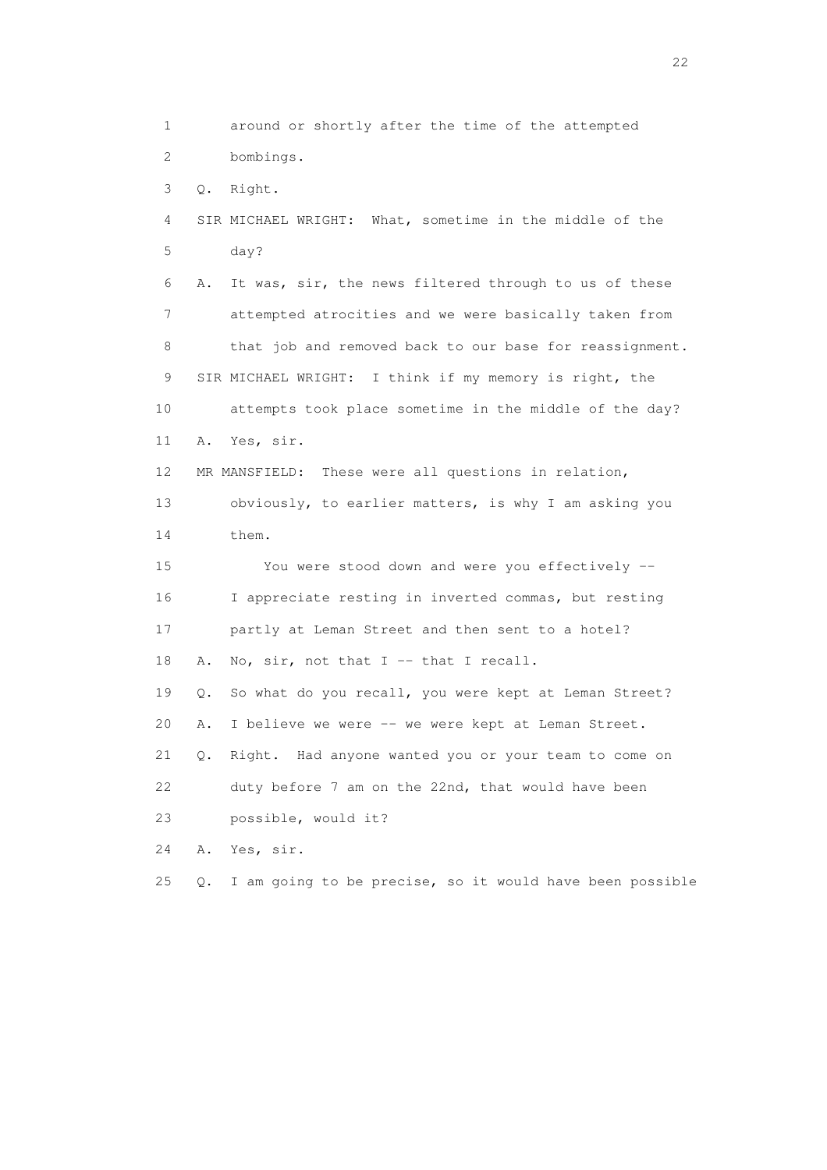1 around or shortly after the time of the attempted 2 bombings. 3 Q. Right. 4 SIR MICHAEL WRIGHT: What, sometime in the middle of the 5 day? 6 A. It was, sir, the news filtered through to us of these 7 attempted atrocities and we were basically taken from 8 that job and removed back to our base for reassignment. 9 SIR MICHAEL WRIGHT: I think if my memory is right, the 10 attempts took place sometime in the middle of the day? 11 A. Yes, sir. 12 MR MANSFIELD: These were all questions in relation, 13 obviously, to earlier matters, is why I am asking you 14 them. 15 You were stood down and were you effectively -- 16 I appreciate resting in inverted commas, but resting 17 partly at Leman Street and then sent to a hotel? 18 A. No, sir, not that I -- that I recall. 19 Q. So what do you recall, you were kept at Leman Street? 20 A. I believe we were -- we were kept at Leman Street. 21 Q. Right. Had anyone wanted you or your team to come on 22 duty before 7 am on the 22nd, that would have been 23 possible, would it? 24 A. Yes, sir. 25 Q. I am going to be precise, so it would have been possible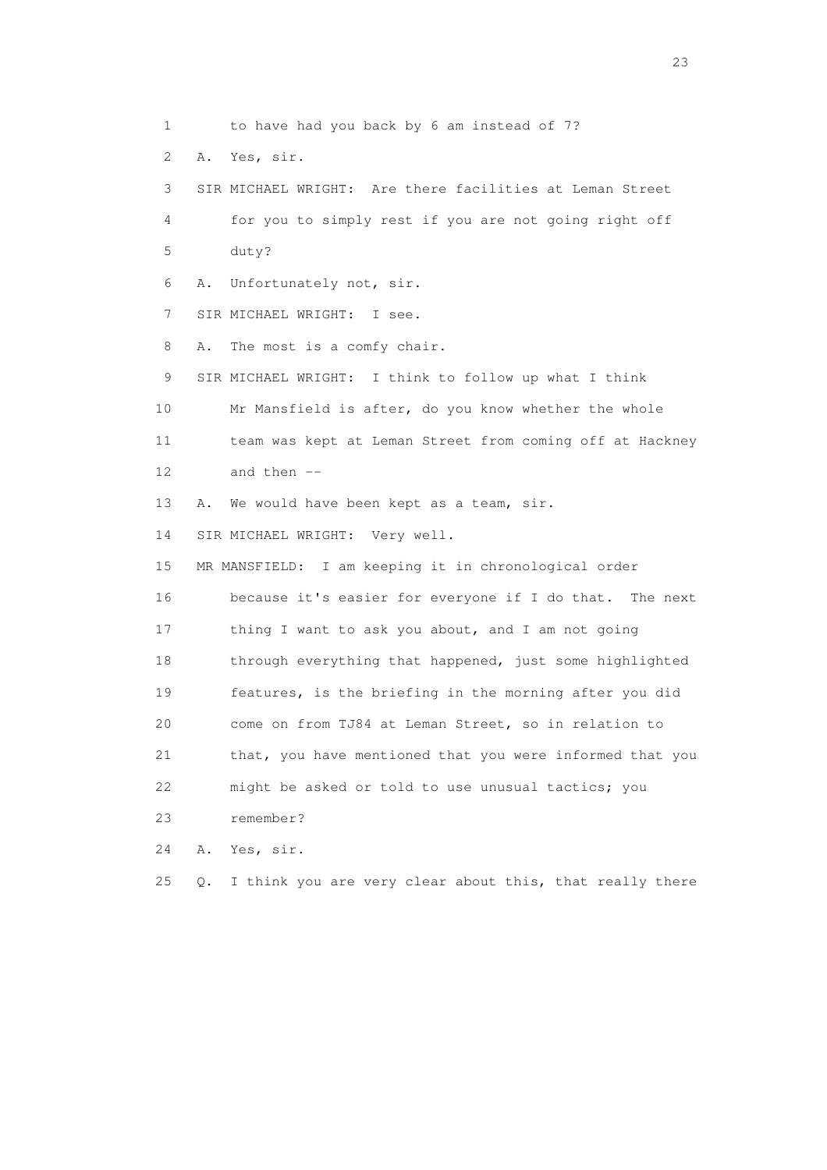1 to have had you back by 6 am instead of 7? 2 A. Yes, sir. 3 SIR MICHAEL WRIGHT: Are there facilities at Leman Street 4 for you to simply rest if you are not going right off 5 duty? 6 A. Unfortunately not, sir. 7 SIR MICHAEL WRIGHT: I see. 8 A. The most is a comfy chair. 9 SIR MICHAEL WRIGHT: I think to follow up what I think 10 Mr Mansfield is after, do you know whether the whole 11 team was kept at Leman Street from coming off at Hackney 12 and then -- 13 A. We would have been kept as a team, sir. 14 SIR MICHAEL WRIGHT: Very well. 15 MR MANSFIELD: I am keeping it in chronological order 16 because it's easier for everyone if I do that. The next 17 thing I want to ask you about, and I am not going 18 through everything that happened, just some highlighted 19 features, is the briefing in the morning after you did 20 come on from TJ84 at Leman Street, so in relation to 21 that, you have mentioned that you were informed that you 22 might be asked or told to use unusual tactics; you 23 remember? 24 A. Yes, sir. 25 Q. I think you are very clear about this, that really there

23 and 23 and 23 and 23 and 23 and 23 and 23 and 23 and 23 and 23 and 23 and 23 and 23 and 23 and 23 and 23 and 24 and 25 and 25 and 26 and 26 and 26 and 26 and 26 and 26 and 26 and 26 and 26 and 26 and 26 and 26 and 26 an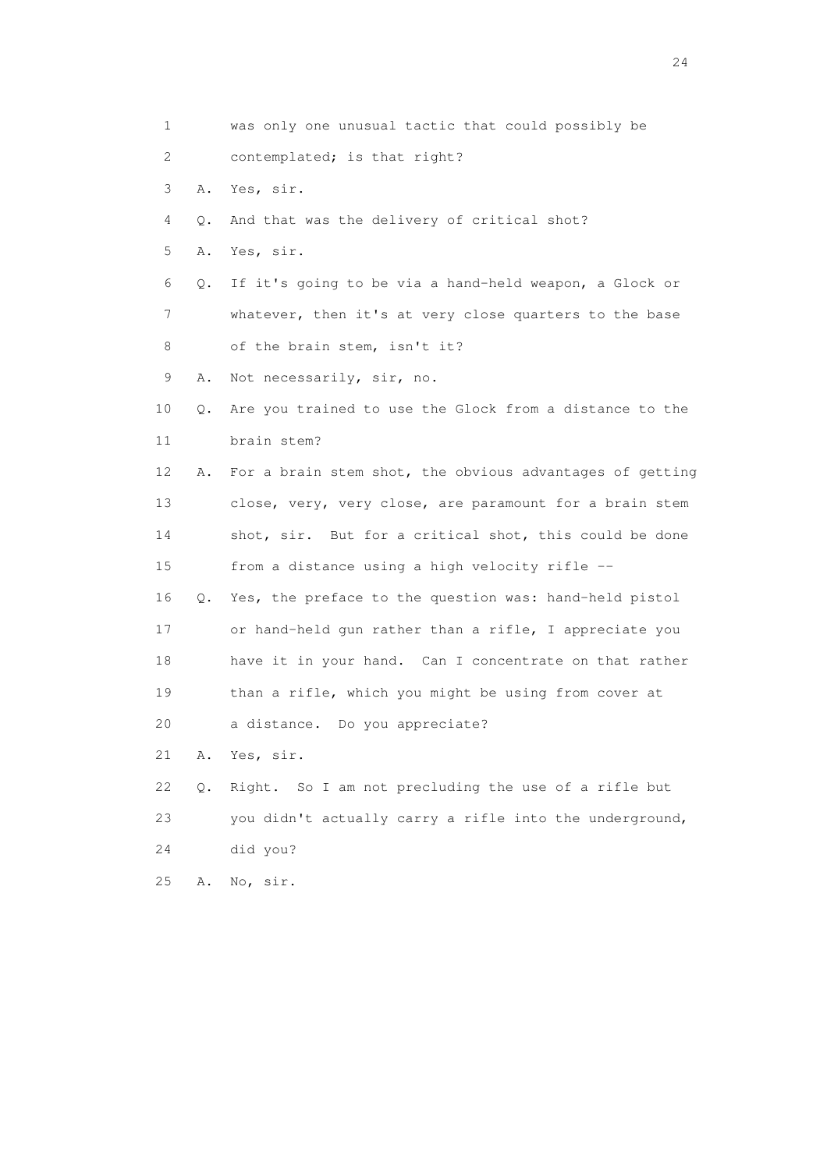1 was only one unusual tactic that could possibly be 2 contemplated; is that right? 3 A. Yes, sir. 4 Q. And that was the delivery of critical shot? 5 A. Yes, sir. 6 Q. If it's going to be via a hand-held weapon, a Glock or 7 whatever, then it's at very close quarters to the base 8 of the brain stem, isn't it? 9 A. Not necessarily, sir, no. 10 Q. Are you trained to use the Glock from a distance to the 11 brain stem? 12 A. For a brain stem shot, the obvious advantages of getting 13 close, very, very close, are paramount for a brain stem 14 shot, sir. But for a critical shot, this could be done 15 from a distance using a high velocity rifle -- 16 Q. Yes, the preface to the question was: hand-held pistol 17 or hand-held gun rather than a rifle, I appreciate you 18 have it in your hand. Can I concentrate on that rather 19 than a rifle, which you might be using from cover at 20 a distance. Do you appreciate? 21 A. Yes, sir. 22 Q. Right. So I am not precluding the use of a rifle but 23 you didn't actually carry a rifle into the underground, 24 did you? 25 A. No, sir.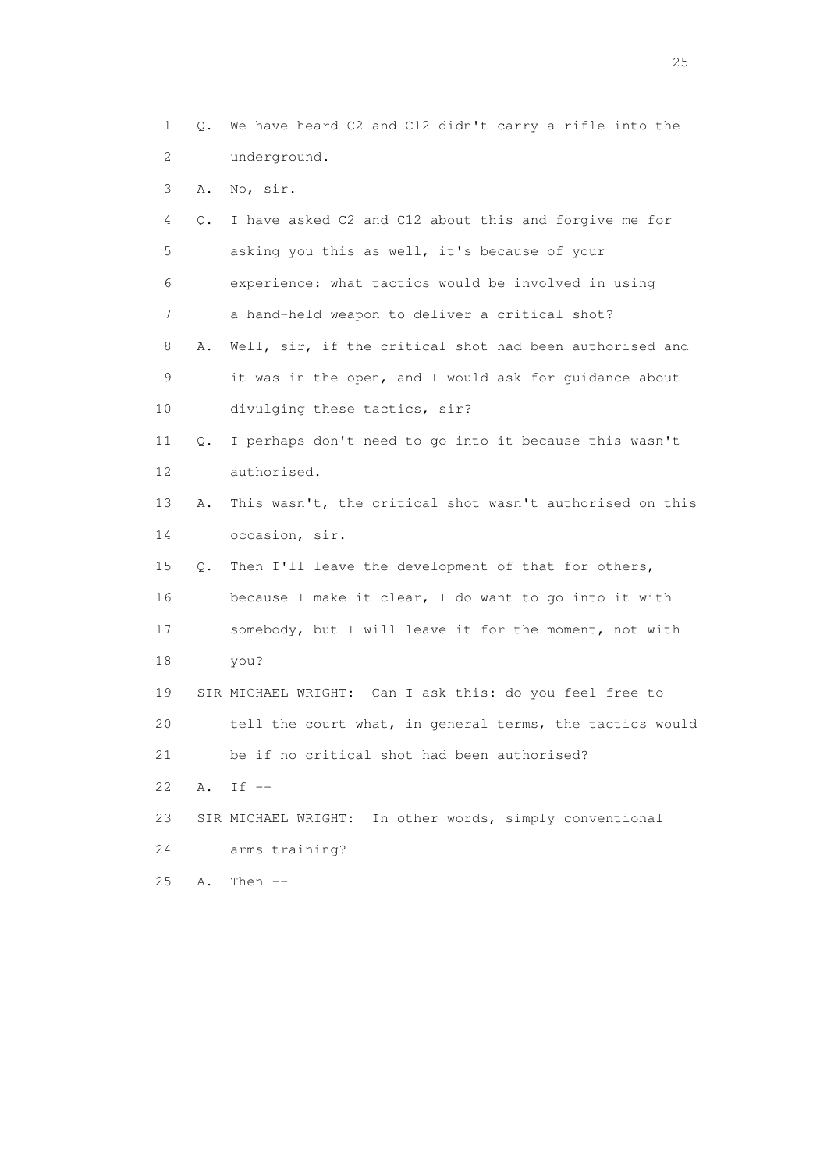1 Q. We have heard C2 and C12 didn't carry a rifle into the 2 underground.

3 A. No, sir.

 4 Q. I have asked C2 and C12 about this and forgive me for 5 asking you this as well, it's because of your 6 experience: what tactics would be involved in using 7 a hand-held weapon to deliver a critical shot? 8 A. Well, sir, if the critical shot had been authorised and 9 it was in the open, and I would ask for guidance about 10 divulging these tactics, sir? 11 Q. I perhaps don't need to go into it because this wasn't 12 authorised. 13 A. This wasn't, the critical shot wasn't authorised on this 14 occasion, sir. 15 Q. Then I'll leave the development of that for others, 16 because I make it clear, I do want to go into it with 17 somebody, but I will leave it for the moment, not with 18 you? 19 SIR MICHAEL WRIGHT: Can I ask this: do you feel free to 20 tell the court what, in general terms, the tactics would 21 be if no critical shot had been authorised? 22 A. If -- 23 SIR MICHAEL WRIGHT: In other words, simply conventional 24 arms training? 25 A. Then --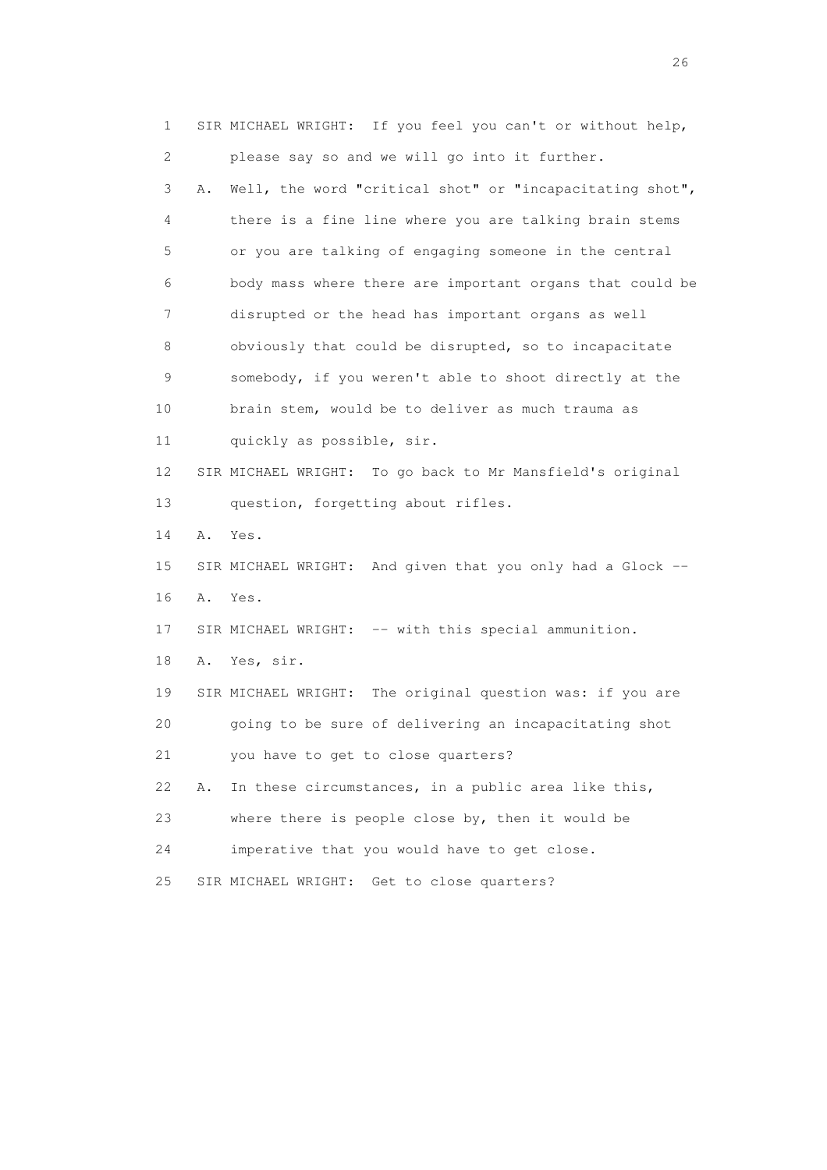1 SIR MICHAEL WRIGHT: If you feel you can't or without help, 2 please say so and we will go into it further. 3 A. Well, the word "critical shot" or "incapacitating shot", 4 there is a fine line where you are talking brain stems 5 or you are talking of engaging someone in the central 6 body mass where there are important organs that could be 7 disrupted or the head has important organs as well 8 obviously that could be disrupted, so to incapacitate 9 somebody, if you weren't able to shoot directly at the 10 brain stem, would be to deliver as much trauma as 11 quickly as possible, sir. 12 SIR MICHAEL WRIGHT: To go back to Mr Mansfield's original 13 question, forgetting about rifles. 14 A. Yes. 15 SIR MICHAEL WRIGHT: And given that you only had a Glock -- 16 A. Yes. 17 SIR MICHAEL WRIGHT: -- with this special ammunition. 18 A. Yes, sir. 19 SIR MICHAEL WRIGHT: The original question was: if you are 20 going to be sure of delivering an incapacitating shot 21 you have to get to close quarters? 22 A. In these circumstances, in a public area like this, 23 where there is people close by, then it would be 24 imperative that you would have to get close. 25 SIR MICHAEL WRIGHT: Get to close quarters?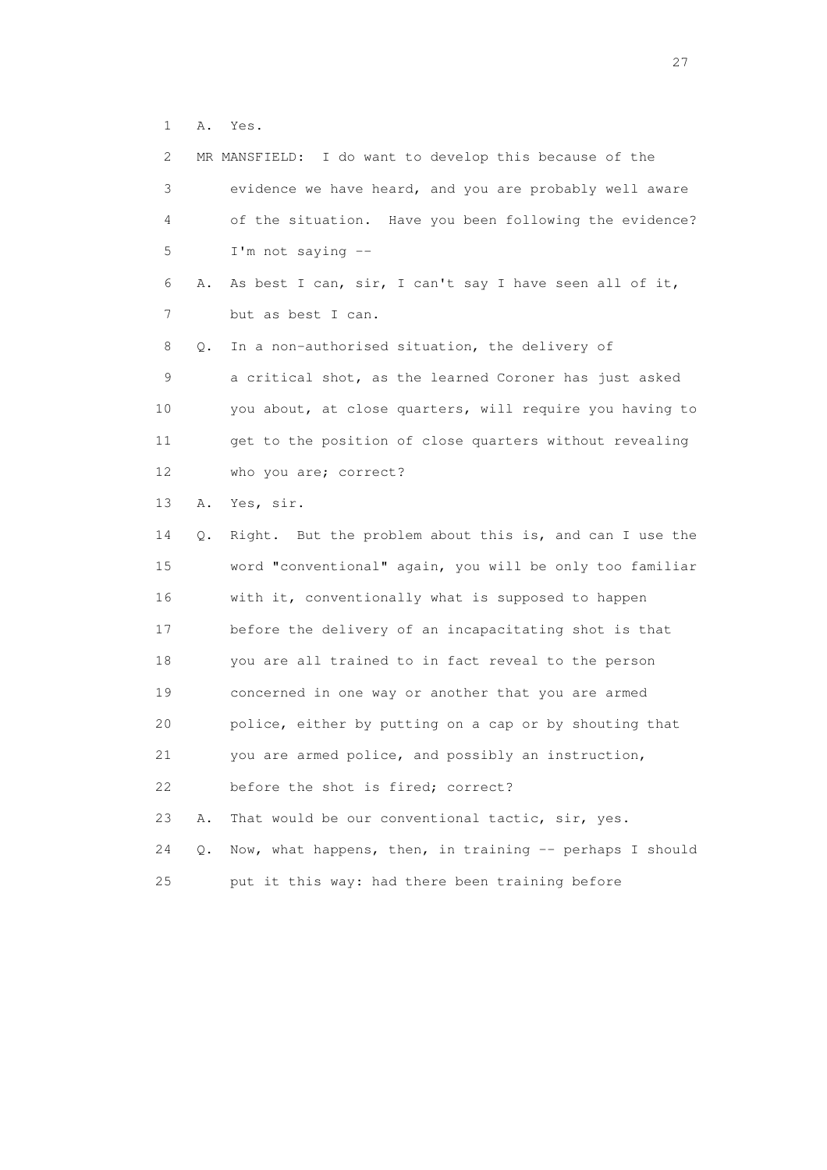1 A. Yes.

| 2  |    | MR MANSFIELD: I do want to develop this because of the   |
|----|----|----------------------------------------------------------|
| 3  |    | evidence we have heard, and you are probably well aware  |
| 4  |    | of the situation. Have you been following the evidence?  |
| 5  |    | I'm not saying --                                        |
| 6  | Α. | As best I can, sir, I can't say I have seen all of it,   |
| 7  |    | but as best I can.                                       |
| 8  | Q. | In a non-authorised situation, the delivery of           |
| 9  |    | a critical shot, as the learned Coroner has just asked   |
| 10 |    | you about, at close quarters, will require you having to |
| 11 |    | get to the position of close quarters without revealing  |
| 12 |    | who you are; correct?                                    |
| 13 | Α. | Yes, sir.                                                |
| 14 | Q. | Right. But the problem about this is, and can I use the  |
| 15 |    | word "conventional" again, you will be only too familiar |
| 16 |    | with it, conventionally what is supposed to happen       |
| 17 |    | before the delivery of an incapacitating shot is that    |
| 18 |    | you are all trained to in fact reveal to the person      |
| 19 |    | concerned in one way or another that you are armed       |
| 20 |    | police, either by putting on a cap or by shouting that   |
| 21 |    | you are armed police, and possibly an instruction,       |
| 22 |    | before the shot is fired; correct?                       |
| 23 | Α. | That would be our conventional tactic, sir, yes.         |
| 24 | Q. | Now, what happens, then, in training -- perhaps I should |
| 25 |    | put it this way: had there been training before          |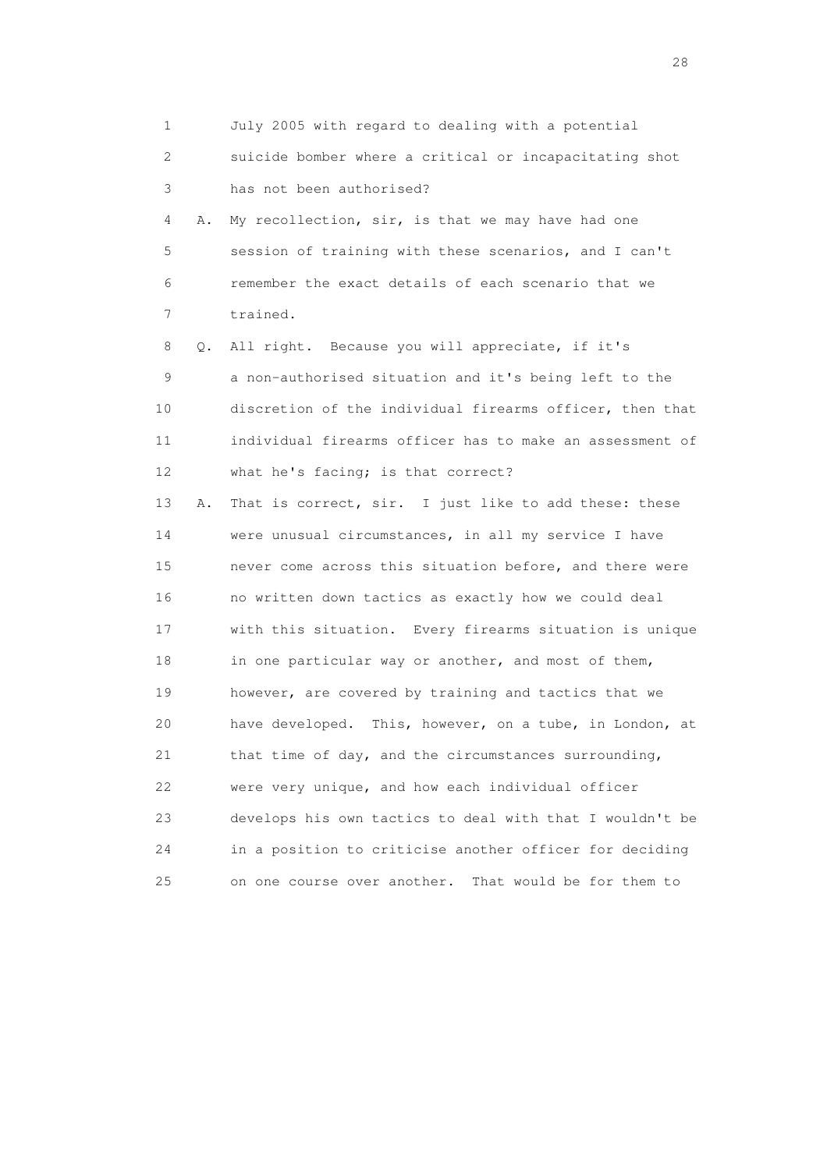1 July 2005 with regard to dealing with a potential 2 suicide bomber where a critical or incapacitating shot 3 has not been authorised? 4 A. My recollection, sir, is that we may have had one 5 session of training with these scenarios, and I can't 6 remember the exact details of each scenario that we 7 trained. 8 Q. All right. Because you will appreciate, if it's 9 a non-authorised situation and it's being left to the 10 discretion of the individual firearms officer, then that 11 individual firearms officer has to make an assessment of 12 what he's facing; is that correct? 13 A. That is correct, sir. I just like to add these: these 14 were unusual circumstances, in all my service I have 15 never come across this situation before, and there were 16 no written down tactics as exactly how we could deal 17 with this situation. Every firearms situation is unique 18 in one particular way or another, and most of them, 19 however, are covered by training and tactics that we 20 have developed. This, however, on a tube, in London, at 21 that time of day, and the circumstances surrounding, 22 were very unique, and how each individual officer 23 develops his own tactics to deal with that I wouldn't be 24 in a position to criticise another officer for deciding 25 on one course over another. That would be for them to

28 and 28 and 28 and 28 and 28 and 28 and 28 and 28 and 28 and 28 and 28 and 28 and 28 and 28 and 28 and 28 and 28 and 28 and 28 and 28 and 28 and 28 and 28 and 28 and 28 and 28 and 28 and 28 and 28 and 28 and 28 and 28 an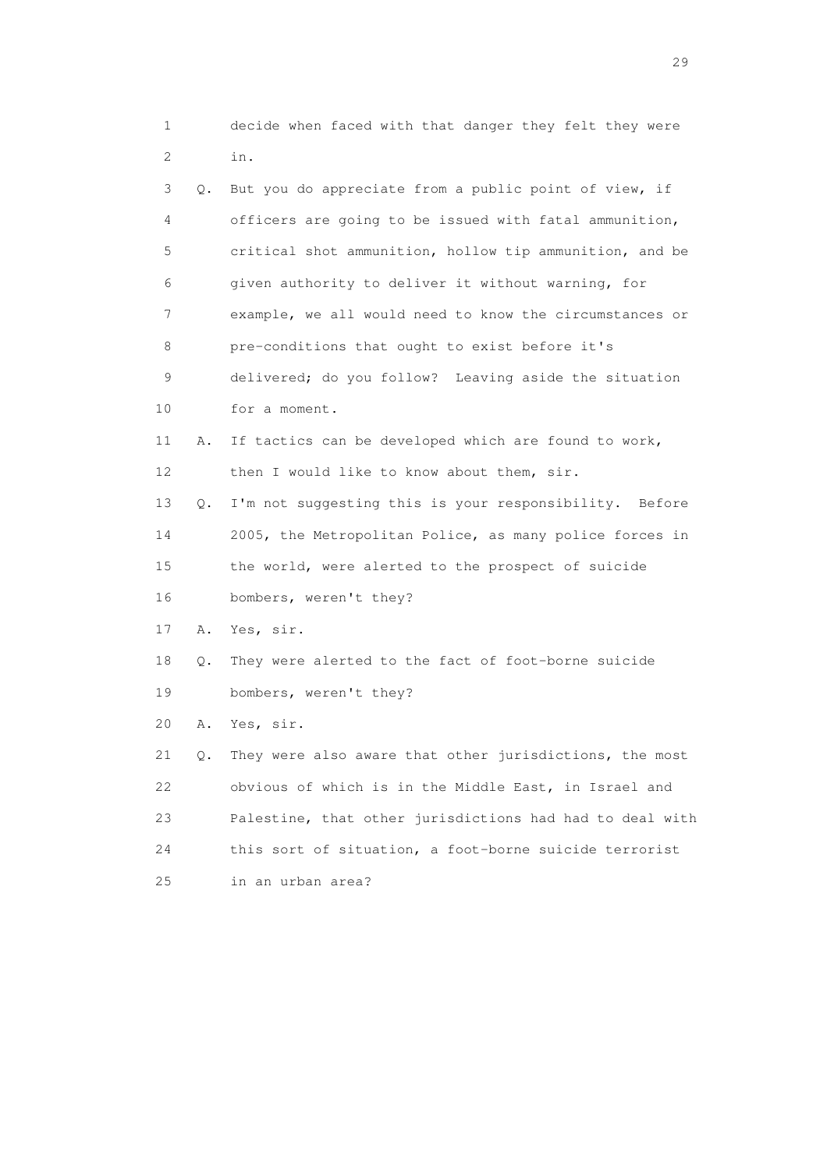| 1                         |    | decide when faced with that danger they felt they were   |
|---------------------------|----|----------------------------------------------------------|
| $\mathbf{2}^{\mathsf{I}}$ |    | in.                                                      |
| 3                         | Q. | But you do appreciate from a public point of view, if    |
| 4                         |    | officers are going to be issued with fatal ammunition,   |
| 5                         |    | critical shot ammunition, hollow tip ammunition, and be  |
| 6                         |    | given authority to deliver it without warning, for       |
| 7                         |    | example, we all would need to know the circumstances or  |
| 8                         |    | pre-conditions that ought to exist before it's           |
| 9                         |    | delivered; do you follow? Leaving aside the situation    |
| 10                        |    | for a moment.                                            |
| 11                        | Α. | If tactics can be developed which are found to work,     |
| 12                        |    | then I would like to know about them, sir.               |
| 13                        | Q. | I'm not suggesting this is your responsibility. Before   |
| 14                        |    | 2005, the Metropolitan Police, as many police forces in  |
| 15                        |    | the world, were alerted to the prospect of suicide       |
| 16                        |    | bombers, weren't they?                                   |
| 17                        | Α. | Yes, sir.                                                |
| 18                        | Q. | They were alerted to the fact of foot-borne suicide      |
| 19                        |    | bombers, weren't they?                                   |
| 20                        | Α. | Yes, sir.                                                |
| 21                        | Q. | They were also aware that other jurisdictions, the most  |
| 22                        |    | obvious of which is in the Middle East, in Israel and    |
| 23                        |    | Palestine, that other jurisdictions had had to deal with |
| 24                        |    | this sort of situation, a foot-borne suicide terrorist   |

25 in an urban area?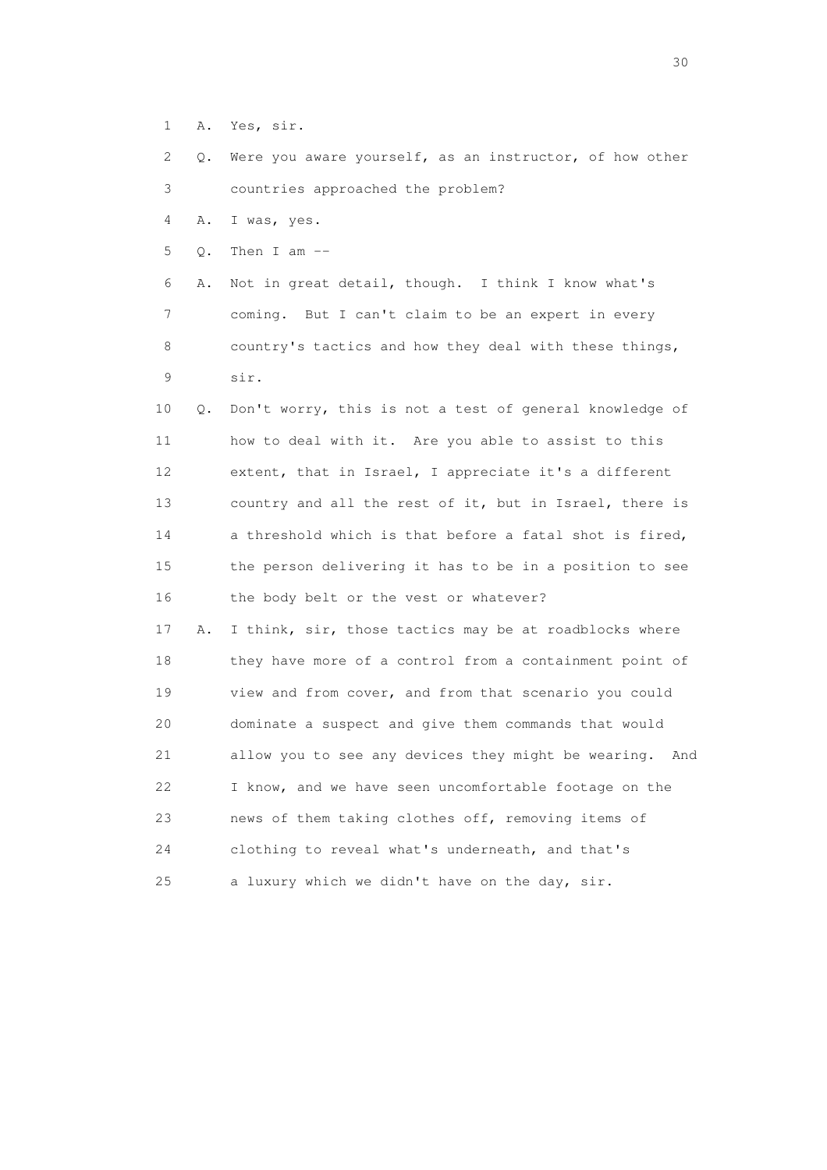- 1 A. Yes, sir.
- 2 Q. Were you aware yourself, as an instructor, of how other 3 countries approached the problem?

4 A. I was, yes.

5 Q. Then I am --

 6 A. Not in great detail, though. I think I know what's 7 coming. But I can't claim to be an expert in every 8 country's tactics and how they deal with these things, 9 sir.

 10 Q. Don't worry, this is not a test of general knowledge of 11 how to deal with it. Are you able to assist to this 12 extent, that in Israel, I appreciate it's a different 13 country and all the rest of it, but in Israel, there is 14 a threshold which is that before a fatal shot is fired, 15 the person delivering it has to be in a position to see 16 the body belt or the vest or whatever?

 17 A. I think, sir, those tactics may be at roadblocks where 18 they have more of a control from a containment point of 19 view and from cover, and from that scenario you could 20 dominate a suspect and give them commands that would 21 allow you to see any devices they might be wearing. And 22 I know, and we have seen uncomfortable footage on the 23 news of them taking clothes off, removing items of 24 clothing to reveal what's underneath, and that's 25 a luxury which we didn't have on the day, sir.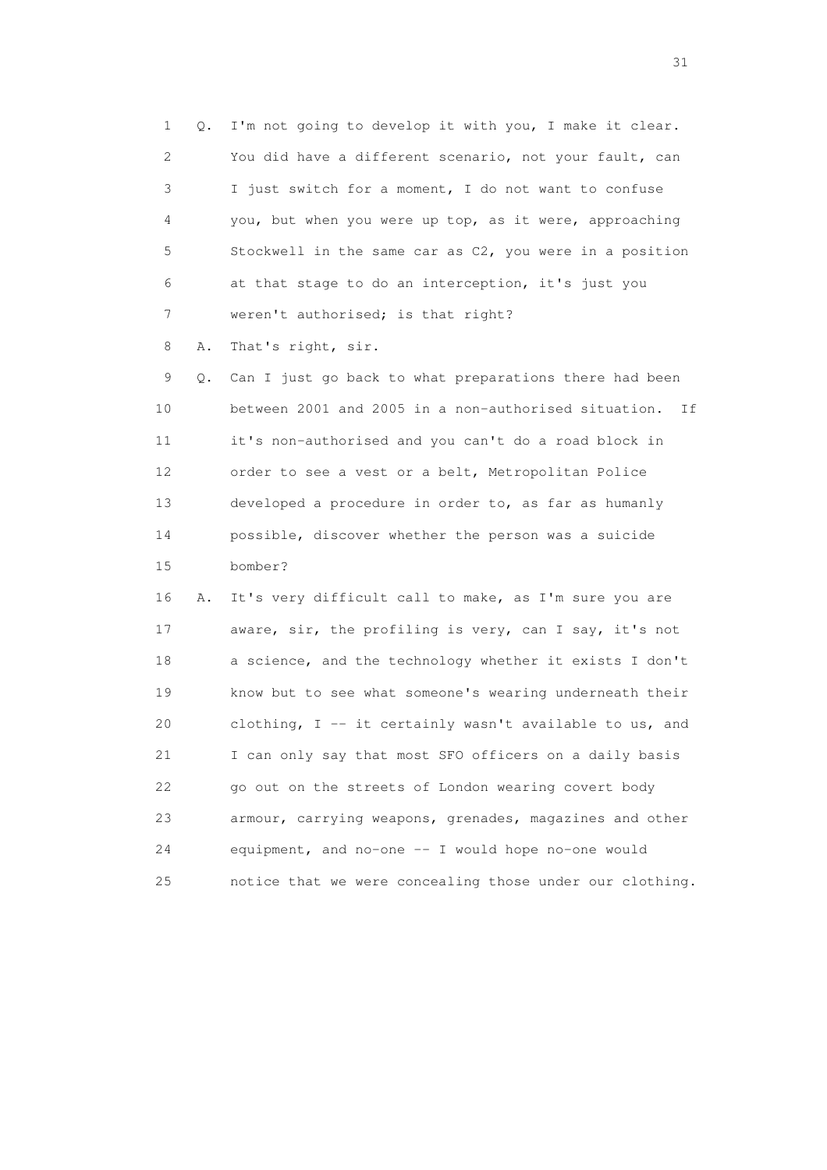1 Q. I'm not going to develop it with you, I make it clear. 2 You did have a different scenario, not your fault, can 3 I just switch for a moment, I do not want to confuse 4 you, but when you were up top, as it were, approaching 5 Stockwell in the same car as C2, you were in a position 6 at that stage to do an interception, it's just you 7 weren't authorised; is that right?

8 A. That's right, sir.

 9 Q. Can I just go back to what preparations there had been 10 between 2001 and 2005 in a non-authorised situation. If 11 it's non-authorised and you can't do a road block in 12 order to see a vest or a belt, Metropolitan Police 13 developed a procedure in order to, as far as humanly 14 possible, discover whether the person was a suicide 15 bomber?

 16 A. It's very difficult call to make, as I'm sure you are 17 aware, sir, the profiling is very, can I say, it's not 18 a science, and the technology whether it exists I don't 19 know but to see what someone's wearing underneath their 20 clothing, I -- it certainly wasn't available to us, and 21 I can only say that most SFO officers on a daily basis 22 go out on the streets of London wearing covert body 23 armour, carrying weapons, grenades, magazines and other 24 equipment, and no-one -- I would hope no-one would 25 notice that we were concealing those under our clothing.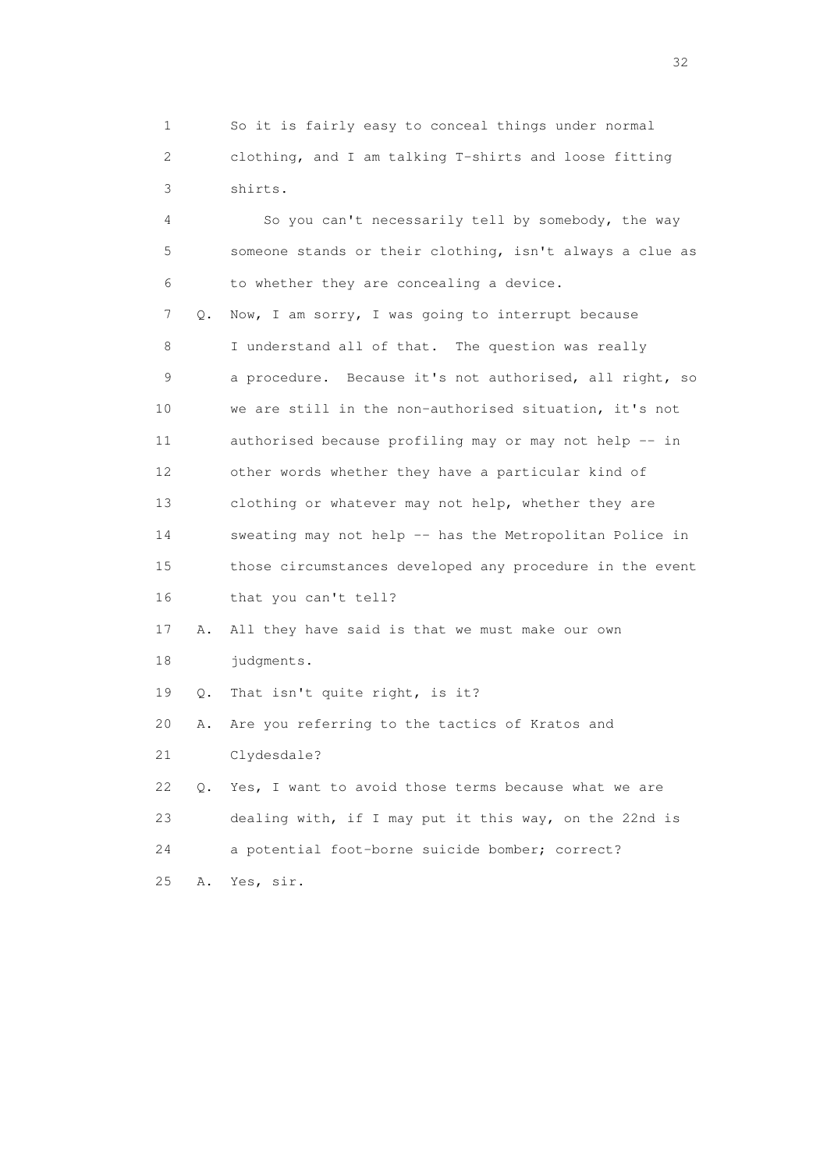1 So it is fairly easy to conceal things under normal 2 clothing, and I am talking T-shirts and loose fitting 3 shirts.

| 4  |    | So you can't necessarily tell by somebody, the way       |
|----|----|----------------------------------------------------------|
| 5  |    | someone stands or their clothing, isn't always a clue as |
| 6  |    | to whether they are concealing a device.                 |
| 7  | Q. | Now, I am sorry, I was going to interrupt because        |
| 8  |    | I understand all of that. The question was really        |
| 9  |    | a procedure. Because it's not authorised, all right, so  |
| 10 |    | we are still in the non-authorised situation, it's not   |
| 11 |    | authorised because profiling may or may not help -- in   |
| 12 |    | other words whether they have a particular kind of       |
| 13 |    | clothing or whatever may not help, whether they are      |
| 14 |    | sweating may not help -- has the Metropolitan Police in  |
| 15 |    | those circumstances developed any procedure in the event |
| 16 |    | that you can't tell?                                     |
| 17 | Α. | All they have said is that we must make our own          |
| 18 |    | judgments.                                               |
| 19 | Q. | That isn't quite right, is it?                           |
| 20 | Α. | Are you referring to the tactics of Kratos and           |
| 21 |    | Clydesdale?                                              |
| 22 | Q. | Yes, I want to avoid those terms because what we are     |
| 23 |    | dealing with, if I may put it this way, on the 22nd is   |
| 24 |    | a potential foot-borne suicide bomber; correct?          |
| 25 | Α. | Yes, sir.                                                |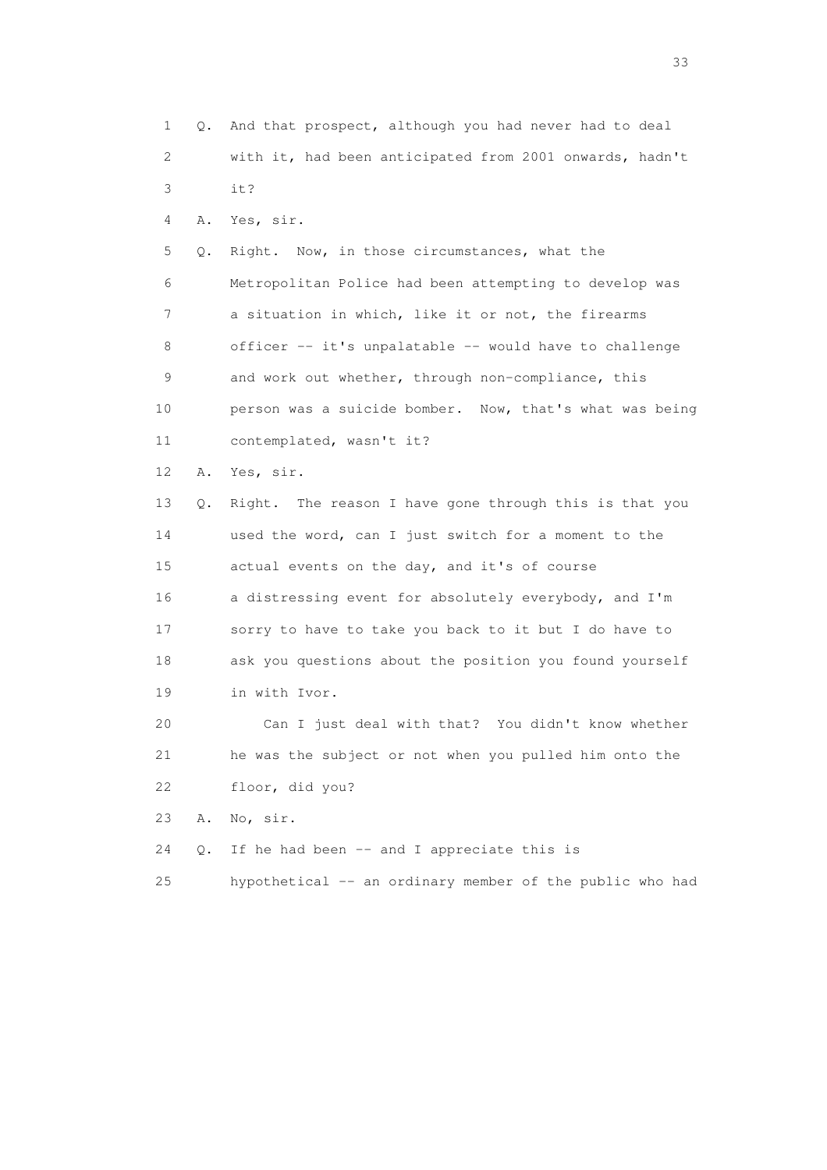| 1  | Q. | And that prospect, although you had never had to deal    |
|----|----|----------------------------------------------------------|
| 2  |    | with it, had been anticipated from 2001 onwards, hadn't  |
| 3  |    | it?                                                      |
| 4  | Α. | Yes, sir.                                                |
| 5  | Q. | Right. Now, in those circumstances, what the             |
| 6  |    | Metropolitan Police had been attempting to develop was   |
| 7  |    | a situation in which, like it or not, the firearms       |
| 8  |    | officer -- it's unpalatable -- would have to challenge   |
| 9  |    | and work out whether, through non-compliance, this       |
| 10 |    | person was a suicide bomber. Now, that's what was being  |
| 11 |    | contemplated, wasn't it?                                 |
| 12 | Α. | Yes, sir.                                                |
| 13 | Q. | Right. The reason I have gone through this is that you   |
| 14 |    | used the word, can I just switch for a moment to the     |
| 15 |    | actual events on the day, and it's of course             |
| 16 |    | a distressing event for absolutely everybody, and I'm    |
| 17 |    | sorry to have to take you back to it but I do have to    |
| 18 |    | ask you questions about the position you found yourself  |
| 19 |    | in with Ivor.                                            |
| 20 |    | Can I just deal with that? You didn't know whether       |
| 21 |    | he was the subject or not when you pulled him onto the   |
| 22 |    | floor, did you?                                          |
| 23 | Α. | No, sir.                                                 |
| 24 | Q. | If he had been -- and I appreciate this is               |
| 25 |    | hypothetical -- an ordinary member of the public who had |

<u>33</u> and the state of the state of the state of the state of the state of the state of the state of the state of the state of the state of the state of the state of the state of the state of the state of the state of the s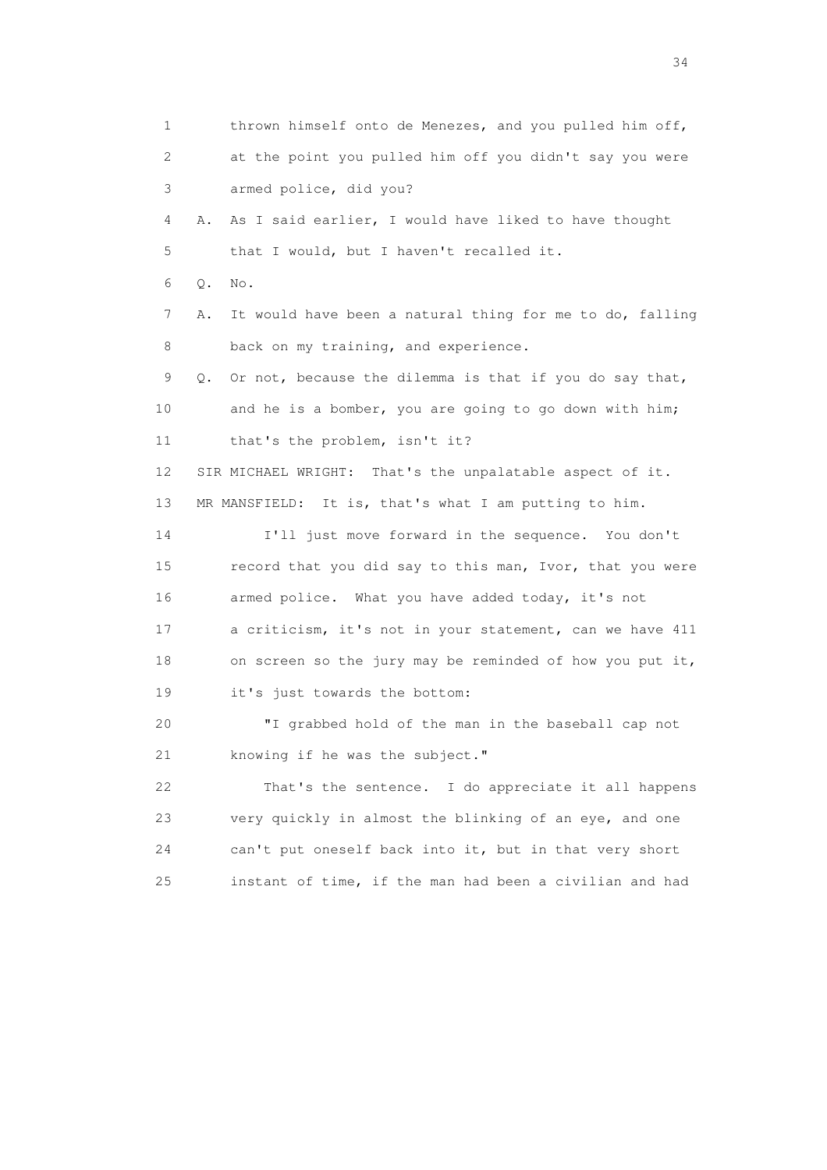1 thrown himself onto de Menezes, and you pulled him off, 2 at the point you pulled him off you didn't say you were 3 armed police, did you? 4 A. As I said earlier, I would have liked to have thought 5 that I would, but I haven't recalled it. 6 Q. No. 7 A. It would have been a natural thing for me to do, falling 8 back on my training, and experience. 9 Q. Or not, because the dilemma is that if you do say that, 10 and he is a bomber, you are going to go down with him; 11 that's the problem, isn't it? 12 SIR MICHAEL WRIGHT: That's the unpalatable aspect of it. 13 MR MANSFIELD: It is, that's what I am putting to him. 14 I'll just move forward in the sequence. You don't 15 record that you did say to this man, Ivor, that you were 16 armed police. What you have added today, it's not 17 a criticism, it's not in your statement, can we have 411 18 on screen so the jury may be reminded of how you put it, 19 it's just towards the bottom: 20 "I grabbed hold of the man in the baseball cap not 21 knowing if he was the subject." 22 That's the sentence. I do appreciate it all happens 23 very quickly in almost the blinking of an eye, and one 24 can't put oneself back into it, but in that very short 25 instant of time, if the man had been a civilian and had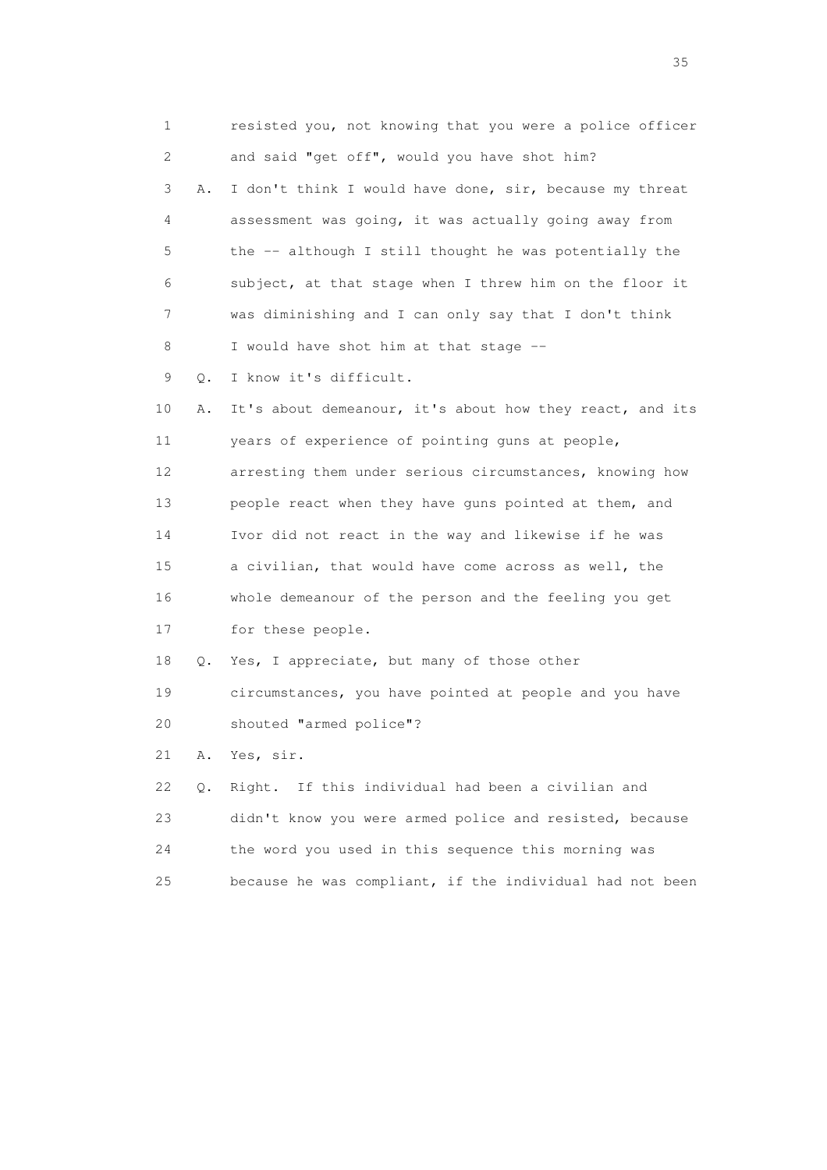1 resisted you, not knowing that you were a police officer 2 and said "get off", would you have shot him? 3 A. I don't think I would have done, sir, because my threat 4 assessment was going, it was actually going away from 5 the -- although I still thought he was potentially the 6 subject, at that stage when I threw him on the floor it 7 was diminishing and I can only say that I don't think 8 I would have shot him at that stage -- 9 Q. I know it's difficult. 10 A. It's about demeanour, it's about how they react, and its 11 years of experience of pointing guns at people, 12 arresting them under serious circumstances, knowing how 13 people react when they have guns pointed at them, and 14 Ivor did not react in the way and likewise if he was 15 a civilian, that would have come across as well, the 16 whole demeanour of the person and the feeling you get 17 for these people. 18 Q. Yes, I appreciate, but many of those other 19 circumstances, you have pointed at people and you have 20 shouted "armed police"? 21 A. Yes, sir. 22 Q. Right. If this individual had been a civilian and 23 didn't know you were armed police and resisted, because 24 the word you used in this sequence this morning was 25 because he was compliant, if the individual had not been

<u>35</u> and the state of the state of the state of the state of the state of the state of the state of the state of the state of the state of the state of the state of the state of the state of the state of the state of the s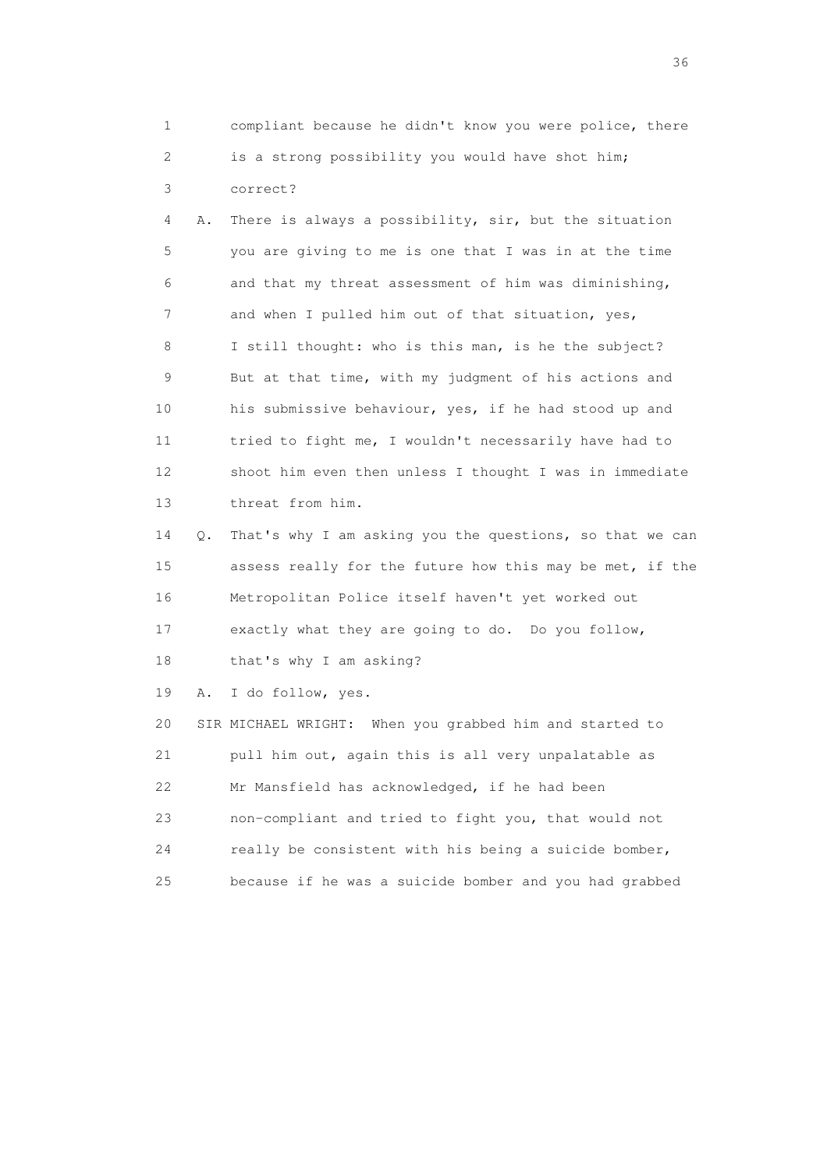1 compliant because he didn't know you were police, there 2 is a strong possibility you would have shot him; 3 correct?

 4 A. There is always a possibility, sir, but the situation 5 you are giving to me is one that I was in at the time 6 and that my threat assessment of him was diminishing, 7 and when I pulled him out of that situation, yes, 8 I still thought: who is this man, is he the subject? 9 But at that time, with my judgment of his actions and 10 his submissive behaviour, yes, if he had stood up and 11 tried to fight me, I wouldn't necessarily have had to 12 shoot him even then unless I thought I was in immediate 13 threat from him.

 14 Q. That's why I am asking you the questions, so that we can 15 assess really for the future how this may be met, if the 16 Metropolitan Police itself haven't yet worked out 17 exactly what they are going to do. Do you follow,

18 that's why I am asking?

19 A. I do follow, yes.

 20 SIR MICHAEL WRIGHT: When you grabbed him and started to 21 pull him out, again this is all very unpalatable as 22 Mr Mansfield has acknowledged, if he had been 23 non-compliant and tried to fight you, that would not 24 really be consistent with his being a suicide bomber, 25 because if he was a suicide bomber and you had grabbed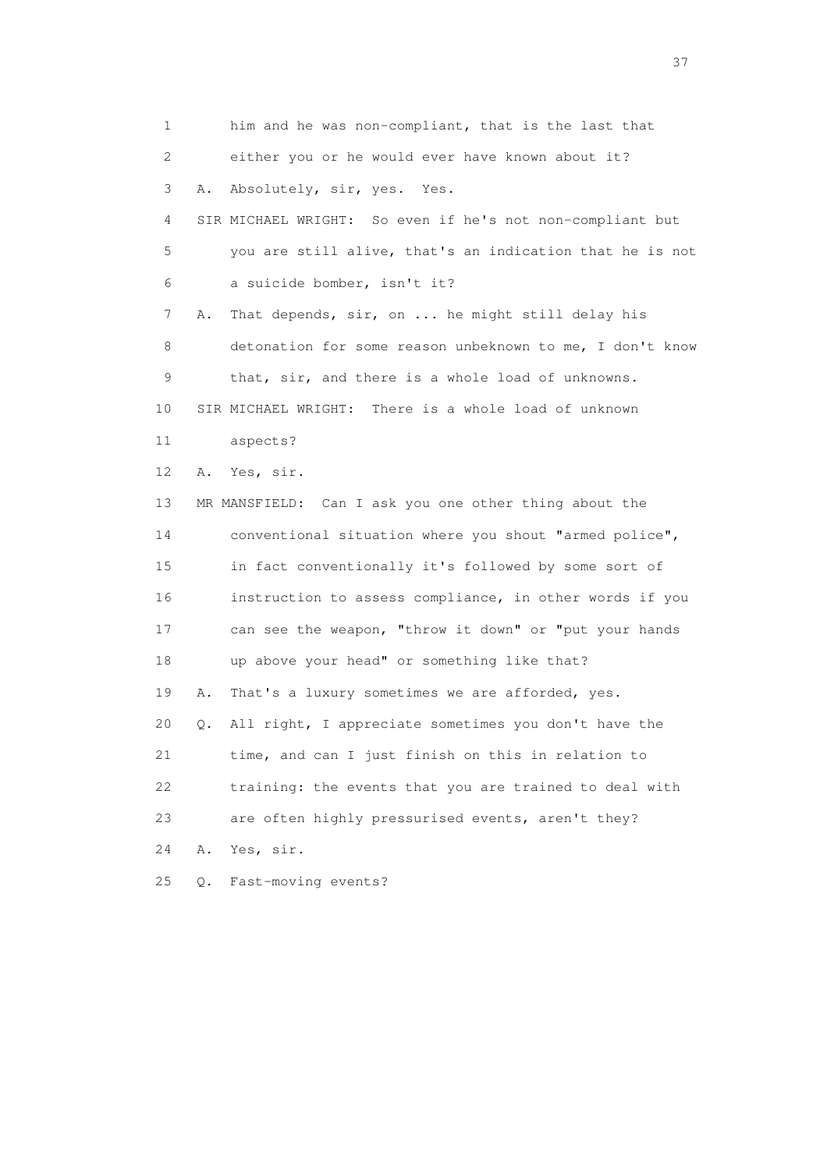1 him and he was non-compliant, that is the last that 2 either you or he would ever have known about it? 3 A. Absolutely, sir, yes. Yes. 4 SIR MICHAEL WRIGHT: So even if he's not non-compliant but 5 you are still alive, that's an indication that he is not 6 a suicide bomber, isn't it? 7 A. That depends, sir, on ... he might still delay his 8 detonation for some reason unbeknown to me, I don't know 9 that, sir, and there is a whole load of unknowns. 10 SIR MICHAEL WRIGHT: There is a whole load of unknown 11 aspects? 12 A. Yes, sir. 13 MR MANSFIELD: Can I ask you one other thing about the 14 conventional situation where you shout "armed police", 15 in fact conventionally it's followed by some sort of 16 instruction to assess compliance, in other words if you 17 can see the weapon, "throw it down" or "put your hands 18 up above your head" or something like that? 19 A. That's a luxury sometimes we are afforded, yes. 20 Q. All right, I appreciate sometimes you don't have the 21 time, and can I just finish on this in relation to 22 training: the events that you are trained to deal with 23 are often highly pressurised events, aren't they? 24 A. Yes, sir. 25 Q. Fast-moving events?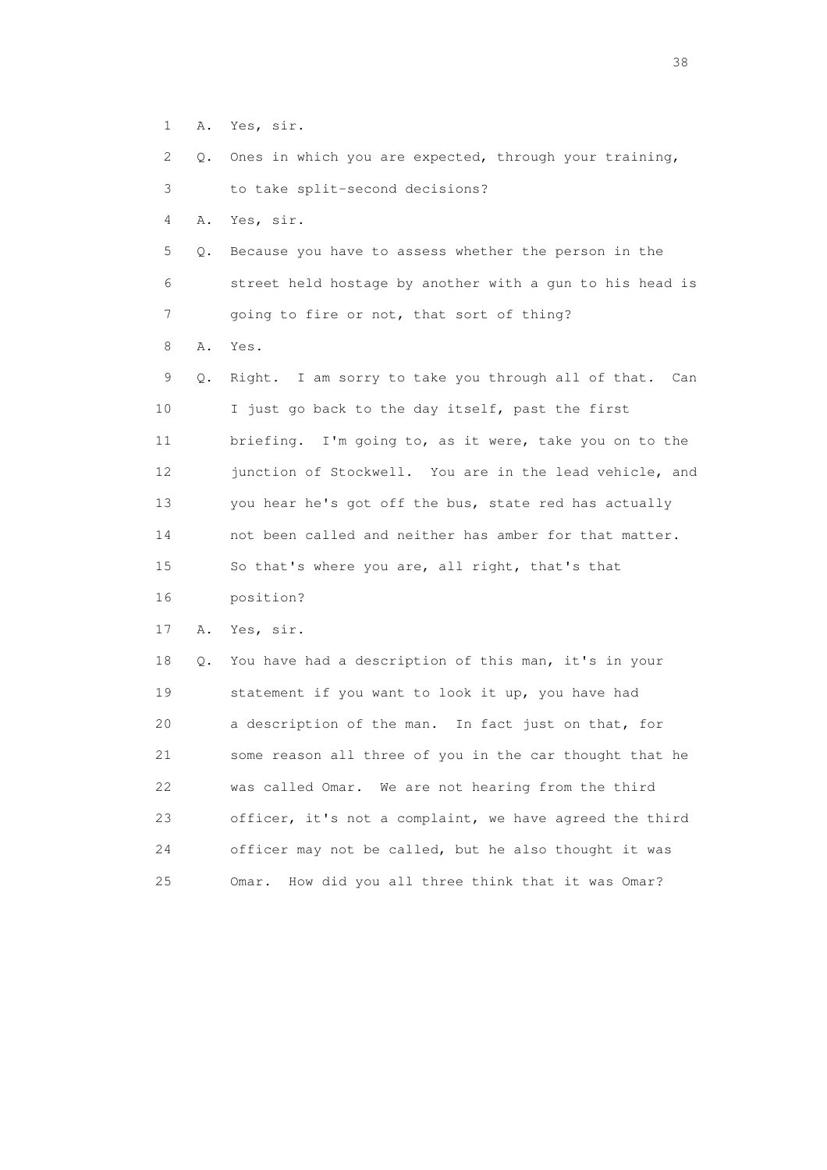1 A. Yes, sir.

2 Q. Ones in which you are expected, through your training,

3 to take split-second decisions?

4 A. Yes, sir.

 5 Q. Because you have to assess whether the person in the 6 street held hostage by another with a gun to his head is 7 going to fire or not, that sort of thing?

8 A. Yes.

 9 Q. Right. I am sorry to take you through all of that. Can 10 I just go back to the day itself, past the first 11 briefing. I'm going to, as it were, take you on to the 12 junction of Stockwell. You are in the lead vehicle, and 13 you hear he's got off the bus, state red has actually 14 not been called and neither has amber for that matter. 15 So that's where you are, all right, that's that 16 position?

17 A. Yes, sir.

 18 Q. You have had a description of this man, it's in your 19 statement if you want to look it up, you have had 20 a description of the man. In fact just on that, for 21 some reason all three of you in the car thought that he 22 was called Omar. We are not hearing from the third 23 officer, it's not a complaint, we have agreed the third 24 officer may not be called, but he also thought it was 25 Omar. How did you all three think that it was Omar?

and the state of the state of the state of the state of the state of the state of the state of the state of the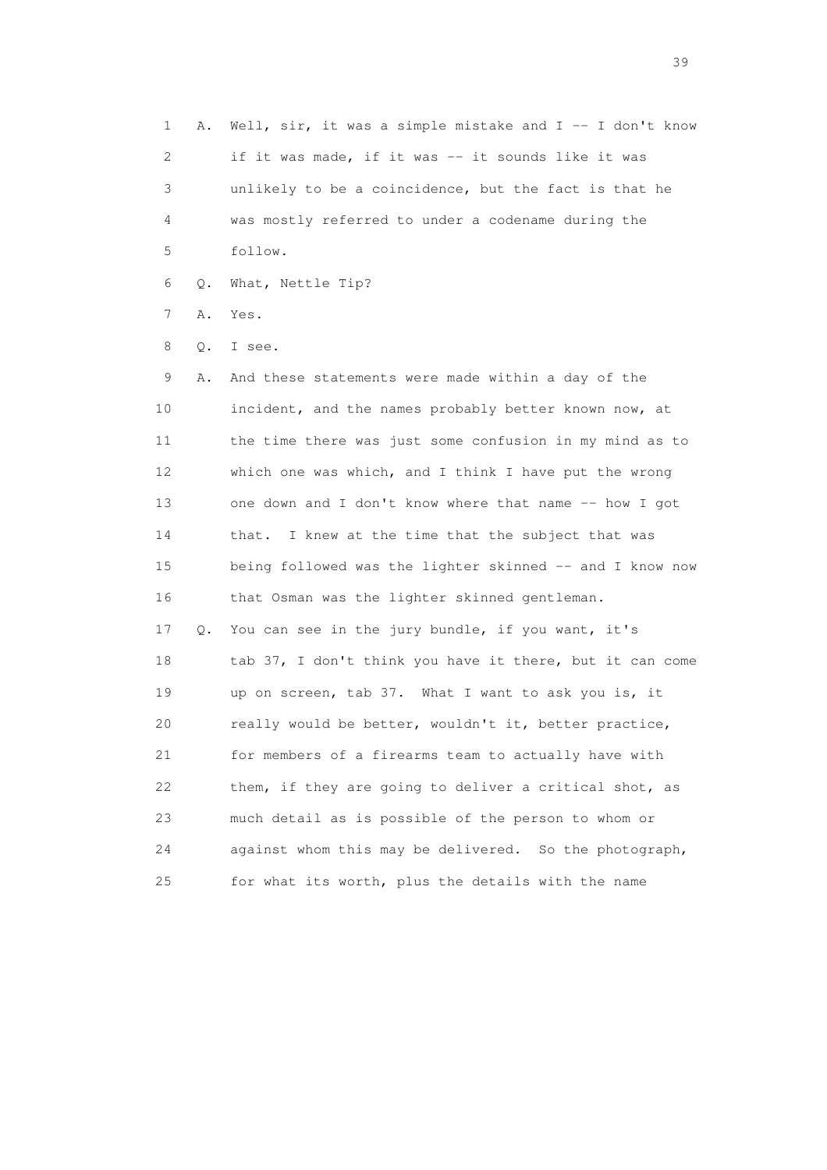1 A. Well, sir, it was a simple mistake and I -- I don't know 2 if it was made, if it was -- it sounds like it was 3 unlikely to be a coincidence, but the fact is that he 4 was mostly referred to under a codename during the 5 follow. 6 Q. What, Nettle Tip? 7 A. Yes. 8 Q. I see. 9 A. And these statements were made within a day of the 10 incident, and the names probably better known now, at 11 the time there was just some confusion in my mind as to 12 which one was which, and I think I have put the wrong 13 one down and I don't know where that name -- how I got 14 that. I knew at the time that the subject that was 15 being followed was the lighter skinned -- and I know now 16 that Osman was the lighter skinned gentleman. 17 Q. You can see in the jury bundle, if you want, it's 18 tab 37, I don't think you have it there, but it can come 19 up on screen, tab 37. What I want to ask you is, it 20 really would be better, wouldn't it, better practice, 21 for members of a firearms team to actually have with 22 them, if they are going to deliver a critical shot, as 23 much detail as is possible of the person to whom or 24 against whom this may be delivered. So the photograph, 25 for what its worth, plus the details with the name

 $39<sup>2</sup>$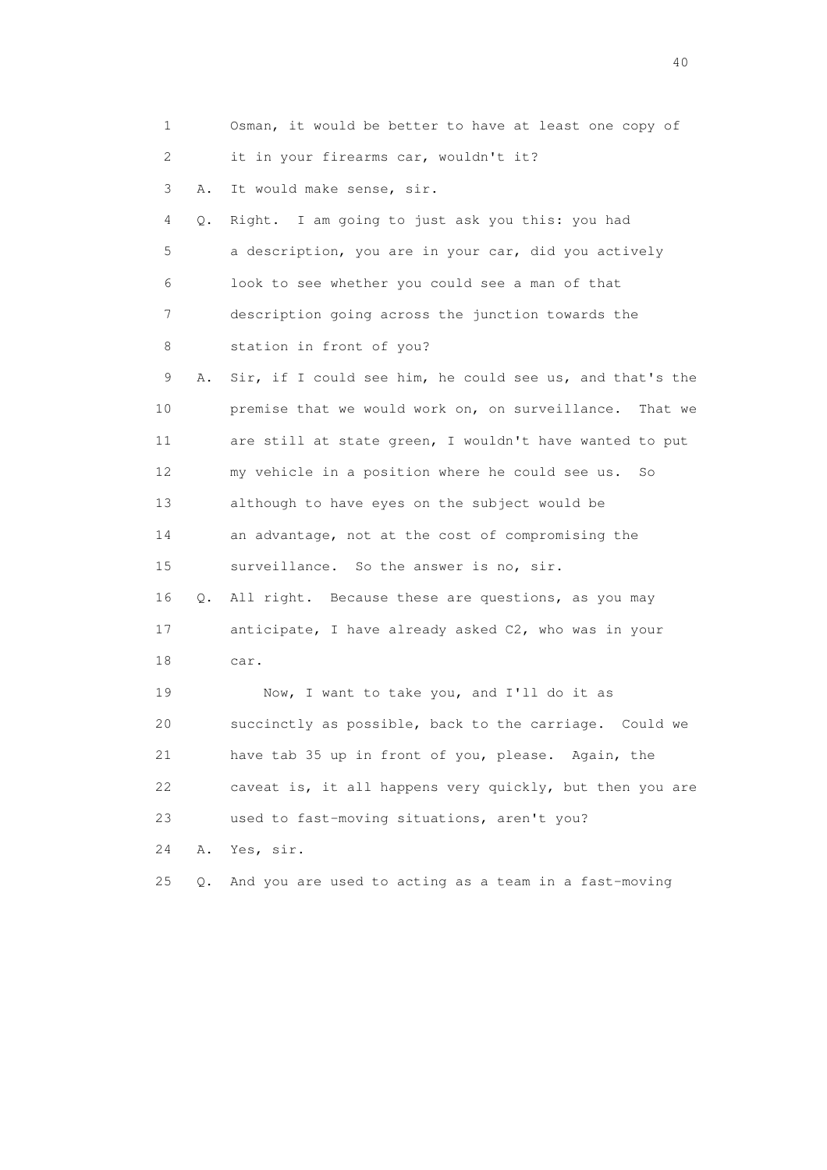| 1  |    | Osman, it would be better to have at least one copy of     |
|----|----|------------------------------------------------------------|
| 2  |    | it in your firearms car, wouldn't it?                      |
| 3  | Α. | It would make sense, sir.                                  |
| 4  | Q. | Right. I am going to just ask you this: you had            |
| 5  |    | a description, you are in your car, did you actively       |
| 6  |    | look to see whether you could see a man of that            |
| 7  |    | description going across the junction towards the          |
| 8  |    | station in front of you?                                   |
| 9  | Α. | Sir, if I could see him, he could see us, and that's the   |
| 10 |    | premise that we would work on, on surveillance.<br>That we |
| 11 |    | are still at state green, I wouldn't have wanted to put    |
| 12 |    | my vehicle in a position where he could see us.<br>So      |
| 13 |    | although to have eyes on the subject would be              |
| 14 |    | an advantage, not at the cost of compromising the          |
| 15 |    | surveillance. So the answer is no, sir.                    |
| 16 | Q. | All right. Because these are questions, as you may         |
| 17 |    | anticipate, I have already asked C2, who was in your       |
| 18 |    | car.                                                       |
| 19 |    | Now, I want to take you, and I'll do it as                 |
| 20 |    | succinctly as possible, back to the carriage. Could we     |
| 21 |    | have tab 35 up in front of you, please. Again, the         |
| 22 |    | caveat is, it all happens very quickly, but then you are   |
| 23 |    | used to fast-moving situations, aren't you?                |
| 24 | Α. | Yes, sir.                                                  |
| 25 | Q. | And you are used to acting as a team in a fast-moving      |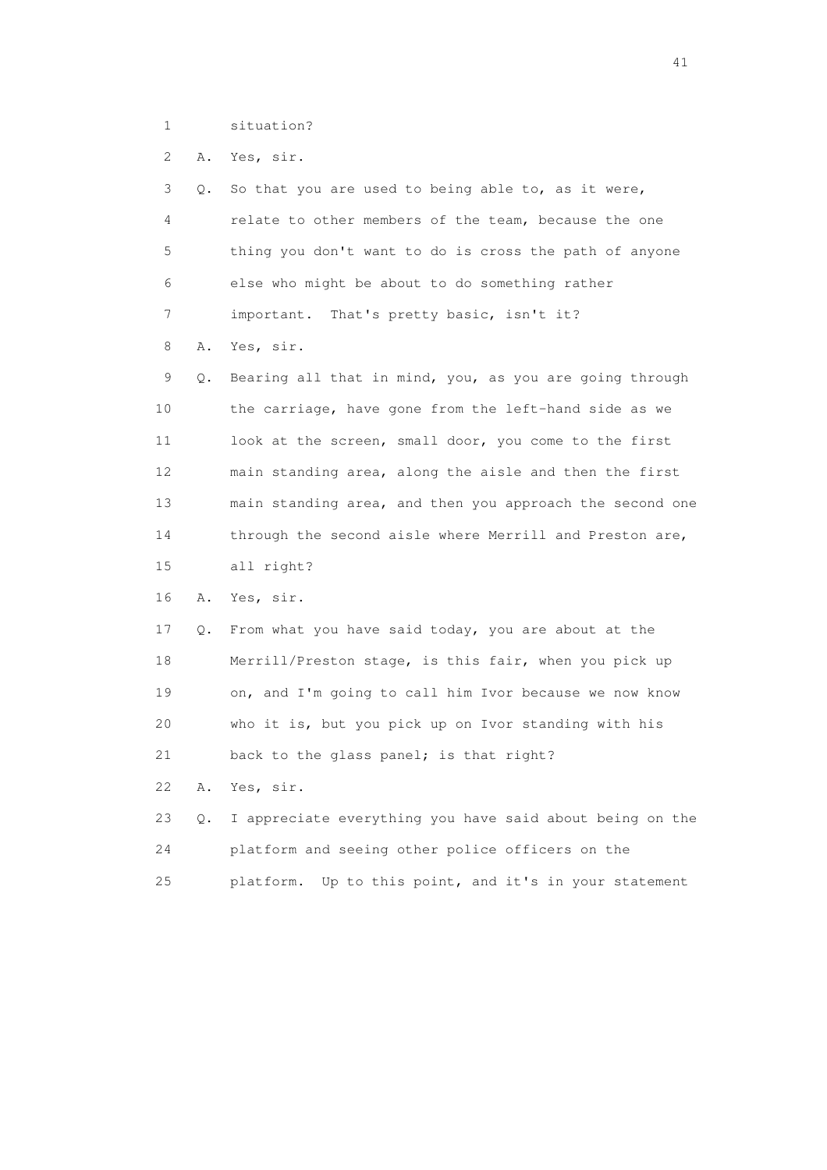1 situation?

2 A. Yes, sir.

| 3               | Q. | So that you are used to being able to, as it were,        |
|-----------------|----|-----------------------------------------------------------|
| 4               |    | relate to other members of the team, because the one      |
| 5               |    | thing you don't want to do is cross the path of anyone    |
| 6               |    | else who might be about to do something rather            |
| 7               |    | important. That's pretty basic, isn't it?                 |
| 8               | Α. | Yes, sir.                                                 |
| 9               | Q. | Bearing all that in mind, you, as you are going through   |
| 10              |    | the carriage, have gone from the left-hand side as we     |
| 11              |    | look at the screen, small door, you come to the first     |
| 12 <sup>°</sup> |    | main standing area, along the aisle and then the first    |
| 13              |    | main standing area, and then you approach the second one  |
| 14              |    | through the second aisle where Merrill and Preston are,   |
| 15              |    | all right?                                                |
| 16              | Α. | Yes, sir.                                                 |
| 17              | Q. | From what you have said today, you are about at the       |
| 18              |    | Merrill/Preston stage, is this fair, when you pick up     |
| 19              |    | on, and I'm going to call him Ivor because we now know    |
| 20              |    | who it is, but you pick up on Ivor standing with his      |
| 21              |    | back to the glass panel; is that right?                   |
| 22              | Α. | Yes, sir.                                                 |
| 23              | Q. | I appreciate everything you have said about being on the  |
| 24              |    | platform and seeing other police officers on the          |
| 25              |    | platform.<br>Up to this point, and it's in your statement |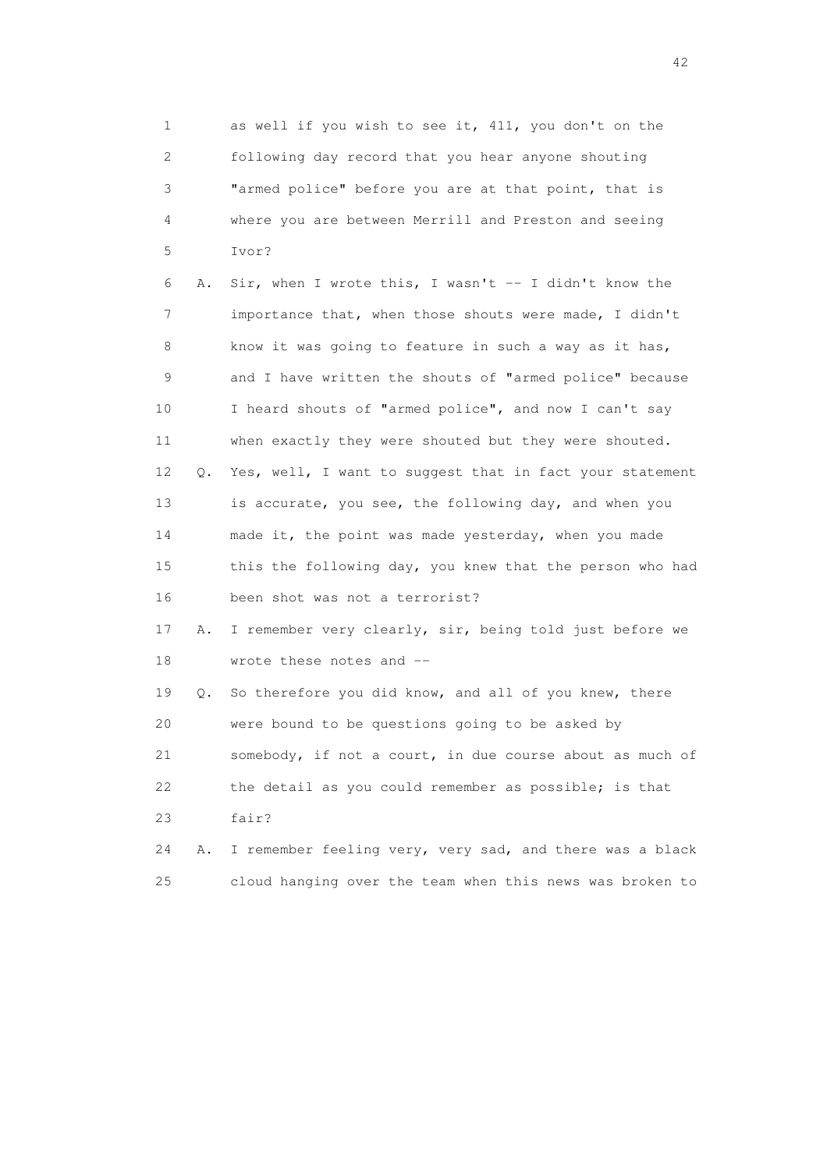1 as well if you wish to see it, 411, you don't on the 2 following day record that you hear anyone shouting 3 "armed police" before you are at that point, that is 4 where you are between Merrill and Preston and seeing 5 Ivor? 6 A. Sir, when I wrote this, I wasn't -- I didn't know the 7 importance that, when those shouts were made, I didn't 8 know it was going to feature in such a way as it has, 9 and I have written the shouts of "armed police" because 10 I heard shouts of "armed police", and now I can't say 11 when exactly they were shouted but they were shouted. 12 Q. Yes, well, I want to suggest that in fact your statement 13 is accurate, you see, the following day, and when you 14 made it, the point was made yesterday, when you made 15 this the following day, you knew that the person who had 16 been shot was not a terrorist? 17 A. I remember very clearly, sir, being told just before we 18 wrote these notes and -- 19 Q. So therefore you did know, and all of you knew, there 20 were bound to be questions going to be asked by 21 somebody, if not a court, in due course about as much of 22 the detail as you could remember as possible; is that 23 fair?

 24 A. I remember feeling very, very sad, and there was a black 25 cloud hanging over the team when this news was broken to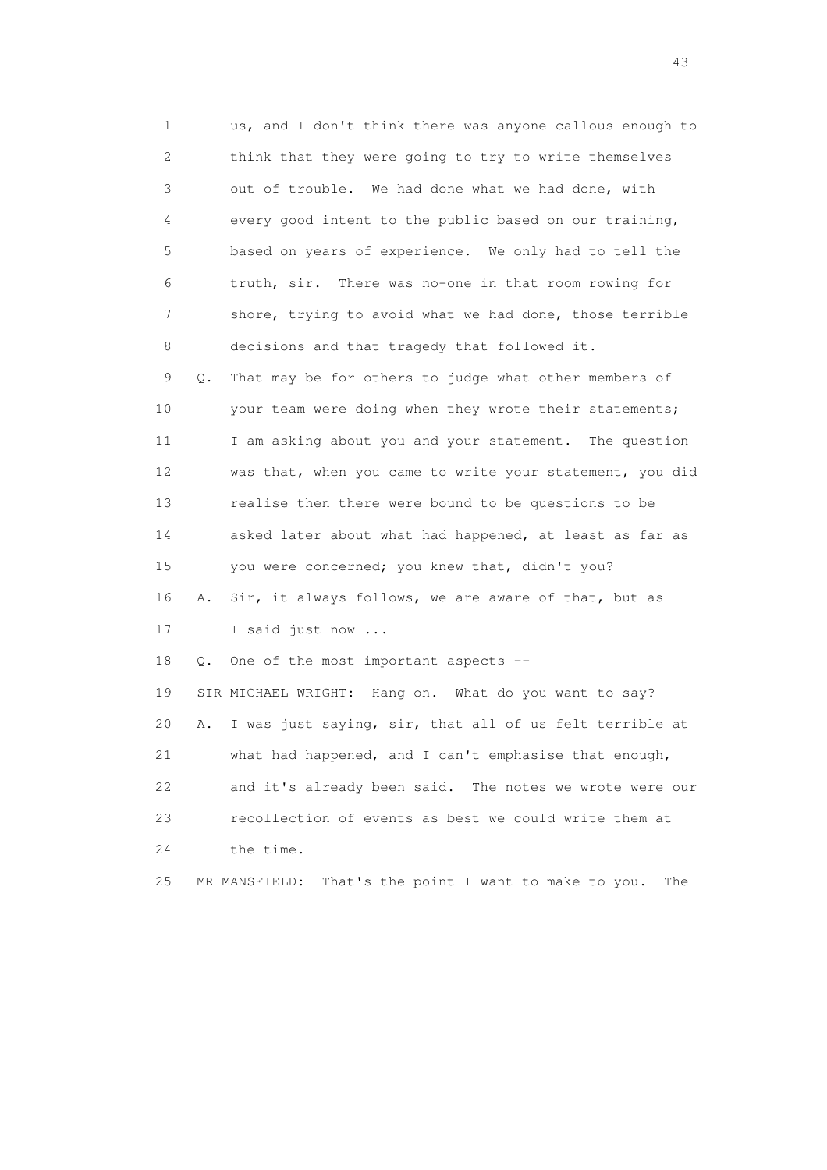1 us, and I don't think there was anyone callous enough to 2 think that they were going to try to write themselves 3 out of trouble. We had done what we had done, with 4 every good intent to the public based on our training, 5 based on years of experience. We only had to tell the 6 truth, sir. There was no-one in that room rowing for 7 shore, trying to avoid what we had done, those terrible 8 decisions and that tragedy that followed it. 9 Q. That may be for others to judge what other members of 10 your team were doing when they wrote their statements; 11 I am asking about you and your statement. The question 12 was that, when you came to write your statement, you did 13 realise then there were bound to be questions to be

 14 asked later about what had happened, at least as far as 15 you were concerned; you knew that, didn't you? 16 A. Sir, it always follows, we are aware of that, but as

17 I said just now ...

18 Q. One of the most important aspects --

 19 SIR MICHAEL WRIGHT: Hang on. What do you want to say? 20 A. I was just saying, sir, that all of us felt terrible at 21 what had happened, and I can't emphasise that enough, 22 and it's already been said. The notes we wrote were our 23 recollection of events as best we could write them at 24 the time.

25 MR MANSFIELD: That's the point I want to make to you. The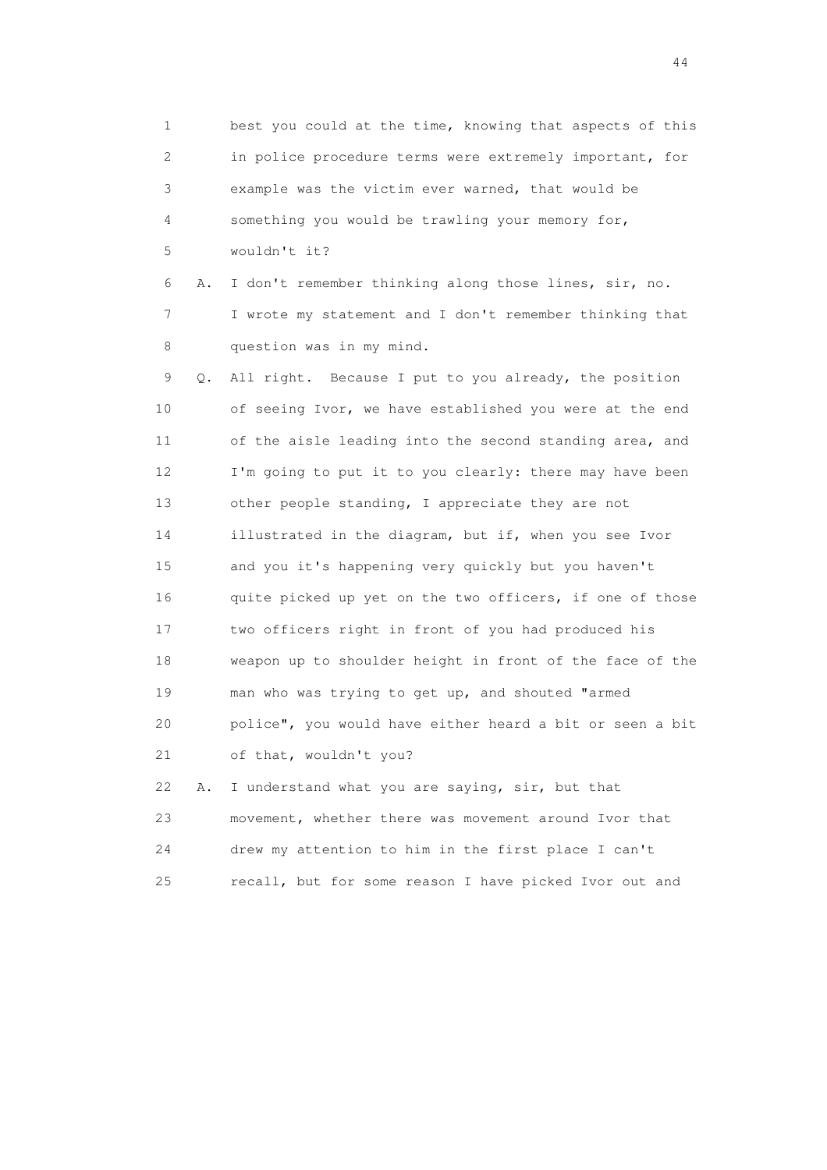1 best you could at the time, knowing that aspects of this 2 in police procedure terms were extremely important, for 3 example was the victim ever warned, that would be 4 something you would be trawling your memory for, 5 wouldn't it? 6 A. I don't remember thinking along those lines, sir, no. 7 I wrote my statement and I don't remember thinking that 8 question was in my mind. 9 Q. All right. Because I put to you already, the position 10 of seeing Ivor, we have established you were at the end 11 of the aisle leading into the second standing area, and 12 I'm going to put it to you clearly: there may have been 13 other people standing, I appreciate they are not 14 illustrated in the diagram, but if, when you see Ivor 15 and you it's happening very quickly but you haven't 16 quite picked up yet on the two officers, if one of those 17 two officers right in front of you had produced his 18 weapon up to shoulder height in front of the face of the 19 man who was trying to get up, and shouted "armed 20 police", you would have either heard a bit or seen a bit 21 of that, wouldn't you? 22 A. I understand what you are saying, sir, but that 23 movement, whether there was movement around Ivor that 24 drew my attention to him in the first place I can't

25 recall, but for some reason I have picked Ivor out and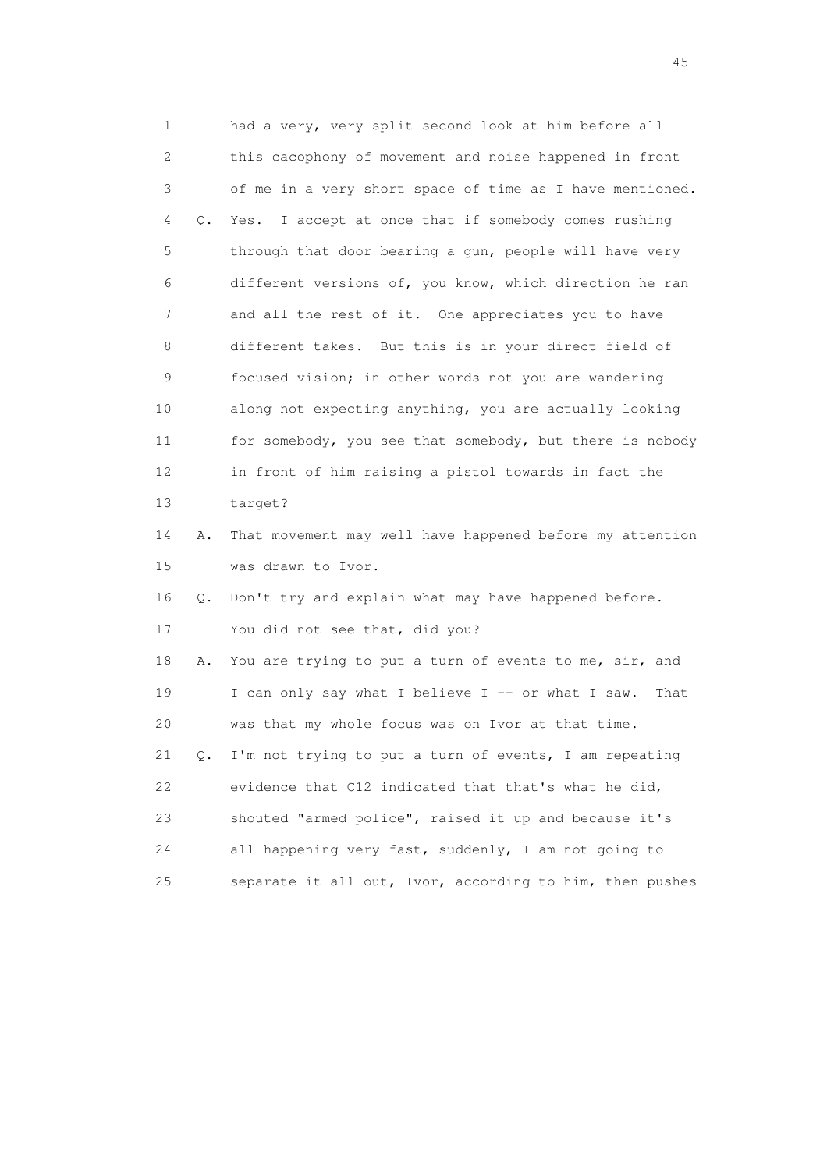1 had a very, very split second look at him before all 2 this cacophony of movement and noise happened in front 3 of me in a very short space of time as I have mentioned. 4 Q. Yes. I accept at once that if somebody comes rushing 5 through that door bearing a gun, people will have very 6 different versions of, you know, which direction he ran 7 and all the rest of it. One appreciates you to have 8 different takes. But this is in your direct field of 9 focused vision; in other words not you are wandering 10 along not expecting anything, you are actually looking 11 for somebody, you see that somebody, but there is nobody 12 in front of him raising a pistol towards in fact the 13 target? 14 A. That movement may well have happened before my attention 15 was drawn to Ivor. 16 Q. Don't try and explain what may have happened before. 17 You did not see that, did you? 18 A. You are trying to put a turn of events to me, sir, and 19 I can only say what I believe I -- or what I saw. That 20 was that my whole focus was on Ivor at that time. 21 Q. I'm not trying to put a turn of events, I am repeating 22 evidence that C12 indicated that that's what he did, 23 shouted "armed police", raised it up and because it's 24 all happening very fast, suddenly, I am not going to 25 separate it all out, Ivor, according to him, then pushes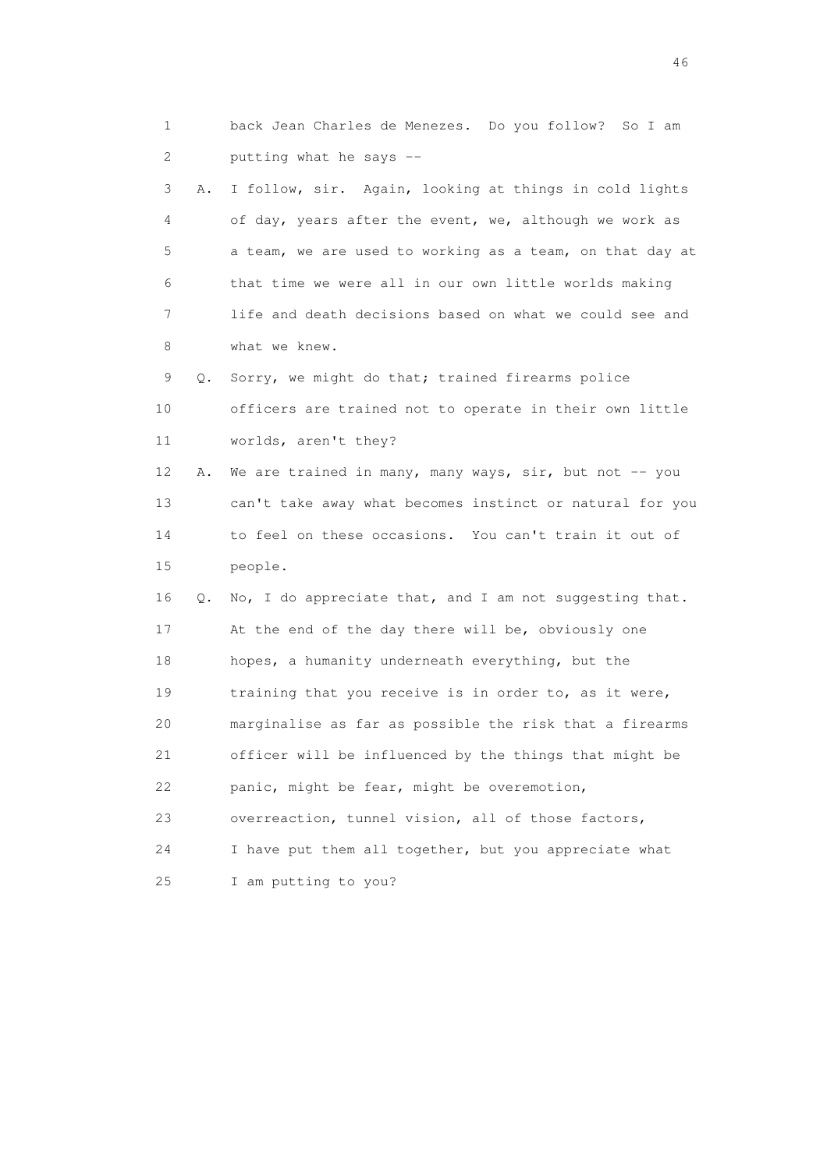1 back Jean Charles de Menezes. Do you follow? So I am 2 putting what he says -- 3 A. I follow, sir. Again, looking at things in cold lights 4 of day, years after the event, we, although we work as 5 a team, we are used to working as a team, on that day at 6 that time we were all in our own little worlds making 7 life and death decisions based on what we could see and 8 what we knew. 9 Q. Sorry, we might do that; trained firearms police 10 officers are trained not to operate in their own little 11 worlds, aren't they? 12 A. We are trained in many, many ways, sir, but not -- you 13 can't take away what becomes instinct or natural for you 14 to feel on these occasions. You can't train it out of 15 people. 16 Q. No, I do appreciate that, and I am not suggesting that. 17 At the end of the day there will be, obviously one 18 hopes, a humanity underneath everything, but the 19 training that you receive is in order to, as it were, 20 marginalise as far as possible the risk that a firearms 21 officer will be influenced by the things that might be 22 panic, might be fear, might be overemotion, 23 overreaction, tunnel vision, all of those factors, 24 I have put them all together, but you appreciate what 25 I am putting to you?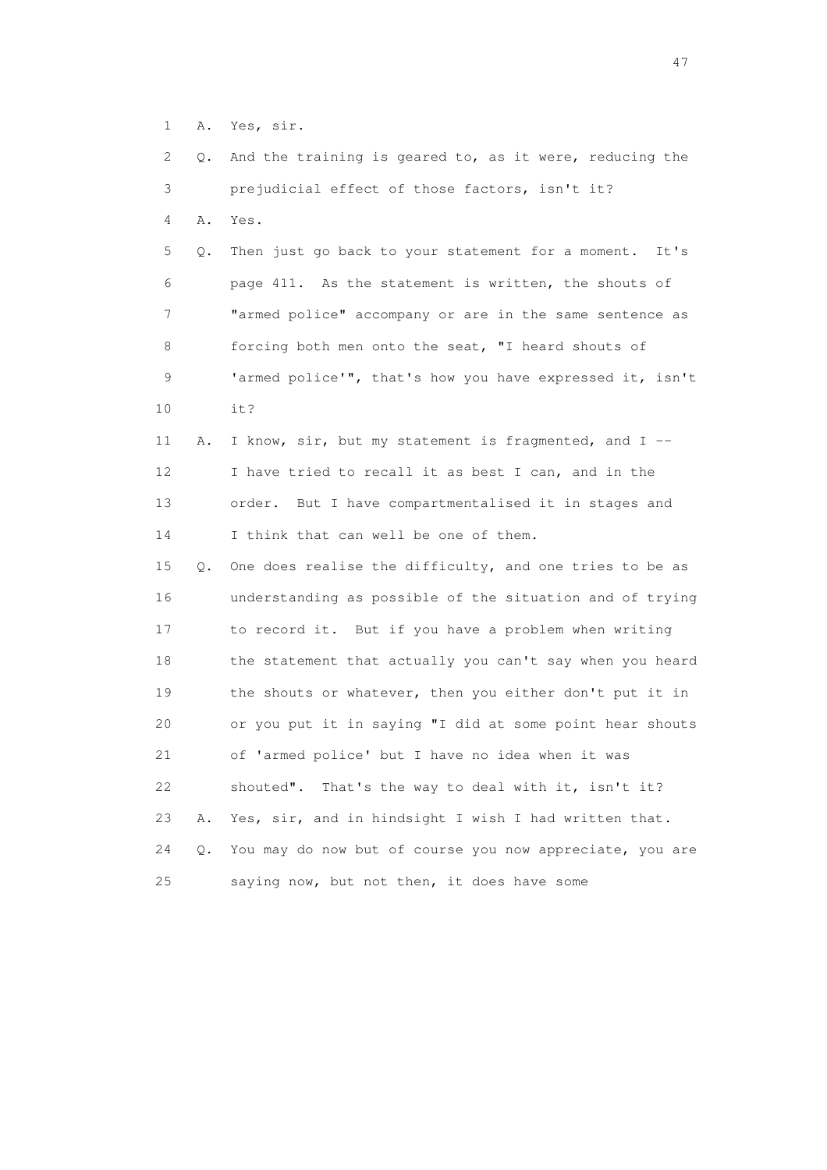1 A. Yes, sir.

 2 Q. And the training is geared to, as it were, reducing the 3 prejudicial effect of those factors, isn't it? 4 A. Yes. 5 Q. Then just go back to your statement for a moment. It's 6 page 411. As the statement is written, the shouts of 7 "armed police" accompany or are in the same sentence as 8 forcing both men onto the seat, "I heard shouts of 9 'armed police'", that's how you have expressed it, isn't 10 it? 11 A. I know, sir, but my statement is fragmented, and I -- 12 I have tried to recall it as best I can, and in the 13 order. But I have compartmentalised it in stages and 14 I think that can well be one of them. 15 Q. One does realise the difficulty, and one tries to be as 16 understanding as possible of the situation and of trying 17 to record it. But if you have a problem when writing 18 the statement that actually you can't say when you heard 19 the shouts or whatever, then you either don't put it in 20 or you put it in saying "I did at some point hear shouts 21 of 'armed police' but I have no idea when it was 22 shouted". That's the way to deal with it, isn't it? 23 A. Yes, sir, and in hindsight I wish I had written that. 24 Q. You may do now but of course you now appreciate, you are 25 saying now, but not then, it does have some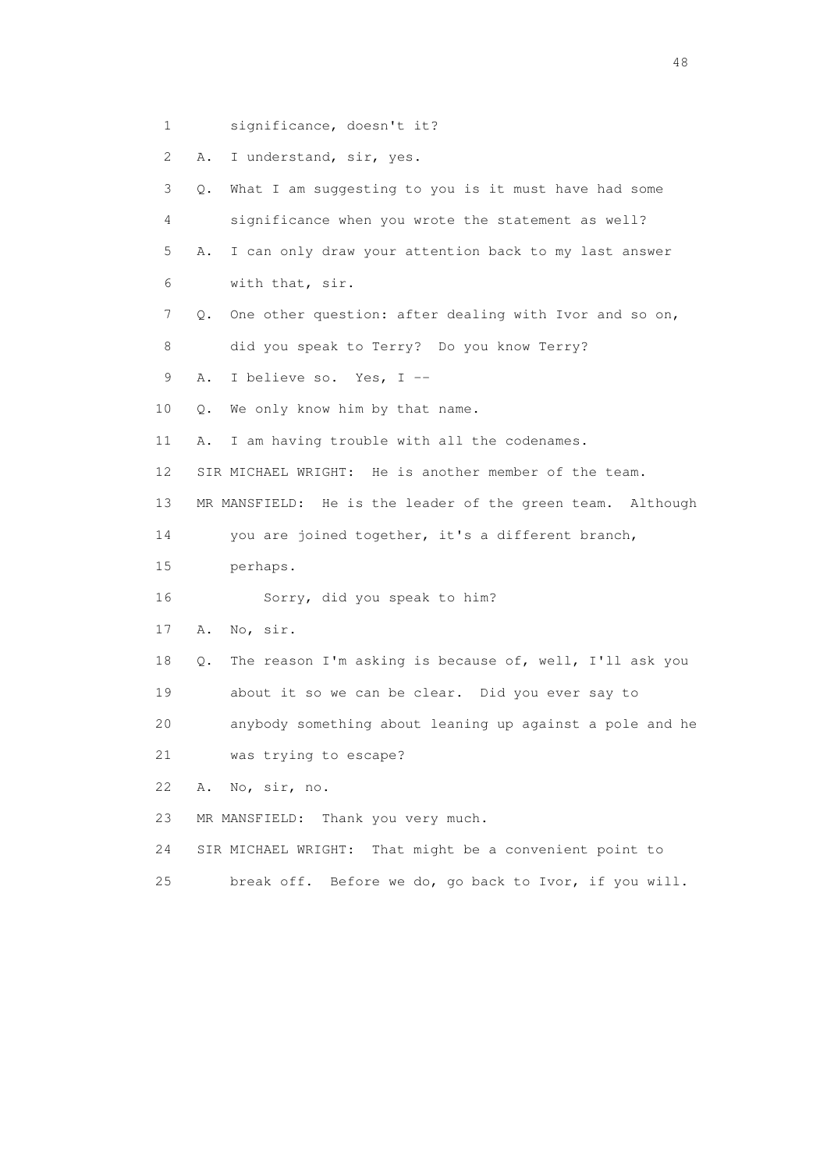1 significance, doesn't it?

2 A. I understand, sir, yes.

 3 Q. What I am suggesting to you is it must have had some 4 significance when you wrote the statement as well? 5 A. I can only draw your attention back to my last answer 6 with that, sir. 7 Q. One other question: after dealing with Ivor and so on, 8 did you speak to Terry? Do you know Terry? 9 A. I believe so. Yes, I -- 10 Q. We only know him by that name. 11 A. I am having trouble with all the codenames. 12 SIR MICHAEL WRIGHT: He is another member of the team. 13 MR MANSFIELD: He is the leader of the green team. Although 14 you are joined together, it's a different branch, 15 perhaps. 16 Sorry, did you speak to him? 17 A. No, sir. 18 Q. The reason I'm asking is because of, well, I'll ask you 19 about it so we can be clear. Did you ever say to 20 anybody something about leaning up against a pole and he 21 was trying to escape? 22 A. No, sir, no. 23 MR MANSFIELD: Thank you very much. 24 SIR MICHAEL WRIGHT: That might be a convenient point to 25 break off. Before we do, go back to Ivor, if you will.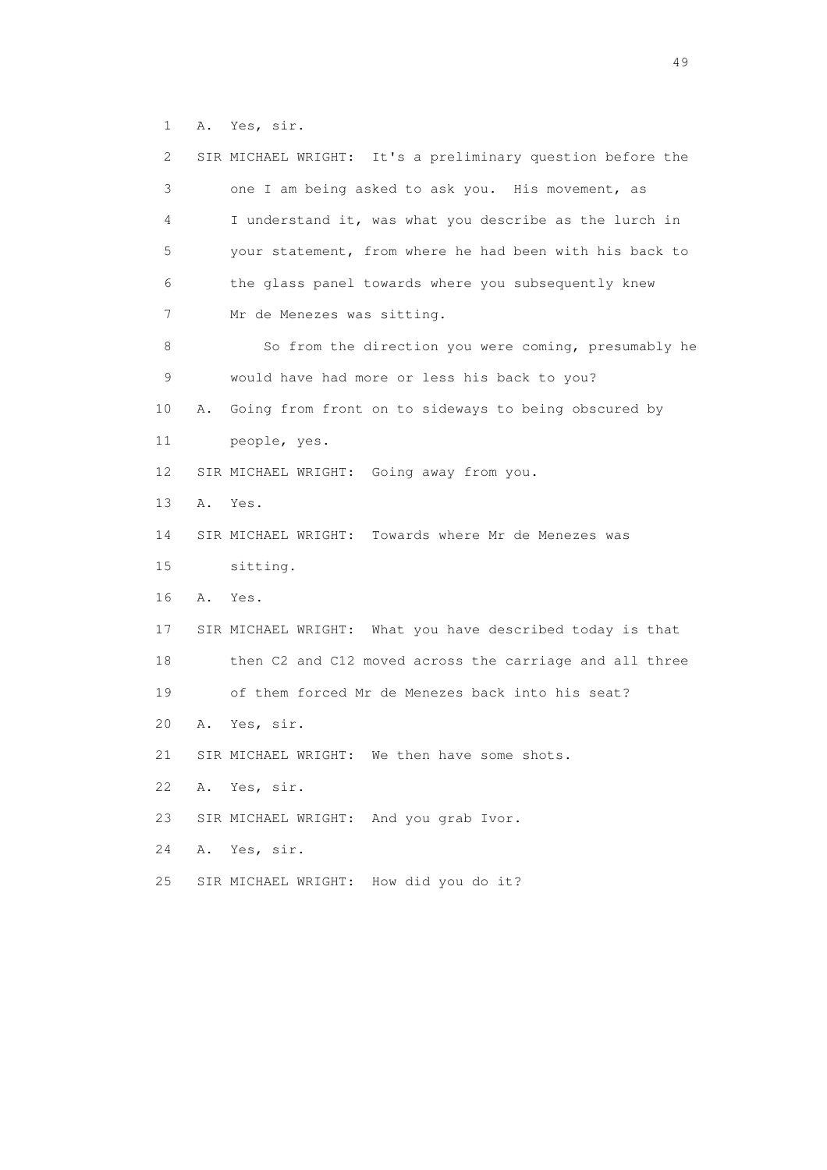1 A. Yes, sir.

| 2           | SIR MICHAEL WRIGHT: It's a preliminary question before the |
|-------------|------------------------------------------------------------|
| 3           | one I am being asked to ask you. His movement, as          |
| 4           | I understand it, was what you describe as the lurch in     |
| 5           | your statement, from where he had been with his back to    |
| 6           | the glass panel towards where you subsequently knew        |
| 7           | Mr de Menezes was sitting.                                 |
| 8           | So from the direction you were coming, presumably he       |
| $\mathsf 9$ | would have had more or less his back to you?               |
| 10          | Going from front on to sideways to being obscured by<br>Α. |
| 11          | people, yes.                                               |
| 12          | SIR MICHAEL WRIGHT: Going away from you.                   |
| 13          | Α.<br>Yes.                                                 |
| 14          | SIR MICHAEL WRIGHT: Towards where Mr de Menezes was        |
| 15          | sitting.                                                   |
| 16          | Α.<br>Yes.                                                 |
| 17          | SIR MICHAEL WRIGHT: What you have described today is that  |
| 18          | then C2 and C12 moved across the carriage and all three    |
| 19          | of them forced Mr de Menezes back into his seat?           |
| 20          | Yes, sir.<br>Α.                                            |
| 21          | SIR MICHAEL WRIGHT:<br>We then have some shots.            |
| 22          | Yes, sir.<br>Α.                                            |
| 23          | SIR MICHAEL WRIGHT: And you grab Ivor.                     |
| 24          | Yes, sir.<br>Α.                                            |
| 25          | SIR MICHAEL WRIGHT: How did you do it?                     |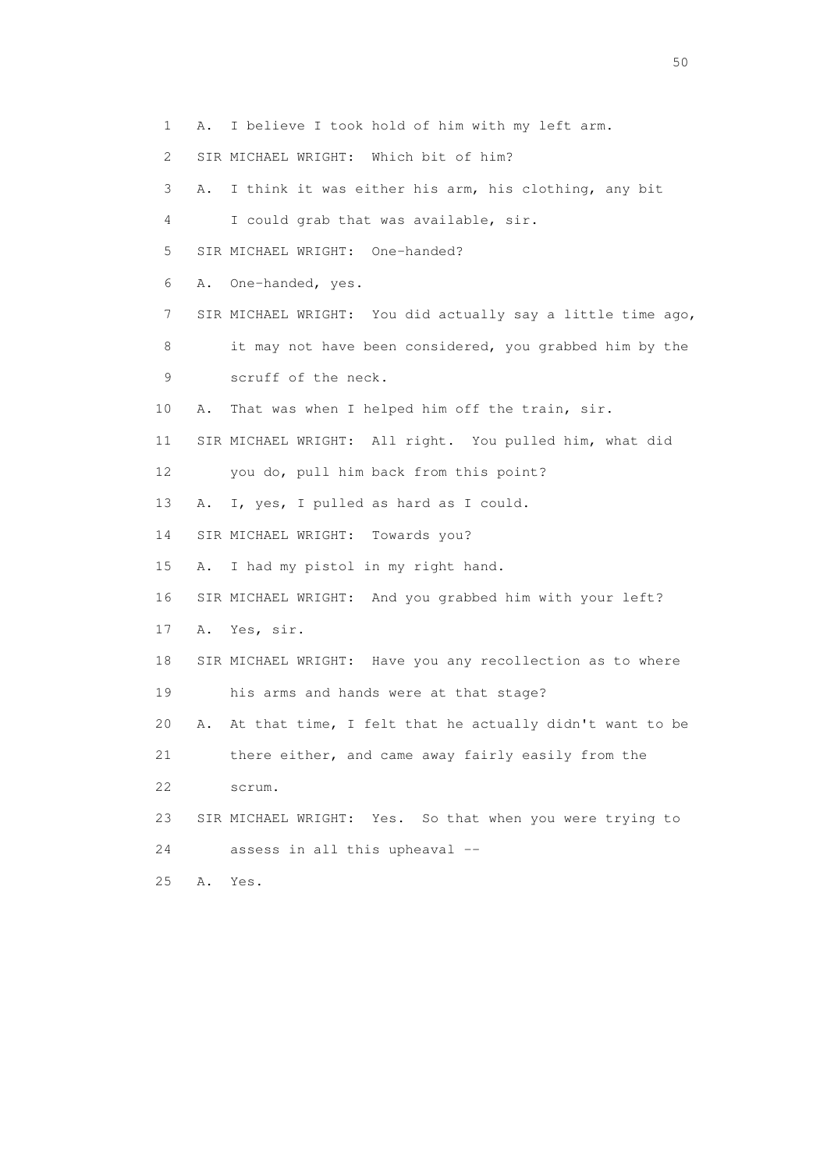- 1 A. I believe I took hold of him with my left arm.
- 2 SIR MICHAEL WRIGHT: Which bit of him?
- 3 A. I think it was either his arm, his clothing, any bit 4 I could grab that was available, sir. 5 SIR MICHAEL WRIGHT: One-handed? 6 A. One-handed, yes. 7 SIR MICHAEL WRIGHT: You did actually say a little time ago, 8 it may not have been considered, you grabbed him by the 9 scruff of the neck. 10 A. That was when I helped him off the train, sir. 11 SIR MICHAEL WRIGHT: All right. You pulled him, what did 12 you do, pull him back from this point? 13 A. I, yes, I pulled as hard as I could. 14 SIR MICHAEL WRIGHT: Towards you? 15 A. I had my pistol in my right hand. 16 SIR MICHAEL WRIGHT: And you grabbed him with your left? 17 A. Yes, sir. 18 SIR MICHAEL WRIGHT: Have you any recollection as to where 19 his arms and hands were at that stage? 20 A. At that time, I felt that he actually didn't want to be 21 there either, and came away fairly easily from the 22 scrum. 23 SIR MICHAEL WRIGHT: Yes. So that when you were trying to 24 assess in all this upheaval -- 25 A. Yes.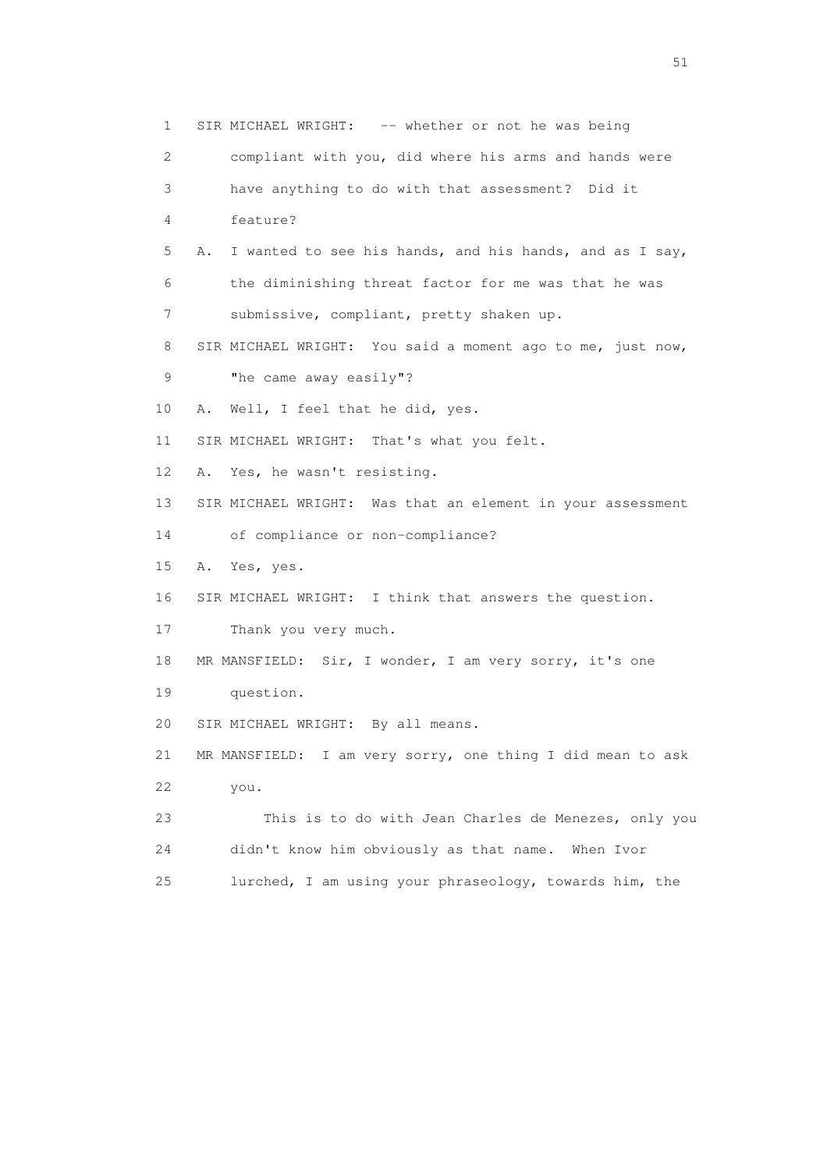1 SIR MICHAEL WRIGHT: -- whether or not he was being 2 compliant with you, did where his arms and hands were 3 have anything to do with that assessment? Did it 4 feature? 5 A. I wanted to see his hands, and his hands, and as I say, 6 the diminishing threat factor for me was that he was 7 submissive, compliant, pretty shaken up. 8 SIR MICHAEL WRIGHT: You said a moment ago to me, just now, 9 "he came away easily"? 10 A. Well, I feel that he did, yes. 11 SIR MICHAEL WRIGHT: That's what you felt. 12 A. Yes, he wasn't resisting. 13 SIR MICHAEL WRIGHT: Was that an element in your assessment 14 of compliance or non-compliance? 15 A. Yes, yes. 16 SIR MICHAEL WRIGHT: I think that answers the question. 17 Thank you very much. 18 MR MANSFIELD: Sir, I wonder, I am very sorry, it's one 19 question. 20 SIR MICHAEL WRIGHT: By all means. 21 MR MANSFIELD: I am very sorry, one thing I did mean to ask 22 you. 23 This is to do with Jean Charles de Menezes, only you 24 didn't know him obviously as that name. When Ivor 25 lurched, I am using your phraseology, towards him, the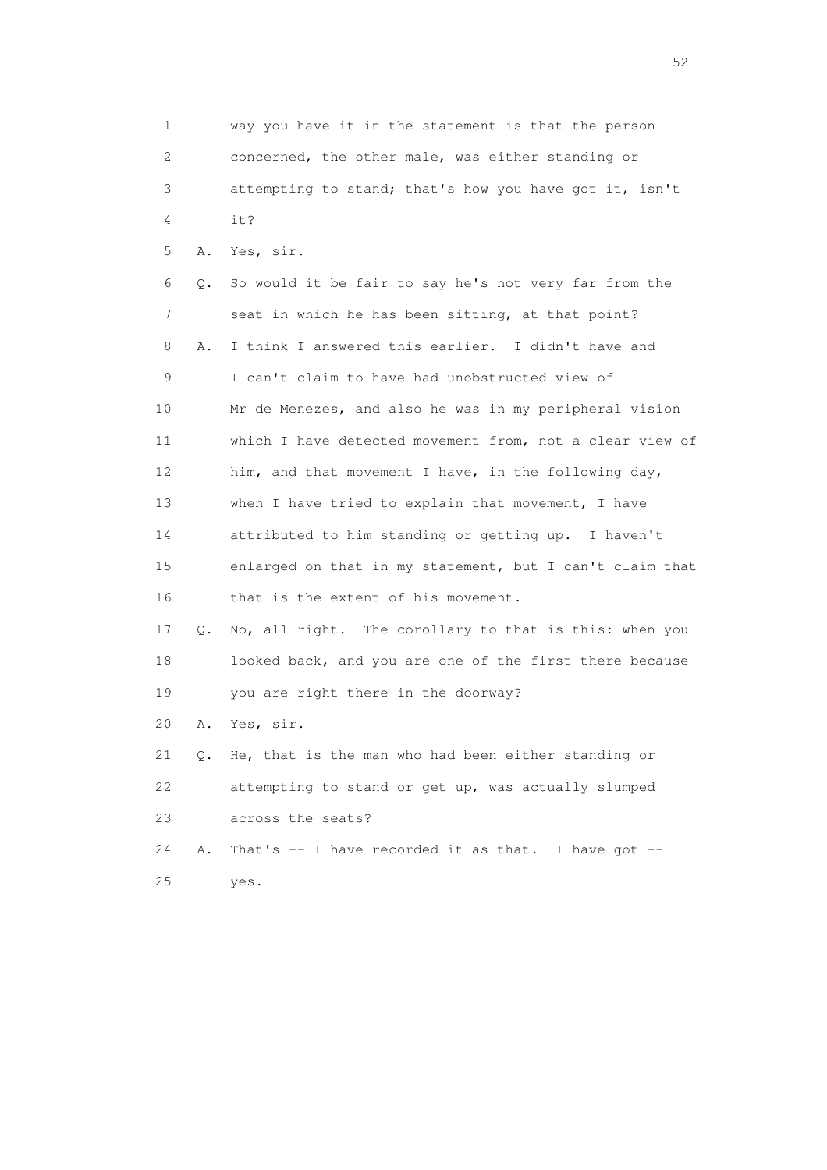1 way you have it in the statement is that the person 2 concerned, the other male, was either standing or 3 attempting to stand; that's how you have got it, isn't  $4 \t i+2$  5 A. Yes, sir. 6 Q. So would it be fair to say he's not very far from the 7 seat in which he has been sitting, at that point? 8 A. I think I answered this earlier. I didn't have and 9 I can't claim to have had unobstructed view of 10 Mr de Menezes, and also he was in my peripheral vision 11 which I have detected movement from, not a clear view of 12 him, and that movement I have, in the following day, 13 when I have tried to explain that movement, I have 14 attributed to him standing or getting up. I haven't 15 enlarged on that in my statement, but I can't claim that 16 that is the extent of his movement. 17 Q. No, all right. The corollary to that is this: when you 18 looked back, and you are one of the first there because 19 you are right there in the doorway? 20 A. Yes, sir. 21 Q. He, that is the man who had been either standing or 22 attempting to stand or get up, was actually slumped 23 across the seats? 24 A. That's -- I have recorded it as that. I have got --25 yes.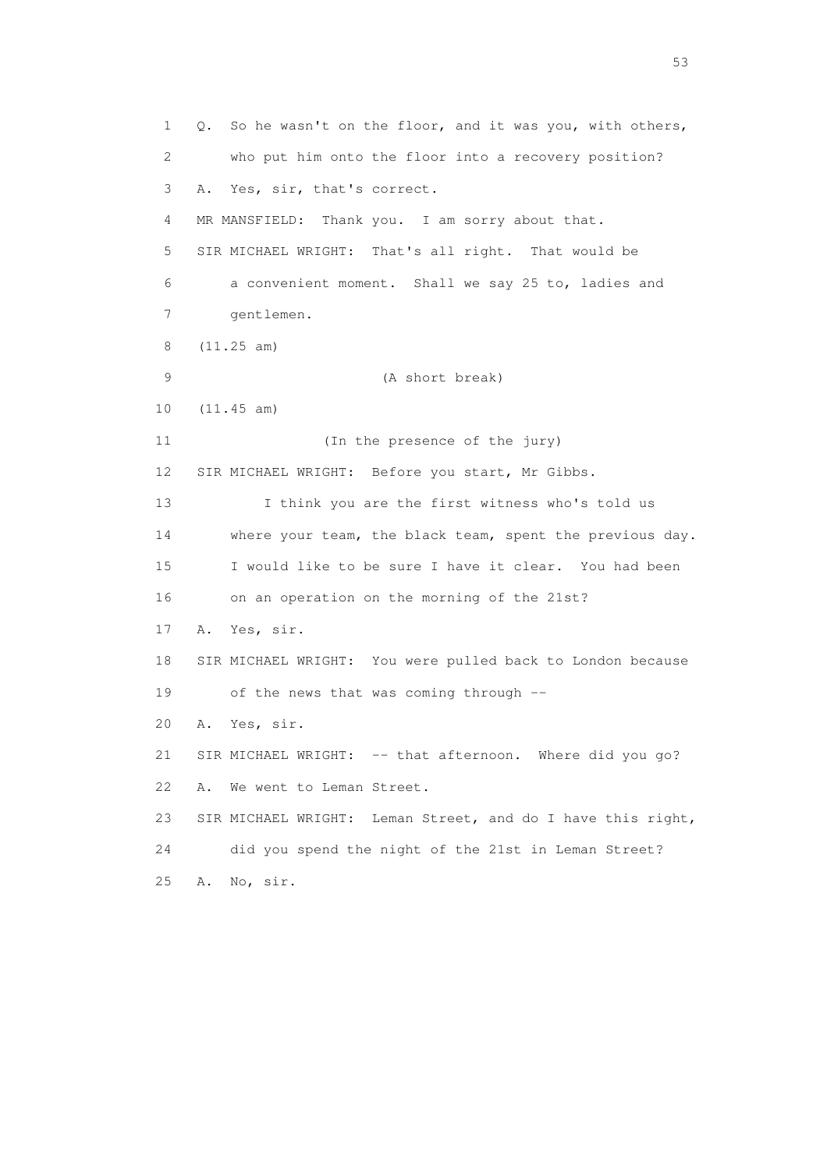1 Q. So he wasn't on the floor, and it was you, with others, 2 who put him onto the floor into a recovery position? 3 A. Yes, sir, that's correct. 4 MR MANSFIELD: Thank you. I am sorry about that. 5 SIR MICHAEL WRIGHT: That's all right. That would be 6 a convenient moment. Shall we say 25 to, ladies and 7 gentlemen. 8 (11.25 am) 9 (A short break) 10 (11.45 am) 11 (In the presence of the jury) 12 SIR MICHAEL WRIGHT: Before you start, Mr Gibbs. 13 I think you are the first witness who's told us 14 where your team, the black team, spent the previous day. 15 I would like to be sure I have it clear. You had been 16 on an operation on the morning of the 21st? 17 A. Yes, sir. 18 SIR MICHAEL WRIGHT: You were pulled back to London because 19 of the news that was coming through -- 20 A. Yes, sir. 21 SIR MICHAEL WRIGHT: -- that afternoon. Where did you go? 22 A. We went to Leman Street. 23 SIR MICHAEL WRIGHT: Leman Street, and do I have this right, 24 did you spend the night of the 21st in Leman Street? 25 A. No, sir.

 $\sim$  53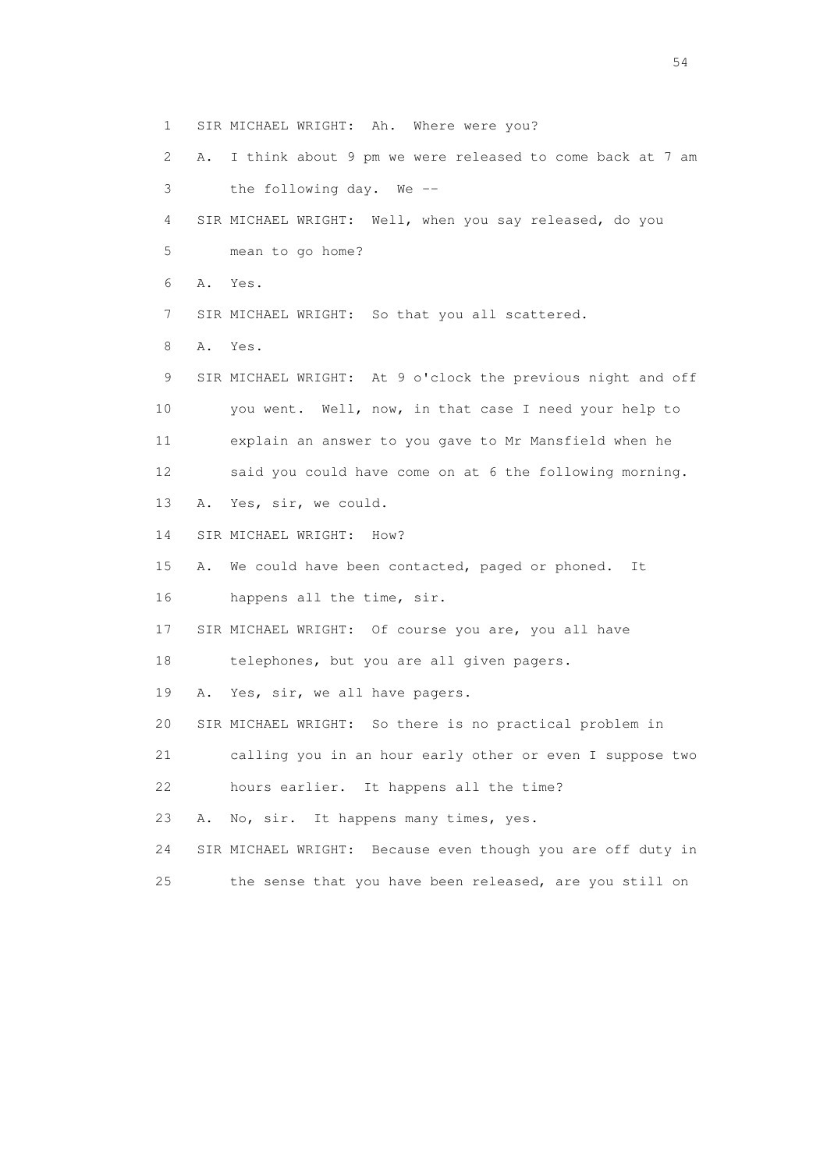- 1 SIR MICHAEL WRIGHT: Ah. Where were you?
- 2 A. I think about 9 pm we were released to come back at 7 am 3 the following day. We --

 4 SIR MICHAEL WRIGHT: Well, when you say released, do you 5 mean to go home?

- 6 A. Yes.
- 
- 7 SIR MICHAEL WRIGHT: So that you all scattered.
- 8 A. Yes.
- 9 SIR MICHAEL WRIGHT: At 9 o'clock the previous night and off 10 you went. Well, now, in that case I need your help to 11 explain an answer to you gave to Mr Mansfield when he 12 said you could have come on at 6 the following morning.
- 13 A. Yes, sir, we could.
- 14 SIR MICHAEL WRIGHT: How?
- 15 A. We could have been contacted, paged or phoned. It 16 happens all the time, sir.
- 17 SIR MICHAEL WRIGHT: Of course you are, you all have
- 18 telephones, but you are all given pagers.
- 19 A. Yes, sir, we all have pagers.
- 20 SIR MICHAEL WRIGHT: So there is no practical problem in
- 21 calling you in an hour early other or even I suppose two
- 22 hours earlier. It happens all the time?
- 23 A. No, sir. It happens many times, yes.
- 24 SIR MICHAEL WRIGHT: Because even though you are off duty in
- 25 the sense that you have been released, are you still on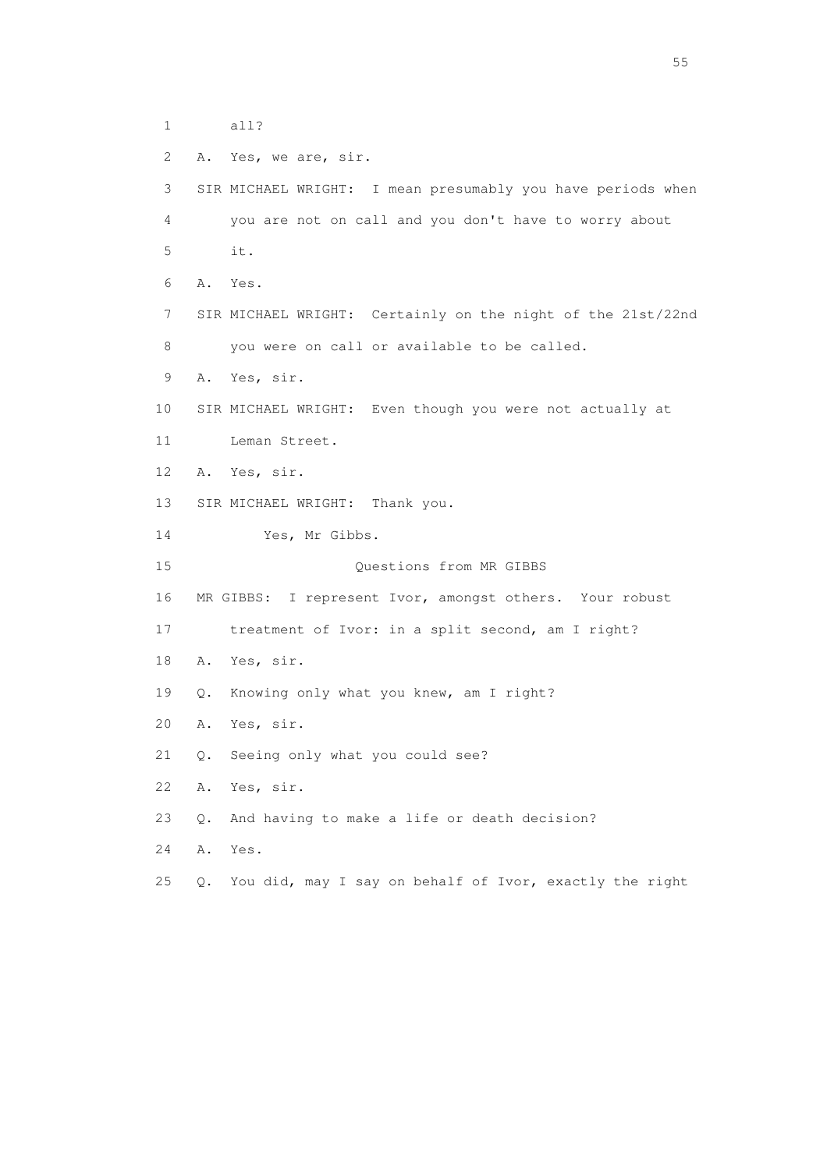1 all?

 2 A. Yes, we are, sir. 3 SIR MICHAEL WRIGHT: I mean presumably you have periods when 4 you are not on call and you don't have to worry about 5 it. 6 A. Yes. 7 SIR MICHAEL WRIGHT: Certainly on the night of the 21st/22nd 8 you were on call or available to be called. 9 A. Yes, sir. 10 SIR MICHAEL WRIGHT: Even though you were not actually at 11 Leman Street. 12 A. Yes, sir. 13 SIR MICHAEL WRIGHT: Thank you. 14 Yes, Mr Gibbs. 15 Questions from MR GIBBS 16 MR GIBBS: I represent Ivor, amongst others. Your robust 17 treatment of Ivor: in a split second, am I right? 18 A. Yes, sir. 19 Q. Knowing only what you knew, am I right? 20 A. Yes, sir. 21 Q. Seeing only what you could see? 22 A. Yes, sir. 23 Q. And having to make a life or death decision? 24 A. Yes. 25 Q. You did, may I say on behalf of Ivor, exactly the right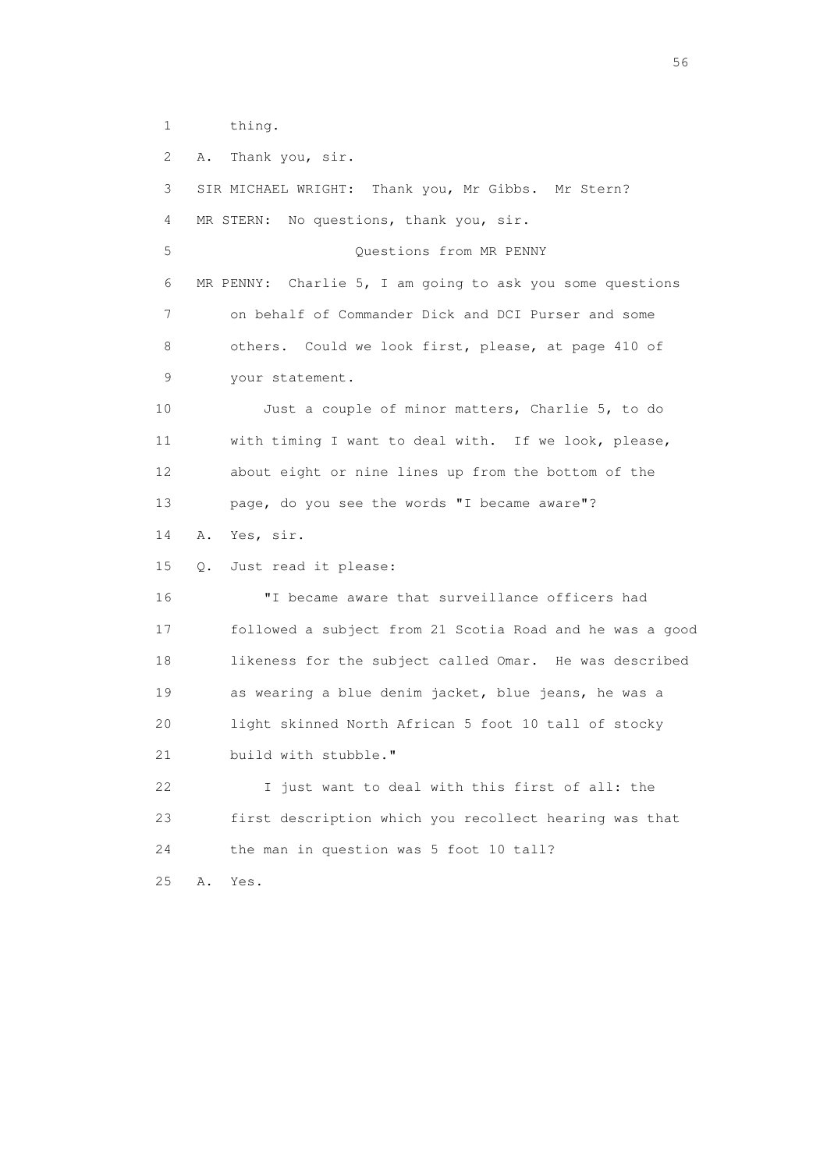1 thing.

2 A. Thank you, sir.

 3 SIR MICHAEL WRIGHT: Thank you, Mr Gibbs. Mr Stern? 4 MR STERN: No questions, thank you, sir. 5 Questions from MR PENNY 6 MR PENNY: Charlie 5, I am going to ask you some questions 7 on behalf of Commander Dick and DCI Purser and some 8 others. Could we look first, please, at page 410 of 9 your statement. 10 Just a couple of minor matters, Charlie 5, to do 11 with timing I want to deal with. If we look, please, 12 about eight or nine lines up from the bottom of the 13 page, do you see the words "I became aware"? 14 A. Yes, sir. 15 Q. Just read it please: 16 "I became aware that surveillance officers had 17 followed a subject from 21 Scotia Road and he was a good 18 likeness for the subject called Omar. He was described 19 as wearing a blue denim jacket, blue jeans, he was a 20 light skinned North African 5 foot 10 tall of stocky 21 build with stubble." 22 I just want to deal with this first of all: the 23 first description which you recollect hearing was that 24 the man in question was 5 foot 10 tall? 25 A. Yes.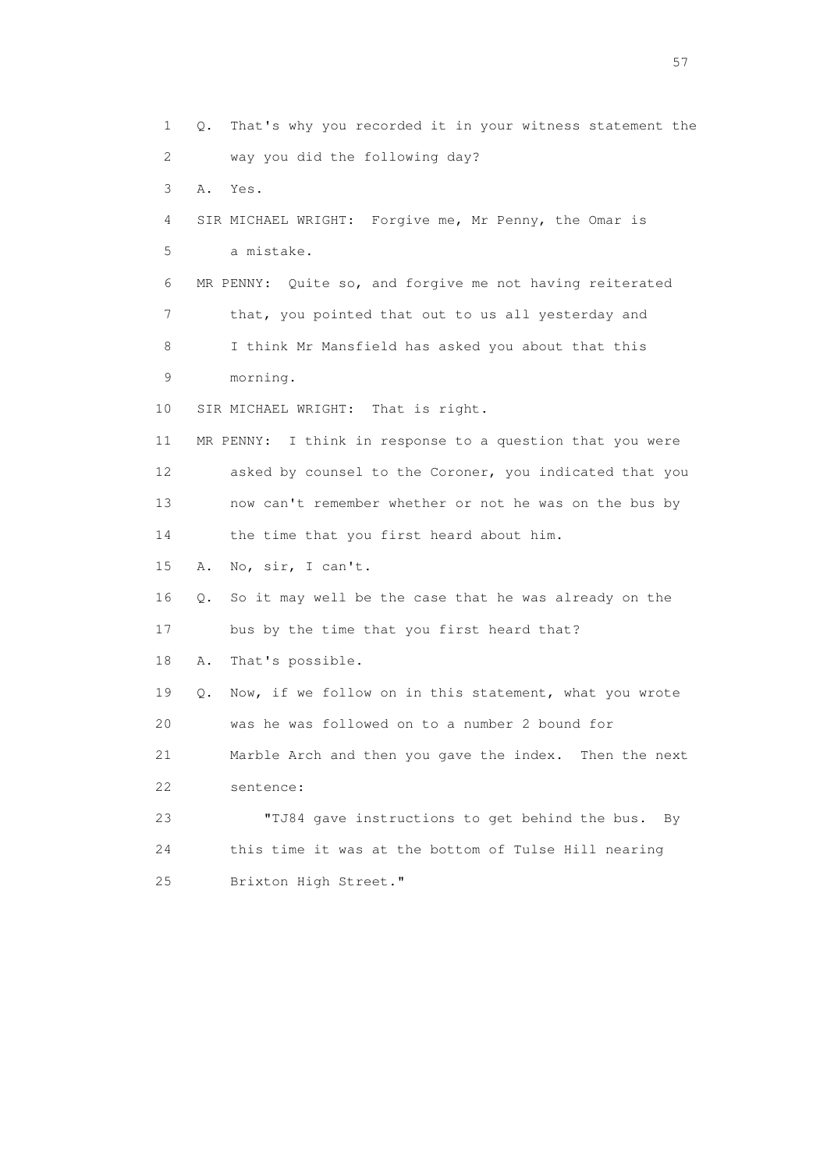1 Q. That's why you recorded it in your witness statement the 2 way you did the following day? 3 A. Yes. 4 SIR MICHAEL WRIGHT: Forgive me, Mr Penny, the Omar is 5 a mistake. 6 MR PENNY: Quite so, and forgive me not having reiterated 7 that, you pointed that out to us all yesterday and 8 I think Mr Mansfield has asked you about that this 9 morning. 10 SIR MICHAEL WRIGHT: That is right. 11 MR PENNY: I think in response to a question that you were 12 asked by counsel to the Coroner, you indicated that you 13 now can't remember whether or not he was on the bus by 14 the time that you first heard about him. 15 A. No, sir, I can't. 16 Q. So it may well be the case that he was already on the 17 bus by the time that you first heard that? 18 A. That's possible. 19 Q. Now, if we follow on in this statement, what you wrote 20 was he was followed on to a number 2 bound for 21 Marble Arch and then you gave the index. Then the next 22 sentence: 23 "TJ84 gave instructions to get behind the bus. By 24 this time it was at the bottom of Tulse Hill nearing 25 Brixton High Street."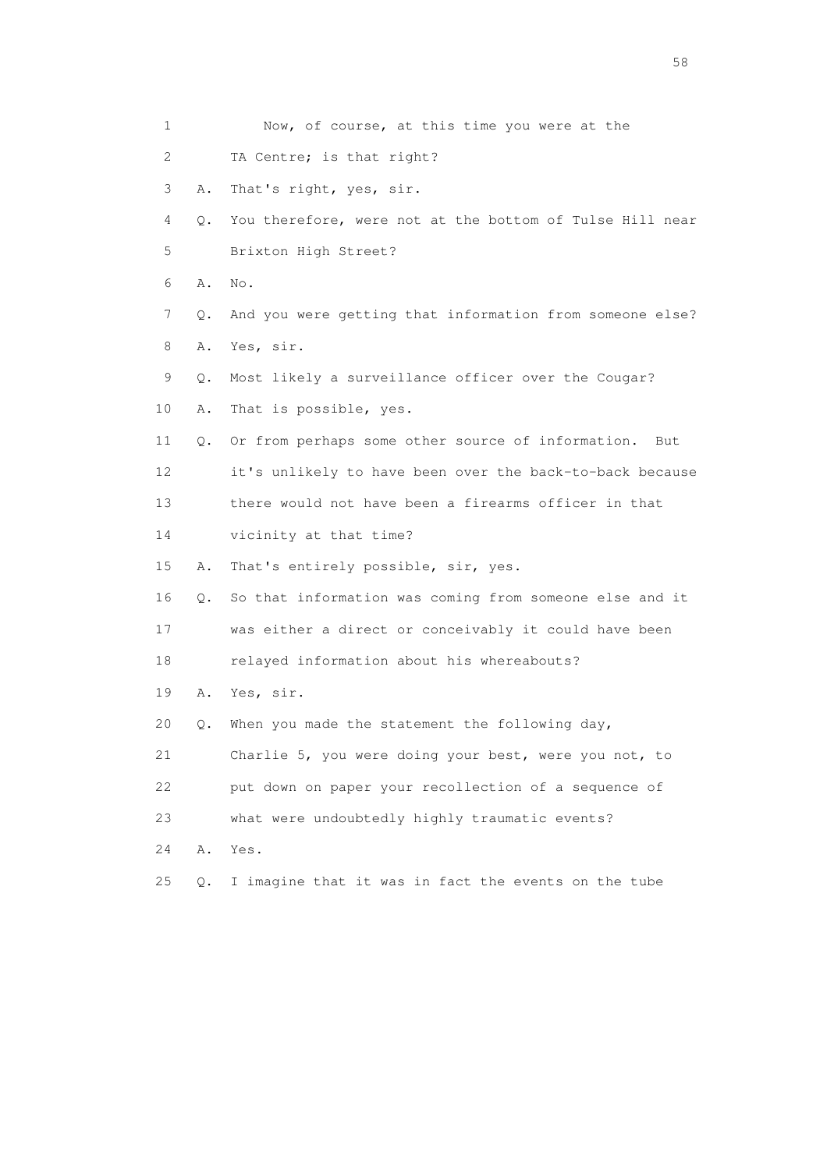| 1  |    | Now, of course, at this time you were at the             |
|----|----|----------------------------------------------------------|
| 2  |    | TA Centre; is that right?                                |
| 3  | Α. | That's right, yes, sir.                                  |
| 4  | Q. | You therefore, were not at the bottom of Tulse Hill near |
| 5  |    | Brixton High Street?                                     |
| 6  | Α. | No.                                                      |
| 7  | Q. | And you were getting that information from someone else? |
| 8  | Α. | Yes, sir.                                                |
| 9  | Q. | Most likely a surveillance officer over the Cougar?      |
| 10 | Α. | That is possible, yes.                                   |
| 11 | Q. | Or from perhaps some other source of information.<br>But |
| 12 |    | it's unlikely to have been over the back-to-back because |
| 13 |    | there would not have been a firearms officer in that     |
| 14 |    | vicinity at that time?                                   |
| 15 | Α. | That's entirely possible, sir, yes.                      |
| 16 | Q. | So that information was coming from someone else and it  |
| 17 |    | was either a direct or conceivably it could have been    |
| 18 |    | relayed information about his whereabouts?               |
| 19 | Α. | Yes, sir.                                                |
| 20 | Q. | When you made the statement the following day,           |
| 21 |    | Charlie 5, you were doing your best, were you not, to    |
| 22 |    | put down on paper your recollection of a sequence of     |
| 23 |    | what were undoubtedly highly traumatic events?           |
| 24 | Α. | Yes.                                                     |
| 25 | Q. | I imagine that it was in fact the events on the tube     |

the state of the state of the state of the state of the state of the state of the state of the state of the state of the state of the state of the state of the state of the state of the state of the state of the state of t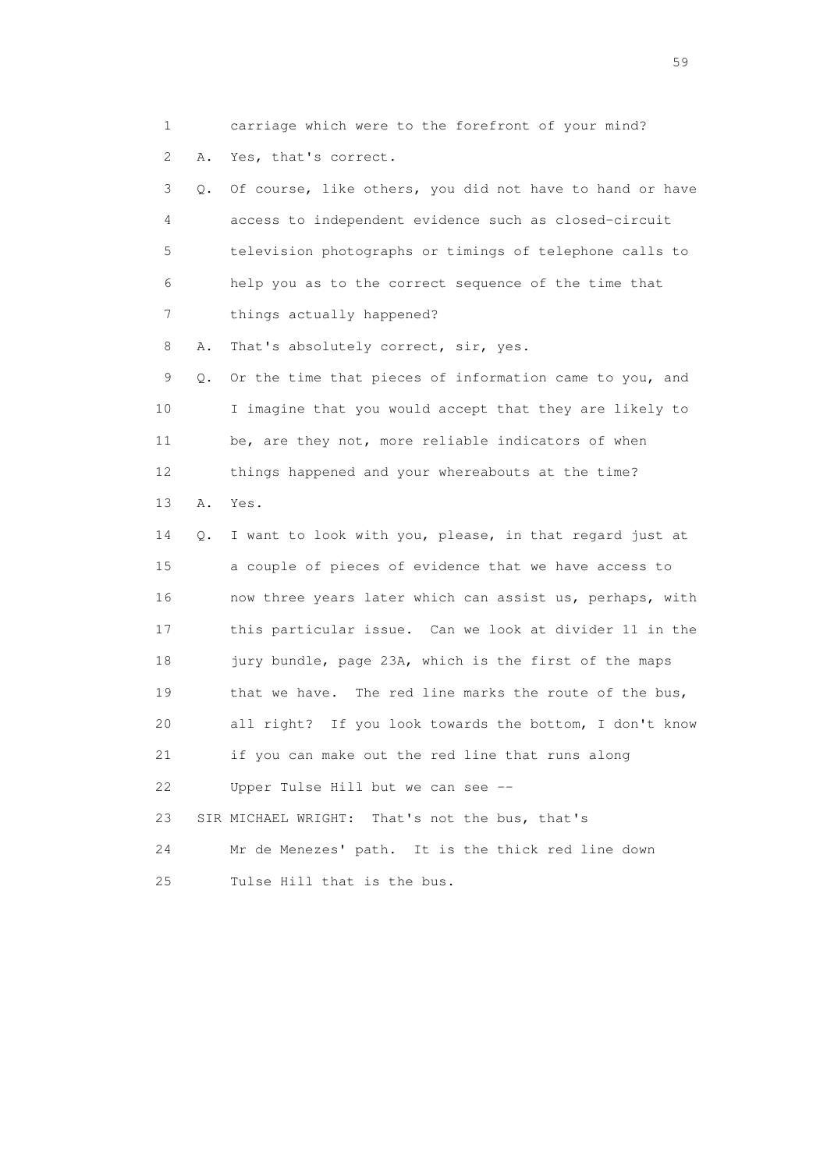1 carriage which were to the forefront of your mind? 2 A. Yes, that's correct.

 3 Q. Of course, like others, you did not have to hand or have 4 access to independent evidence such as closed-circuit 5 television photographs or timings of telephone calls to 6 help you as to the correct sequence of the time that 7 things actually happened?

8 A. That's absolutely correct, sir, yes.

 9 Q. Or the time that pieces of information came to you, and 10 I imagine that you would accept that they are likely to 11 be, are they not, more reliable indicators of when 12 things happened and your whereabouts at the time?

13 A. Yes.

 14 Q. I want to look with you, please, in that regard just at 15 a couple of pieces of evidence that we have access to 16 now three years later which can assist us, perhaps, with 17 this particular issue. Can we look at divider 11 in the 18 jury bundle, page 23A, which is the first of the maps 19 that we have. The red line marks the route of the bus, 20 all right? If you look towards the bottom, I don't know 21 if you can make out the red line that runs along 22 Upper Tulse Hill but we can see -- 23 SIR MICHAEL WRIGHT: That's not the bus, that's 24 Mr de Menezes' path. It is the thick red line down

25 Tulse Hill that is the bus.

 $59<sub>2</sub>$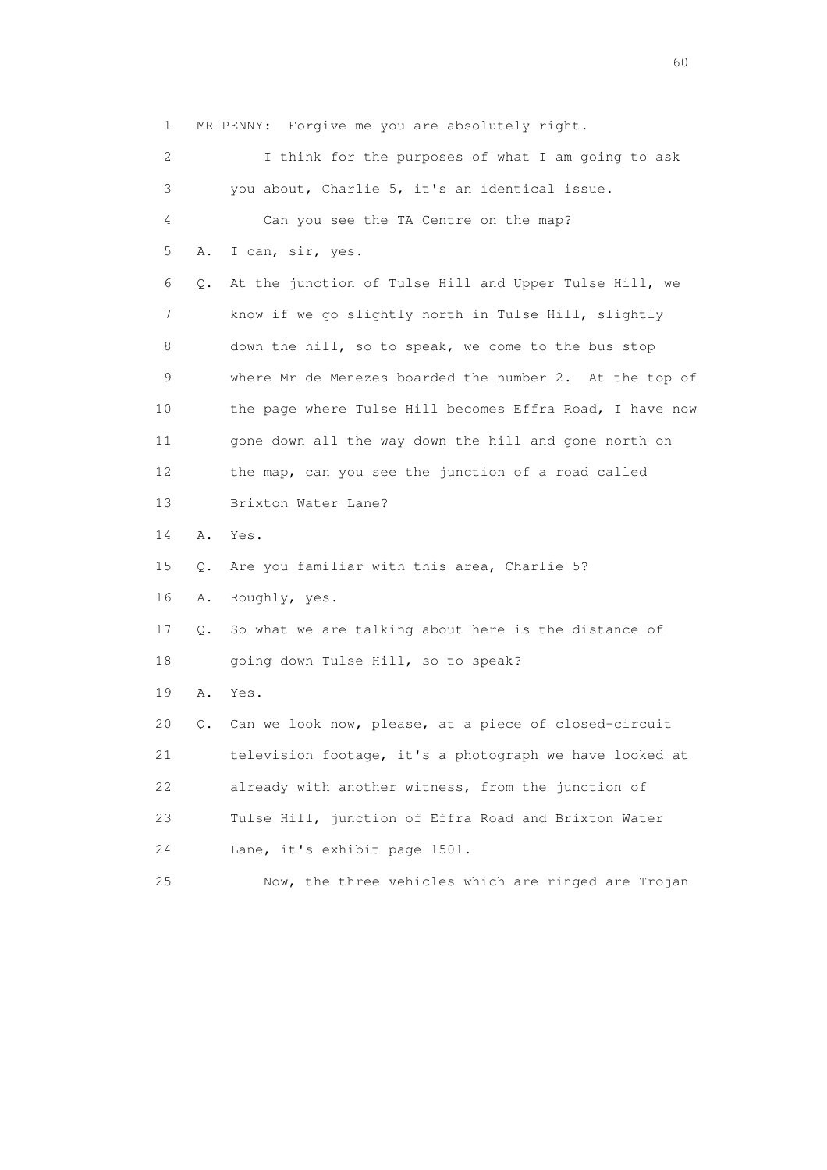1 MR PENNY: Forgive me you are absolutely right. 2 I think for the purposes of what I am going to ask 3 you about, Charlie 5, it's an identical issue. 4 Can you see the TA Centre on the map? 5 A. I can, sir, yes. 6 Q. At the junction of Tulse Hill and Upper Tulse Hill, we 7 know if we go slightly north in Tulse Hill, slightly 8 down the hill, so to speak, we come to the bus stop 9 where Mr de Menezes boarded the number 2. At the top of 10 the page where Tulse Hill becomes Effra Road, I have now 11 gone down all the way down the hill and gone north on 12 the map, can you see the junction of a road called 13 Brixton Water Lane? 14 A. Yes. 15 Q. Are you familiar with this area, Charlie 5? 16 A. Roughly, yes. 17 Q. So what we are talking about here is the distance of 18 going down Tulse Hill, so to speak? 19 A. Yes. 20 Q. Can we look now, please, at a piece of closed-circuit 21 television footage, it's a photograph we have looked at 22 already with another witness, from the junction of 23 Tulse Hill, junction of Effra Road and Brixton Water 24 Lane, it's exhibit page 1501. 25 Now, the three vehicles which are ringed are Trojan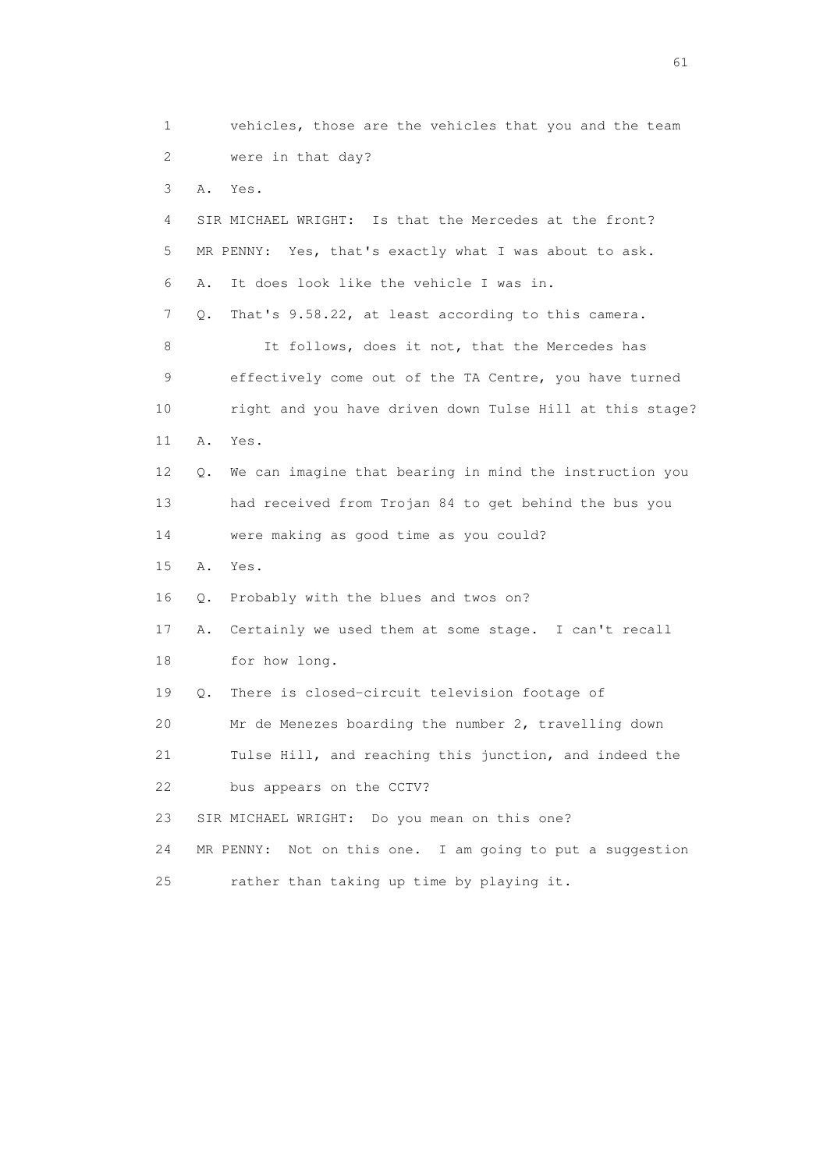1 vehicles, those are the vehicles that you and the team 2 were in that day? 3 A. Yes. 4 SIR MICHAEL WRIGHT: Is that the Mercedes at the front? 5 MR PENNY: Yes, that's exactly what I was about to ask. 6 A. It does look like the vehicle I was in. 7 Q. That's 9.58.22, at least according to this camera. 8 It follows, does it not, that the Mercedes has 9 effectively come out of the TA Centre, you have turned 10 right and you have driven down Tulse Hill at this stage? 11 A. Yes. 12 Q. We can imagine that bearing in mind the instruction you 13 had received from Trojan 84 to get behind the bus you 14 were making as good time as you could? 15 A. Yes. 16 Q. Probably with the blues and twos on? 17 A. Certainly we used them at some stage. I can't recall 18 for how long. 19 Q. There is closed-circuit television footage of 20 Mr de Menezes boarding the number 2, travelling down 21 Tulse Hill, and reaching this junction, and indeed the 22 bus appears on the CCTV? 23 SIR MICHAEL WRIGHT: Do you mean on this one? 24 MR PENNY: Not on this one. I am going to put a suggestion 25 rather than taking up time by playing it.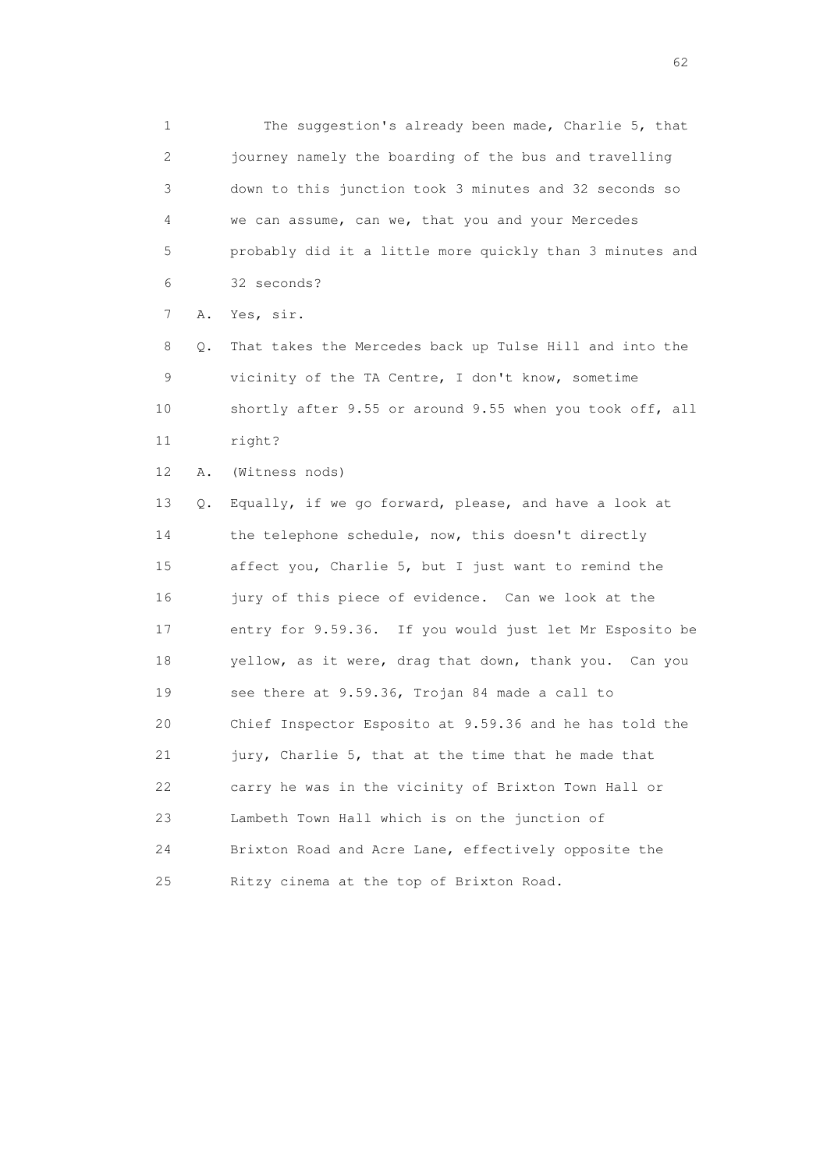1 The suggestion's already been made, Charlie 5, that 2 journey namely the boarding of the bus and travelling 3 down to this junction took 3 minutes and 32 seconds so 4 we can assume, can we, that you and your Mercedes 5 probably did it a little more quickly than 3 minutes and 6 32 seconds?

7 A. Yes, sir.

 8 Q. That takes the Mercedes back up Tulse Hill and into the 9 vicinity of the TA Centre, I don't know, sometime 10 shortly after 9.55 or around 9.55 when you took off, all 11 right?

12 A. (Witness nods)

 13 Q. Equally, if we go forward, please, and have a look at 14 the telephone schedule, now, this doesn't directly 15 affect you, Charlie 5, but I just want to remind the 16 jury of this piece of evidence. Can we look at the 17 entry for 9.59.36. If you would just let Mr Esposito be 18 yellow, as it were, drag that down, thank you. Can you 19 see there at 9.59.36, Trojan 84 made a call to 20 Chief Inspector Esposito at 9.59.36 and he has told the 21 jury, Charlie 5, that at the time that he made that 22 carry he was in the vicinity of Brixton Town Hall or 23 Lambeth Town Hall which is on the junction of 24 Brixton Road and Acre Lane, effectively opposite the 25 Ritzy cinema at the top of Brixton Road.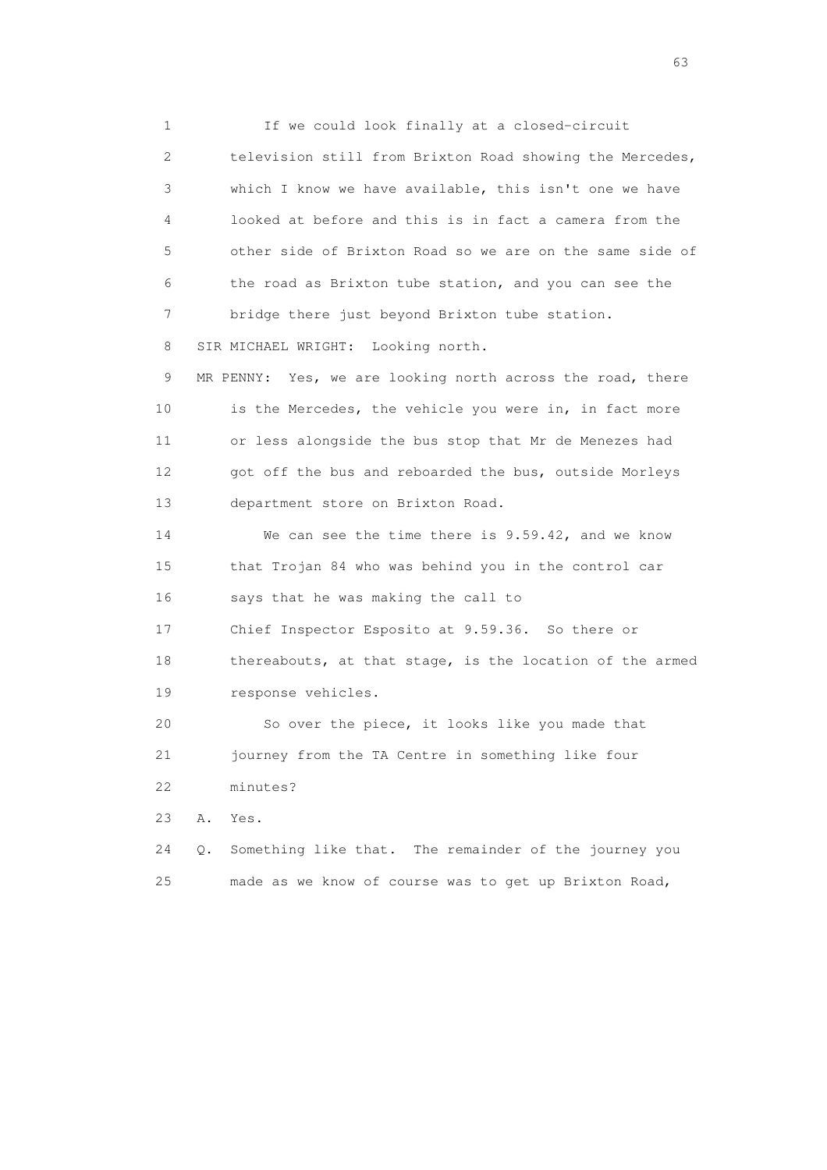1 If we could look finally at a closed-circuit 2 television still from Brixton Road showing the Mercedes, 3 which I know we have available, this isn't one we have 4 looked at before and this is in fact a camera from the 5 other side of Brixton Road so we are on the same side of 6 the road as Brixton tube station, and you can see the 7 bridge there just beyond Brixton tube station. 8 SIR MICHAEL WRIGHT: Looking north.

 9 MR PENNY: Yes, we are looking north across the road, there 10 is the Mercedes, the vehicle you were in, in fact more 11 or less alongside the bus stop that Mr de Menezes had 12 got off the bus and reboarded the bus, outside Morleys 13 department store on Brixton Road.

 14 We can see the time there is 9.59.42, and we know 15 that Trojan 84 who was behind you in the control car 16 says that he was making the call to

17 Chief Inspector Esposito at 9.59.36. So there or

 18 thereabouts, at that stage, is the location of the armed 19 response vehicles.

 20 So over the piece, it looks like you made that 21 journey from the TA Centre in something like four 22 minutes?

23 A. Yes.

 24 Q. Something like that. The remainder of the journey you 25 made as we know of course was to get up Brixton Road,

experience of the contract of the contract of the contract of the contract of the contract of the contract of the contract of the contract of the contract of the contract of the contract of the contract of the contract of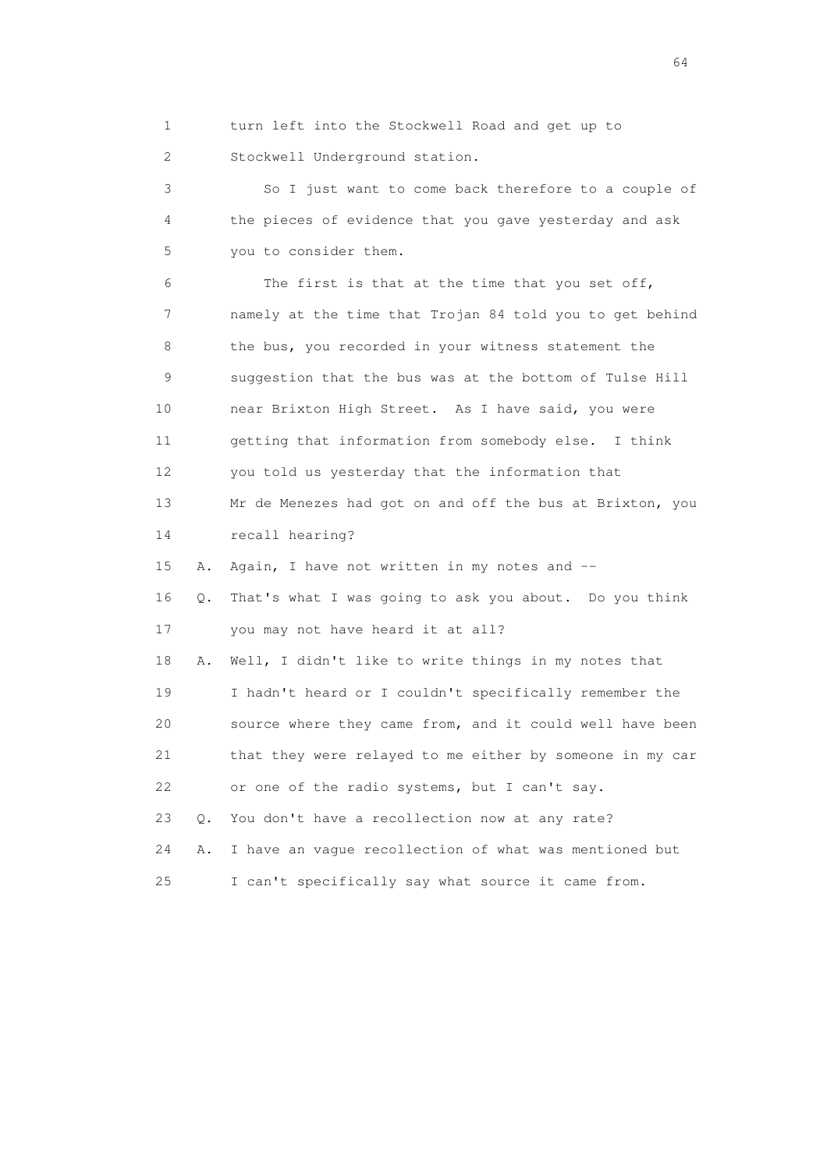1 turn left into the Stockwell Road and get up to 2 Stockwell Underground station.

 3 So I just want to come back therefore to a couple of 4 the pieces of evidence that you gave yesterday and ask 5 you to consider them.

 6 The first is that at the time that you set off, 7 namely at the time that Trojan 84 told you to get behind 8 the bus, you recorded in your witness statement the 9 suggestion that the bus was at the bottom of Tulse Hill 10 near Brixton High Street. As I have said, you were 11 getting that information from somebody else. I think 12 you told us yesterday that the information that 13 Mr de Menezes had got on and off the bus at Brixton, you 14 recall hearing? 15 A. Again, I have not written in my notes and -- 16 Q. That's what I was going to ask you about. Do you think 17 you may not have heard it at all? 18 A. Well, I didn't like to write things in my notes that 19 I hadn't heard or I couldn't specifically remember the 20 source where they came from, and it could well have been 21 that they were relayed to me either by someone in my car 22 or one of the radio systems, but I can't say. 23 Q. You don't have a recollection now at any rate? 24 A. I have an vague recollection of what was mentioned but 25 I can't specifically say what source it came from.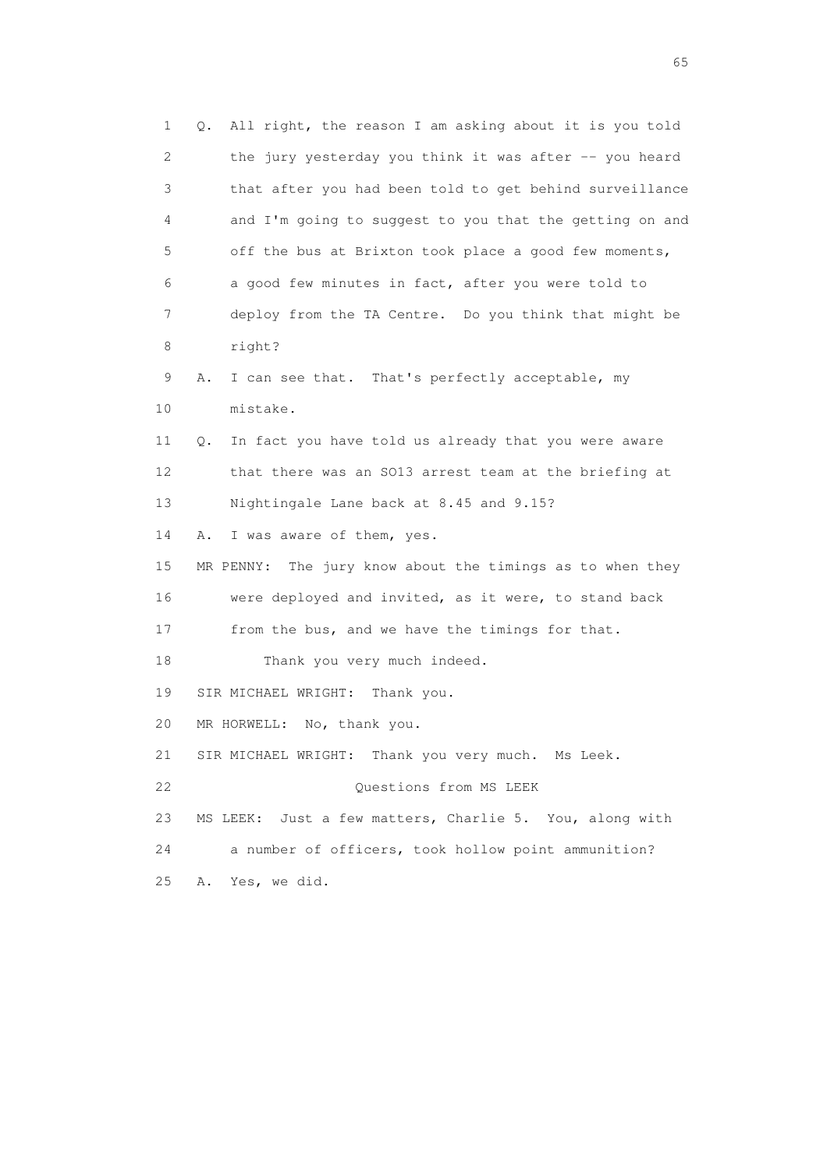1 Q. All right, the reason I am asking about it is you told 2 the jury yesterday you think it was after -- you heard 3 that after you had been told to get behind surveillance 4 and I'm going to suggest to you that the getting on and 5 off the bus at Brixton took place a good few moments, 6 a good few minutes in fact, after you were told to 7 deploy from the TA Centre. Do you think that might be 8 right? 9 A. I can see that. That's perfectly acceptable, my 10 mistake. 11 Q. In fact you have told us already that you were aware 12 that there was an SO13 arrest team at the briefing at 13 Nightingale Lane back at 8.45 and 9.15? 14 A. I was aware of them, yes. 15 MR PENNY: The jury know about the timings as to when they 16 were deployed and invited, as it were, to stand back 17 from the bus, and we have the timings for that. 18 Thank you very much indeed. 19 SIR MICHAEL WRIGHT: Thank you. 20 MR HORWELL: No, thank you. 21 SIR MICHAEL WRIGHT: Thank you very much. Ms Leek. 22 **Questions from MS LEEK**  23 MS LEEK: Just a few matters, Charlie 5. You, along with 24 a number of officers, took hollow point ammunition? 25 A. Yes, we did.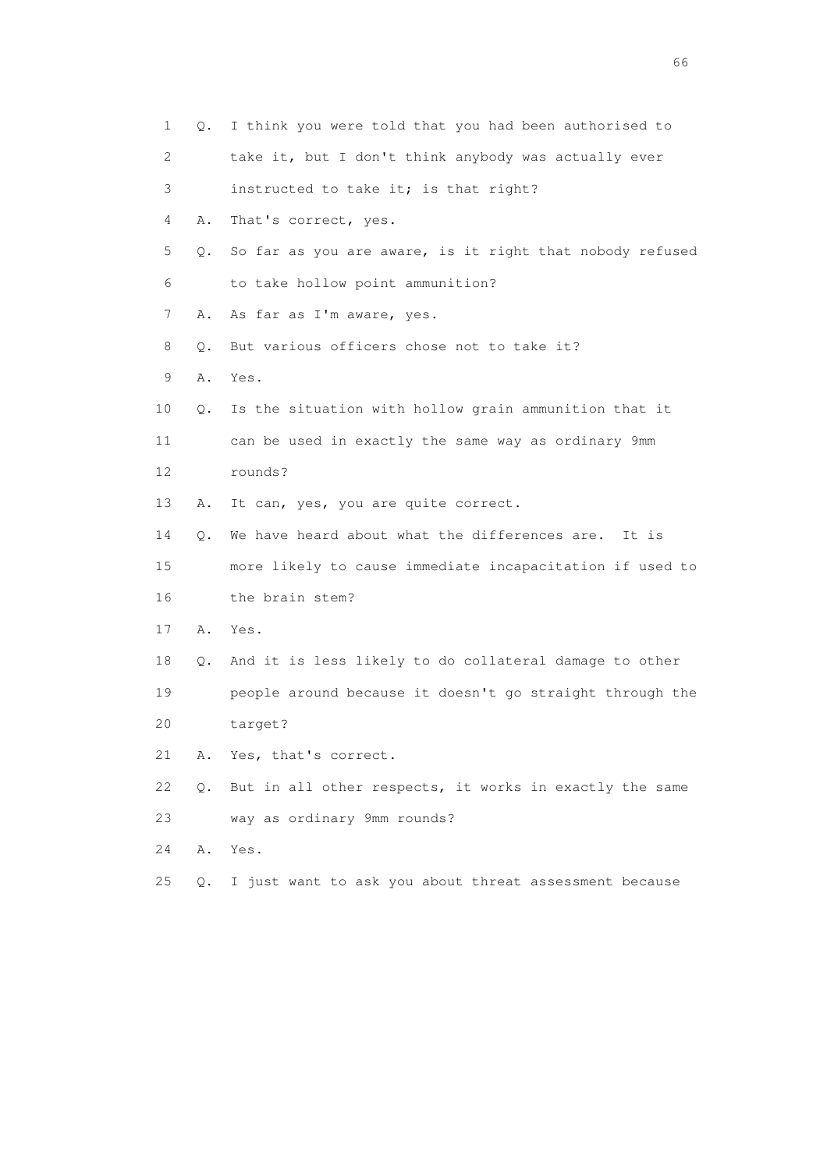| 1  | Q.    | I think you were told that you had been authorised to    |
|----|-------|----------------------------------------------------------|
| 2  |       | take it, but I don't think anybody was actually ever     |
| 3  |       | instructed to take it; is that right?                    |
| 4  | Α.    | That's correct, yes.                                     |
| 5  | Q.    | So far as you are aware, is it right that nobody refused |
| 6  |       | to take hollow point ammunition?                         |
| 7  | Α.    | As far as I'm aware, yes.                                |
| 8  | Q.    | But various officers chose not to take it?               |
| 9  | Α.    | Yes.                                                     |
| 10 | Q.    | Is the situation with hollow grain ammunition that it    |
| 11 |       | can be used in exactly the same way as ordinary 9mm      |
| 12 |       | rounds?                                                  |
| 13 | Α.    | It can, yes, you are quite correct.                      |
| 14 | $Q$ . | We have heard about what the differences are.<br>It is   |
| 15 |       | more likely to cause immediate incapacitation if used to |
| 16 |       | the brain stem?                                          |
| 17 | Α.    | Yes.                                                     |
| 18 | Q.    | And it is less likely to do collateral damage to other   |
| 19 |       | people around because it doesn't go straight through the |
| 20 |       | target?                                                  |
| 21 | Α.    | Yes, that's correct.                                     |
| 22 | Q.    | But in all other respects, it works in exactly the same  |
| 23 |       | way as ordinary 9mm rounds?                              |
| 24 | Α.    | Yes.                                                     |
| 25 | Q.    | I just want to ask you about threat assessment because   |

 $\sim$  66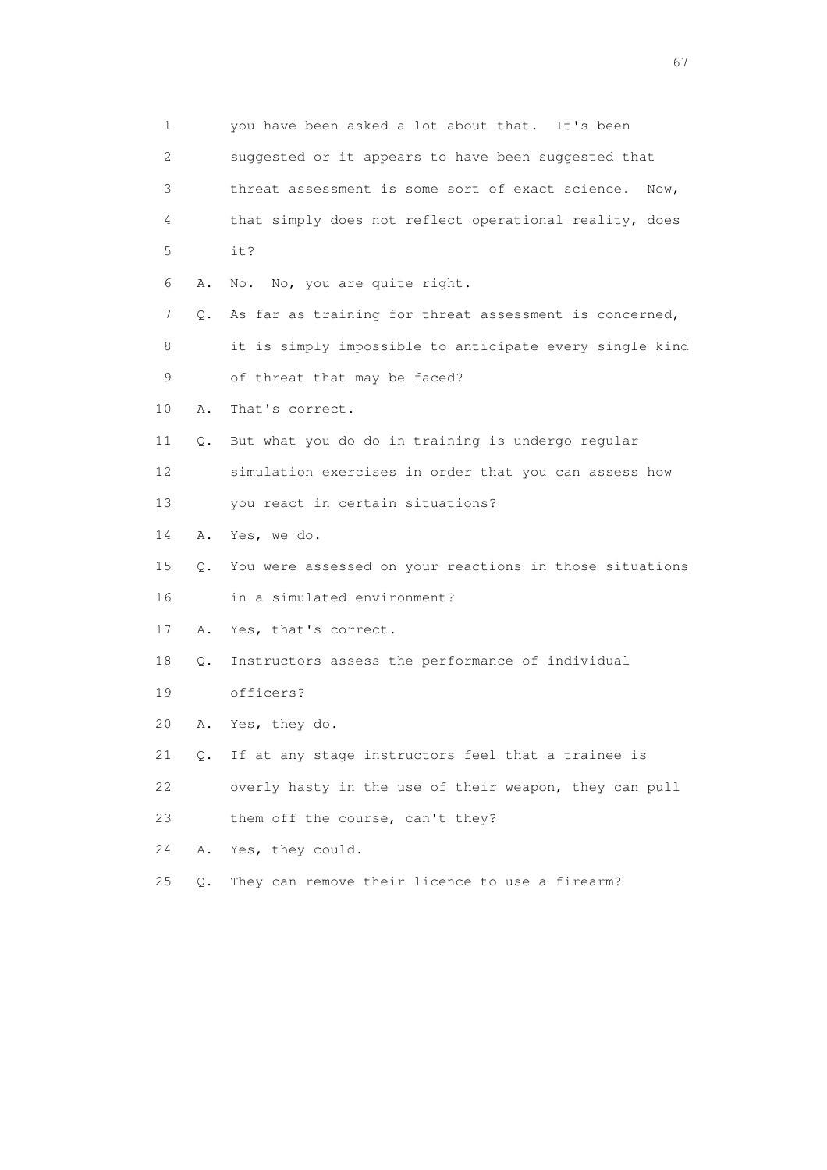| $\mathbf 1$ |    | you have been asked a lot about that. It's been          |
|-------------|----|----------------------------------------------------------|
| 2           |    | suggested or it appears to have been suggested that      |
| 3           |    | threat assessment is some sort of exact science.<br>Now, |
| 4           |    | that simply does not reflect operational reality, does   |
| 5           |    | it?                                                      |
| 6           | Α. | No, you are quite right.<br>No.                          |
| 7           | Q. | As far as training for threat assessment is concerned,   |
| 8           |    | it is simply impossible to anticipate every single kind  |
| 9           |    | of threat that may be faced?                             |
| 10          | Α. | That's correct.                                          |
| 11          | Q. | But what you do do in training is undergo regular        |
| 12          |    | simulation exercises in order that you can assess how    |
| 13          |    | you react in certain situations?                         |
| 14          | Α. | Yes, we do.                                              |
| 15          | Q. | You were assessed on your reactions in those situations  |
| 16          |    | in a simulated environment?                              |
| 17          | Α. | Yes, that's correct.                                     |
| 18          | Q. | Instructors assess the performance of individual         |
| 19          |    | officers?                                                |
| 20          | Α. | Yes, they do.                                            |
| 21          | 0. | If at any stage instructors feel that a trainee is       |
| 22          |    | overly hasty in the use of their weapon, they can pull   |
| 23          |    | them off the course, can't they?                         |
| 24          | Α. | Yes, they could.                                         |
| 25          | Q. | They can remove their licence to use a firearm?          |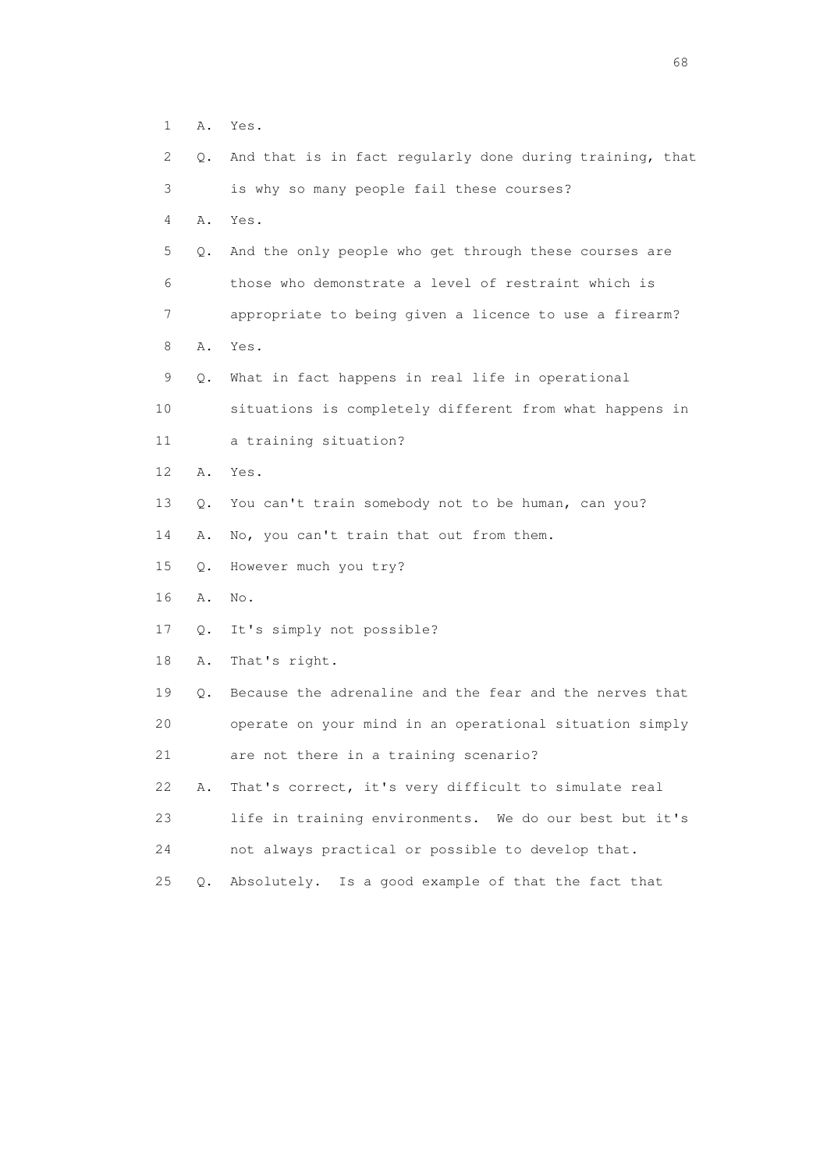|  | ٠ | $\sim$<br>$\bigcap$<br>v<br>٠<br>-<br>- |
|--|---|-----------------------------------------|
|  |   |                                         |

| 2  | Q.    | And that is in fact regularly done during training, that |
|----|-------|----------------------------------------------------------|
| 3  |       | is why so many people fail these courses?                |
| 4  | Α.    | Yes.                                                     |
| 5  | Q.    | And the only people who get through these courses are    |
| 6  |       | those who demonstrate a level of restraint which is      |
| 7  |       | appropriate to being given a licence to use a firearm?   |
| 8  | Α.    | Yes.                                                     |
| 9  | Q.    | What in fact happens in real life in operational         |
| 10 |       | situations is completely different from what happens in  |
| 11 |       | a training situation?                                    |
| 12 | Α.    | Yes.                                                     |
| 13 | Q.    | You can't train somebody not to be human, can you?       |
| 14 | Α.    | No, you can't train that out from them.                  |
| 15 | Q.    | However much you try?                                    |
| 16 | Α.    | No.                                                      |
| 17 | Q.    | It's simply not possible?                                |
| 18 | Α.    | That's right.                                            |
| 19 | Q.    | Because the adrenaline and the fear and the nerves that  |
| 20 |       | operate on your mind in an operational situation simply  |
| 21 |       | are not there in a training scenario?                    |
| 22 | Α.    | That's correct, it's very difficult to simulate real     |
| 23 |       | life in training environments. We do our best but it's   |
| 24 |       | not always practical or possible to develop that.        |
| 25 | $Q$ . | Absolutely. Is a good example of that the fact that      |
|    |       |                                                          |
|    |       |                                                          |
|    |       |                                                          |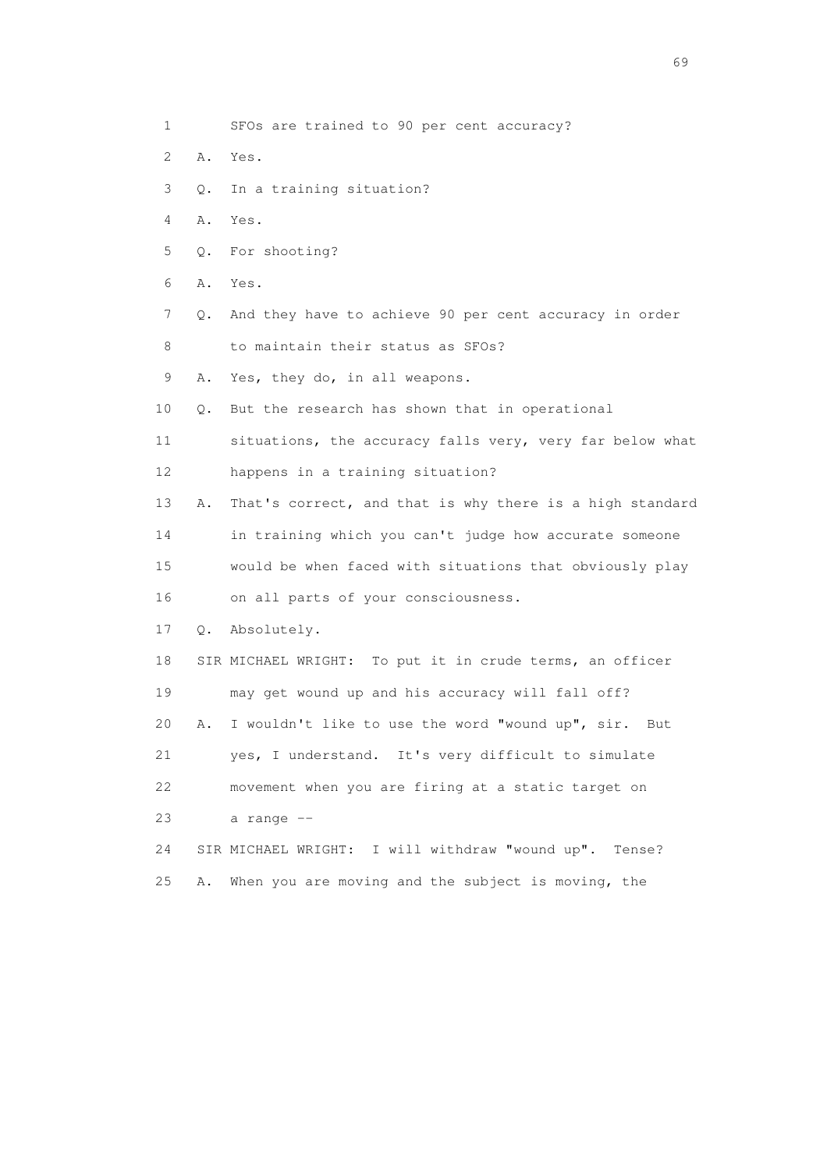- 1 SFOs are trained to 90 per cent accuracy?
- 2 A. Yes.
- 3 Q. In a training situation?
- 4 A. Yes.
- 5 Q. For shooting?
- 6 A. Yes.
- 7 Q. And they have to achieve 90 per cent accuracy in order 8 to maintain their status as SFOs?
- 9 A. Yes, they do, in all weapons.
- 10 Q. But the research has shown that in operational
- 11 situations, the accuracy falls very, very far below what 12 happens in a training situation?
- 13 A. That's correct, and that is why there is a high standard 14 in training which you can't judge how accurate someone
- 15 would be when faced with situations that obviously play 16 on all parts of your consciousness.
- 17 Q. Absolutely.
- 18 SIR MICHAEL WRIGHT: To put it in crude terms, an officer 19 may get wound up and his accuracy will fall off? 20 A. I wouldn't like to use the word "wound up", sir. But 21 yes, I understand. It's very difficult to simulate 22 movement when you are firing at a static target on
- 23 a range --
- 24 SIR MICHAEL WRIGHT: I will withdraw "wound up". Tense? 25 A. When you are moving and the subject is moving, the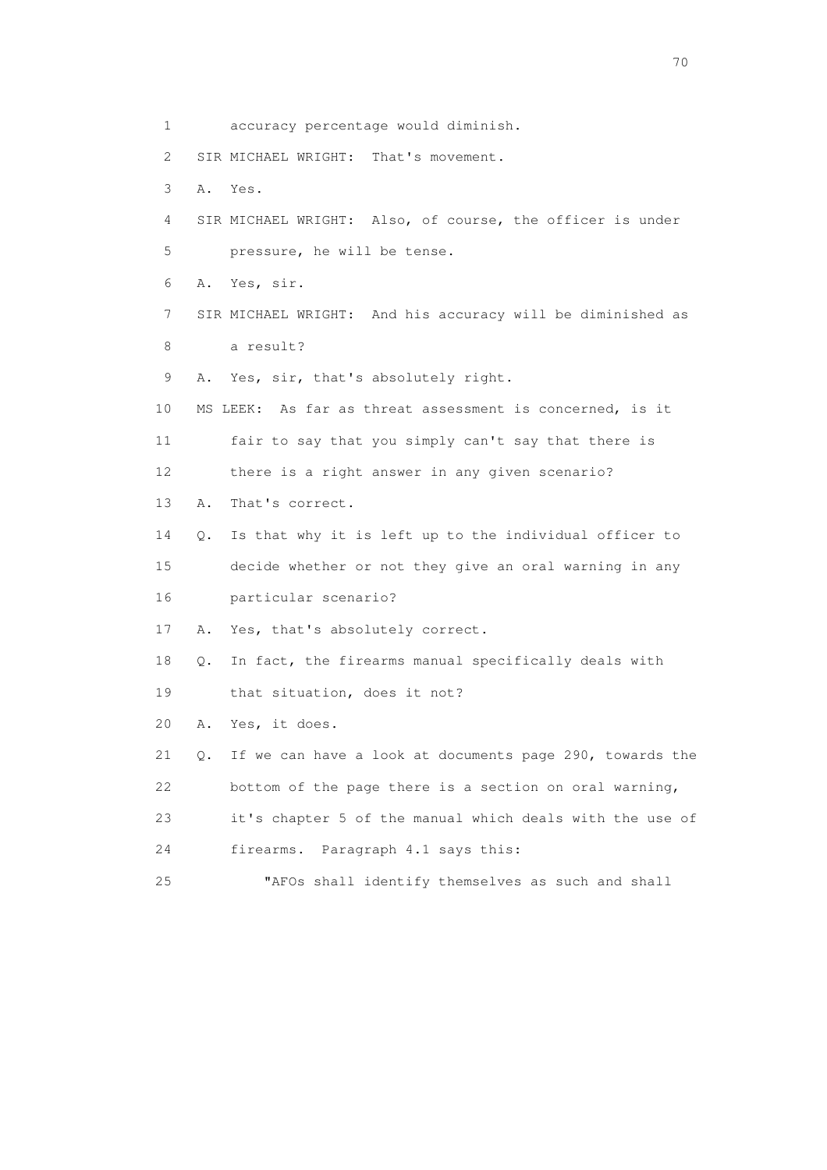1 accuracy percentage would diminish. 2 SIR MICHAEL WRIGHT: That's movement. 3 A. Yes. 4 SIR MICHAEL WRIGHT: Also, of course, the officer is under 5 pressure, he will be tense. 6 A. Yes, sir. 7 SIR MICHAEL WRIGHT: And his accuracy will be diminished as 8 a result? 9 A. Yes, sir, that's absolutely right. 10 MS LEEK: As far as threat assessment is concerned, is it 11 fair to say that you simply can't say that there is 12 there is a right answer in any given scenario? 13 A. That's correct. 14 Q. Is that why it is left up to the individual officer to 15 decide whether or not they give an oral warning in any 16 particular scenario? 17 A. Yes, that's absolutely correct. 18 Q. In fact, the firearms manual specifically deals with 19 that situation, does it not? 20 A. Yes, it does. 21 Q. If we can have a look at documents page 290, towards the 22 bottom of the page there is a section on oral warning, 23 it's chapter 5 of the manual which deals with the use of 24 firearms. Paragraph 4.1 says this: 25 "AFOs shall identify themselves as such and shall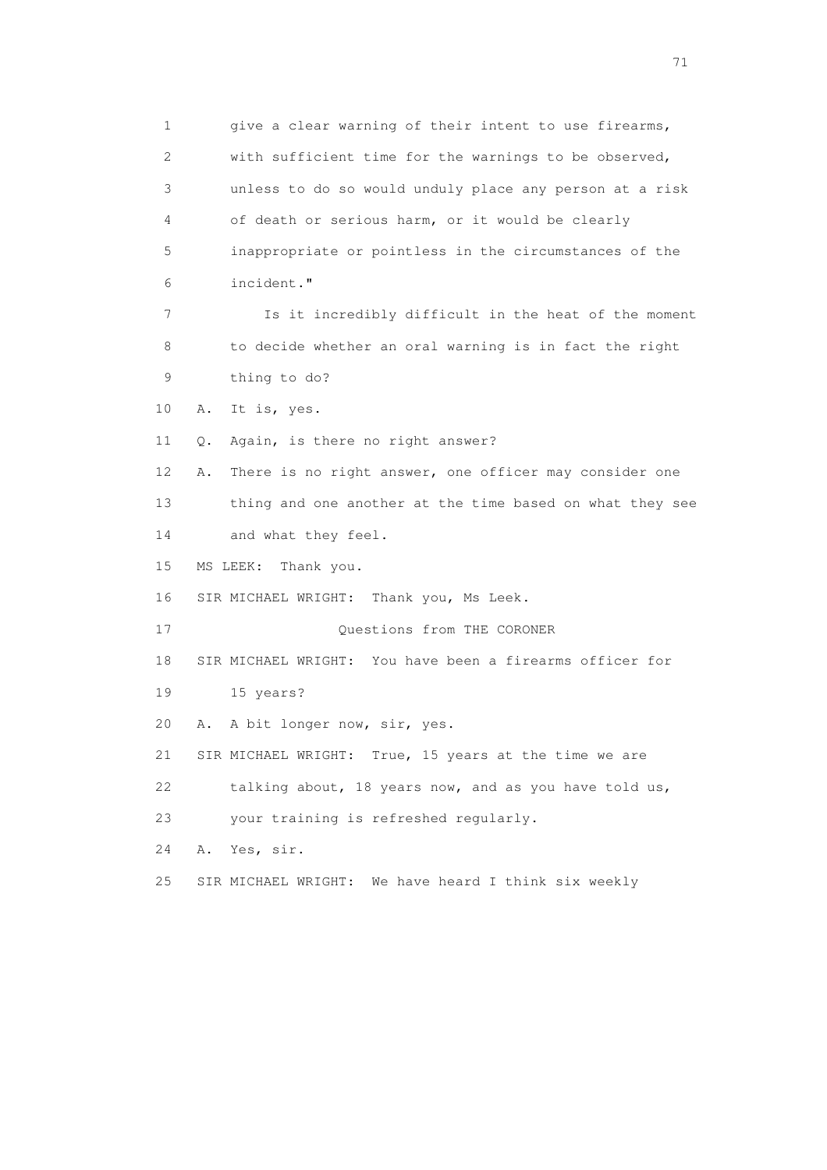1 give a clear warning of their intent to use firearms, 2 with sufficient time for the warnings to be observed, 3 unless to do so would unduly place any person at a risk 4 of death or serious harm, or it would be clearly 5 inappropriate or pointless in the circumstances of the 6 incident." 7 Is it incredibly difficult in the heat of the moment 8 to decide whether an oral warning is in fact the right 9 thing to do? 10 A. It is, yes. 11 Q. Again, is there no right answer? 12 A. There is no right answer, one officer may consider one 13 thing and one another at the time based on what they see 14 and what they feel. 15 MS LEEK: Thank you. 16 SIR MICHAEL WRIGHT: Thank you, Ms Leek. 17 Questions from THE CORONER 18 SIR MICHAEL WRIGHT: You have been a firearms officer for 19 15 years? 20 A. A bit longer now, sir, yes. 21 SIR MICHAEL WRIGHT: True, 15 years at the time we are 22 talking about, 18 years now, and as you have told us, 23 your training is refreshed regularly. 24 A. Yes, sir. 25 SIR MICHAEL WRIGHT: We have heard I think six weekly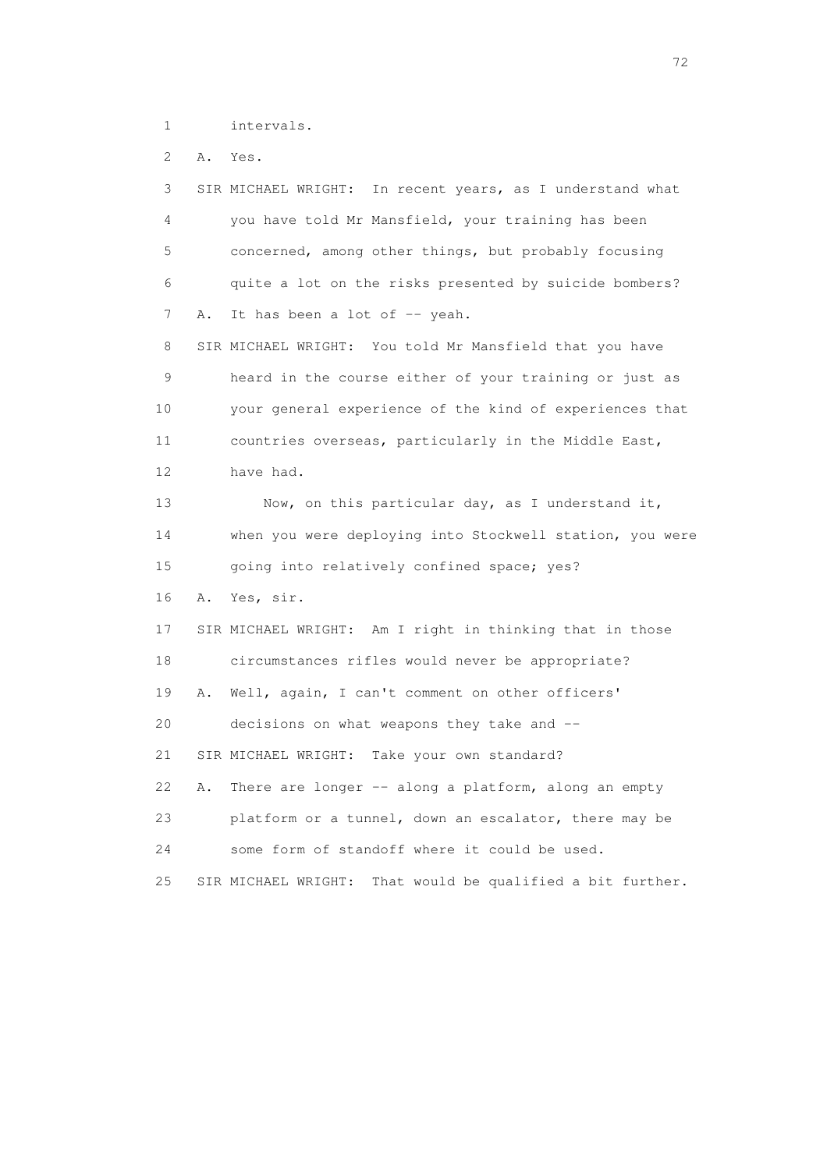1 intervals.

2 A. Yes.

| 3  |    | SIR MICHAEL WRIGHT:<br>In recent years, as I understand what  |
|----|----|---------------------------------------------------------------|
| 4  |    | you have told Mr Mansfield, your training has been            |
| 5  |    | concerned, among other things, but probably focusing          |
| 6  |    | quite a lot on the risks presented by suicide bombers?        |
| 7  | Α. | It has been a lot of $-$ yeah.                                |
| 8  |    | SIR MICHAEL WRIGHT: You told Mr Mansfield that you have       |
| 9  |    | heard in the course either of your training or just as        |
| 10 |    | your general experience of the kind of experiences that       |
| 11 |    | countries overseas, particularly in the Middle East,          |
| 12 |    | have had.                                                     |
| 13 |    | Now, on this particular day, as I understand it,              |
| 14 |    | when you were deploying into Stockwell station, you were      |
| 15 |    | going into relatively confined space; yes?                    |
| 16 | Α. | Yes, sir.                                                     |
| 17 |    | SIR MICHAEL WRIGHT: Am I right in thinking that in those      |
| 18 |    | circumstances rifles would never be appropriate?              |
| 19 | Α. | Well, again, I can't comment on other officers'               |
| 20 |    | decisions on what weapons they take and --                    |
| 21 |    | SIR MICHAEL WRIGHT:<br>Take your own standard?                |
| 22 | Α. | There are longer -- along a platform, along an empty          |
| 23 |    | platform or a tunnel, down an escalator, there may be         |
| 24 |    | some form of standoff where it could be used.                 |
| 25 |    | That would be qualified a bit further.<br>SIR MICHAEL WRIGHT: |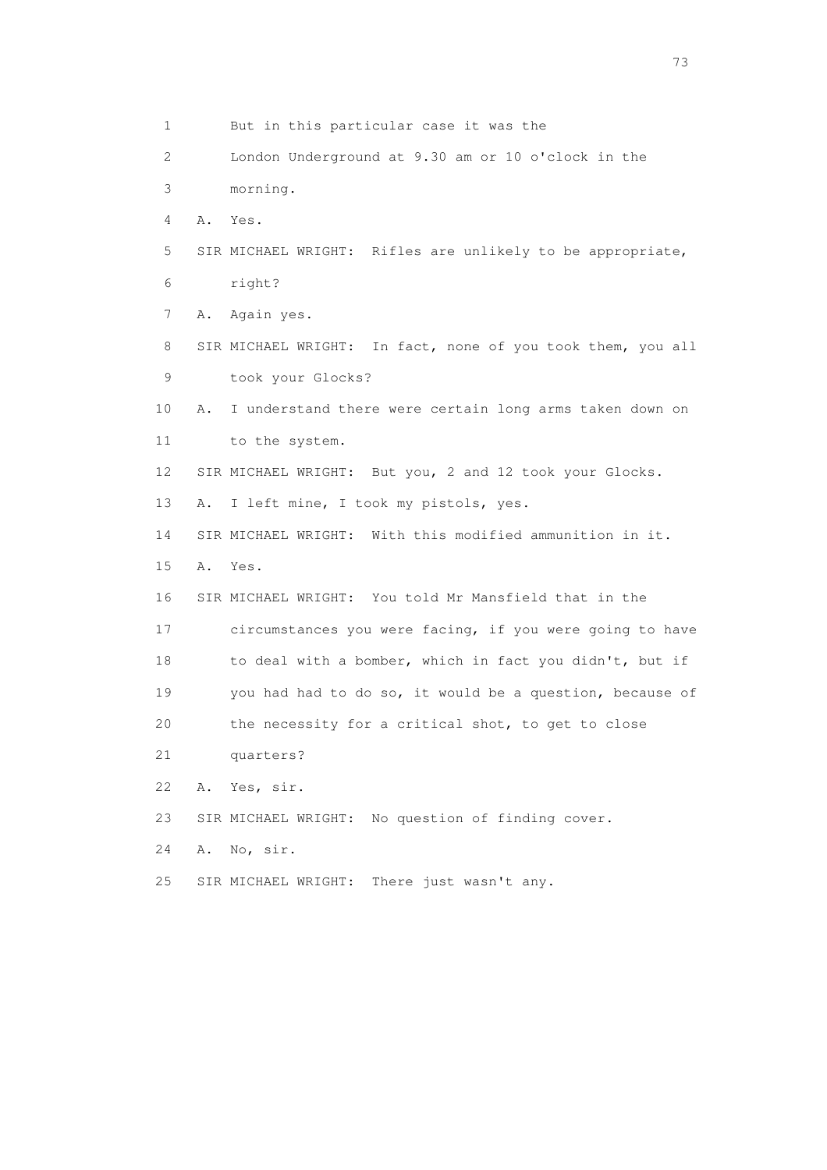1 But in this particular case it was the 2 London Underground at 9.30 am or 10 o'clock in the 3 morning. 4 A. Yes. 5 SIR MICHAEL WRIGHT: Rifles are unlikely to be appropriate, 6 right? 7 A. Again yes. 8 SIR MICHAEL WRIGHT: In fact, none of you took them, you all 9 took your Glocks? 10 A. I understand there were certain long arms taken down on 11 to the system. 12 SIR MICHAEL WRIGHT: But you, 2 and 12 took your Glocks. 13 A. I left mine, I took my pistols, yes. 14 SIR MICHAEL WRIGHT: With this modified ammunition in it. 15 A. Yes. 16 SIR MICHAEL WRIGHT: You told Mr Mansfield that in the 17 circumstances you were facing, if you were going to have 18 to deal with a bomber, which in fact you didn't, but if 19 you had had to do so, it would be a question, because of 20 the necessity for a critical shot, to get to close 21 quarters? 22 A. Yes, sir. 23 SIR MICHAEL WRIGHT: No question of finding cover. 24 A. No, sir. 25 SIR MICHAEL WRIGHT: There just wasn't any.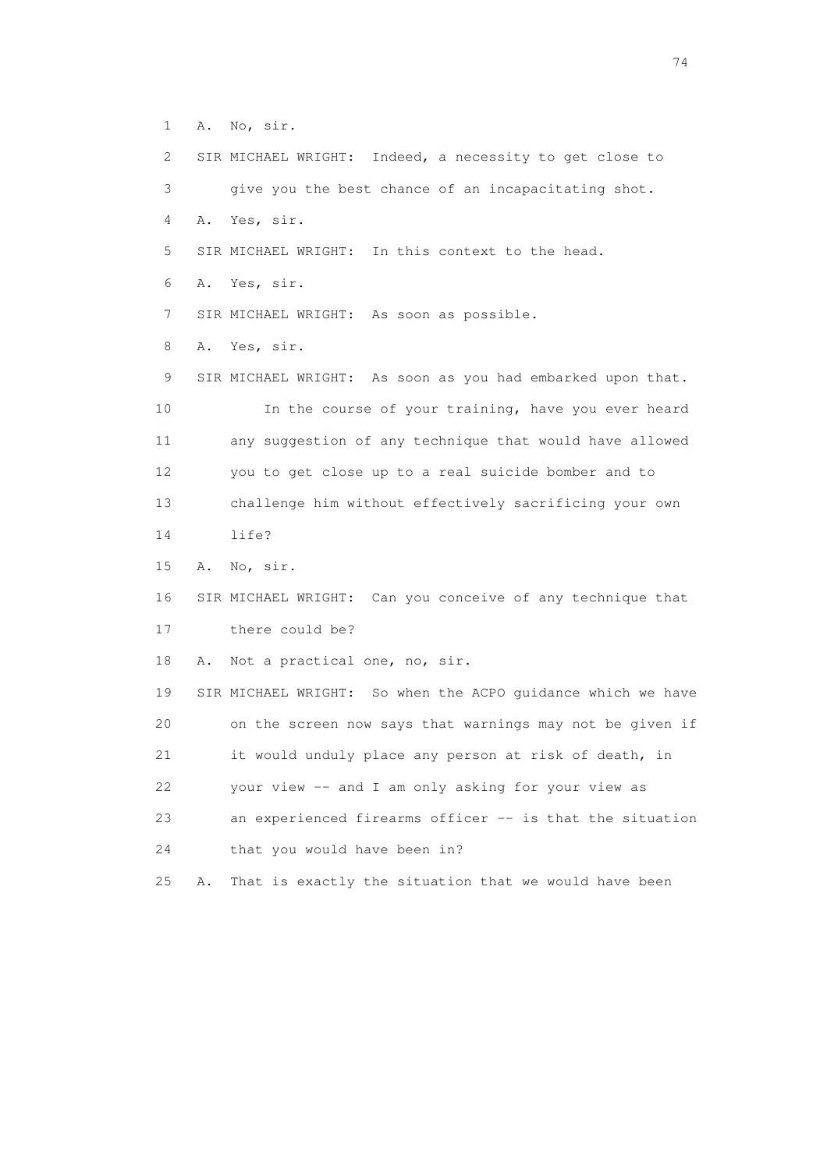1 A. No, sir.

 2 SIR MICHAEL WRIGHT: Indeed, a necessity to get close to 3 give you the best chance of an incapacitating shot. 4 A. Yes, sir. 5 SIR MICHAEL WRIGHT: In this context to the head. 6 A. Yes, sir. 7 SIR MICHAEL WRIGHT: As soon as possible. 8 A. Yes, sir. 9 SIR MICHAEL WRIGHT: As soon as you had embarked upon that. 10 In the course of your training, have you ever heard 11 any suggestion of any technique that would have allowed 12 you to get close up to a real suicide bomber and to 13 challenge him without effectively sacrificing your own

14 life?

15 A. No, sir.

16 SIR MICHAEL WRIGHT: Can you conceive of any technique that

17 there could be?

18 A. Not a practical one, no, sir.

 19 SIR MICHAEL WRIGHT: So when the ACPO guidance which we have 20 on the screen now says that warnings may not be given if 21 it would unduly place any person at risk of death, in 22 your view -- and I am only asking for your view as 23 an experienced firearms officer -- is that the situation 24 that you would have been in?

25 A. That is exactly the situation that we would have been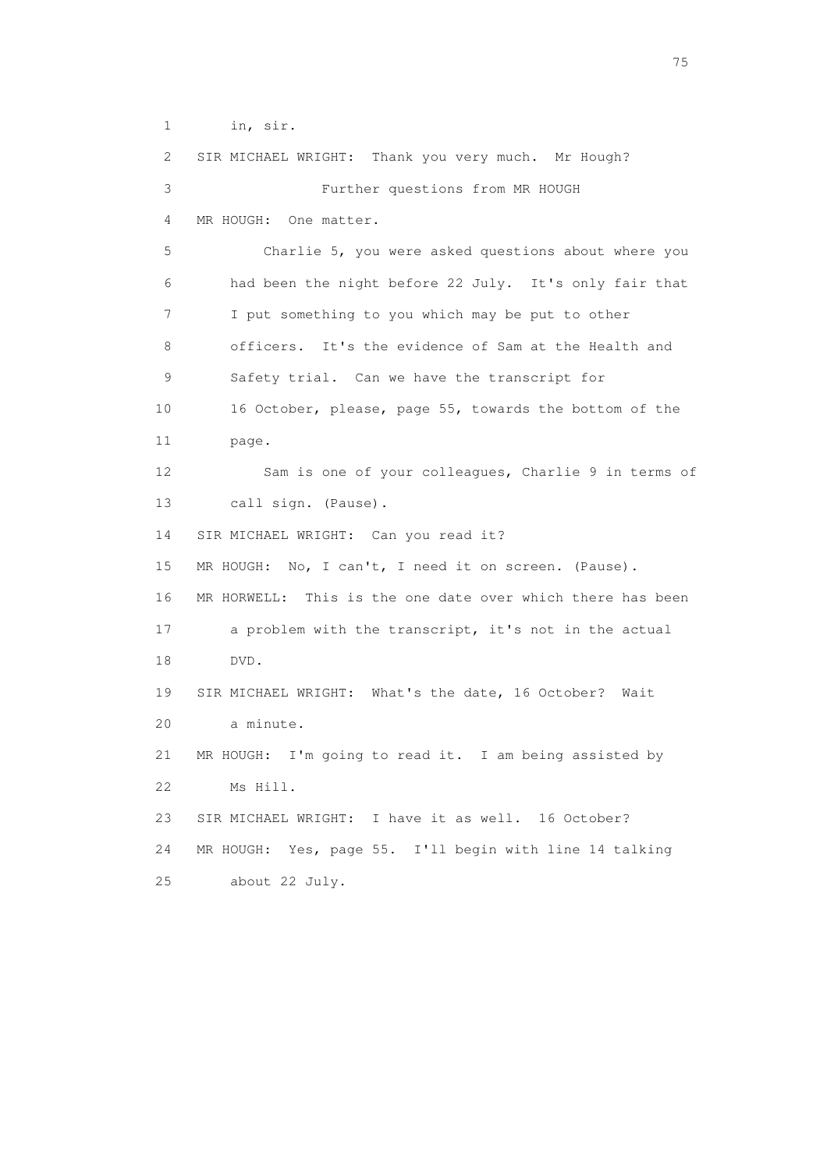1 in, sir.

 2 SIR MICHAEL WRIGHT: Thank you very much. Mr Hough? 3 Further questions from MR HOUGH 4 MR HOUGH: One matter. 5 Charlie 5, you were asked questions about where you 6 had been the night before 22 July. It's only fair that 7 I put something to you which may be put to other 8 officers. It's the evidence of Sam at the Health and 9 Safety trial. Can we have the transcript for 10 16 October, please, page 55, towards the bottom of the 11 page. 12 Sam is one of your colleagues, Charlie 9 in terms of 13 call sign. (Pause). 14 SIR MICHAEL WRIGHT: Can you read it? 15 MR HOUGH: No, I can't, I need it on screen. (Pause). 16 MR HORWELL: This is the one date over which there has been 17 a problem with the transcript, it's not in the actual 18 DVD. 19 SIR MICHAEL WRIGHT: What's the date, 16 October? Wait 20 a minute. 21 MR HOUGH: I'm going to read it. I am being assisted by 22 Ms Hill. 23 SIR MICHAEL WRIGHT: I have it as well. 16 October? 24 MR HOUGH: Yes, page 55. I'll begin with line 14 talking 25 about 22 July.

na matsay na katalog as na kasang na mga 175 may 2008. Ang isang isang nagsang nagsang nagsang nagsang nagsang<br>Tagapang nagsang nagsang nagsang nagsang nagsang nagsang nagsang nagsang nagsang nagsang nagsang nagsang nagsa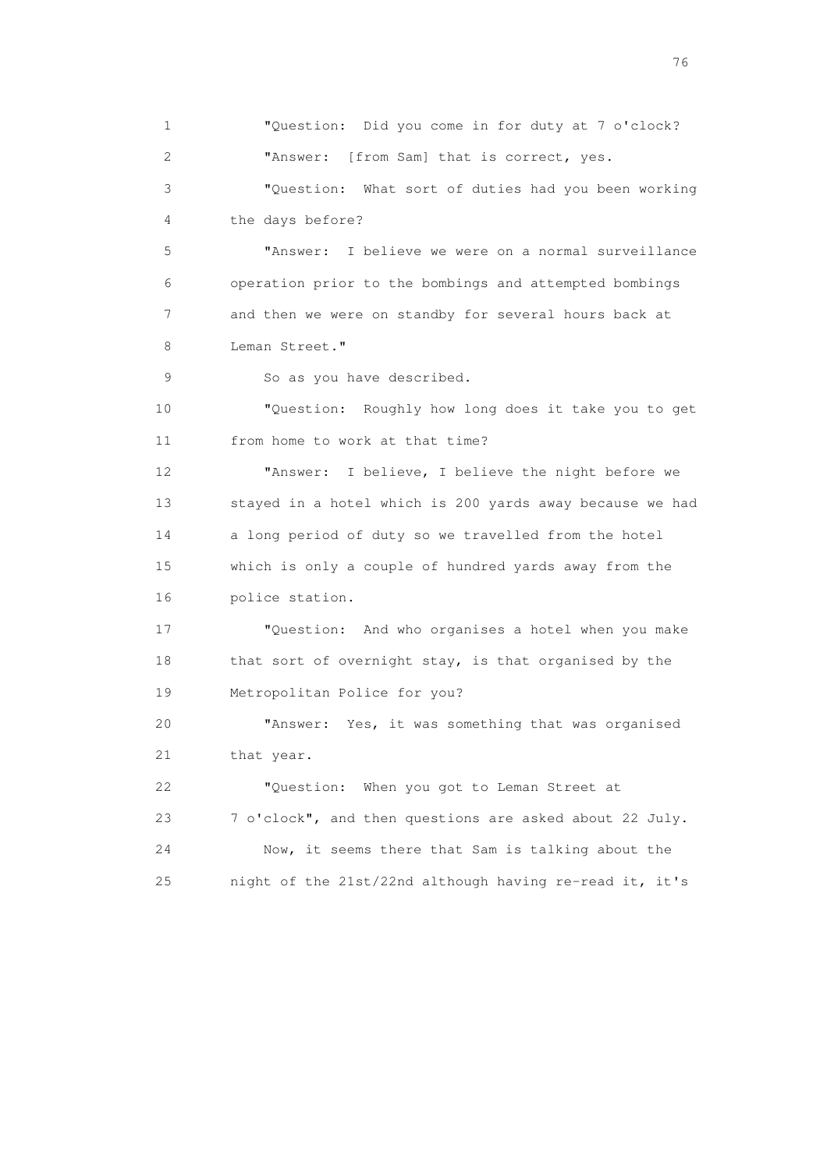1 "Question: Did you come in for duty at 7 o'clock? 2 "Answer: [from Sam] that is correct, yes. 3 "Question: What sort of duties had you been working 4 the days before? 5 "Answer: I believe we were on a normal surveillance 6 operation prior to the bombings and attempted bombings 7 and then we were on standby for several hours back at 8 Leman Street." 9 So as you have described. 10 "Question: Roughly how long does it take you to get 11 from home to work at that time? 12 "Answer: I believe, I believe the night before we 13 stayed in a hotel which is 200 yards away because we had 14 a long period of duty so we travelled from the hotel 15 which is only a couple of hundred yards away from the 16 police station. 17 "Question: And who organises a hotel when you make 18 that sort of overnight stay, is that organised by the 19 Metropolitan Police for you? 20 "Answer: Yes, it was something that was organised 21 that year. 22 "Question: When you got to Leman Street at 23 7 o'clock", and then questions are asked about 22 July. 24 Now, it seems there that Sam is talking about the 25 night of the 21st/22nd although having re-read it, it's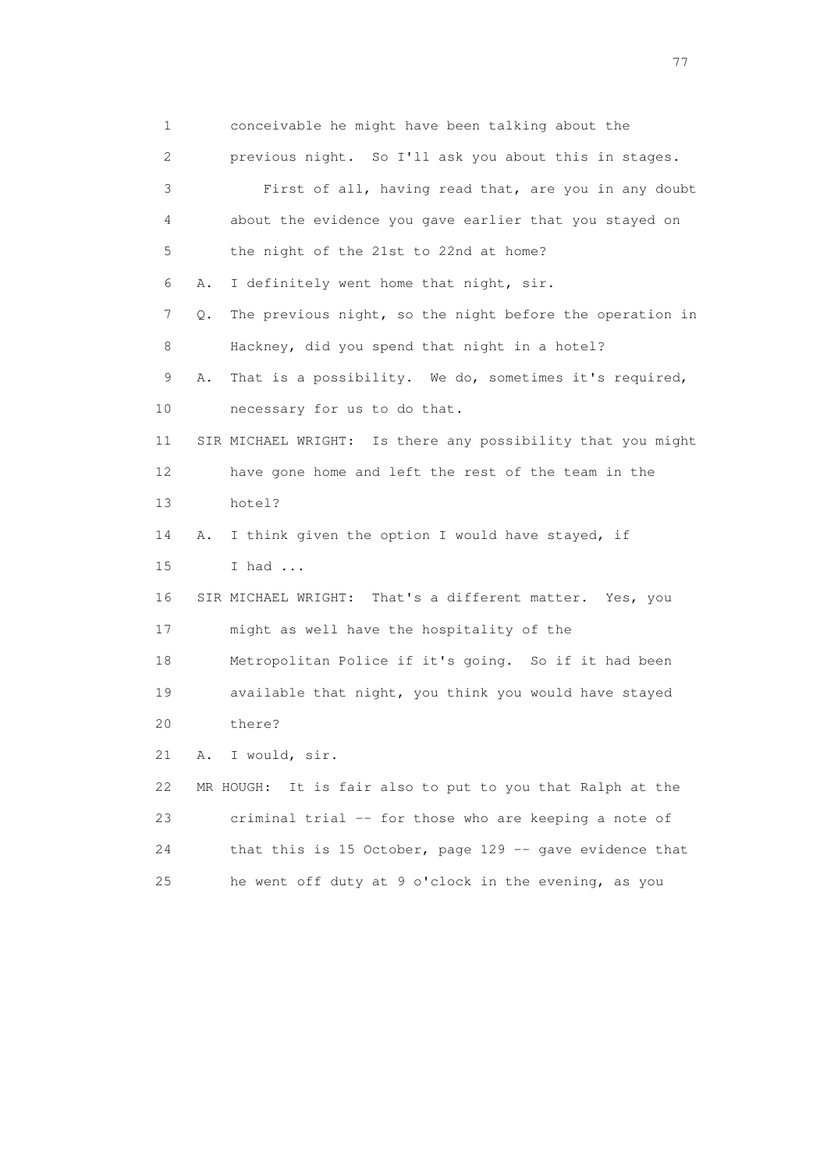1 conceivable he might have been talking about the 2 previous night. So I'll ask you about this in stages. 3 First of all, having read that, are you in any doubt 4 about the evidence you gave earlier that you stayed on 5 the night of the 21st to 22nd at home? 6 A. I definitely went home that night, sir. 7 Q. The previous night, so the night before the operation in 8 Hackney, did you spend that night in a hotel? 9 A. That is a possibility. We do, sometimes it's required, 10 necessary for us to do that. 11 SIR MICHAEL WRIGHT: Is there any possibility that you might 12 have gone home and left the rest of the team in the 13 hotel? 14 A. I think given the option I would have stayed, if 15 I had ... 16 SIR MICHAEL WRIGHT: That's a different matter. Yes, you 17 might as well have the hospitality of the 18 Metropolitan Police if it's going. So if it had been 19 available that night, you think you would have stayed 20 there? 21 A. I would, sir. 22 MR HOUGH: It is fair also to put to you that Ralph at the 23 criminal trial -- for those who are keeping a note of 24 that this is 15 October, page 129 -- gave evidence that 25 he went off duty at 9 o'clock in the evening, as you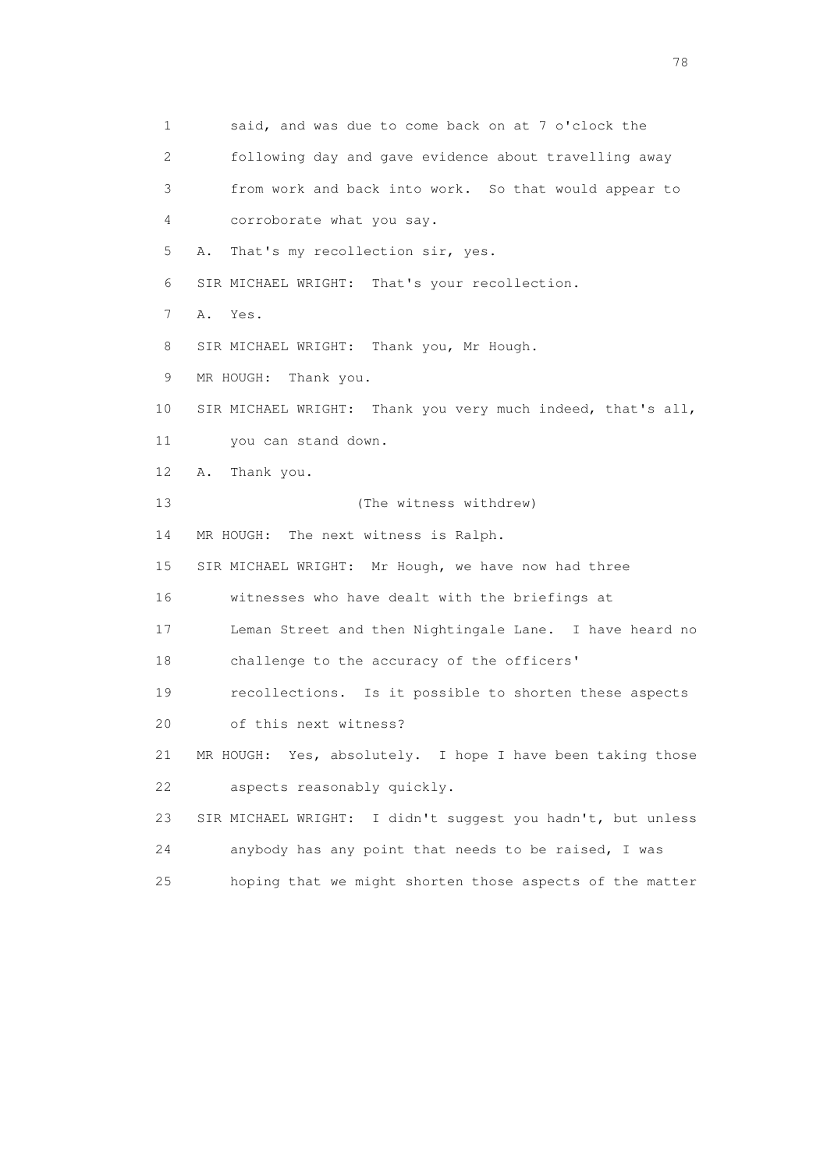1 said, and was due to come back on at 7 o'clock the 2 following day and gave evidence about travelling away 3 from work and back into work. So that would appear to 4 corroborate what you say. 5 A. That's my recollection sir, yes. 6 SIR MICHAEL WRIGHT: That's your recollection. 7 A. Yes. 8 SIR MICHAEL WRIGHT: Thank you, Mr Hough. 9 MR HOUGH: Thank you. 10 SIR MICHAEL WRIGHT: Thank you very much indeed, that's all, 11 you can stand down. 12 A. Thank you. 13 (The witness withdrew) 14 MR HOUGH: The next witness is Ralph. 15 SIR MICHAEL WRIGHT: Mr Hough, we have now had three 16 witnesses who have dealt with the briefings at 17 Leman Street and then Nightingale Lane. I have heard no 18 challenge to the accuracy of the officers' 19 recollections. Is it possible to shorten these aspects 20 of this next witness? 21 MR HOUGH: Yes, absolutely. I hope I have been taking those 22 aspects reasonably quickly. 23 SIR MICHAEL WRIGHT: I didn't suggest you hadn't, but unless 24 anybody has any point that needs to be raised, I was 25 hoping that we might shorten those aspects of the matter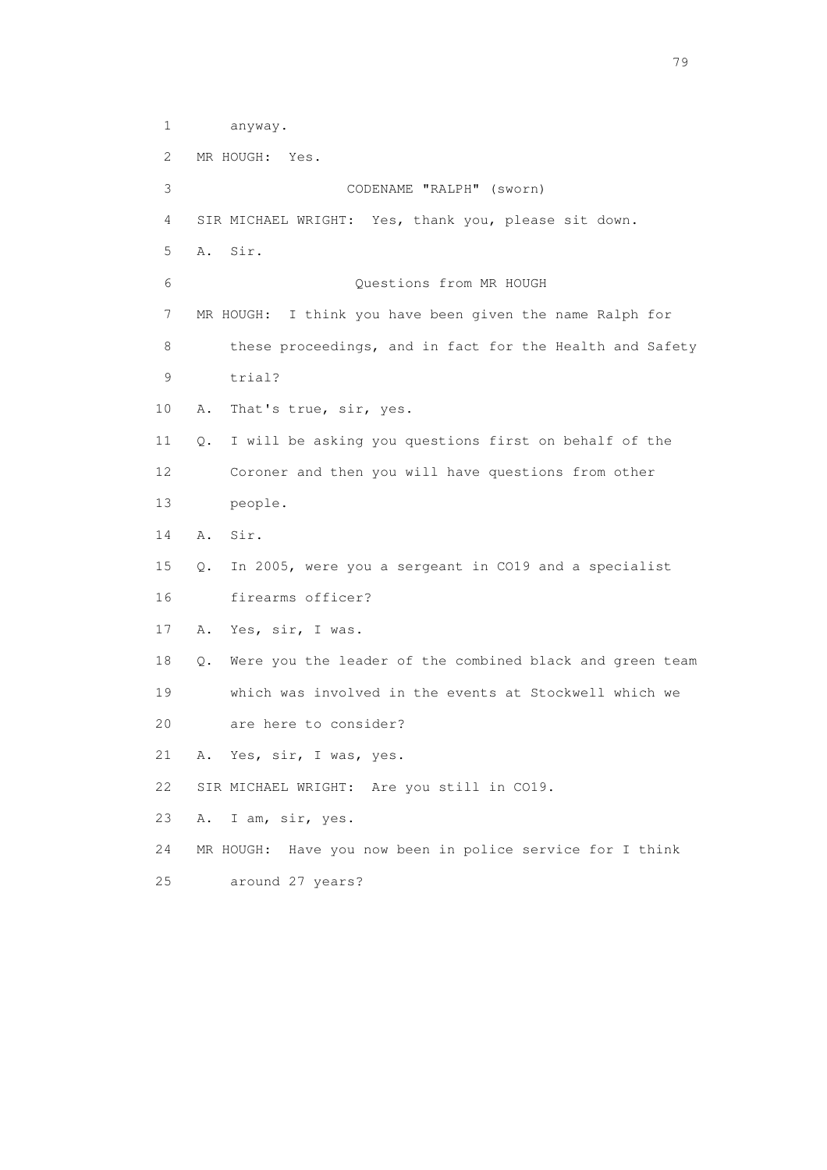1 anyway. 2 MR HOUGH: Yes. 3 CODENAME "RALPH" (sworn) 4 SIR MICHAEL WRIGHT: Yes, thank you, please sit down. 5 A. Sir. 6 Questions from MR HOUGH 7 MR HOUGH: I think you have been given the name Ralph for 8 these proceedings, and in fact for the Health and Safety 9 trial? 10 A. That's true, sir, yes. 11 Q. I will be asking you questions first on behalf of the 12 Coroner and then you will have questions from other 13 people. 14 A. Sir. 15 Q. In 2005, were you a sergeant in CO19 and a specialist 16 firearms officer? 17 A. Yes, sir, I was. 18 Q. Were you the leader of the combined black and green team 19 which was involved in the events at Stockwell which we 20 are here to consider? 21 A. Yes, sir, I was, yes. 22 SIR MICHAEL WRIGHT: Are you still in CO19. 23 A. I am, sir, yes. 24 MR HOUGH: Have you now been in police service for I think 25 around 27 years?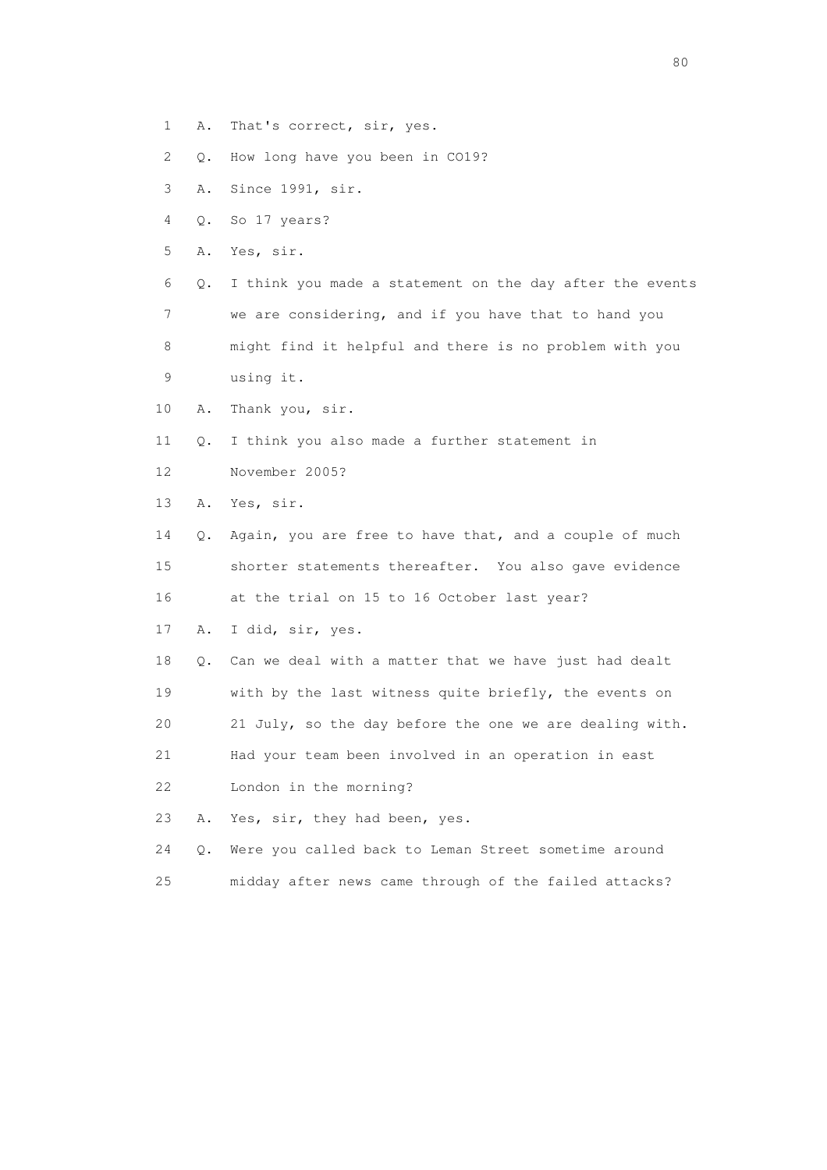- 1 A. That's correct, sir, yes.
- 2 Q. How long have you been in CO19?
- 3 A. Since 1991, sir.
- 4 Q. So 17 years?
- 5 A. Yes, sir.

 6 Q. I think you made a statement on the day after the events 7 we are considering, and if you have that to hand you 8 might find it helpful and there is no problem with you

10 A. Thank you, sir.

9 using it.

- 11 Q. I think you also made a further statement in
- 12 November 2005?
- 13 A. Yes, sir.
- 14 Q. Again, you are free to have that, and a couple of much 15 shorter statements thereafter. You also gave evidence 16 at the trial on 15 to 16 October last year?
- 17 A. I did, sir, yes.
- 18 Q. Can we deal with a matter that we have just had dealt 19 with by the last witness quite briefly, the events on
- 20 21 July, so the day before the one we are dealing with.

 21 Had your team been involved in an operation in east 22 London in the morning?

23 A. Yes, sir, they had been, yes.

- 24 Q. Were you called back to Leman Street sometime around
- 25 midday after news came through of the failed attacks?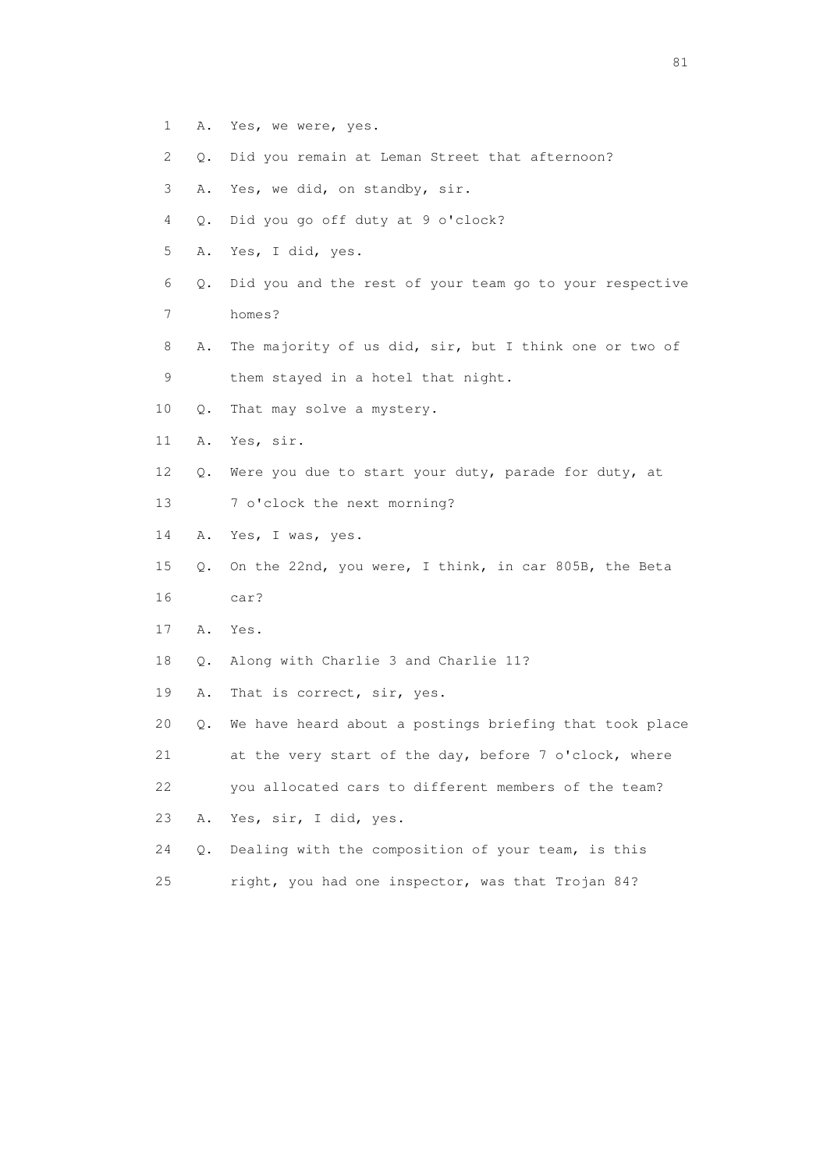- 1 A. Yes, we were, yes.
- 2 Q. Did you remain at Leman Street that afternoon?
- 3 A. Yes, we did, on standby, sir.
- 4 Q. Did you go off duty at 9 o'clock?
- 5 A. Yes, I did, yes.
- 6 Q. Did you and the rest of your team go to your respective
- 7 homes?
- 8 A. The majority of us did, sir, but I think one or two of 9 them stayed in a hotel that night.
- 10 Q. That may solve a mystery.
- 11 A. Yes, sir.
- 12 Q. Were you due to start your duty, parade for duty, at
- 13 7 o'clock the next morning?
- 14 A. Yes, I was, yes.
- 15 Q. On the 22nd, you were, I think, in car 805B, the Beta 16 car?
- 17 A. Yes.
- 18 Q. Along with Charlie 3 and Charlie 11?
- 19 A. That is correct, sir, yes.

 20 Q. We have heard about a postings briefing that took place 21 at the very start of the day, before 7 o'clock, where 22 you allocated cars to different members of the team? 23 A. Yes, sir, I did, yes.

 24 Q. Dealing with the composition of your team, is this 25 right, you had one inspector, was that Trojan 84?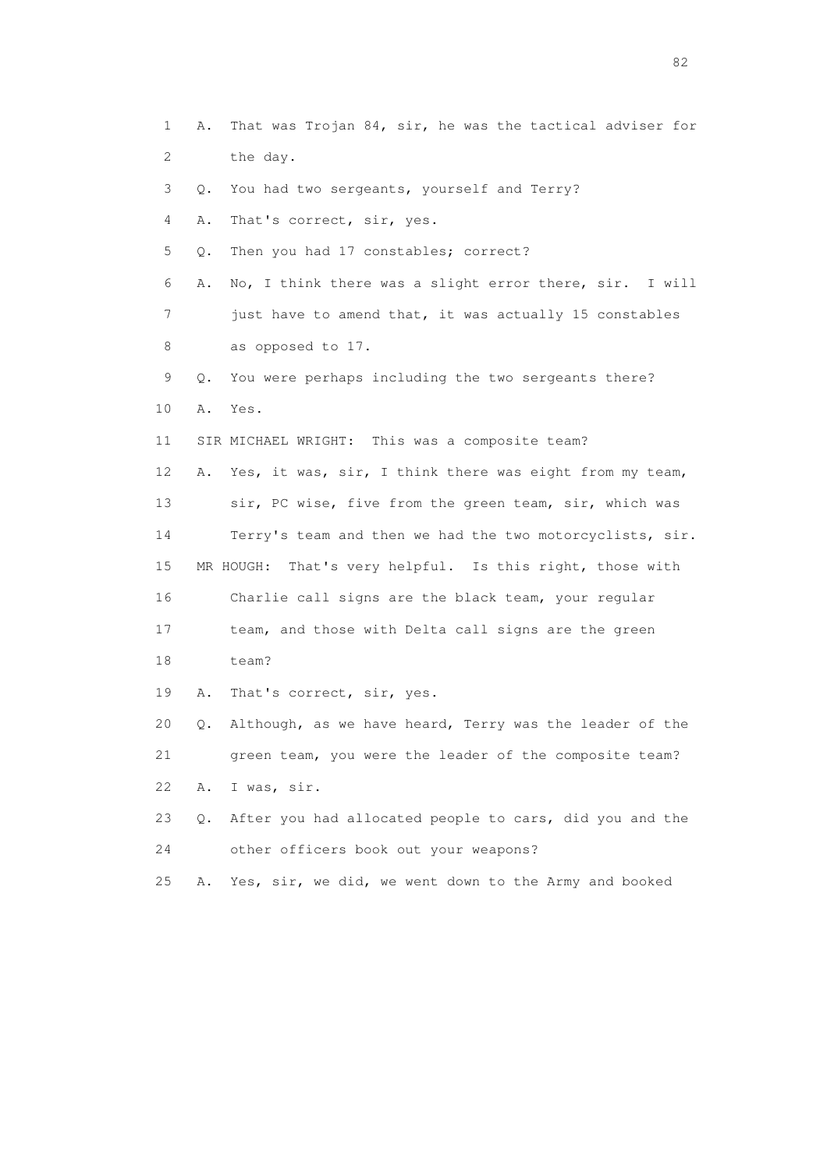1 A. That was Trojan 84, sir, he was the tactical adviser for 2 the day. 3 Q. You had two sergeants, yourself and Terry? 4 A. That's correct, sir, yes. 5 Q. Then you had 17 constables; correct? 6 A. No, I think there was a slight error there, sir. I will 7 just have to amend that, it was actually 15 constables 8 as opposed to 17. 9 Q. You were perhaps including the two sergeants there? 10 A. Yes. 11 SIR MICHAEL WRIGHT: This was a composite team? 12 A. Yes, it was, sir, I think there was eight from my team, 13 sir, PC wise, five from the green team, sir, which was 14 Terry's team and then we had the two motorcyclists, sir. 15 MR HOUGH: That's very helpful. Is this right, those with 16 Charlie call signs are the black team, your regular 17 team, and those with Delta call signs are the green 18 team? 19 A. That's correct, sir, yes. 20 Q. Although, as we have heard, Terry was the leader of the 21 green team, you were the leader of the composite team? 22 A. I was, sir. 23 Q. After you had allocated people to cars, did you and the 24 other officers book out your weapons? 25 A. Yes, sir, we did, we went down to the Army and booked

experience of the state of the state of the state of the state of the state of the state of the state of the s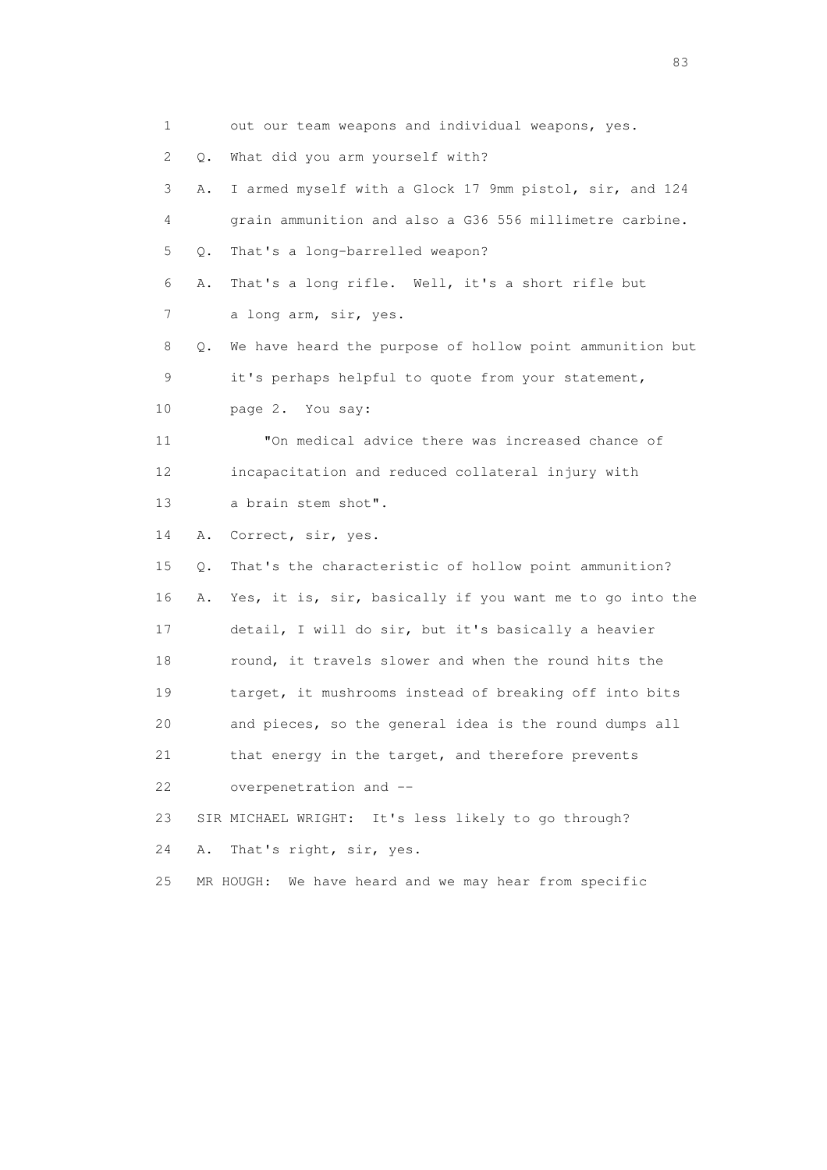| 1  |    | out our team weapons and individual weapons, yes.        |
|----|----|----------------------------------------------------------|
| 2  | Q. | What did you arm yourself with?                          |
| 3  | Α. | I armed myself with a Glock 17 9mm pistol, sir, and 124  |
| 4  |    | grain ammunition and also a G36 556 millimetre carbine.  |
| 5  | Q. | That's a long-barrelled weapon?                          |
| 6  | Α. | That's a long rifle. Well, it's a short rifle but        |
| 7  |    | a long arm, sir, yes.                                    |
| 8  | Q. | We have heard the purpose of hollow point ammunition but |
| 9  |    | it's perhaps helpful to quote from your statement,       |
| 10 |    | page 2. You say:                                         |
| 11 |    | "On medical advice there was increased chance of         |
| 12 |    | incapacitation and reduced collateral injury with        |
| 13 |    | a brain stem shot".                                      |
| 14 | Α. | Correct, sir, yes.                                       |
| 15 | Q. | That's the characteristic of hollow point ammunition?    |
| 16 | Α. | Yes, it is, sir, basically if you want me to go into the |
| 17 |    | detail, I will do sir, but it's basically a heavier      |
| 18 |    | round, it travels slower and when the round hits the     |
| 19 |    | target, it mushrooms instead of breaking off into bits   |
| 20 |    | and pieces, so the general idea is the round dumps all   |
| 21 |    | that energy in the target, and therefore prevents        |
| 22 |    | overpenetration and --                                   |
| 23 |    | SIR MICHAEL WRIGHT: It's less likely to go through?      |
| 24 | Α. | That's right, sir, yes.                                  |
| 25 |    | We have heard and we may hear from specific<br>MR HOUGH: |

experience of the contract of the contract of the contract of the contract of the contract of the contract of the contract of the contract of the contract of the contract of the contract of the contract of the contract of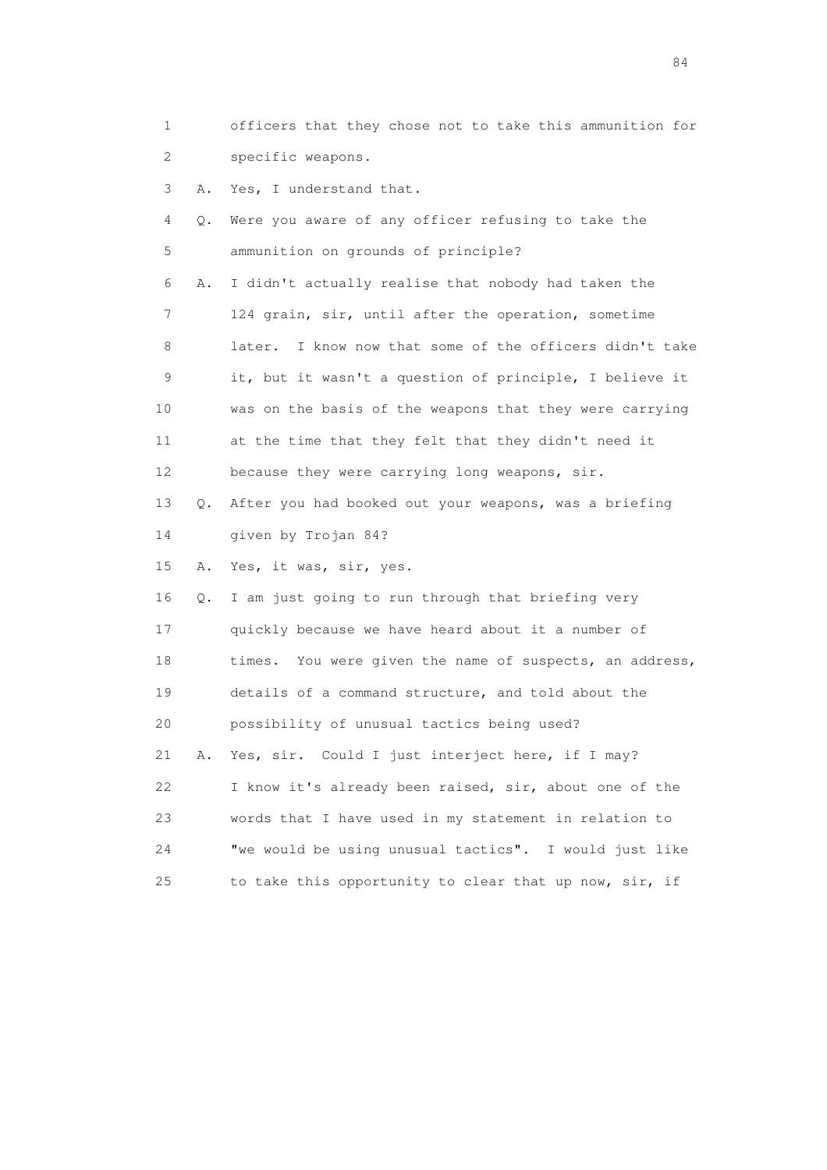| 1  |    | officers that they chose not to take this ammunition for   |
|----|----|------------------------------------------------------------|
| 2  |    | specific weapons.                                          |
| 3  | Α. | Yes, I understand that.                                    |
| 4  | Q. | Were you aware of any officer refusing to take the         |
| 5  |    | ammunition on grounds of principle?                        |
| 6  | Α. | I didn't actually realise that nobody had taken the        |
| 7  |    | 124 grain, sir, until after the operation, sometime        |
| 8  |    | I know now that some of the officers didn't take<br>later. |
| 9  |    | it, but it wasn't a question of principle, I believe it    |
| 10 |    | was on the basis of the weapons that they were carrying    |
| 11 |    | at the time that they felt that they didn't need it        |
| 12 |    | because they were carrying long weapons, sir.              |
| 13 | Q. | After you had booked out your weapons, was a briefing      |
| 14 |    | given by Trojan 84?                                        |
| 15 | Α. | Yes, it was, sir, yes.                                     |
| 16 | Q. | I am just going to run through that briefing very          |
| 17 |    | quickly because we have heard about it a number of         |
| 18 |    | times. You were given the name of suspects, an address,    |
| 19 |    | details of a command structure, and told about the         |
| 20 |    | possibility of unusual tactics being used?                 |
| 21 | Α. | Yes, sir. Could I just interject here, if I may?           |
| 22 |    | I know it's already been raised, sir, about one of the     |
| 23 |    | words that I have used in my statement in relation to      |
| 24 |    | "we would be using unusual tactics". I would just like     |
| 25 |    | to take this opportunity to clear that up now, sir, if     |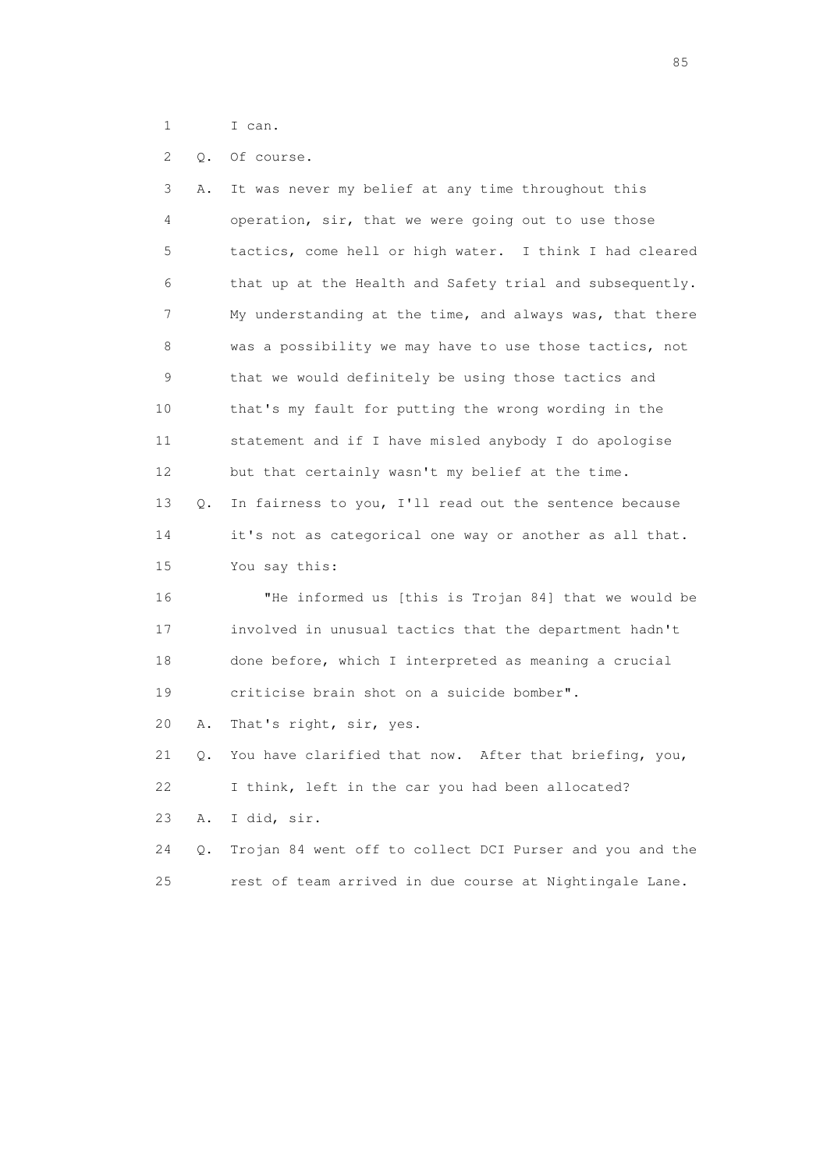- 1 I can.
- 2 Q. Of course.

| 3  | Α. | It was never my belief at any time throughout this       |
|----|----|----------------------------------------------------------|
| 4  |    | operation, sir, that we were going out to use those      |
| 5  |    | tactics, come hell or high water. I think I had cleared  |
| 6  |    | that up at the Health and Safety trial and subsequently. |
| 7  |    | My understanding at the time, and always was, that there |
| 8  |    | was a possibility we may have to use those tactics, not  |
| 9  |    | that we would definitely be using those tactics and      |
| 10 |    | that's my fault for putting the wrong wording in the     |
| 11 |    | statement and if I have misled anybody I do apologise    |
| 12 |    | but that certainly wasn't my belief at the time.         |
| 13 | Q. | In fairness to you, I'll read out the sentence because   |
| 14 |    | it's not as categorical one way or another as all that.  |
| 15 |    | You say this:                                            |
| 16 |    | "He informed us [this is Trojan 84] that we would be     |
| 17 |    | involved in unusual tactics that the department hadn't   |
| 18 |    | done before, which I interpreted as meaning a crucial    |
| 19 |    | criticise brain shot on a suicide bomber".               |
| 20 | Α. | That's right, sir, yes.                                  |
| 21 | Q. | You have clarified that now. After that briefing, you,   |
| 22 |    | I think, left in the car you had been allocated?         |
| 23 | Α. | I did, sir.                                              |
| 24 | О. | Trojan 84 went off to collect DCI Purser and you and the |
| 25 |    | rest of team arrived in due course at Nightingale Lane.  |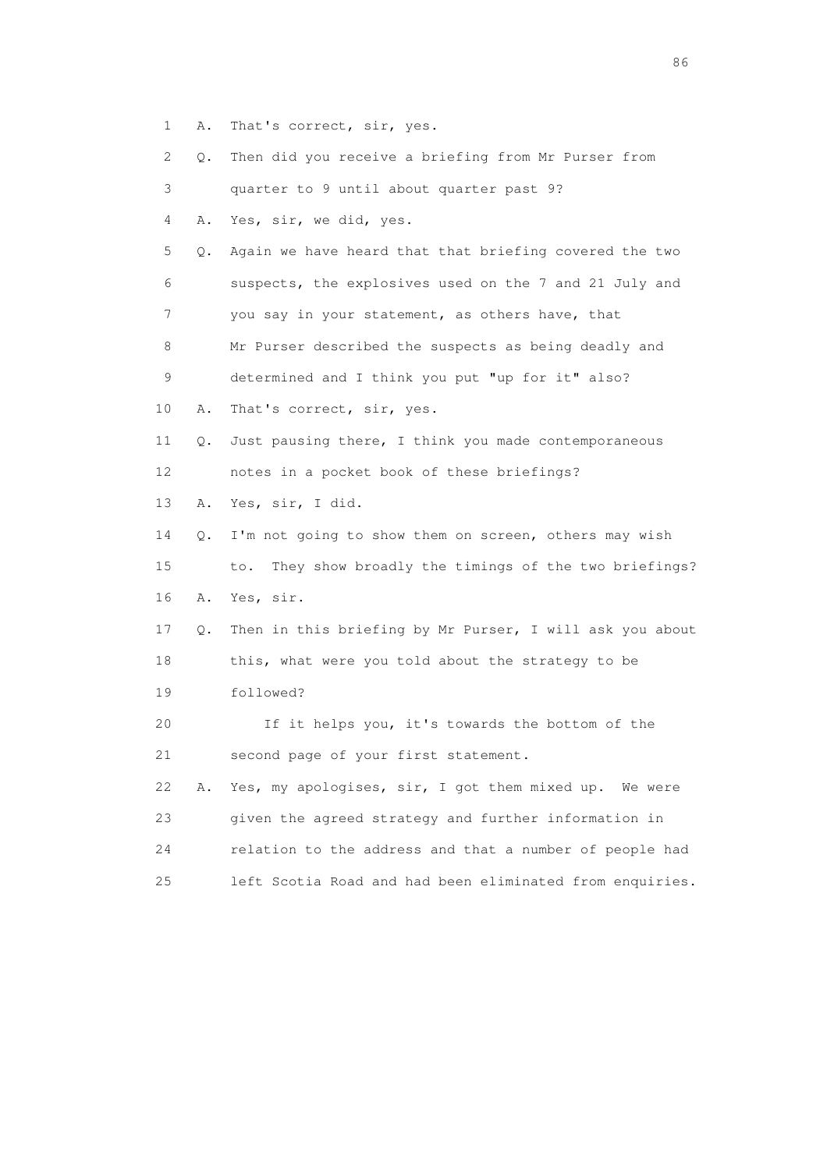- 1 A. That's correct, sir, yes.
- 2 Q. Then did you receive a briefing from Mr Purser from

3 quarter to 9 until about quarter past 9?

4 A. Yes, sir, we did, yes.

 5 Q. Again we have heard that that briefing covered the two 6 suspects, the explosives used on the 7 and 21 July and 7 you say in your statement, as others have, that

8 Mr Purser described the suspects as being deadly and

- 9 determined and I think you put "up for it" also?
- 10 A. That's correct, sir, yes.

 11 Q. Just pausing there, I think you made contemporaneous 12 notes in a pocket book of these briefings?

13 A. Yes, sir, I did.

 14 Q. I'm not going to show them on screen, others may wish 15 to. They show broadly the timings of the two briefings? 16 A. Yes, sir.

 17 Q. Then in this briefing by Mr Purser, I will ask you about 18 this, what were you told about the strategy to be 19 followed?

 20 If it helps you, it's towards the bottom of the 21 second page of your first statement.

 22 A. Yes, my apologises, sir, I got them mixed up. We were 23 given the agreed strategy and further information in 24 relation to the address and that a number of people had 25 left Scotia Road and had been eliminated from enquiries.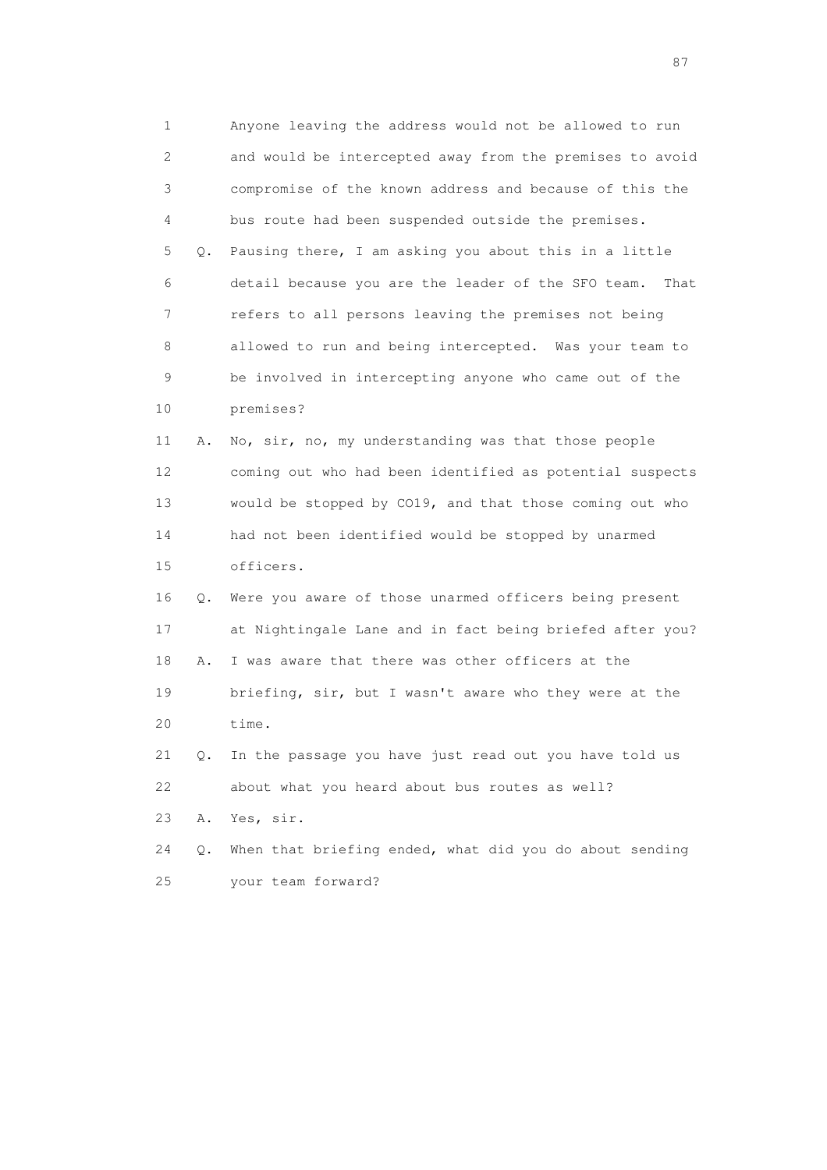1 Anyone leaving the address would not be allowed to run 2 and would be intercepted away from the premises to avoid 3 compromise of the known address and because of this the 4 bus route had been suspended outside the premises. 5 Q. Pausing there, I am asking you about this in a little 6 detail because you are the leader of the SFO team. That 7 refers to all persons leaving the premises not being 8 allowed to run and being intercepted. Was your team to 9 be involved in intercepting anyone who came out of the 10 premises? 11 A. No, sir, no, my understanding was that those people 12 coming out who had been identified as potential suspects 13 would be stopped by CO19, and that those coming out who 14 had not been identified would be stopped by unarmed 15 officers. 16 Q. Were you aware of those unarmed officers being present 17 at Nightingale Lane and in fact being briefed after you? 18 A. I was aware that there was other officers at the 19 briefing, sir, but I wasn't aware who they were at the 20 time. 21 Q. In the passage you have just read out you have told us 22 about what you heard about bus routes as well? 23 A. Yes, sir. 24 Q. When that briefing ended, what did you do about sending

25 your team forward?

experience of the state of the state of the state of the state of the state of the state of the state of the s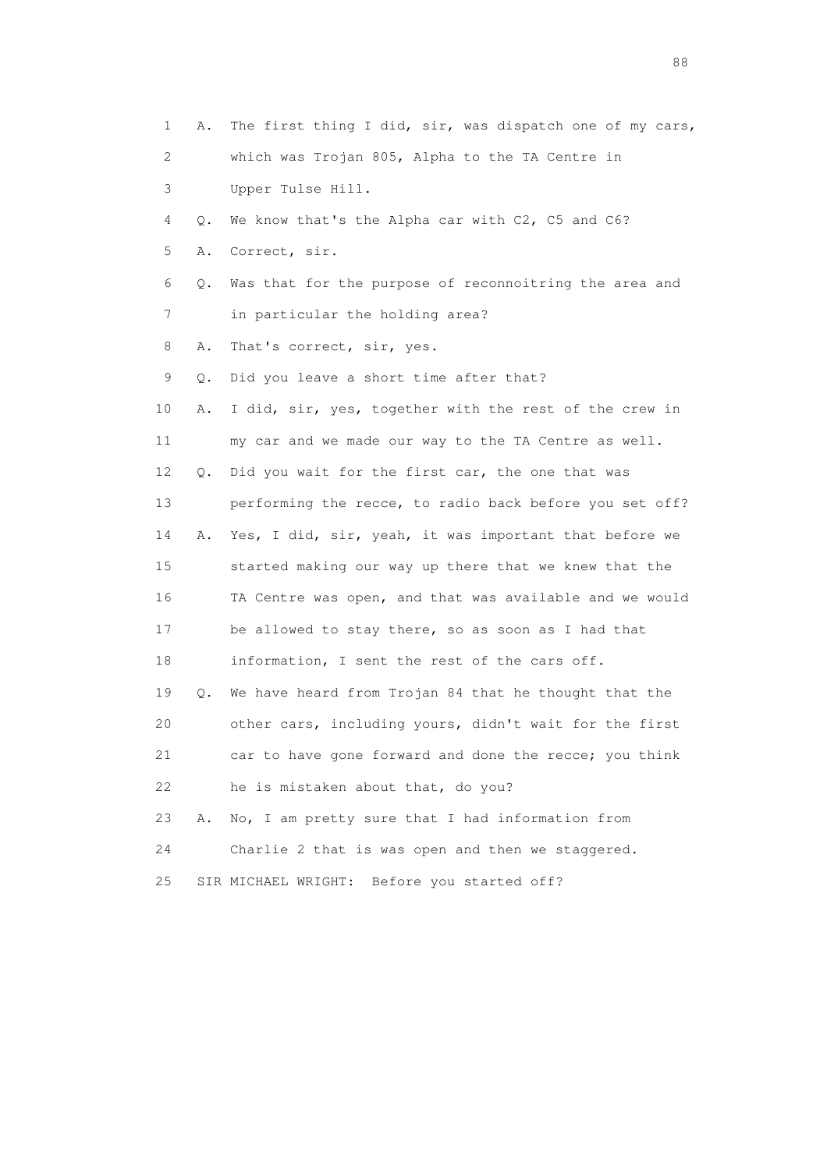1 A. The first thing I did, sir, was dispatch one of my cars, 2 which was Trojan 805, Alpha to the TA Centre in 3 Upper Tulse Hill. 4 Q. We know that's the Alpha car with C2, C5 and C6? 5 A. Correct, sir. 6 Q. Was that for the purpose of reconnoitring the area and 7 in particular the holding area? 8 A. That's correct, sir, yes. 9 Q. Did you leave a short time after that? 10 A. I did, sir, yes, together with the rest of the crew in 11 my car and we made our way to the TA Centre as well. 12 Q. Did you wait for the first car, the one that was 13 performing the recce, to radio back before you set off? 14 A. Yes, I did, sir, yeah, it was important that before we 15 started making our way up there that we knew that the 16 TA Centre was open, and that was available and we would 17 be allowed to stay there, so as soon as I had that 18 information, I sent the rest of the cars off. 19 Q. We have heard from Trojan 84 that he thought that the 20 other cars, including yours, didn't wait for the first 21 car to have gone forward and done the recce; you think 22 he is mistaken about that, do you? 23 A. No, I am pretty sure that I had information from 24 Charlie 2 that is was open and then we staggered. 25 SIR MICHAEL WRIGHT: Before you started off?

en de la construction de la construction de la construction de la construction de la construction de la constr<br>1880 : le construction de la construction de la construction de la construction de la construction de la const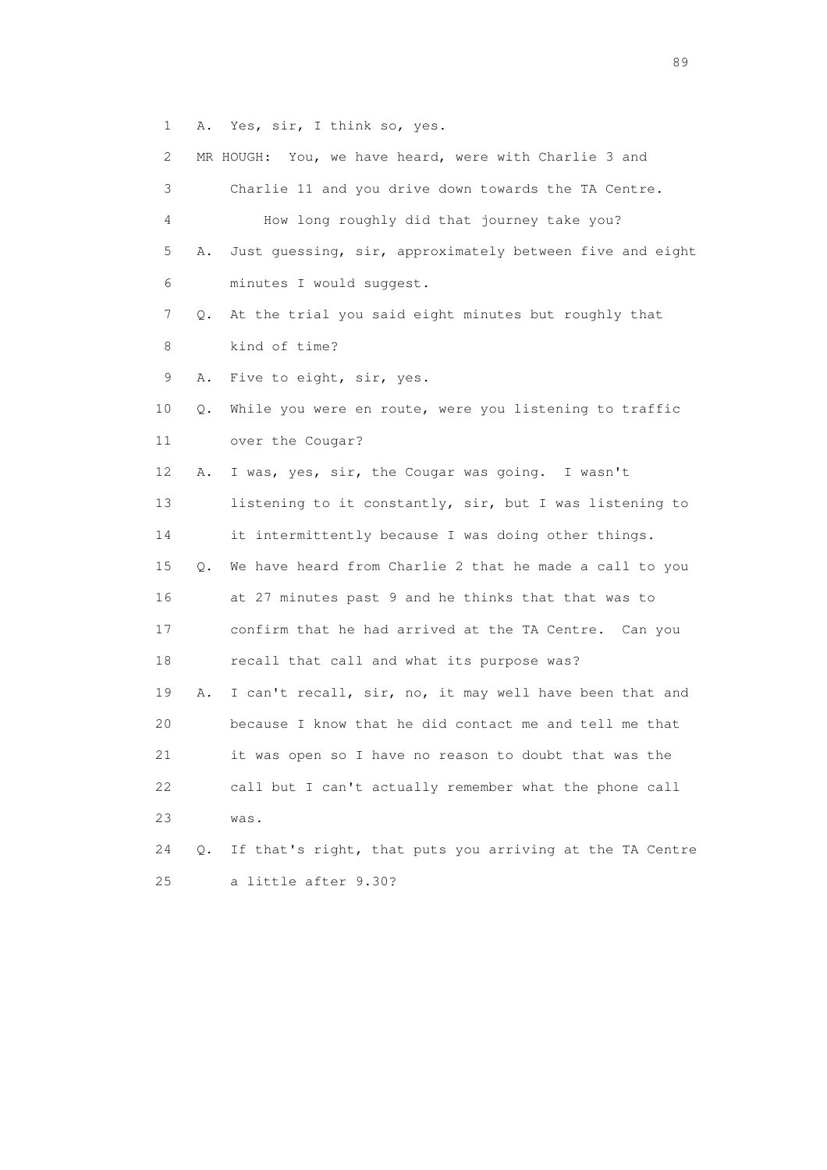1 A. Yes, sir, I think so, yes.

| 2  |           | MR HOUGH: You, we have heard, were with Charlie 3 and    |
|----|-----------|----------------------------------------------------------|
| 3  |           | Charlie 11 and you drive down towards the TA Centre.     |
| 4  |           | How long roughly did that journey take you?              |
| 5  | Α.        | Just quessing, sir, approximately between five and eight |
| 6  |           | minutes I would suggest.                                 |
| 7  | $\circ$ . | At the trial you said eight minutes but roughly that     |
| 8  |           | kind of time?                                            |
| 9  | Α.        | Five to eight, sir, yes.                                 |
| 10 | Q.        | While you were en route, were you listening to traffic   |
| 11 |           | over the Cougar?                                         |
| 12 | Α.        | I was, yes, sir, the Cougar was going. I wasn't          |
| 13 |           | listening to it constantly, sir, but I was listening to  |
| 14 |           | it intermittently because I was doing other things.      |
| 15 | Q.        | We have heard from Charlie 2 that he made a call to you  |
| 16 |           | at 27 minutes past 9 and he thinks that that was to      |
| 17 |           | confirm that he had arrived at the TA Centre. Can you    |
| 18 |           | recall that call and what its purpose was?               |
| 19 | Α.        | I can't recall, sir, no, it may well have been that and  |
| 20 |           | because I know that he did contact me and tell me that   |
| 21 |           | it was open so I have no reason to doubt that was the    |
| 22 |           | call but I can't actually remember what the phone call   |
| 23 |           | was.                                                     |
| 24 | Q.        | If that's right, that puts you arriving at the TA Centre |
| 25 |           | a little after 9.30?                                     |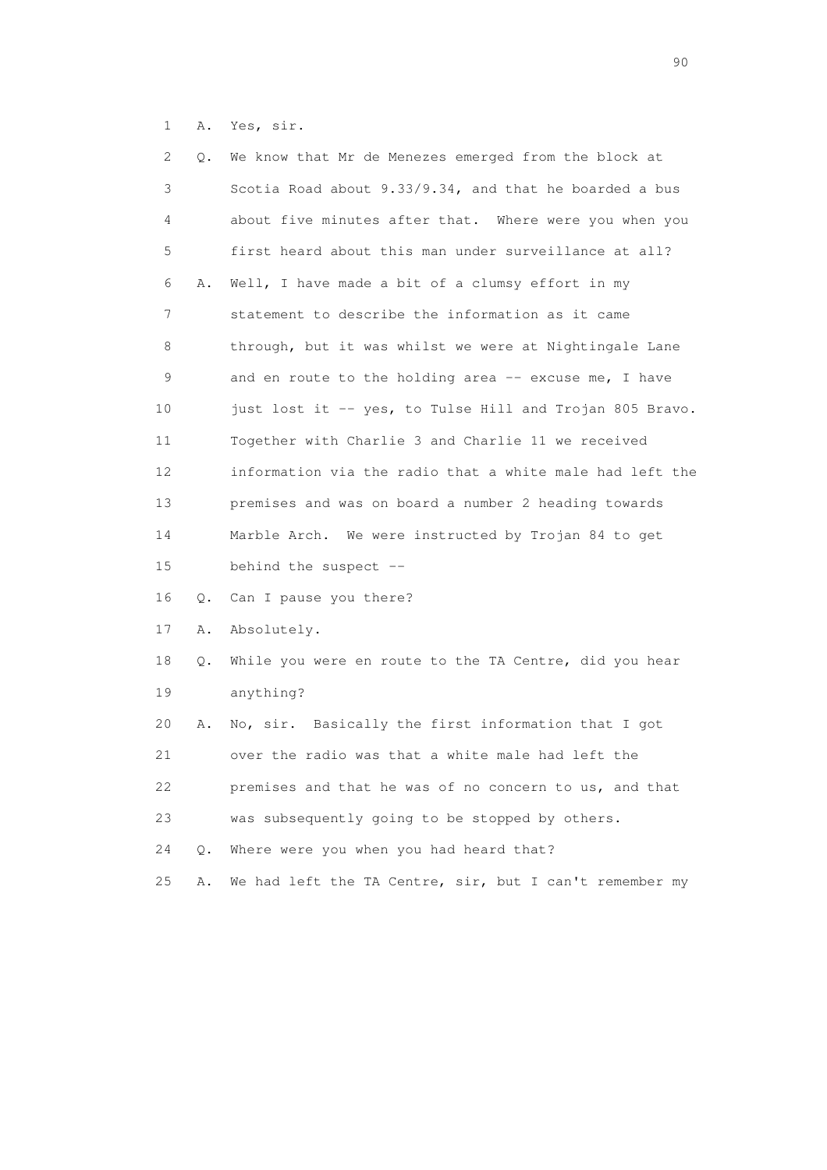1 A. Yes, sir.

| 2  | Q. | We know that Mr de Menezes emerged from the block at     |
|----|----|----------------------------------------------------------|
| 3  |    | Scotia Road about 9.33/9.34, and that he boarded a bus   |
| 4  |    | about five minutes after that. Where were you when you   |
| 5  |    | first heard about this man under surveillance at all?    |
| 6  | Α. | Well, I have made a bit of a clumsy effort in my         |
| 7  |    | statement to describe the information as it came         |
| 8  |    | through, but it was whilst we were at Nightingale Lane   |
| 9  |    | and en route to the holding area -- excuse me, I have    |
| 10 |    | just lost it -- yes, to Tulse Hill and Trojan 805 Bravo. |
| 11 |    | Together with Charlie 3 and Charlie 11 we received       |
| 12 |    | information via the radio that a white male had left the |
| 13 |    | premises and was on board a number 2 heading towards     |
| 14 |    | Marble Arch. We were instructed by Trojan 84 to get      |
| 15 |    | behind the suspect --                                    |
| 16 | Q. | Can I pause you there?                                   |
| 17 | Α. | Absolutely.                                              |
| 18 | Q. | While you were en route to the TA Centre, did you hear   |
| 19 |    | anything?                                                |
| 20 | Α. | No, sir. Basically the first information that I got      |
| 21 |    | over the radio was that a white male had left the        |
| 22 |    | premises and that he was of no concern to us, and that   |
| 23 |    | was subsequently going to be stopped by others.          |
| 24 | Q. | Where were you when you had heard that?                  |
| 25 | Α. | We had left the TA Centre, sir, but I can't remember my  |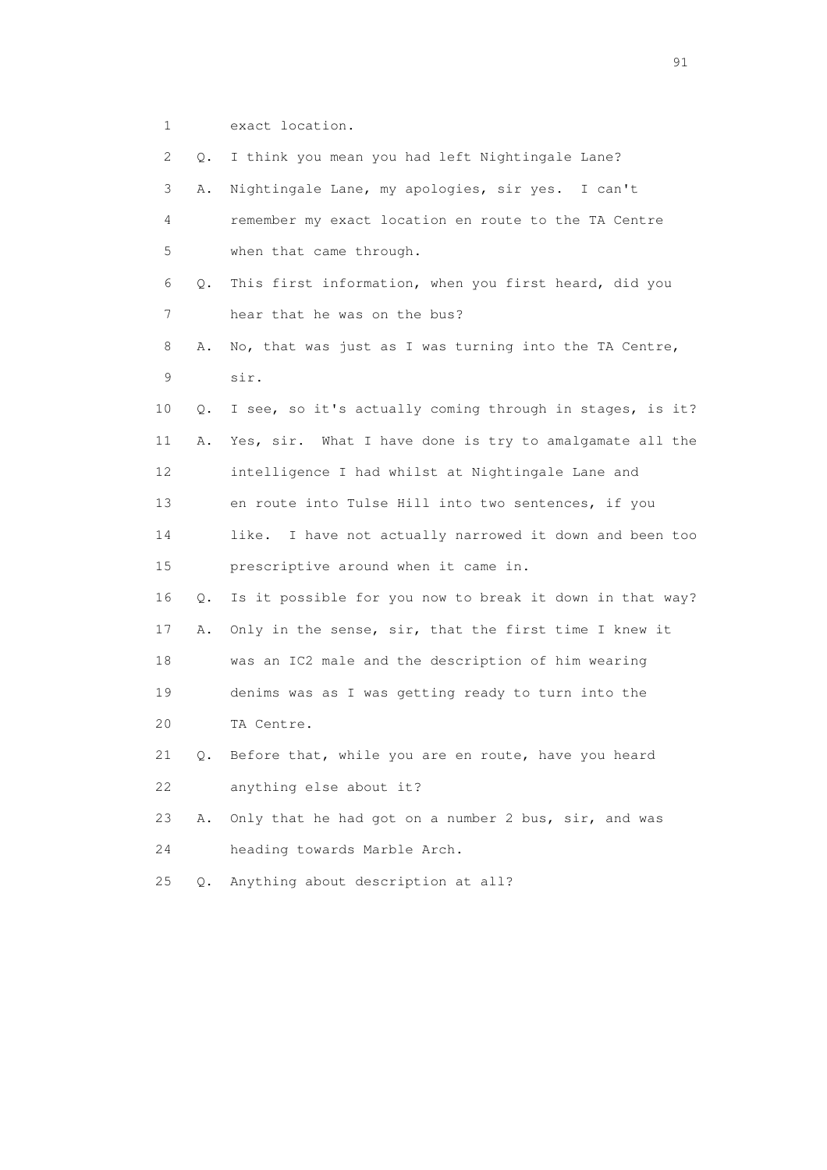1 exact location.

| 2  | Q.    | I think you mean you had left Nightingale Lane?            |
|----|-------|------------------------------------------------------------|
| 3  | Α.    | Nightingale Lane, my apologies, sir yes. I can't           |
| 4  |       | remember my exact location en route to the TA Centre       |
| 5  |       | when that came through.                                    |
| 6  | Q.    | This first information, when you first heard, did you      |
| 7  |       | hear that he was on the bus?                               |
| 8  | Α.    | No, that was just as I was turning into the TA Centre,     |
| 9  |       | sir.                                                       |
| 10 | Q.    | I see, so it's actually coming through in stages, is it?   |
| 11 | Α.    | Yes, sir. What I have done is try to amalgamate all the    |
| 12 |       | intelligence I had whilst at Nightingale Lane and          |
| 13 |       | en route into Tulse Hill into two sentences, if you        |
| 14 |       | I have not actually narrowed it down and been too<br>like. |
| 15 |       | prescriptive around when it came in.                       |
| 16 | Q.    | Is it possible for you now to break it down in that way?   |
| 17 | Α.    | Only in the sense, sir, that the first time I knew it      |
| 18 |       | was an IC2 male and the description of him wearing         |
| 19 |       | denims was as I was getting ready to turn into the         |
| 20 |       | TA Centre.                                                 |
| 21 | Q.    | Before that, while you are en route, have you heard        |
| 22 |       | anything else about it?                                    |
| 23 | Α.    | Only that he had got on a number 2 bus, sir, and was       |
| 24 |       | heading towards Marble Arch.                               |
| 25 | $Q$ . | Anything about description at all?                         |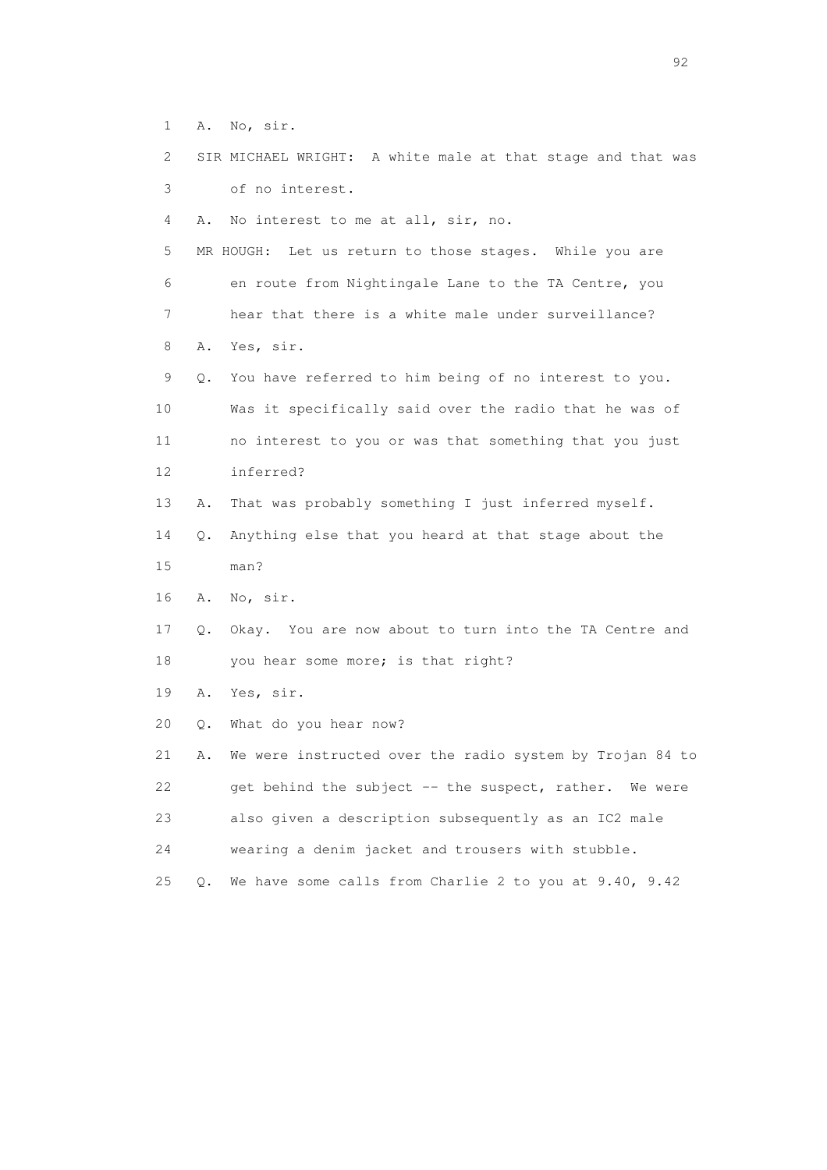- 1 A. No, sir.
- 2 SIR MICHAEL WRIGHT: A white male at that stage and that was 3 of no interest.

4 A. No interest to me at all, sir, no.

 5 MR HOUGH: Let us return to those stages. While you are 6 en route from Nightingale Lane to the TA Centre, you 7 hear that there is a white male under surveillance? 8 A. Yes, sir.

 9 Q. You have referred to him being of no interest to you. 10 Was it specifically said over the radio that he was of 11 no interest to you or was that something that you just 12 inferred?

- 13 A. That was probably something I just inferred myself.
- 14 Q. Anything else that you heard at that stage about the 15 man?
- 16 A. No, sir.
- 17 Q. Okay. You are now about to turn into the TA Centre and 18 you hear some more; is that right?
- 19 A. Yes, sir.
- 20 Q. What do you hear now?

 21 A. We were instructed over the radio system by Trojan 84 to 22 get behind the subject -- the suspect, rather. We were 23 also given a description subsequently as an IC2 male 24 wearing a denim jacket and trousers with stubble.

25 Q. We have some calls from Charlie 2 to you at 9.40, 9.42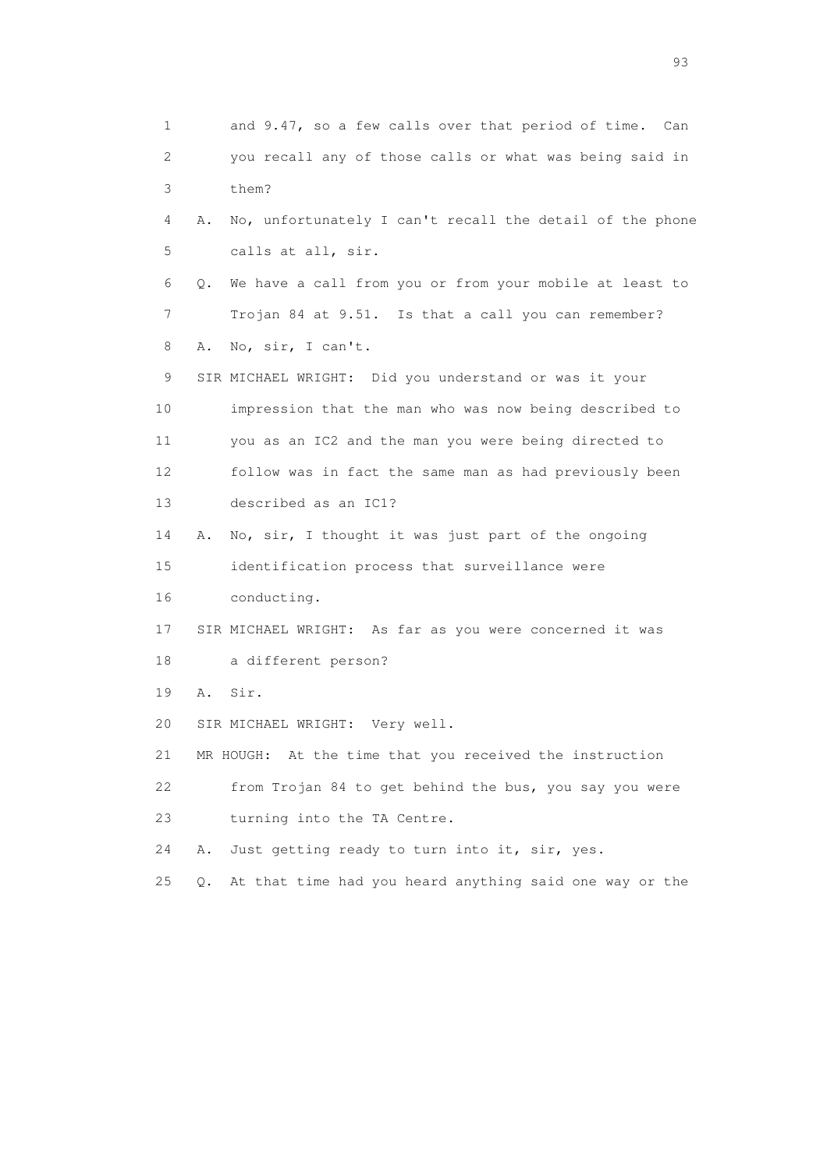1 and 9.47, so a few calls over that period of time. Can 2 you recall any of those calls or what was being said in 3 them? 4 A. No, unfortunately I can't recall the detail of the phone 5 calls at all, sir. 6 Q. We have a call from you or from your mobile at least to 7 Trojan 84 at 9.51. Is that a call you can remember? 8 A. No, sir, I can't. 9 SIR MICHAEL WRIGHT: Did you understand or was it your 10 impression that the man who was now being described to 11 you as an IC2 and the man you were being directed to 12 follow was in fact the same man as had previously been 13 described as an IC1? 14 A. No, sir, I thought it was just part of the ongoing 15 identification process that surveillance were 16 conducting. 17 SIR MICHAEL WRIGHT: As far as you were concerned it was 18 a different person? 19 A. Sir. 20 SIR MICHAEL WRIGHT: Very well. 21 MR HOUGH: At the time that you received the instruction 22 from Trojan 84 to get behind the bus, you say you were 23 turning into the TA Centre. 24 A. Just getting ready to turn into it, sir, yes. 25 Q. At that time had you heard anything said one way or the

experience of the contract of the contract of the contract of the contract of the contract of the contract of the contract of the contract of the contract of the contract of the contract of the contract of the contract of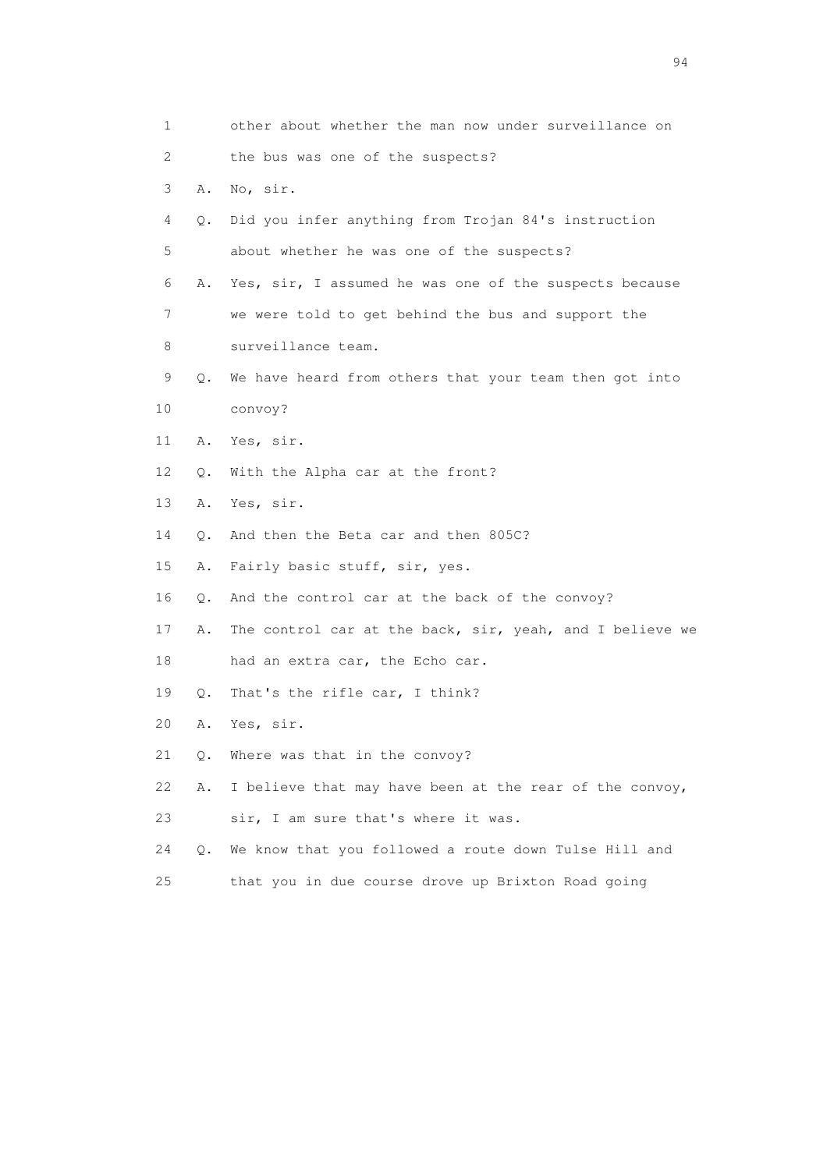| 1                         |    | other about whether the man now under surveillance on    |
|---------------------------|----|----------------------------------------------------------|
| $\mathbf{2}^{\mathsf{I}}$ |    | the bus was one of the suspects?                         |
| 3                         | Α. | No, sir.                                                 |
| 4                         | Q. | Did you infer anything from Trojan 84's instruction      |
| 5                         |    | about whether he was one of the suspects?                |
| 6                         | Α. | Yes, sir, I assumed he was one of the suspects because   |
| 7                         |    | we were told to get behind the bus and support the       |
| 8                         |    | surveillance team.                                       |
| 9                         | Q. | We have heard from others that your team then got into   |
| 10                        |    | convoy?                                                  |
| 11                        | Α. | Yes, sir.                                                |
| 12                        | О. | With the Alpha car at the front?                         |
| 13                        | Α. | Yes, sir.                                                |
| 14                        | Q. | And then the Beta car and then 805C?                     |
| 15                        | Α. | Fairly basic stuff, sir, yes.                            |
| 16                        | Q. | And the control car at the back of the convoy?           |
| 17                        | Α. | The control car at the back, sir, yeah, and I believe we |
| 18                        |    | had an extra car, the Echo car.                          |
| 19                        | Q. | That's the rifle car, I think?                           |
| 20                        | Α. | Yes, sir.                                                |
| 21                        | Q. | Where was that in the convoy?                            |
| 22                        | Α. | I believe that may have been at the rear of the convoy,  |
| 23                        |    | sir, I am sure that's where it was.                      |
| 24                        | Q. | We know that you followed a route down Tulse Hill and    |
| 25                        |    | that you in due course drove up Brixton Road going       |
|                           |    |                                                          |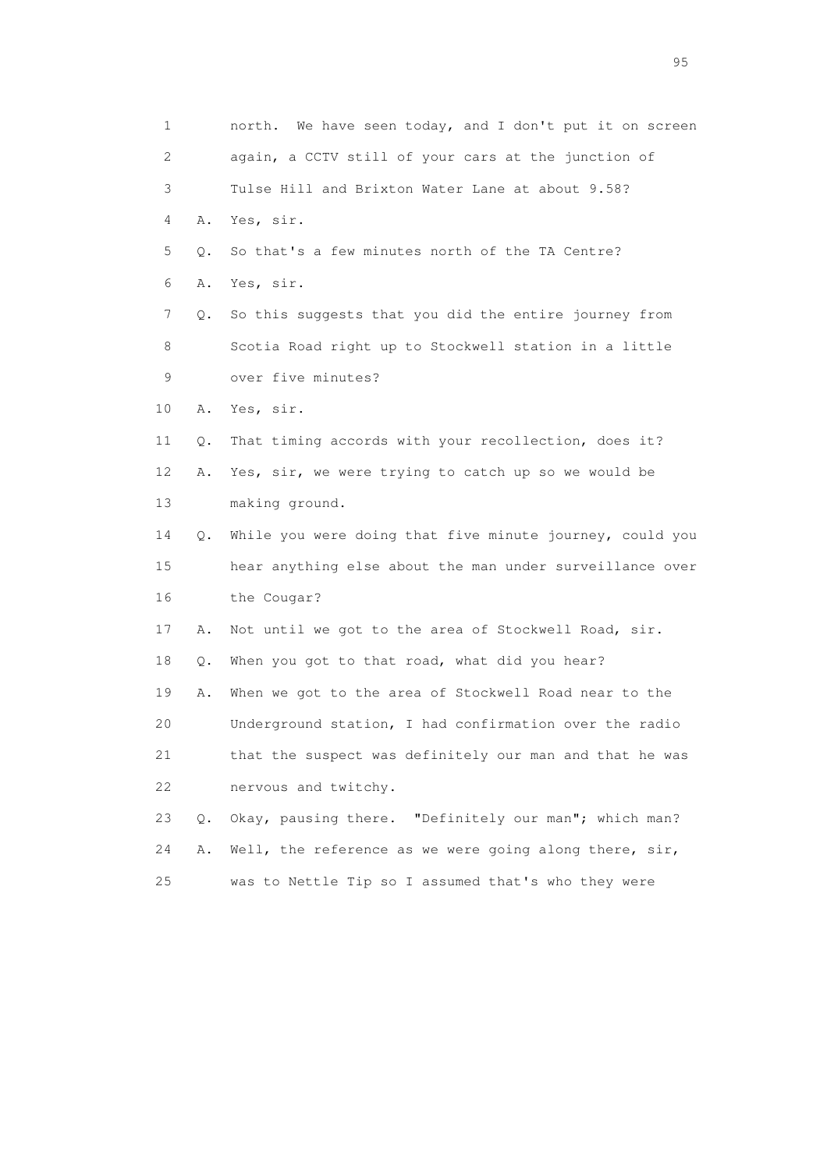| $\mathbf 1$ |    | We have seen today, and I don't put it on screen<br>north. |
|-------------|----|------------------------------------------------------------|
| 2           |    | again, a CCTV still of your cars at the junction of        |
| 3           |    | Tulse Hill and Brixton Water Lane at about 9.58?           |
| 4           | Α. | Yes, sir.                                                  |
| 5           | Q. | So that's a few minutes north of the TA Centre?            |
| 6           | Α. | Yes, sir.                                                  |
| 7           | Q. | So this suggests that you did the entire journey from      |
| 8           |    | Scotia Road right up to Stockwell station in a little      |
| 9           |    | over five minutes?                                         |
| 10          | Α. | Yes, sir.                                                  |
| 11          | Q. | That timing accords with your recollection, does it?       |
| 12          | Α. | Yes, sir, we were trying to catch up so we would be        |
| 13          |    | making ground.                                             |
| 14          | Q. | While you were doing that five minute journey, could you   |
| 15          |    | hear anything else about the man under surveillance over   |
| 16          |    | the Cougar?                                                |
| 17          | Α. | Not until we got to the area of Stockwell Road, sir.       |
| 18          | Q. | When you got to that road, what did you hear?              |
| 19          | Α. | When we got to the area of Stockwell Road near to the      |
| 20          |    | Underground station, I had confirmation over the radio     |
| 21          |    | that the suspect was definitely our man and that he was    |
| 22          |    | nervous and twitchy.                                       |
| 23          | Q. | Okay, pausing there. "Definitely our man"; which man?      |
| 24          | Α. | Well, the reference as we were going along there, sir,     |
| 25          |    | was to Nettle Tip so I assumed that's who they were        |

experience of the contract of the contract of the contract of the contract of the contract of the contract of the contract of the contract of the contract of the contract of the contract of the contract of the contract of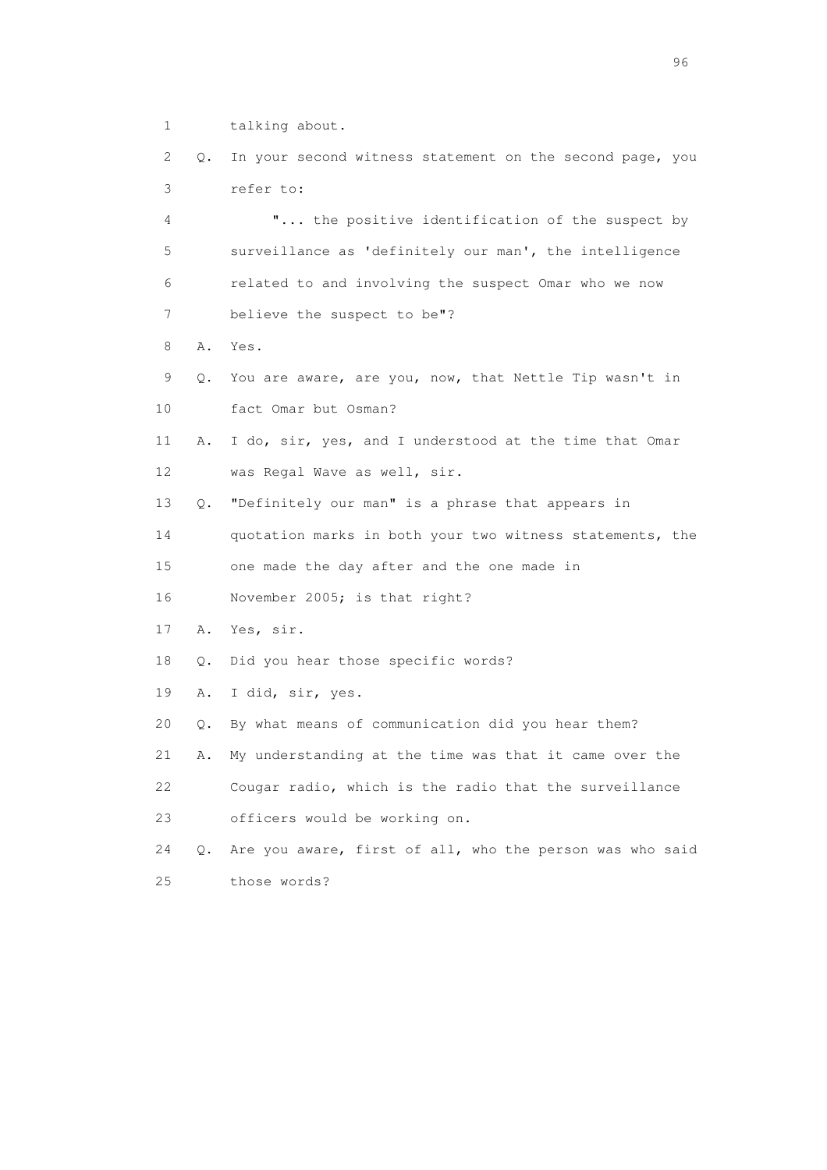1 talking about.

 2 Q. In your second witness statement on the second page, you 3 refer to:

 4 "... the positive identification of the suspect by 5 surveillance as 'definitely our man', the intelligence 6 related to and involving the suspect Omar who we now 7 believe the suspect to be"?

8 A. Yes.

 9 Q. You are aware, are you, now, that Nettle Tip wasn't in 10 fact Omar but Osman?

 11 A. I do, sir, yes, and I understood at the time that Omar 12 was Regal Wave as well, sir.

13 Q. "Definitely our man" is a phrase that appears in

14 quotation marks in both your two witness statements, the

15 one made the day after and the one made in

16 November 2005; is that right?

17 A. Yes, sir.

18 Q. Did you hear those specific words?

19 A. I did, sir, yes.

20 Q. By what means of communication did you hear them?

21 A. My understanding at the time was that it came over the

 22 Cougar radio, which is the radio that the surveillance 23 officers would be working on.

 24 Q. Are you aware, first of all, who the person was who said 25 those words?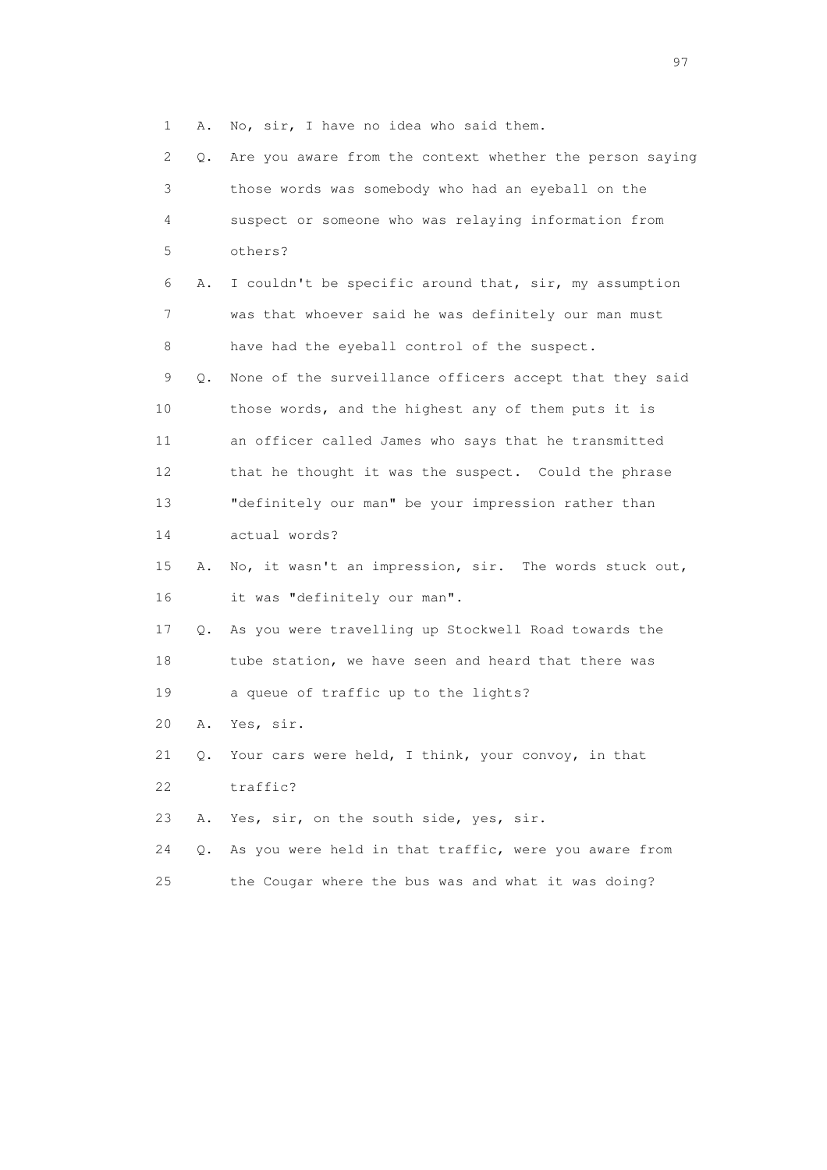1 A. No, sir, I have no idea who said them.

| $\mathbf{2}^{\mathsf{I}}$ | Q.        | Are you aware from the context whether the person saying |
|---------------------------|-----------|----------------------------------------------------------|
| 3                         |           | those words was somebody who had an eyeball on the       |
| 4                         |           | suspect or someone who was relaying information from     |
| 5                         |           | others?                                                  |
| 6                         | Α.        | I couldn't be specific around that, sir, my assumption   |
| 7                         |           | was that whoever said he was definitely our man must     |
| 8                         |           | have had the eyeball control of the suspect.             |
| 9                         | Q.        | None of the surveillance officers accept that they said  |
| 10                        |           | those words, and the highest any of them puts it is      |
| 11                        |           | an officer called James who says that he transmitted     |
| 12                        |           | that he thought it was the suspect. Could the phrase     |
| 13                        |           | "definitely our man" be your impression rather than      |
| 14                        |           | actual words?                                            |
| 15                        | Α.        | No, it wasn't an impression, sir. The words stuck out,   |
| 16                        |           | it was "definitely our man".                             |
| 17                        | Q.        | As you were travelling up Stockwell Road towards the     |
| 18                        |           | tube station, we have seen and heard that there was      |
| 19                        |           | a queue of traffic up to the lights?                     |
| 20                        | Α.        | Yes, sir.                                                |
| 21                        | Q.        | Your cars were held, I think, your convoy, in that       |
| 22                        |           | traffic?                                                 |
| 23                        | Α.        | Yes, sir, on the south side, yes, sir.                   |
| 24                        | $\circ$ . | As you were held in that traffic, were you aware from    |
| 25                        |           | the Cougar where the bus was and what it was doing?      |

experience of the contract of the contract of the contract of the contract of the contract of the contract of the contract of the contract of the contract of the contract of the contract of the contract of the contract of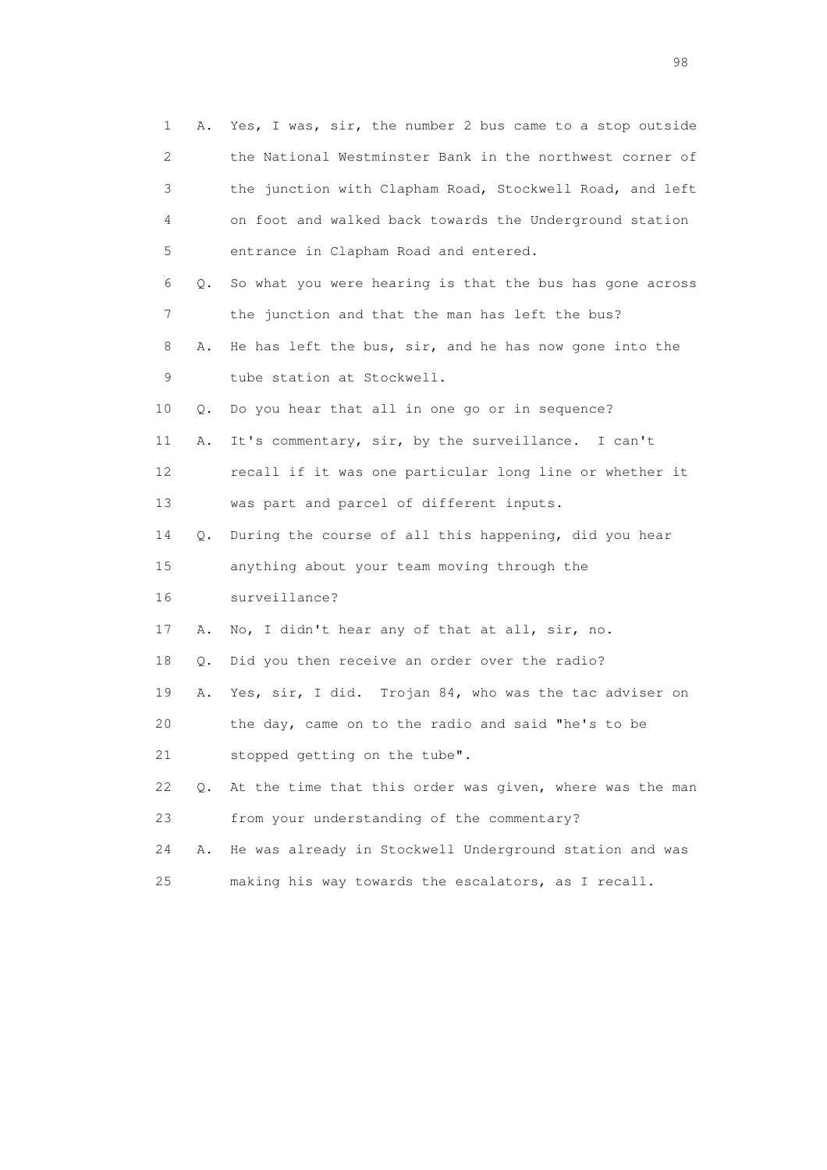| 1                         | Α. | Yes, I was, sir, the number 2 bus came to a stop outside |
|---------------------------|----|----------------------------------------------------------|
| $\mathbf{2}^{\mathsf{I}}$ |    | the National Westminster Bank in the northwest corner of |
| 3                         |    | the junction with Clapham Road, Stockwell Road, and left |
| 4                         |    | on foot and walked back towards the Underground station  |
| 5                         |    | entrance in Clapham Road and entered.                    |
| 6                         | Q. | So what you were hearing is that the bus has gone across |
| 7                         |    | the junction and that the man has left the bus?          |
| 8                         | Α. | He has left the bus, sir, and he has now gone into the   |
| 9                         |    | tube station at Stockwell.                               |
| 10                        | Q. | Do you hear that all in one go or in sequence?           |
| 11                        | Α. | It's commentary, sir, by the surveillance. I can't       |
| 12                        |    | recall if it was one particular long line or whether it  |
| 13                        |    | was part and parcel of different inputs.                 |
| 14                        | Q. | During the course of all this happening, did you hear    |
| 15                        |    | anything about your team moving through the              |
| 16                        |    | surveillance?                                            |
| 17                        | Α. | No, I didn't hear any of that at all, sir, no.           |
| 18                        | Q. | Did you then receive an order over the radio?            |
| 19                        | Α. | Yes, sir, I did. Trojan 84, who was the tac adviser on   |
| 20                        |    | the day, came on to the radio and said "he's to be       |
| 21                        |    | stopped getting on the tube".                            |
| 22                        | О. | At the time that this order was given, where was the man |
| 23                        |    | from your understanding of the commentary?               |
| 24                        | Α. | He was already in Stockwell Underground station and was  |
| 25                        |    | making his way towards the escalators, as I recall.      |

en 1988 en 1989 en 1989 en 1989 en 1989 en 1989 en 1989 en 1989 en 1989 en 1989 en 1989 en 1989 en 1989 en 19<br>De grote en 1989 en 1989 en 1989 en 1989 en 1989 en 1989 en 1989 en 1989 en 1989 en 1989 en 1989 en 1989 en 19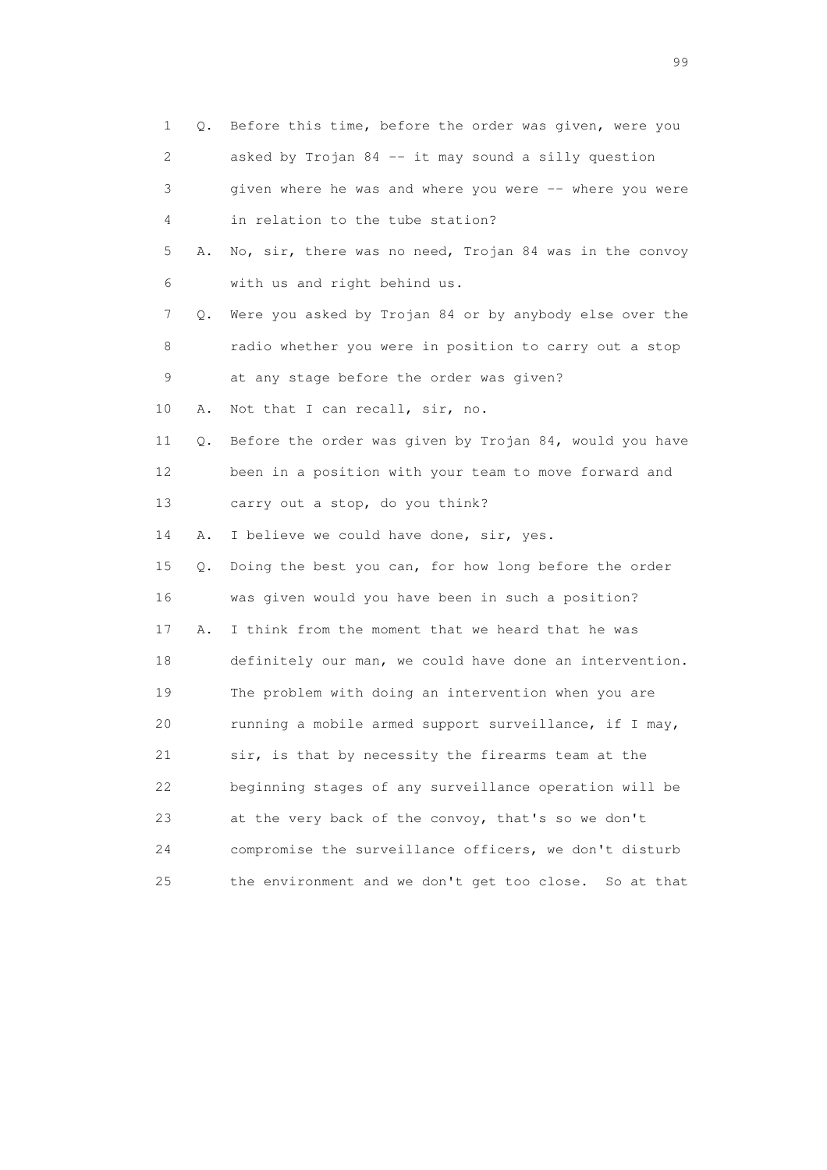|    | 1<br>Q.  | Before this time, before the order was given, were you  |
|----|----------|---------------------------------------------------------|
|    | 2        | asked by Trojan 84 -- it may sound a silly question     |
|    | 3        | given where he was and where you were -- where you were |
|    | 4        | in relation to the tube station?                        |
|    | 5<br>Α.  | No, sir, there was no need, Trojan 84 was in the convoy |
|    | 6        | with us and right behind us.                            |
|    | 7<br>Q.  | Were you asked by Trojan 84 or by anybody else over the |
|    | 8        | radio whether you were in position to carry out a stop  |
|    | 9        | at any stage before the order was given?                |
| 10 | Α.       | Not that I can recall, sir, no.                         |
| 11 | Q.       | Before the order was given by Trojan 84, would you have |
|    | 12       | been in a position with your team to move forward and   |
| 13 |          | carry out a stop, do you think?                         |
| 14 | Α.       | I believe we could have done, sir, yes.                 |
|    | 15<br>Q. | Doing the best you can, for how long before the order   |
|    | 16       | was given would you have been in such a position?       |
|    | 17<br>Α. | I think from the moment that we heard that he was       |
|    | 18       | definitely our man, we could have done an intervention. |
|    | 19       | The problem with doing an intervention when you are     |
| 20 |          | running a mobile armed support surveillance, if I may,  |
| 21 |          | sir, is that by necessity the firearms team at the      |
| 22 |          | beginning stages of any surveillance operation will be  |
| 23 |          | at the very back of the convoy, that's so we don't      |
| 24 |          | compromise the surveillance officers, we don't disturb  |
| 25 |          | the environment and we don't get too close. So at that  |

en de la construction de la construction de la construction de la construction de la construction de la constr<br>1990 : la construction de la construction de la construction de la construction de la construction de la const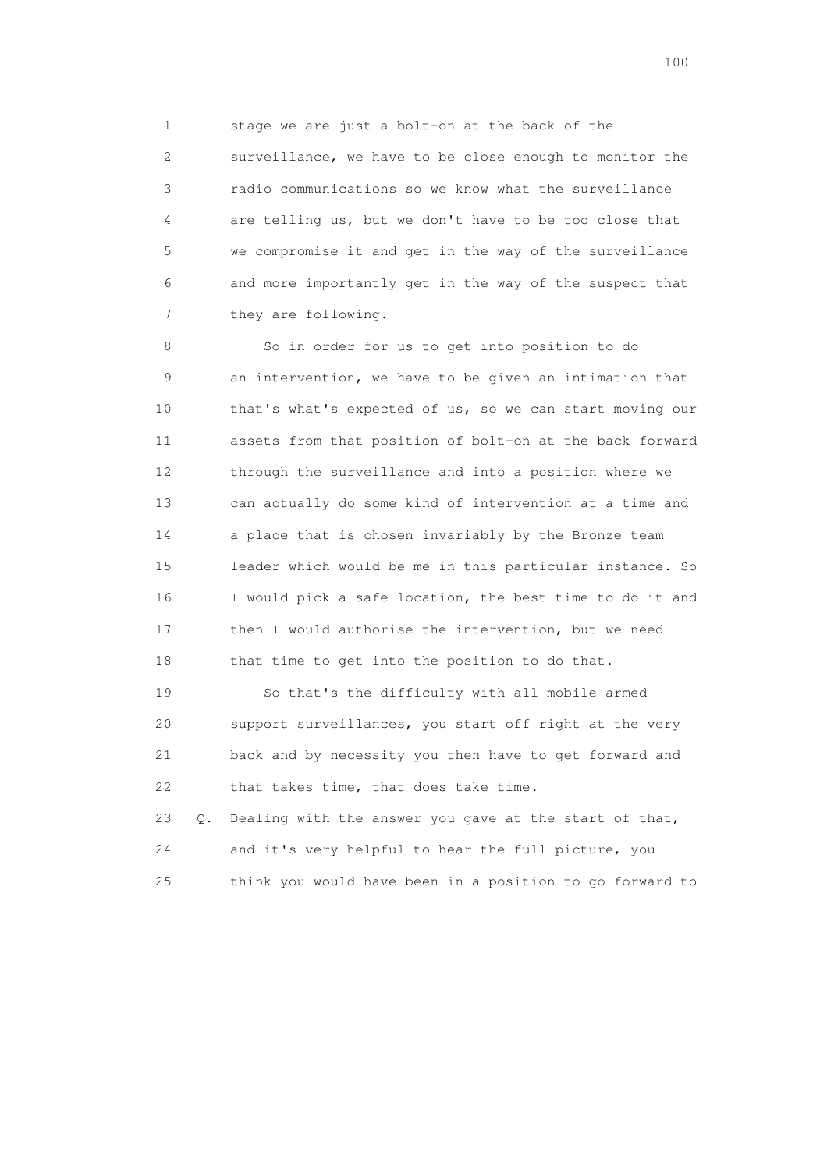1 stage we are just a bolt-on at the back of the 2 surveillance, we have to be close enough to monitor the 3 radio communications so we know what the surveillance 4 are telling us, but we don't have to be too close that 5 we compromise it and get in the way of the surveillance 6 and more importantly get in the way of the suspect that 7 they are following.

 8 So in order for us to get into position to do 9 an intervention, we have to be given an intimation that 10 that's what's expected of us, so we can start moving our 11 assets from that position of bolt-on at the back forward 12 through the surveillance and into a position where we 13 can actually do some kind of intervention at a time and 14 a place that is chosen invariably by the Bronze team 15 leader which would be me in this particular instance. So 16 I would pick a safe location, the best time to do it and 17 then I would authorise the intervention, but we need 18 that time to get into the position to do that.

 19 So that's the difficulty with all mobile armed 20 support surveillances, you start off right at the very 21 back and by necessity you then have to get forward and 22 that takes time, that does take time.

 23 Q. Dealing with the answer you gave at the start of that, 24 and it's very helpful to hear the full picture, you 25 think you would have been in a position to go forward to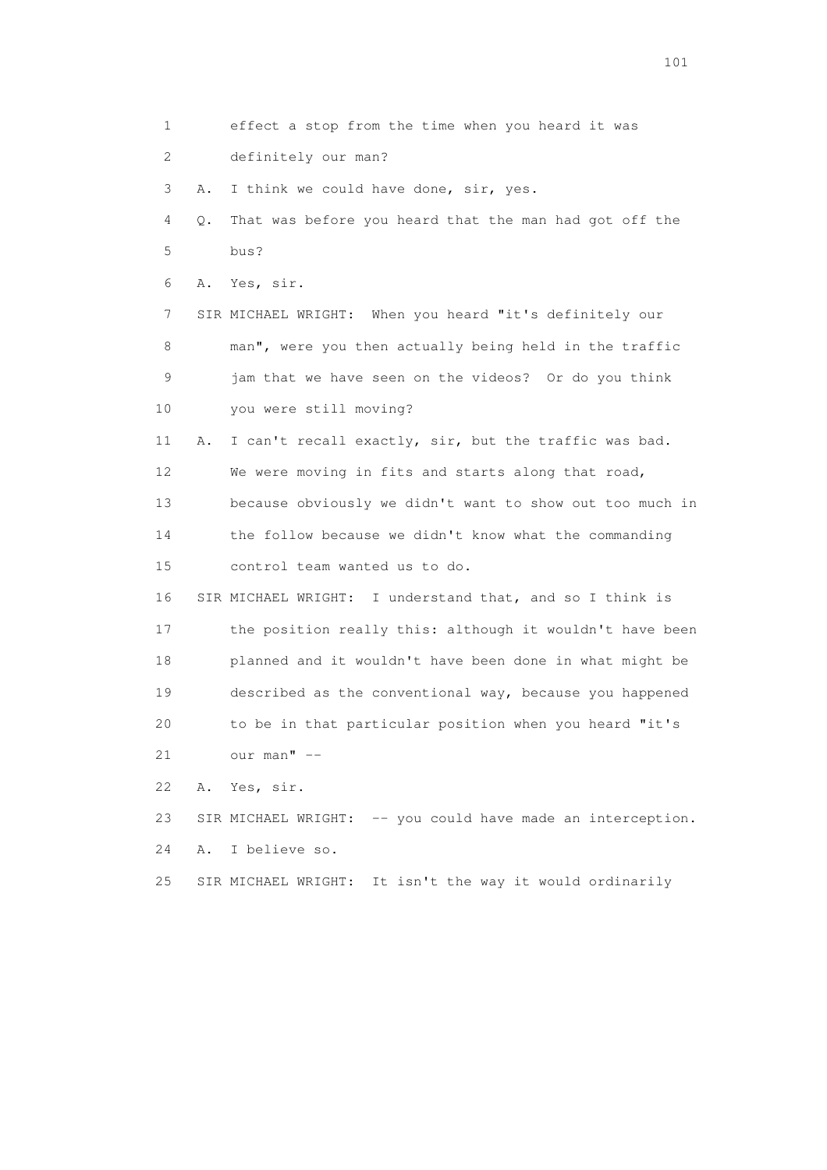1 effect a stop from the time when you heard it was 2 definitely our man? 3 A. I think we could have done, sir, yes. 4 Q. That was before you heard that the man had got off the 5 bus? 6 A. Yes, sir. 7 SIR MICHAEL WRIGHT: When you heard "it's definitely our 8 man", were you then actually being held in the traffic 9 jam that we have seen on the videos? Or do you think 10 you were still moving? 11 A. I can't recall exactly, sir, but the traffic was bad. 12 We were moving in fits and starts along that road, 13 because obviously we didn't want to show out too much in 14 the follow because we didn't know what the commanding 15 control team wanted us to do. 16 SIR MICHAEL WRIGHT: I understand that, and so I think is 17 the position really this: although it wouldn't have been 18 planned and it wouldn't have been done in what might be 19 described as the conventional way, because you happened 20 to be in that particular position when you heard "it's 21 our man" -- 22 A. Yes, sir. 23 SIR MICHAEL WRIGHT: -- you could have made an interception. 24 A. I believe so. 25 SIR MICHAEL WRIGHT: It isn't the way it would ordinarily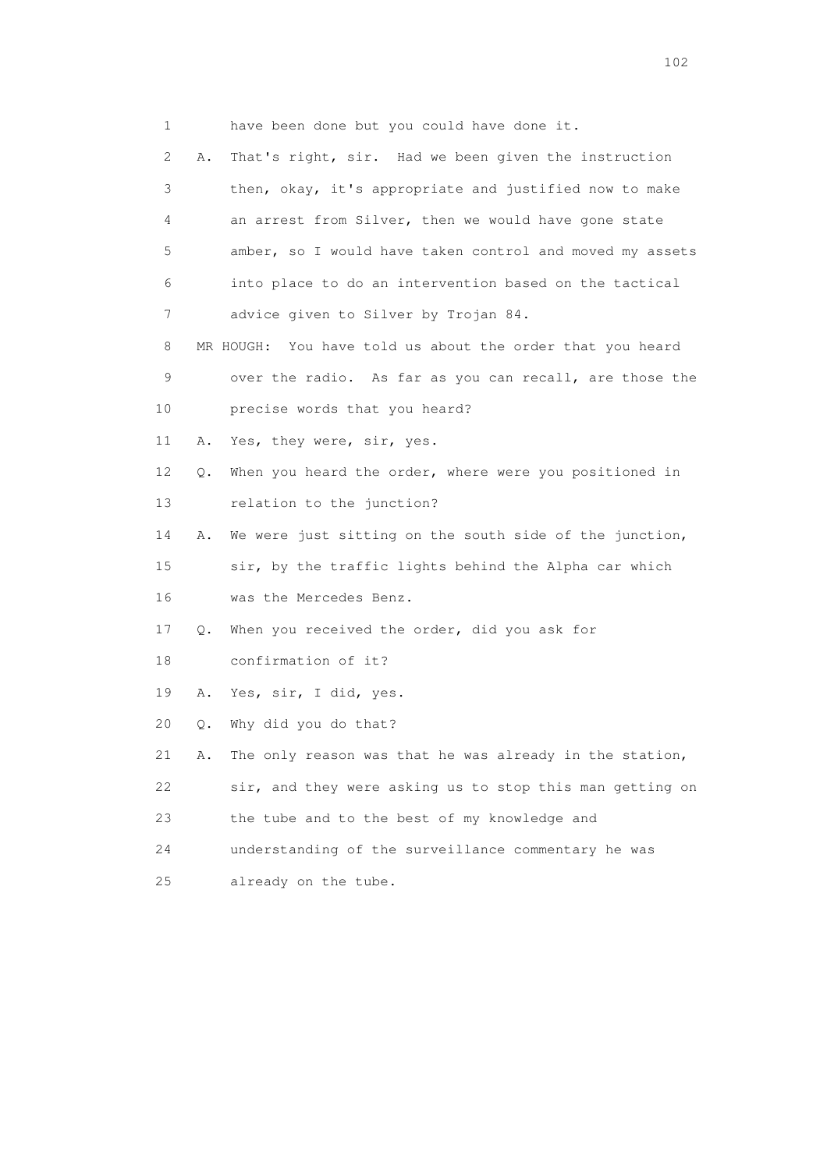1 have been done but you could have done it.

 2 A. That's right, sir. Had we been given the instruction 3 then, okay, it's appropriate and justified now to make 4 an arrest from Silver, then we would have gone state 5 amber, so I would have taken control and moved my assets 6 into place to do an intervention based on the tactical 7 advice given to Silver by Trojan 84. 8 MR HOUGH: You have told us about the order that you heard 9 over the radio. As far as you can recall, are those the 10 precise words that you heard? 11 A. Yes, they were, sir, yes. 12 Q. When you heard the order, where were you positioned in 13 relation to the junction? 14 A. We were just sitting on the south side of the junction, 15 sir, by the traffic lights behind the Alpha car which 16 was the Mercedes Benz. 17 Q. When you received the order, did you ask for 18 confirmation of it? 19 A. Yes, sir, I did, yes. 20 Q. Why did you do that? 21 A. The only reason was that he was already in the station, 22 sir, and they were asking us to stop this man getting on 23 the tube and to the best of my knowledge and 24 understanding of the surveillance commentary he was 25 already on the tube.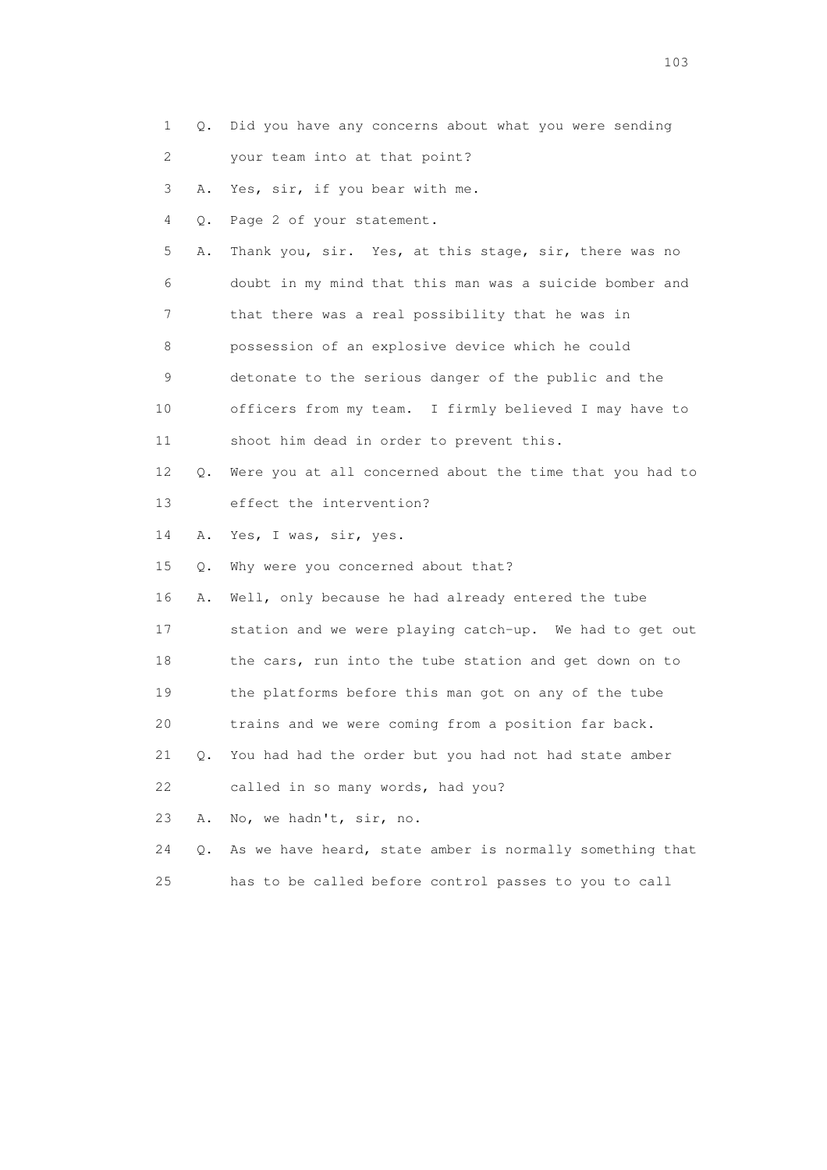- 1 Q. Did you have any concerns about what you were sending
- 2 your team into at that point?

3 A. Yes, sir, if you bear with me.

4 Q. Page 2 of your statement.

 5 A. Thank you, sir. Yes, at this stage, sir, there was no 6 doubt in my mind that this man was a suicide bomber and 7 that there was a real possibility that he was in 8 possession of an explosive device which he could 9 detonate to the serious danger of the public and the 10 officers from my team. I firmly believed I may have to

- 11 shoot him dead in order to prevent this.
- 12 Q. Were you at all concerned about the time that you had to 13 effect the intervention?

14 A. Yes, I was, sir, yes.

15 Q. Why were you concerned about that?

16 A. Well, only because he had already entered the tube

17 station and we were playing catch-up. We had to get out

18 the cars, run into the tube station and get down on to

19 the platforms before this man got on any of the tube

20 trains and we were coming from a position far back.

21 Q. You had had the order but you had not had state amber

22 called in so many words, had you?

23 A. No, we hadn't, sir, no.

24 Q. As we have heard, state amber is normally something that

25 has to be called before control passes to you to call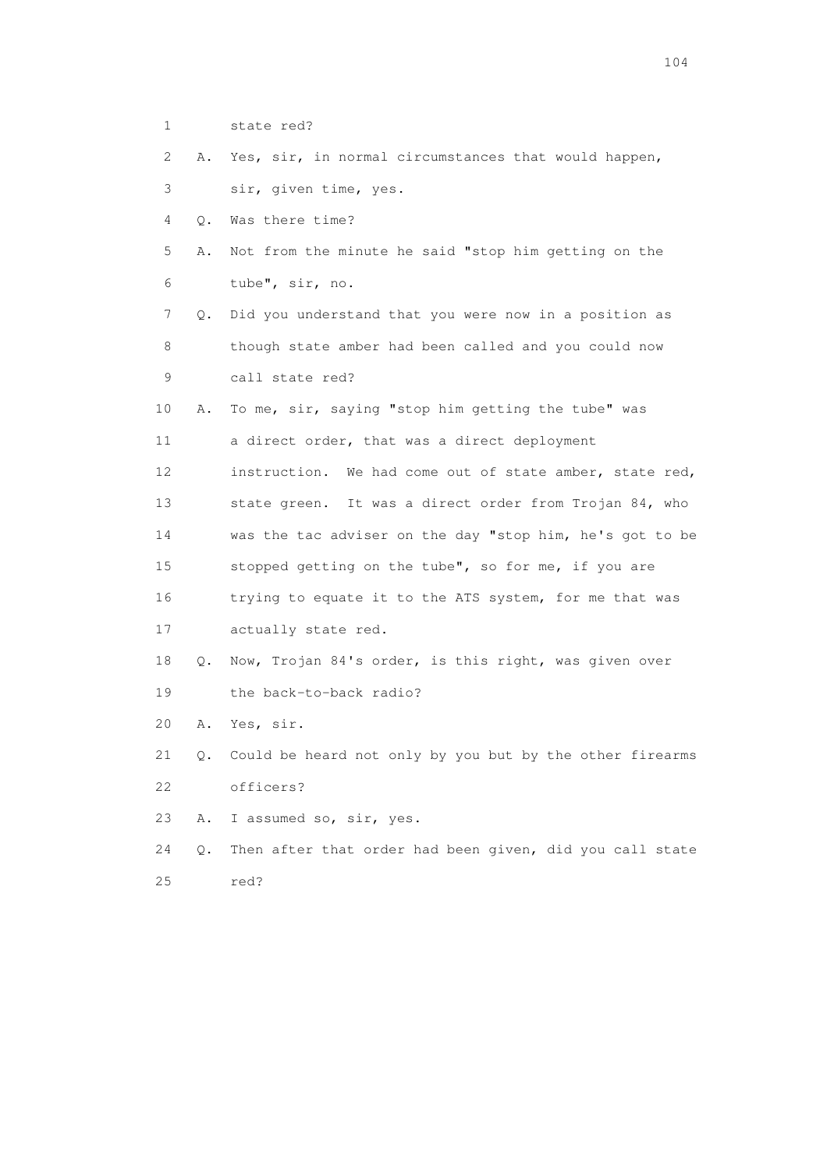1 state red?

 2 A. Yes, sir, in normal circumstances that would happen, 3 sir, given time, yes.

4 Q. Was there time?

 5 A. Not from the minute he said "stop him getting on the 6 tube", sir, no.

 7 Q. Did you understand that you were now in a position as 8 though state amber had been called and you could now 9 call state red?

 10 A. To me, sir, saying "stop him getting the tube" was 11 a direct order, that was a direct deployment 12 instruction. We had come out of state amber, state red, 13 state green. It was a direct order from Trojan 84, who 14 was the tac adviser on the day "stop him, he's got to be 15 stopped getting on the tube", so for me, if you are 16 trying to equate it to the ATS system, for me that was

17 actually state red.

 18 Q. Now, Trojan 84's order, is this right, was given over 19 the back-to-back radio?

20 A. Yes, sir.

 21 Q. Could be heard not only by you but by the other firearms 22 officers?

23 A. I assumed so, sir, yes.

 24 Q. Then after that order had been given, did you call state 25 red?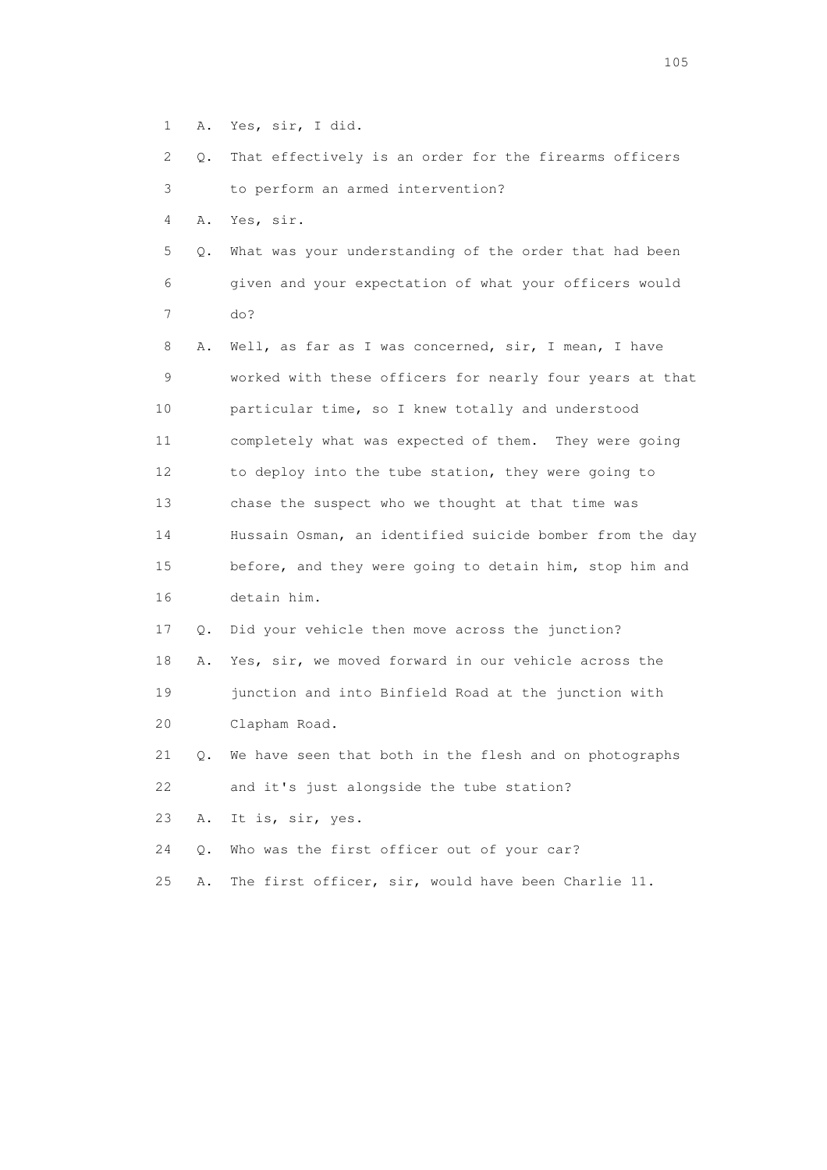- 1 A. Yes, sir, I did.
- 2 Q. That effectively is an order for the firearms officers 3 to perform an armed intervention?

4 A. Yes, sir.

- 5 Q. What was your understanding of the order that had been 6 given and your expectation of what your officers would 7 do?
- 8 A. Well, as far as I was concerned, sir, I mean, I have 9 worked with these officers for nearly four years at that 10 particular time, so I knew totally and understood 11 completely what was expected of them. They were going 12 to deploy into the tube station, they were going to 13 chase the suspect who we thought at that time was 14 Hussain Osman, an identified suicide bomber from the day 15 before, and they were going to detain him, stop him and 16 detain him.
- 17 Q. Did your vehicle then move across the junction?
- 18 A. Yes, sir, we moved forward in our vehicle across the 19 junction and into Binfield Road at the junction with 20 Clapham Road.
- 21 Q. We have seen that both in the flesh and on photographs 22 and it's just alongside the tube station?

23 A. It is, sir, yes.

- 24 Q. Who was the first officer out of your car?
- 25 A. The first officer, sir, would have been Charlie 11.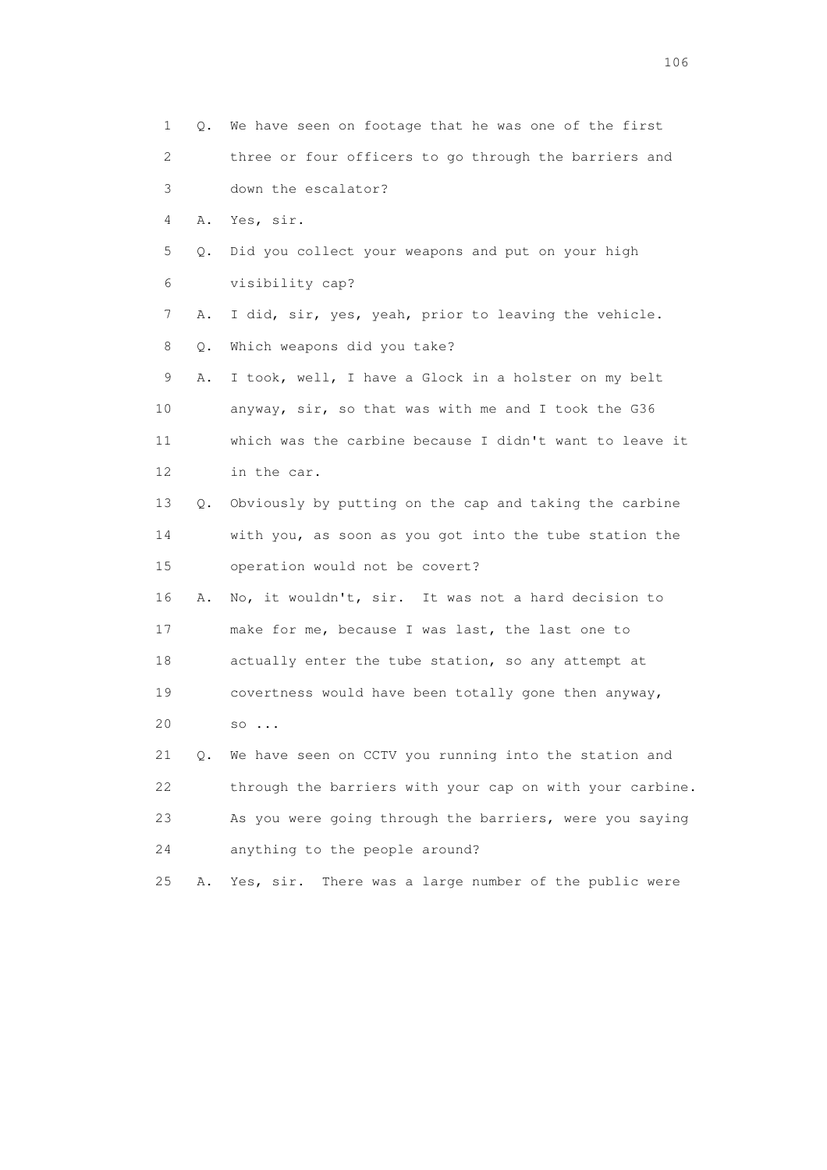1 Q. We have seen on footage that he was one of the first 2 three or four officers to go through the barriers and 3 down the escalator? 4 A. Yes, sir. 5 Q. Did you collect your weapons and put on your high 6 visibility cap? 7 A. I did, sir, yes, yeah, prior to leaving the vehicle. 8 Q. Which weapons did you take? 9 A. I took, well, I have a Glock in a holster on my belt 10 anyway, sir, so that was with me and I took the G36 11 which was the carbine because I didn't want to leave it 12 in the car. 13 Q. Obviously by putting on the cap and taking the carbine 14 with you, as soon as you got into the tube station the 15 operation would not be covert? 16 A. No, it wouldn't, sir. It was not a hard decision to 17 make for me, because I was last, the last one to 18 actually enter the tube station, so any attempt at 19 covertness would have been totally gone then anyway, 20 so ... 21 Q. We have seen on CCTV you running into the station and 22 through the barriers with your cap on with your carbine. 23 As you were going through the barriers, were you saying 24 anything to the people around? 25 A. Yes, sir. There was a large number of the public were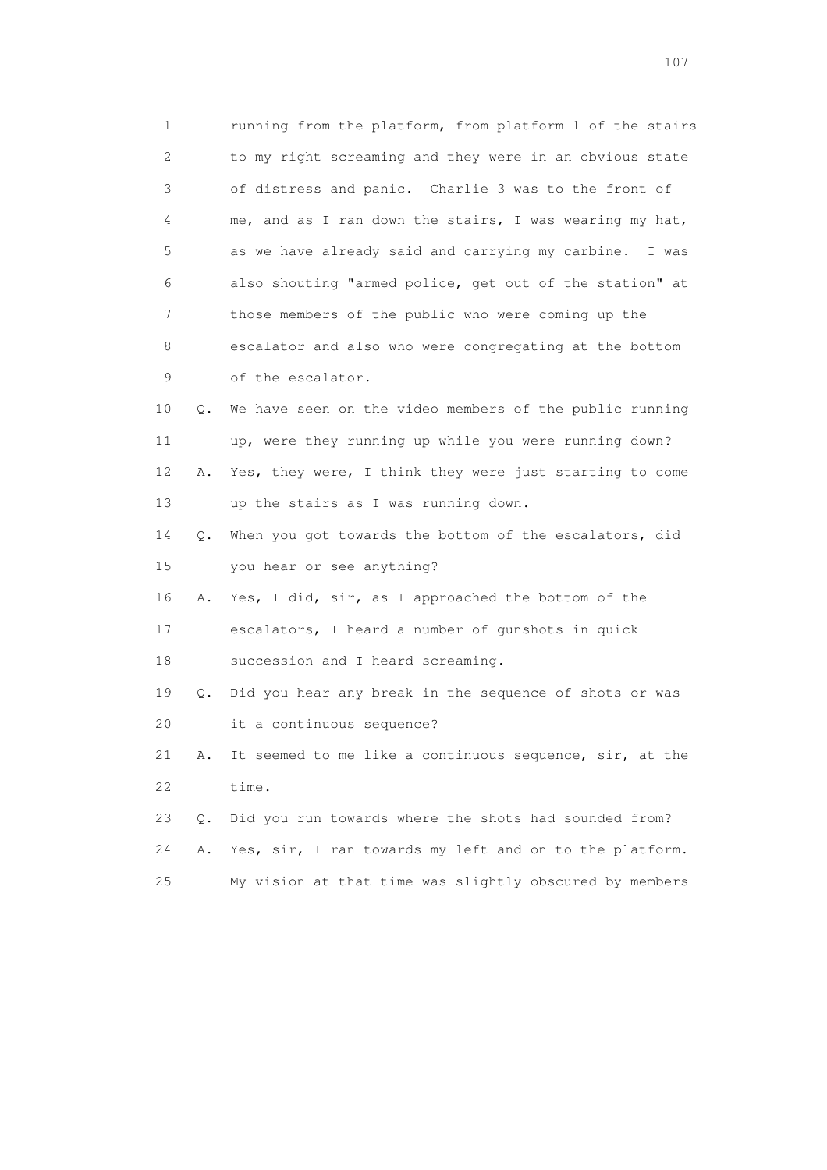1 running from the platform, from platform 1 of the stairs 2 to my right screaming and they were in an obvious state 3 of distress and panic. Charlie 3 was to the front of 4 me, and as I ran down the stairs, I was wearing my hat, 5 as we have already said and carrying my carbine. I was 6 also shouting "armed police, get out of the station" at 7 those members of the public who were coming up the 8 escalator and also who were congregating at the bottom 9 of the escalator. 10 Q. We have seen on the video members of the public running 11 up, were they running up while you were running down? 12 A. Yes, they were, I think they were just starting to come 13 up the stairs as I was running down. 14 Q. When you got towards the bottom of the escalators, did 15 you hear or see anything? 16 A. Yes, I did, sir, as I approached the bottom of the 17 escalators, I heard a number of gunshots in quick 18 succession and I heard screaming. 19 Q. Did you hear any break in the sequence of shots or was

20 it a continuous sequence?

 21 A. It seemed to me like a continuous sequence, sir, at the 22 time.

 23 Q. Did you run towards where the shots had sounded from? 24 A. Yes, sir, I ran towards my left and on to the platform. 25 My vision at that time was slightly obscured by members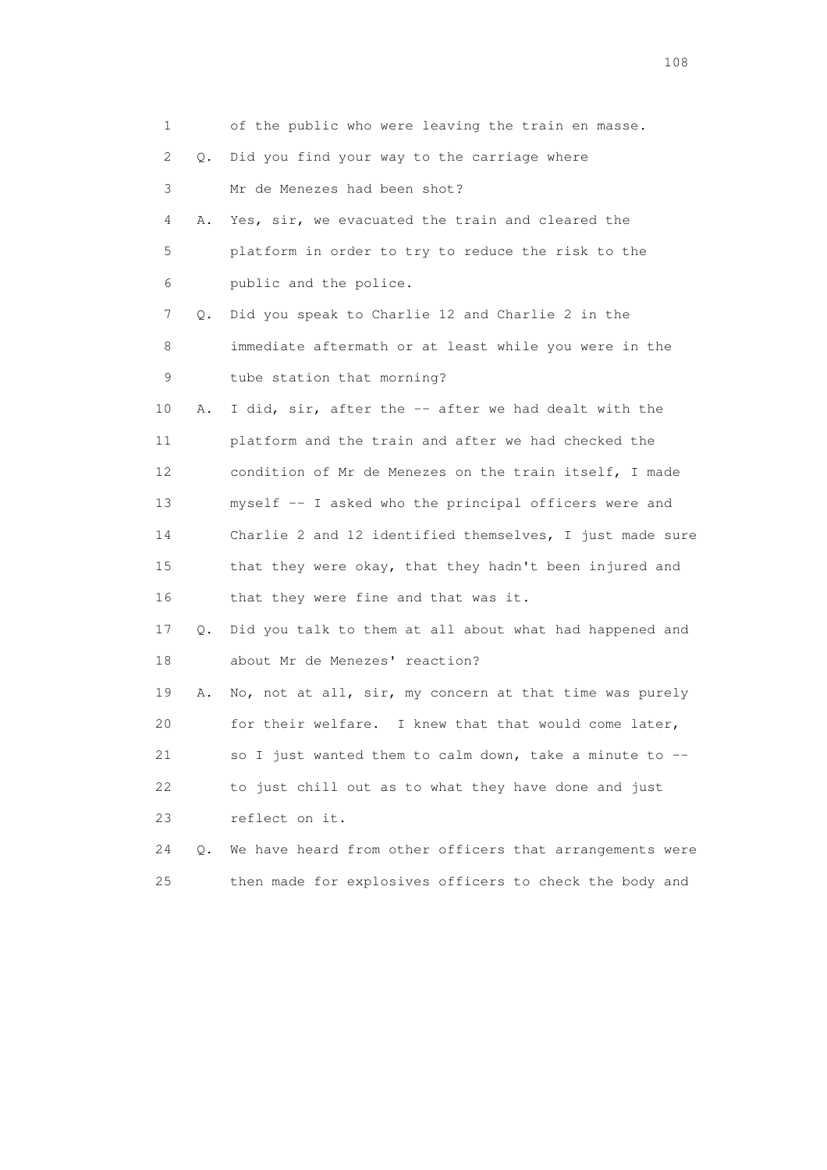| 1               |    | of the public who were leaving the train en masse.       |
|-----------------|----|----------------------------------------------------------|
| 2               | О. | Did you find your way to the carriage where              |
| 3               |    | Mr de Menezes had been shot?                             |
| 4               | Α. | Yes, sir, we evacuated the train and cleared the         |
| 5               |    | platform in order to try to reduce the risk to the       |
| 6               |    | public and the police.                                   |
| 7               | Q. | Did you speak to Charlie 12 and Charlie 2 in the         |
| 8               |    | immediate aftermath or at least while you were in the    |
| 9               |    | tube station that morning?                               |
| 10              | Α. | I did, sir, after the -- after we had dealt with the     |
| 11              |    | platform and the train and after we had checked the      |
| 12 <sup>°</sup> |    | condition of Mr de Menezes on the train itself, I made   |
| 13              |    | myself -- I asked who the principal officers were and    |
| 14              |    | Charlie 2 and 12 identified themselves, I just made sure |
| 15              |    | that they were okay, that they hadn't been injured and   |
| 16              |    | that they were fine and that was it.                     |
| 17              | Q. | Did you talk to them at all about what had happened and  |
| 18              |    | about Mr de Menezes' reaction?                           |
| 19              | Α. | No, not at all, sir, my concern at that time was purely  |
| 20              |    | for their welfare. I knew that that would come later,    |
| 21              |    | so I just wanted them to calm down, take a minute to --  |
| 22              |    | to just chill out as to what they have done and just     |
| 23              |    | reflect on it.                                           |
| 24              | О. | We have heard from other officers that arrangements were |
| 25              |    | then made for explosives officers to check the body and  |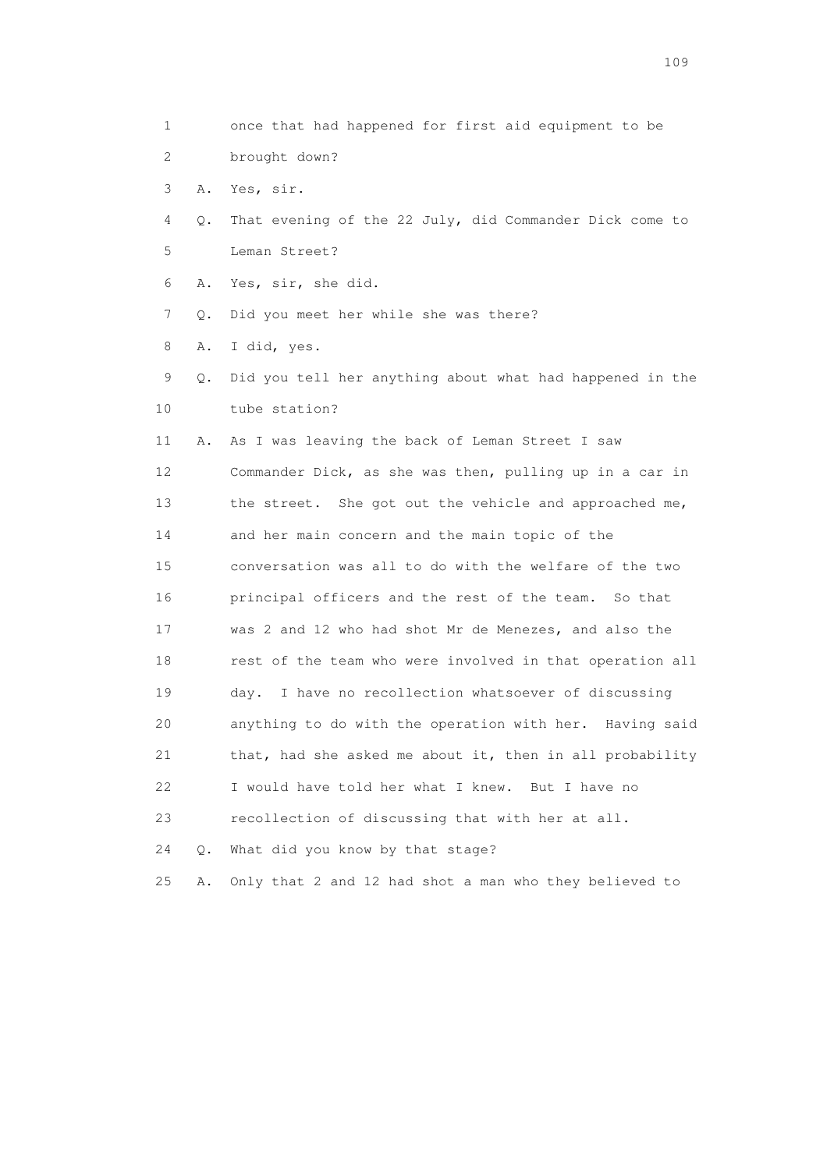| 1  |    | once that had happened for first aid equipment to be     |
|----|----|----------------------------------------------------------|
| 2  |    | brought down?                                            |
| 3  | Α. | Yes, sir.                                                |
| 4  | Q. | That evening of the 22 July, did Commander Dick come to  |
| 5  |    | Leman Street?                                            |
| 6  | Α. | Yes, sir, she did.                                       |
| 7  | Q. | Did you meet her while she was there?                    |
| 8  | Α. | I did, yes.                                              |
| 9  | Q. | Did you tell her anything about what had happened in the |
| 10 |    | tube station?                                            |
| 11 | Α. | As I was leaving the back of Leman Street I saw          |
| 12 |    | Commander Dick, as she was then, pulling up in a car in  |
| 13 |    | the street. She got out the vehicle and approached me,   |
| 14 |    | and her main concern and the main topic of the           |
| 15 |    | conversation was all to do with the welfare of the two   |
| 16 |    | principal officers and the rest of the team.<br>So that  |
| 17 |    | was 2 and 12 who had shot Mr de Menezes, and also the    |
| 18 |    | rest of the team who were involved in that operation all |
| 19 |    | I have no recollection whatsoever of discussing<br>day.  |
| 20 |    | anything to do with the operation with her. Having said  |
| 21 |    | that, had she asked me about it, then in all probability |
| 22 |    | I would have told her what I knew. But I have no         |
| 23 |    | recollection of discussing that with her at all.         |
| 24 | Q. | What did you know by that stage?                         |
| 25 | Α. | Only that 2 and 12 had shot a man who they believed to   |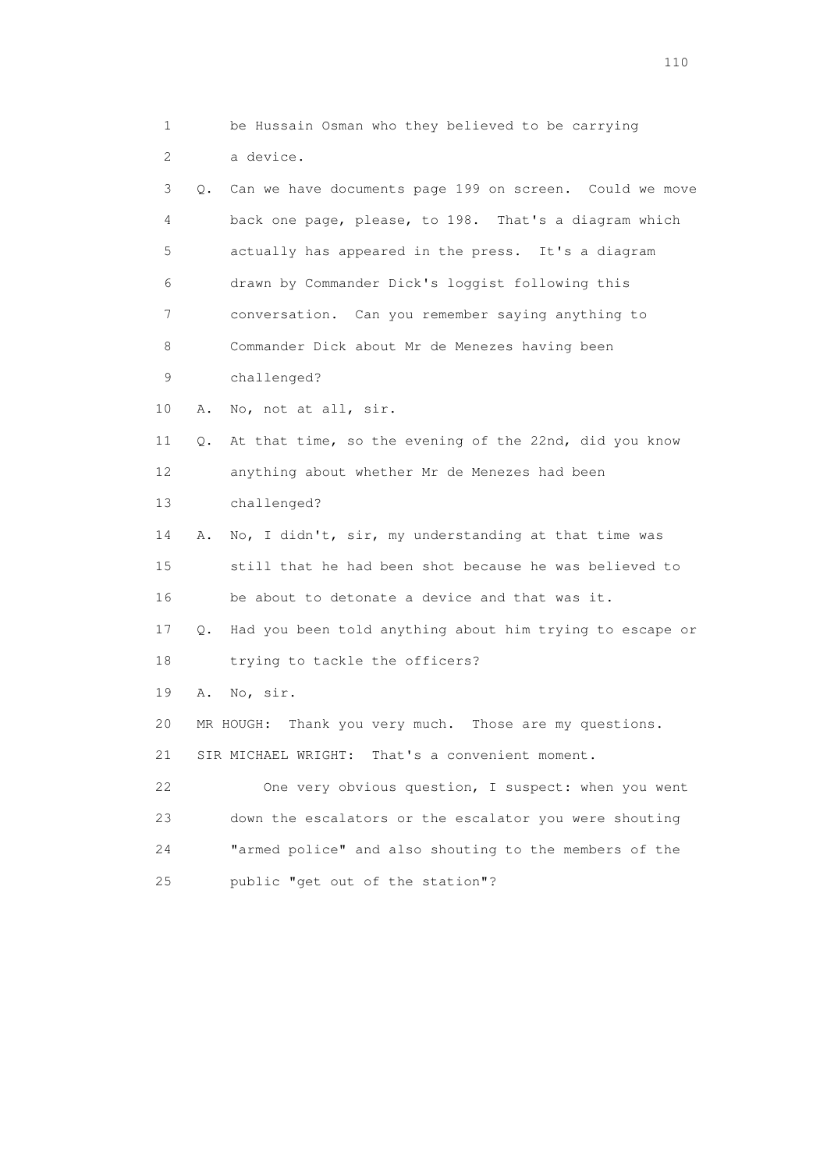1 be Hussain Osman who they believed to be carrying 2 a device. 3 Q. Can we have documents page 199 on screen. Could we move 4 back one page, please, to 198. That's a diagram which 5 actually has appeared in the press. It's a diagram 6 drawn by Commander Dick's loggist following this 7 conversation. Can you remember saying anything to 8 Commander Dick about Mr de Menezes having been 9 challenged? 10 A. No, not at all, sir. 11 Q. At that time, so the evening of the 22nd, did you know 12 anything about whether Mr de Menezes had been 13 challenged? 14 A. No, I didn't, sir, my understanding at that time was 15 still that he had been shot because he was believed to 16 be about to detonate a device and that was it. 17 Q. Had you been told anything about him trying to escape or 18 trying to tackle the officers? 19 A. No, sir. 20 MR HOUGH: Thank you very much. Those are my questions. 21 SIR MICHAEL WRIGHT: That's a convenient moment. 22 One very obvious question, I suspect: when you went 23 down the escalators or the escalator you were shouting 24 "armed police" and also shouting to the members of the 25 public "get out of the station"?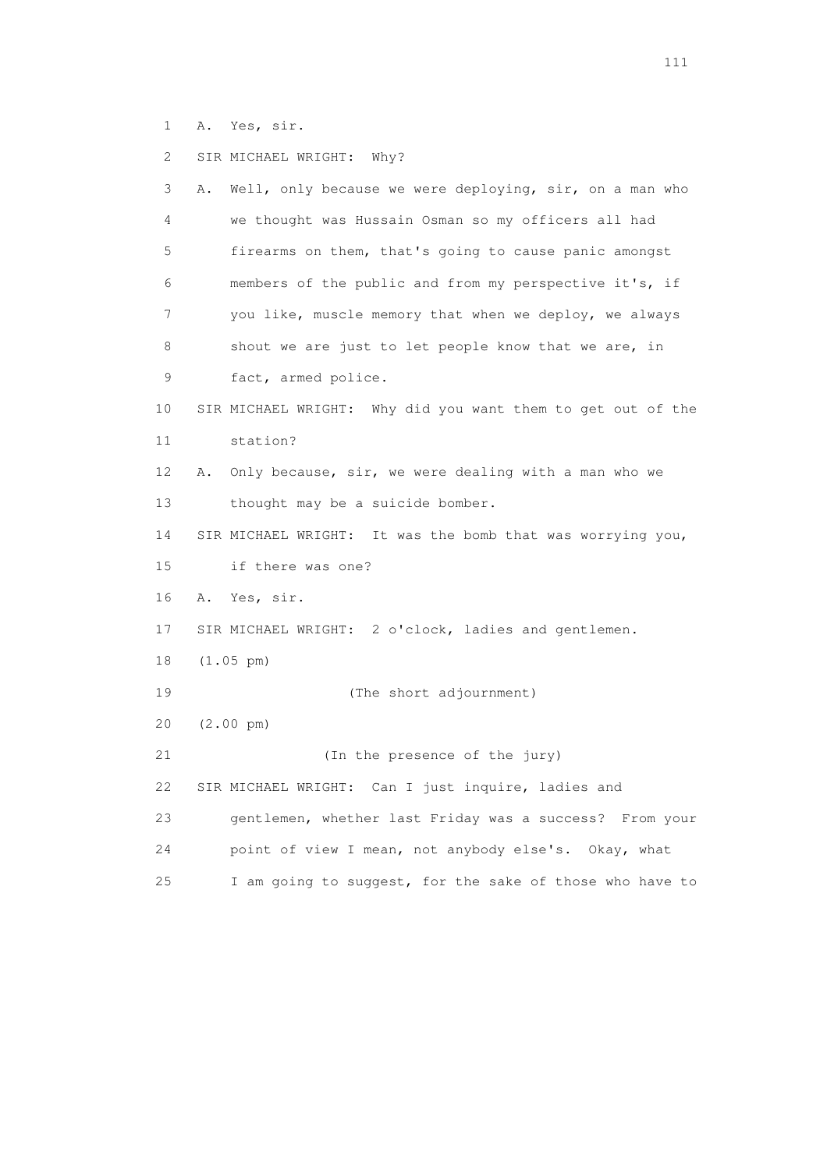1 A. Yes, sir.

 2 SIR MICHAEL WRIGHT: Why? 3 A. Well, only because we were deploying, sir, on a man who 4 we thought was Hussain Osman so my officers all had 5 firearms on them, that's going to cause panic amongst 6 members of the public and from my perspective it's, if 7 you like, muscle memory that when we deploy, we always 8 shout we are just to let people know that we are, in 9 fact, armed police. 10 SIR MICHAEL WRIGHT: Why did you want them to get out of the 11 station? 12 A. Only because, sir, we were dealing with a man who we 13 thought may be a suicide bomber. 14 SIR MICHAEL WRIGHT: It was the bomb that was worrying you, 15 if there was one? 16 A. Yes, sir. 17 SIR MICHAEL WRIGHT: 2 o'clock, ladies and gentlemen. 18 (1.05 pm) 19 (The short adjournment) 20 (2.00 pm) 21 (In the presence of the jury) 22 SIR MICHAEL WRIGHT: Can I just inquire, ladies and 23 gentlemen, whether last Friday was a success? From your 24 point of view I mean, not anybody else's. Okay, what 25 I am going to suggest, for the sake of those who have to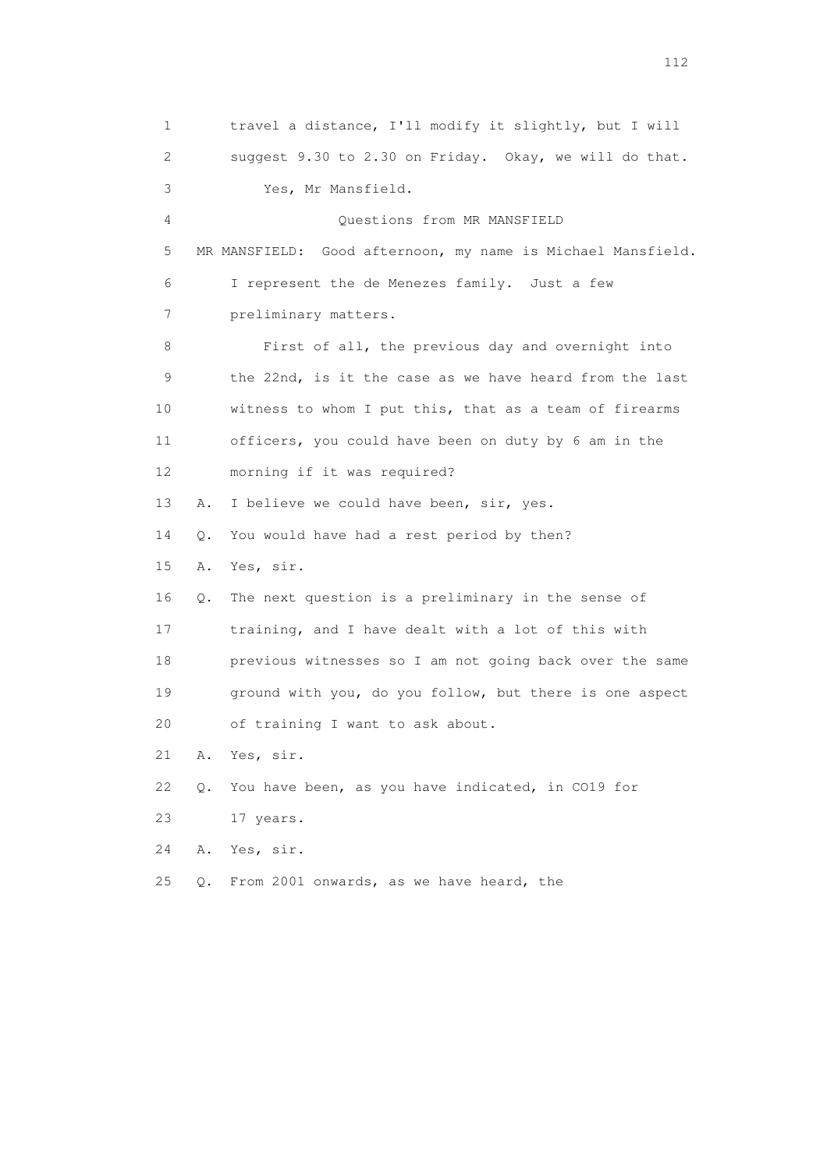1 travel a distance, I'll modify it slightly, but I will 2 suggest 9.30 to 2.30 on Friday. Okay, we will do that. 3 Yes, Mr Mansfield. 4 Questions from MR MANSFIELD 5 MR MANSFIELD: Good afternoon, my name is Michael Mansfield. 6 I represent the de Menezes family. Just a few 7 preliminary matters. 8 First of all, the previous day and overnight into 9 the 22nd, is it the case as we have heard from the last 10 witness to whom I put this, that as a team of firearms 11 officers, you could have been on duty by 6 am in the 12 morning if it was required? 13 A. I believe we could have been, sir, yes. 14 Q. You would have had a rest period by then? 15 A. Yes, sir. 16 Q. The next question is a preliminary in the sense of 17 training, and I have dealt with a lot of this with 18 previous witnesses so I am not going back over the same 19 ground with you, do you follow, but there is one aspect 20 of training I want to ask about. 21 A. Yes, sir. 22 Q. You have been, as you have indicated, in CO19 for 23 17 years. 24 A. Yes, sir. 25 Q. From 2001 onwards, as we have heard, the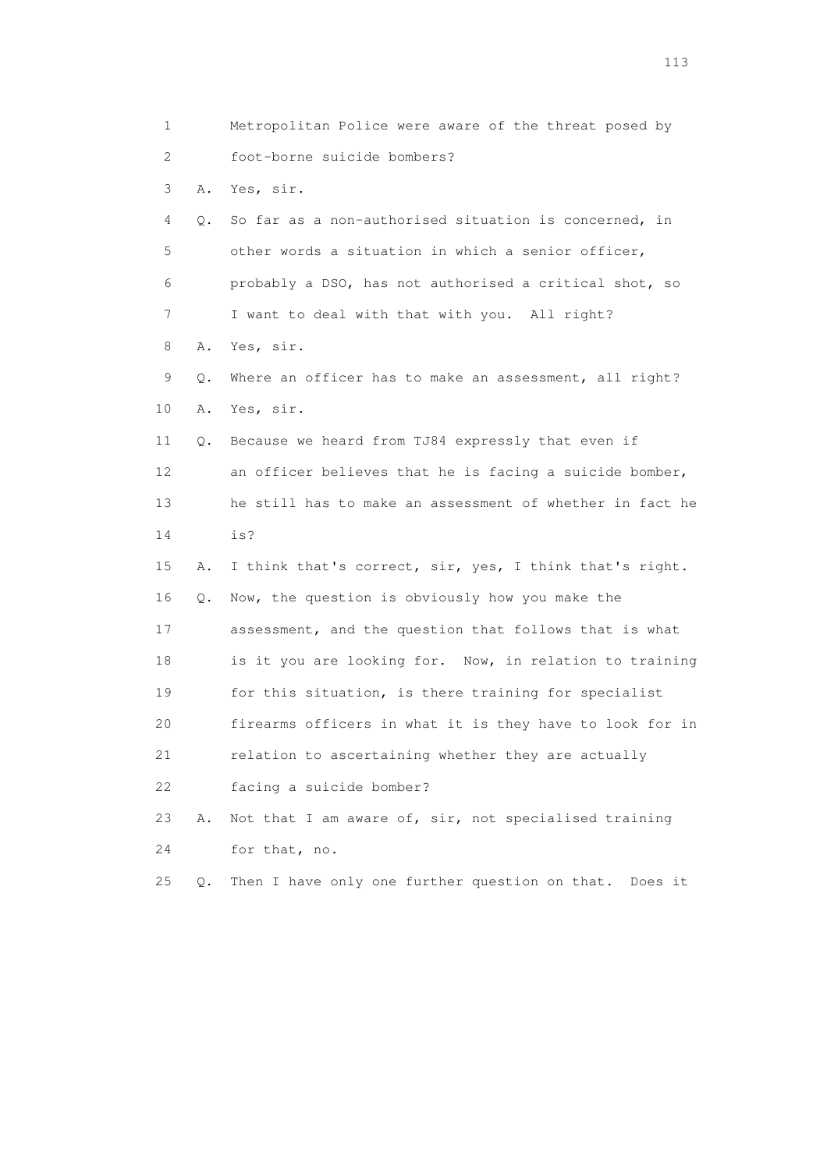1 Metropolitan Police were aware of the threat posed by 2 foot-borne suicide bombers? 3 A. Yes, sir. 4 Q. So far as a non-authorised situation is concerned, in 5 other words a situation in which a senior officer, 6 probably a DSO, has not authorised a critical shot, so 7 I want to deal with that with you. All right? 8 A. Yes, sir. 9 Q. Where an officer has to make an assessment, all right? 10 A. Yes, sir. 11 Q. Because we heard from TJ84 expressly that even if 12 an officer believes that he is facing a suicide bomber, 13 he still has to make an assessment of whether in fact he 14 is? 15 A. I think that's correct, sir, yes, I think that's right. 16 Q. Now, the question is obviously how you make the 17 assessment, and the question that follows that is what 18 is it you are looking for. Now, in relation to training 19 for this situation, is there training for specialist 20 firearms officers in what it is they have to look for in 21 relation to ascertaining whether they are actually 22 facing a suicide bomber? 23 A. Not that I am aware of, sir, not specialised training 24 for that, no. 25 Q. Then I have only one further question on that. Does it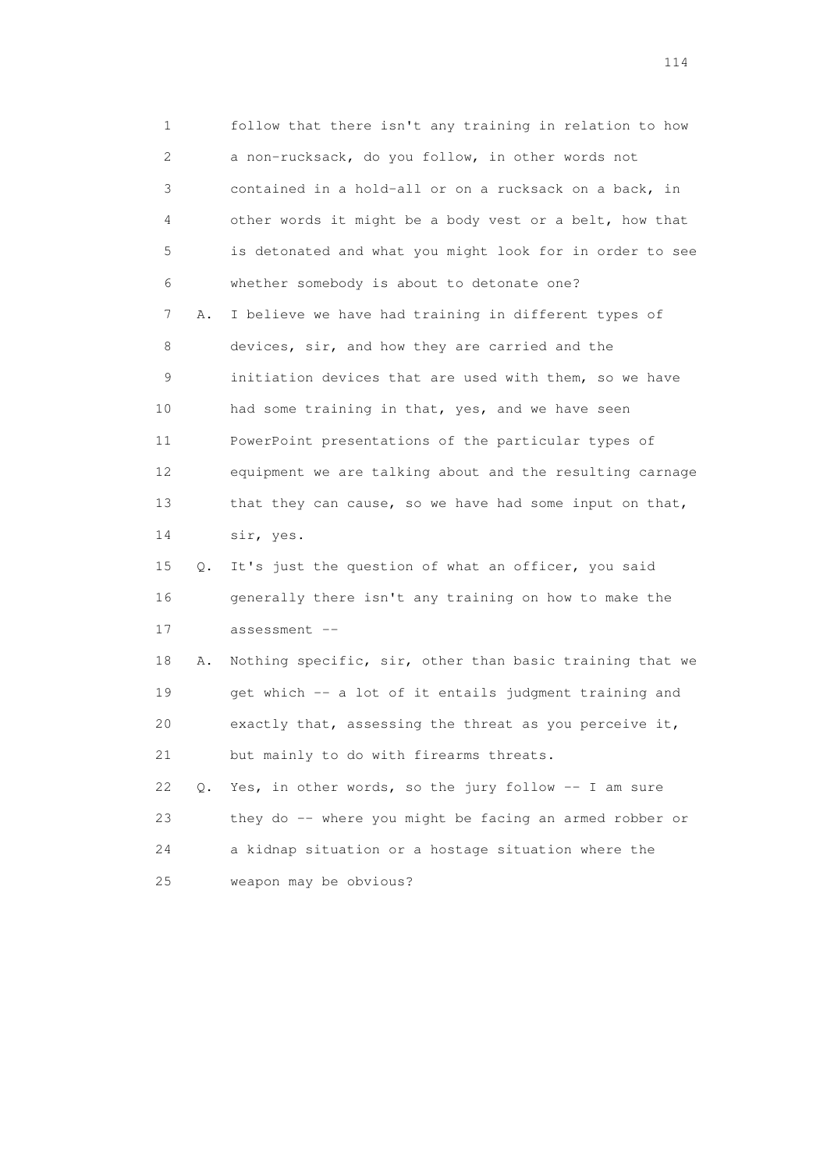1 follow that there isn't any training in relation to how 2 a non-rucksack, do you follow, in other words not 3 contained in a hold-all or on a rucksack on a back, in 4 other words it might be a body vest or a belt, how that 5 is detonated and what you might look for in order to see 6 whether somebody is about to detonate one? 7 A. I believe we have had training in different types of 8 devices, sir, and how they are carried and the 9 initiation devices that are used with them, so we have 10 had some training in that, yes, and we have seen 11 PowerPoint presentations of the particular types of 12 equipment we are talking about and the resulting carnage 13 that they can cause, so we have had some input on that, 14 sir, yes. 15 Q. It's just the question of what an officer, you said 16 generally there isn't any training on how to make the 17 assessment -- 18 A. Nothing specific, sir, other than basic training that we 19 get which -- a lot of it entails judgment training and 20 exactly that, assessing the threat as you perceive it, 21 but mainly to do with firearms threats. 22 Q. Yes, in other words, so the jury follow -- I am sure 23 they do -- where you might be facing an armed robber or 24 a kidnap situation or a hostage situation where the 25 weapon may be obvious?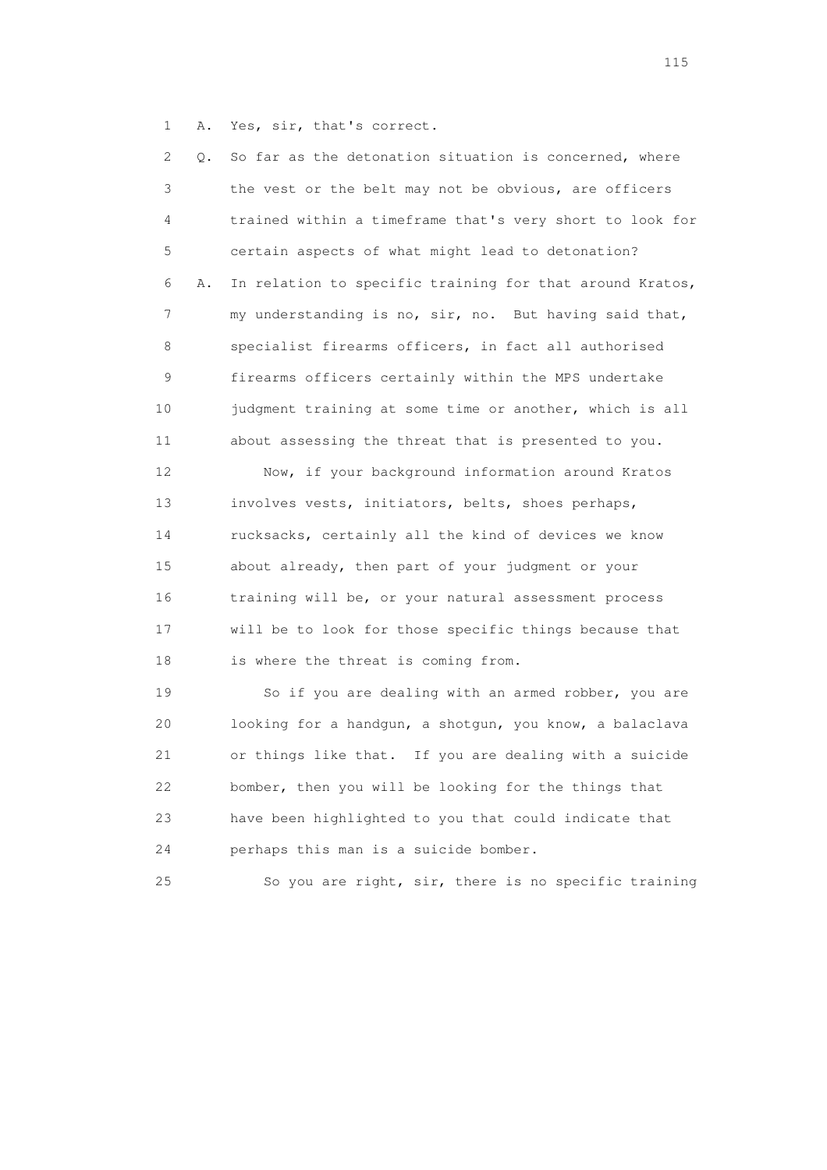1 A. Yes, sir, that's correct.

 2 Q. So far as the detonation situation is concerned, where 3 the vest or the belt may not be obvious, are officers 4 trained within a timeframe that's very short to look for 5 certain aspects of what might lead to detonation? 6 A. In relation to specific training for that around Kratos, 7 my understanding is no, sir, no. But having said that, 8 specialist firearms officers, in fact all authorised 9 firearms officers certainly within the MPS undertake 10 judgment training at some time or another, which is all 11 about assessing the threat that is presented to you. 12 Now, if your background information around Kratos 13 involves vests, initiators, belts, shoes perhaps, 14 rucksacks, certainly all the kind of devices we know 15 about already, then part of your judgment or your 16 training will be, or your natural assessment process

 17 will be to look for those specific things because that 18 is where the threat is coming from.

 19 So if you are dealing with an armed robber, you are 20 looking for a handgun, a shotgun, you know, a balaclava 21 or things like that. If you are dealing with a suicide 22 bomber, then you will be looking for the things that 23 have been highlighted to you that could indicate that 24 perhaps this man is a suicide bomber.

25 So you are right, sir, there is no specific training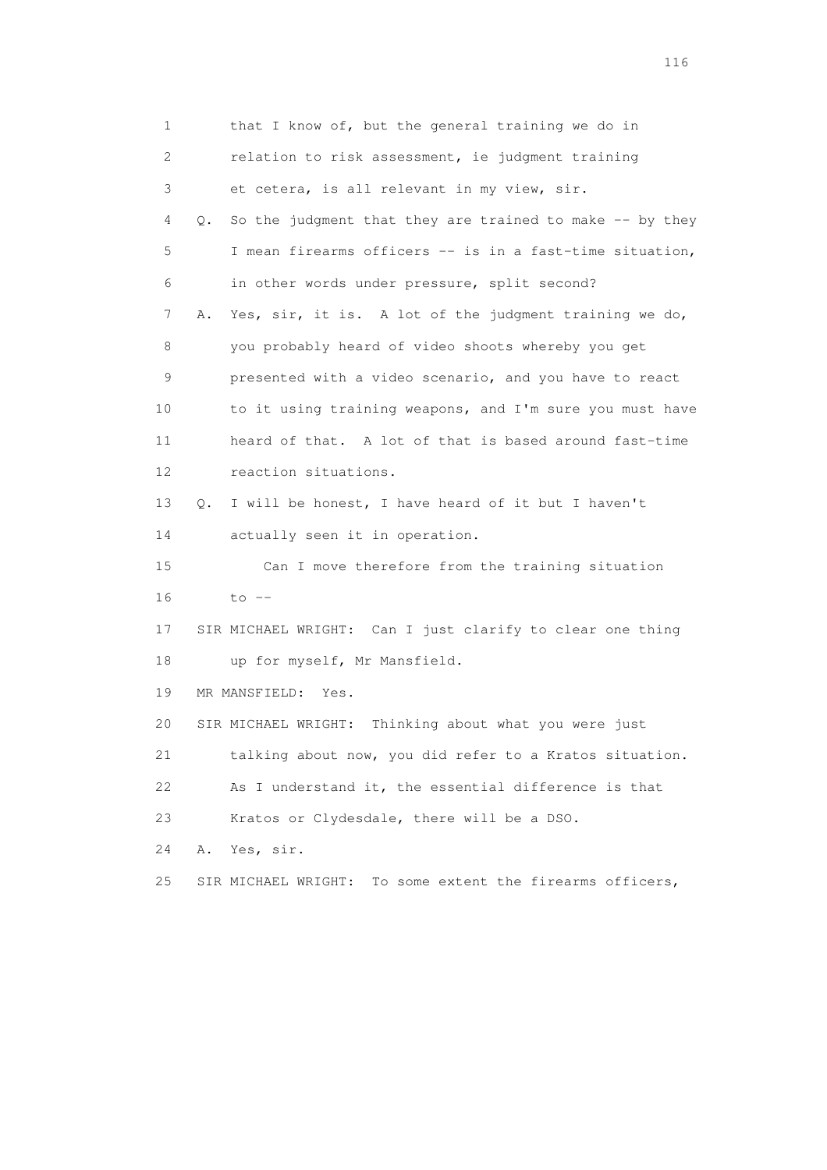| 1              |    | that I know of, but the general training we do in            |
|----------------|----|--------------------------------------------------------------|
| $\overline{2}$ |    | relation to risk assessment, ie judgment training            |
| 3              |    | et cetera, is all relevant in my view, sir.                  |
| 4              | Q. | So the judgment that they are trained to make $-$ - by they  |
| 5              |    | I mean firearms officers -- is in a fast-time situation,     |
| 6              |    | in other words under pressure, split second?                 |
| 7              | Α. | Yes, sir, it is. A lot of the judgment training we do,       |
| 8              |    | you probably heard of video shoots whereby you get           |
| 9              |    | presented with a video scenario, and you have to react       |
| 10             |    | to it using training weapons, and I'm sure you must have     |
| 11             |    | heard of that. A lot of that is based around fast-time       |
| 12             |    | reaction situations.                                         |
| 13             | Q. | I will be honest, I have heard of it but I haven't           |
| 14             |    | actually seen it in operation.                               |
| 15             |    | Can I move therefore from the training situation             |
| 16             |    | $to$ $--$                                                    |
| 17             |    | SIR MICHAEL WRIGHT: Can I just clarify to clear one thing    |
| 18             |    | up for myself, Mr Mansfield.                                 |
| 19             |    | MR MANSFIELD:<br>Yes.                                        |
| 20             |    | SIR MICHAEL WRIGHT: Thinking about what you were just        |
| 21             |    | talking about now, you did refer to a Kratos situation.      |
| 22             |    | As I understand it, the essential difference is that         |
| 23             |    | Kratos or Clydesdale, there will be a DSO.                   |
| 24             | Α. | Yes, sir.                                                    |
| 25             |    | To some extent the firearms officers,<br>SIR MICHAEL WRIGHT: |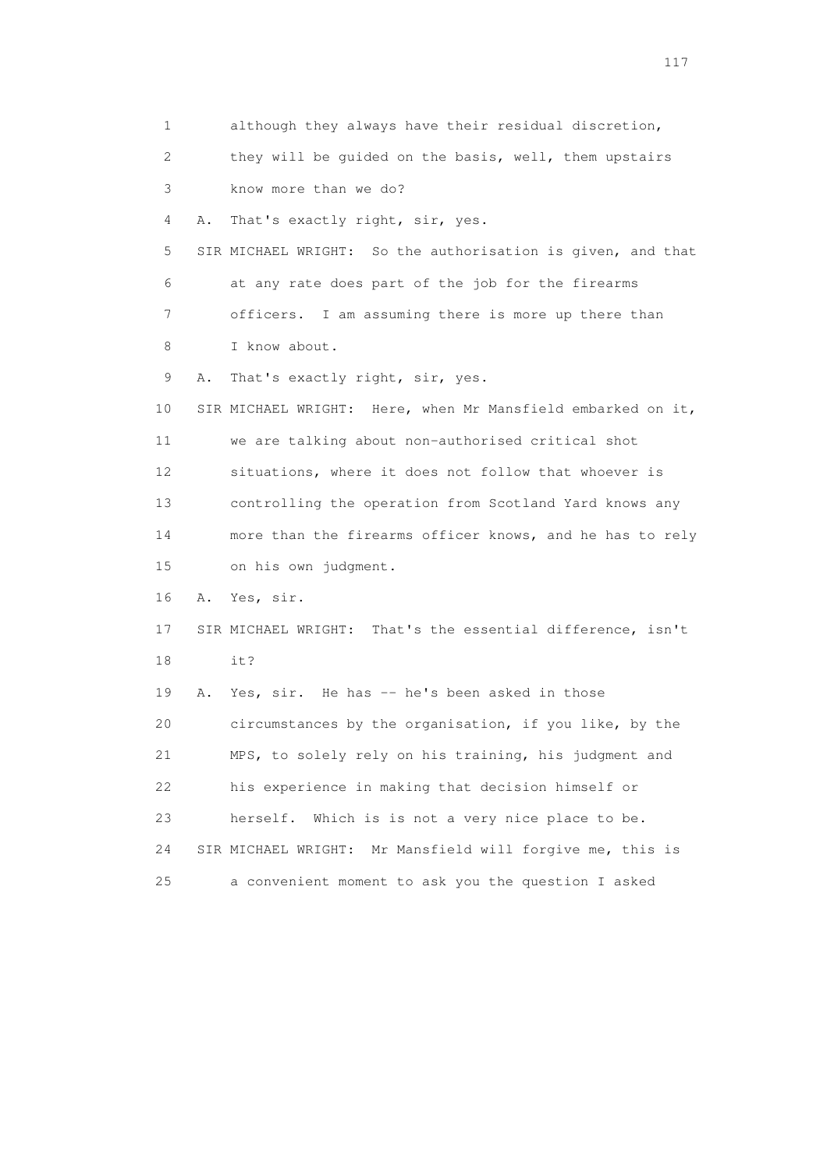1 although they always have their residual discretion, 2 they will be guided on the basis, well, them upstairs 3 know more than we do? 4 A. That's exactly right, sir, yes. 5 SIR MICHAEL WRIGHT: So the authorisation is given, and that 6 at any rate does part of the job for the firearms 7 officers. I am assuming there is more up there than 8 I know about. 9 A. That's exactly right, sir, yes. 10 SIR MICHAEL WRIGHT: Here, when Mr Mansfield embarked on it, 11 we are talking about non-authorised critical shot 12 situations, where it does not follow that whoever is 13 controlling the operation from Scotland Yard knows any 14 more than the firearms officer knows, and he has to rely 15 on his own judgment. 16 A. Yes, sir. 17 SIR MICHAEL WRIGHT: That's the essential difference, isn't 18 it? 19 A. Yes, sir. He has -- he's been asked in those 20 circumstances by the organisation, if you like, by the 21 MPS, to solely rely on his training, his judgment and 22 his experience in making that decision himself or 23 herself. Which is is not a very nice place to be. 24 SIR MICHAEL WRIGHT: Mr Mansfield will forgive me, this is 25 a convenient moment to ask you the question I asked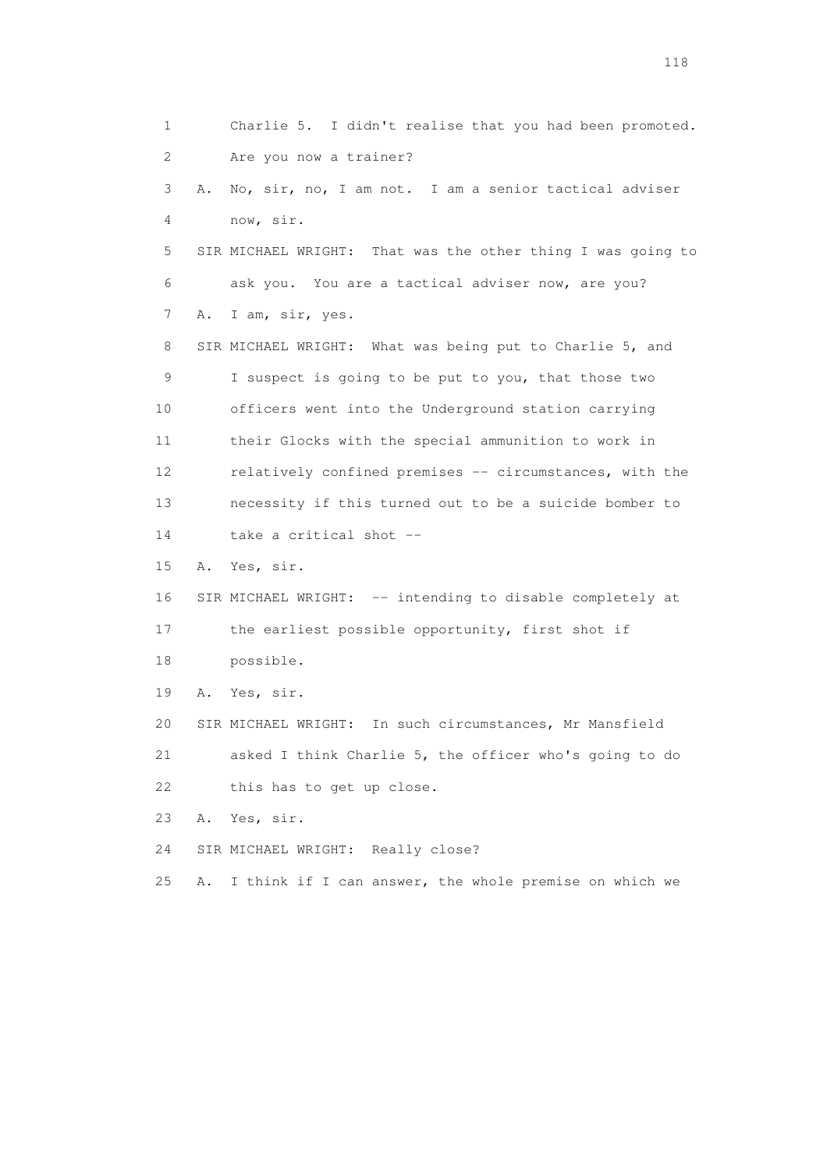1 Charlie 5. I didn't realise that you had been promoted. 2 Are you now a trainer? 3 A. No, sir, no, I am not. I am a senior tactical adviser 4 now, sir. 5 SIR MICHAEL WRIGHT: That was the other thing I was going to 6 ask you. You are a tactical adviser now, are you? 7 A. I am, sir, yes. 8 SIR MICHAEL WRIGHT: What was being put to Charlie 5, and 9 I suspect is going to be put to you, that those two 10 officers went into the Underground station carrying 11 their Glocks with the special ammunition to work in 12 relatively confined premises -- circumstances, with the 13 necessity if this turned out to be a suicide bomber to 14 take a critical shot -- 15 A. Yes, sir. 16 SIR MICHAEL WRIGHT: -- intending to disable completely at 17 the earliest possible opportunity, first shot if 18 possible. 19 A. Yes, sir. 20 SIR MICHAEL WRIGHT: In such circumstances, Mr Mansfield 21 asked I think Charlie 5, the officer who's going to do 22 this has to get up close. 23 A. Yes, sir. 24 SIR MICHAEL WRIGHT: Really close? 25 A. I think if I can answer, the whole premise on which we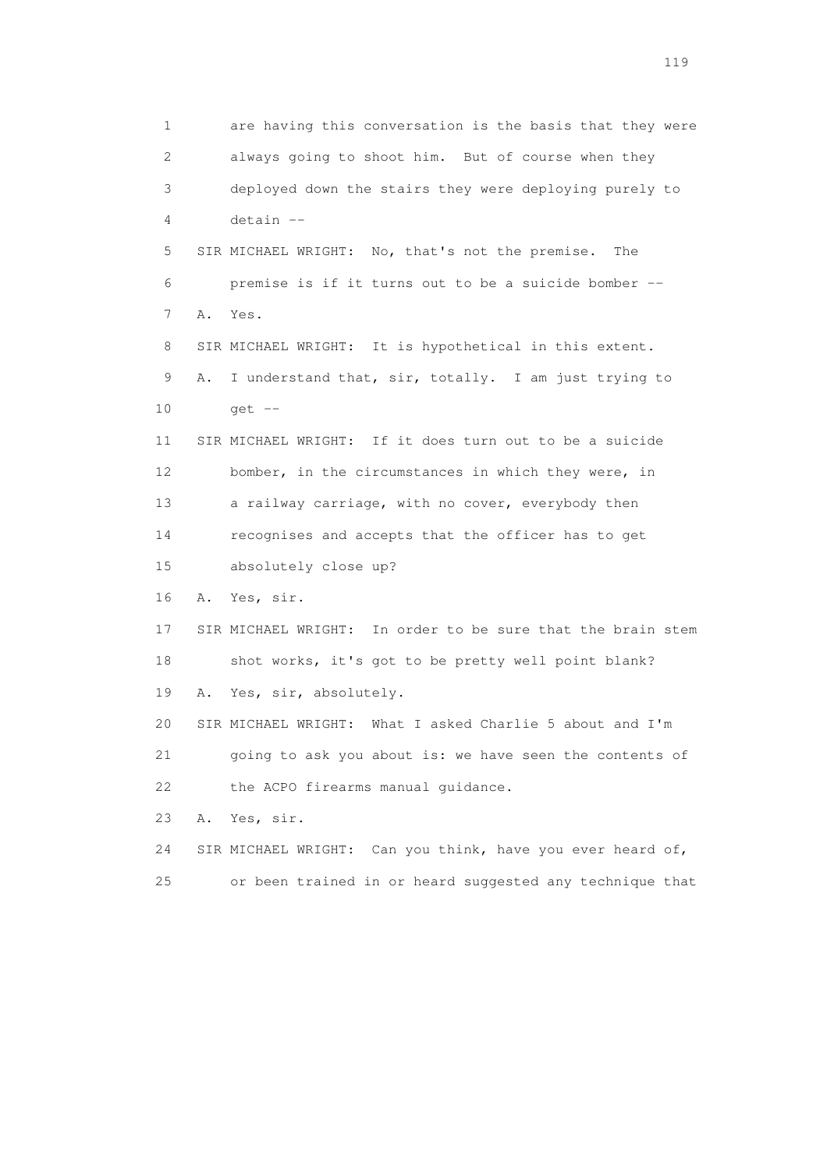1 are having this conversation is the basis that they were 2 always going to shoot him. But of course when they 3 deployed down the stairs they were deploying purely to 4 detain -- 5 SIR MICHAEL WRIGHT: No, that's not the premise. The 6 premise is if it turns out to be a suicide bomber -- 7 A. Yes. 8 SIR MICHAEL WRIGHT: It is hypothetical in this extent. 9 A. I understand that, sir, totally. I am just trying to 10 get -- 11 SIR MICHAEL WRIGHT: If it does turn out to be a suicide 12 bomber, in the circumstances in which they were, in 13 a railway carriage, with no cover, everybody then 14 recognises and accepts that the officer has to get 15 absolutely close up? 16 A. Yes, sir. 17 SIR MICHAEL WRIGHT: In order to be sure that the brain stem 18 shot works, it's got to be pretty well point blank? 19 A. Yes, sir, absolutely. 20 SIR MICHAEL WRIGHT: What I asked Charlie 5 about and I'm 21 going to ask you about is: we have seen the contents of 22 the ACPO firearms manual quidance. 23 A. Yes, sir. 24 SIR MICHAEL WRIGHT: Can you think, have you ever heard of, 25 or been trained in or heard suggested any technique that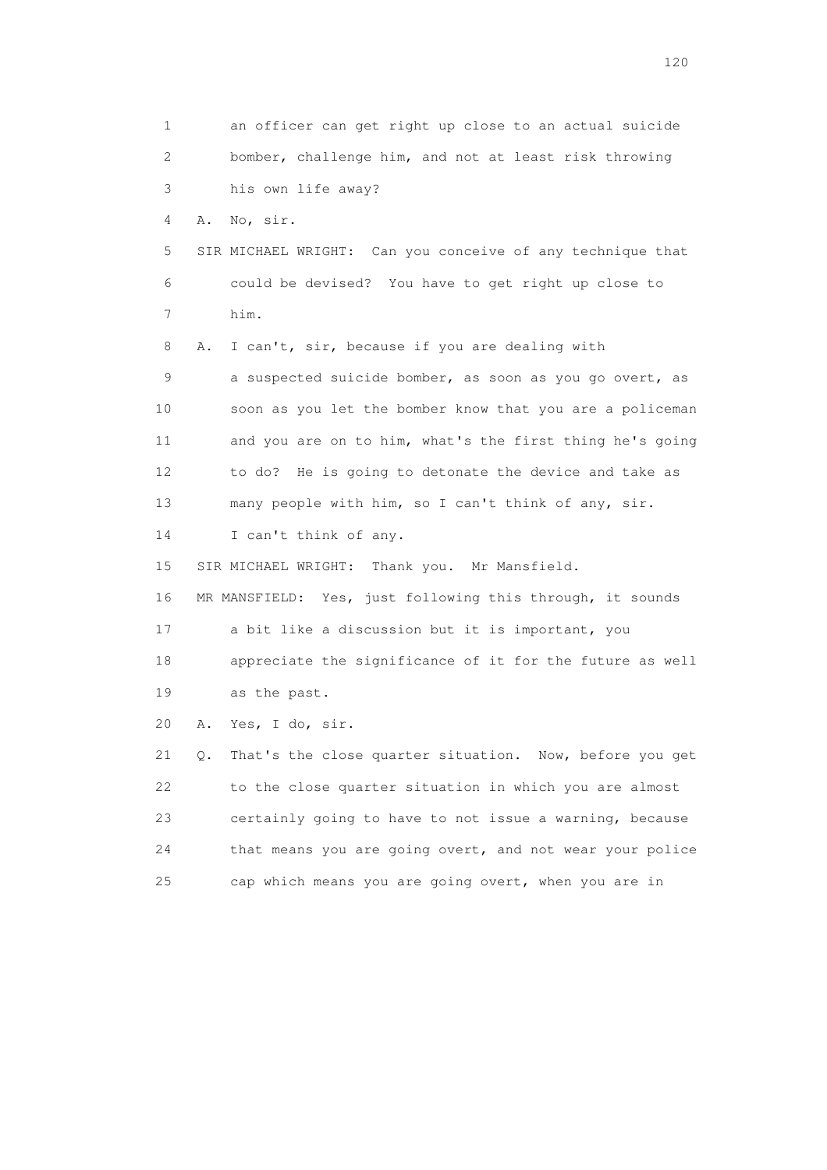1 an officer can get right up close to an actual suicide 2 bomber, challenge him, and not at least risk throwing 3 his own life away? 4 A. No, sir. 5 SIR MICHAEL WRIGHT: Can you conceive of any technique that 6 could be devised? You have to get right up close to 7 him. 8 A. I can't, sir, because if you are dealing with 9 a suspected suicide bomber, as soon as you go overt, as 10 soon as you let the bomber know that you are a policeman 11 and you are on to him, what's the first thing he's going 12 to do? He is going to detonate the device and take as 13 many people with him, so I can't think of any, sir. 14 I can't think of any. 15 SIR MICHAEL WRIGHT: Thank you. Mr Mansfield. 16 MR MANSFIELD: Yes, just following this through, it sounds 17 a bit like a discussion but it is important, you 18 appreciate the significance of it for the future as well 19 as the past. 20 A. Yes, I do, sir. 21 Q. That's the close quarter situation. Now, before you get 22 to the close quarter situation in which you are almost 23 certainly going to have to not issue a warning, because 24 that means you are going overt, and not wear your police 25 cap which means you are going overt, when you are in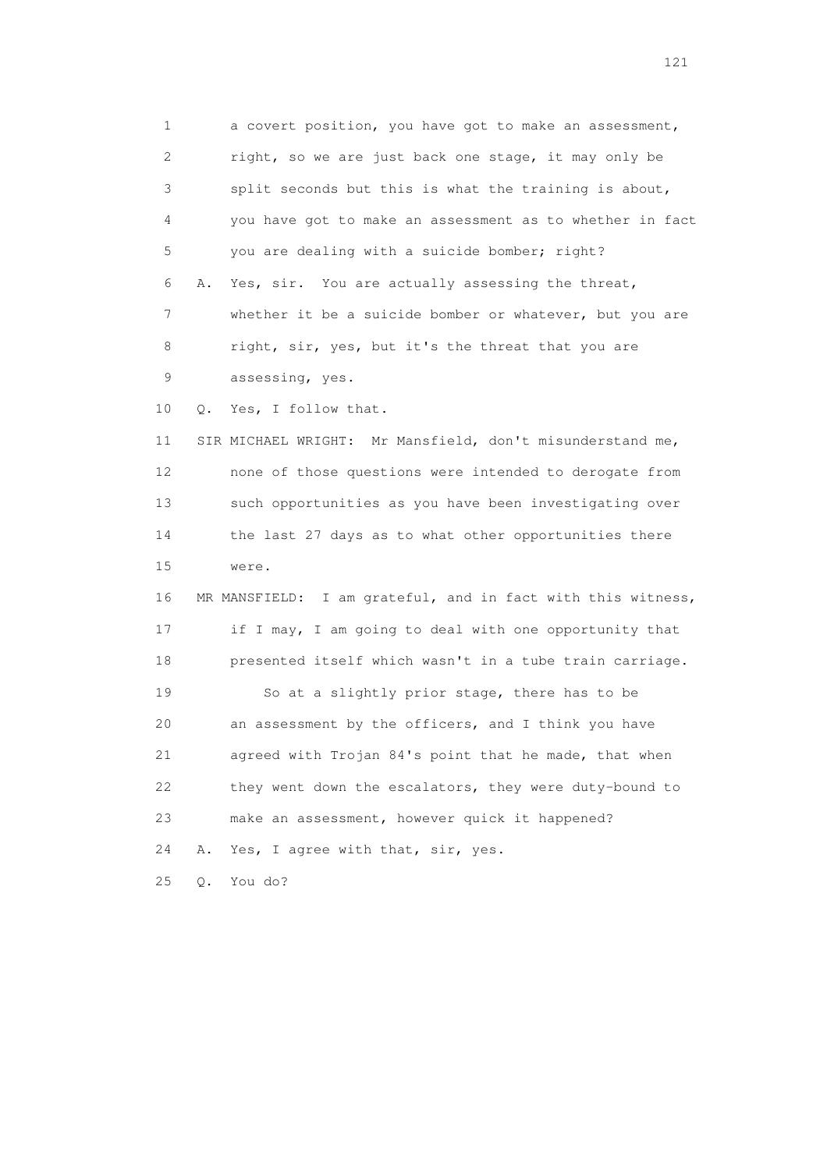1 a covert position, you have got to make an assessment, 2 right, so we are just back one stage, it may only be 3 split seconds but this is what the training is about, 4 you have got to make an assessment as to whether in fact 5 you are dealing with a suicide bomber; right? 6 A. Yes, sir. You are actually assessing the threat, 7 whether it be a suicide bomber or whatever, but you are 8 right, sir, yes, but it's the threat that you are 9 assessing, yes. 10 Q. Yes, I follow that. 11 SIR MICHAEL WRIGHT: Mr Mansfield, don't misunderstand me, 12 none of those questions were intended to derogate from 13 such opportunities as you have been investigating over 14 the last 27 days as to what other opportunities there 15 were. 16 MR MANSFIELD: I am grateful, and in fact with this witness, 17 if I may, I am going to deal with one opportunity that 18 presented itself which wasn't in a tube train carriage. 19 So at a slightly prior stage, there has to be 20 an assessment by the officers, and I think you have 21 agreed with Trojan 84's point that he made, that when 22 they went down the escalators, they were duty-bound to 23 make an assessment, however quick it happened? 24 A. Yes, I agree with that, sir, yes. 25 Q. You do?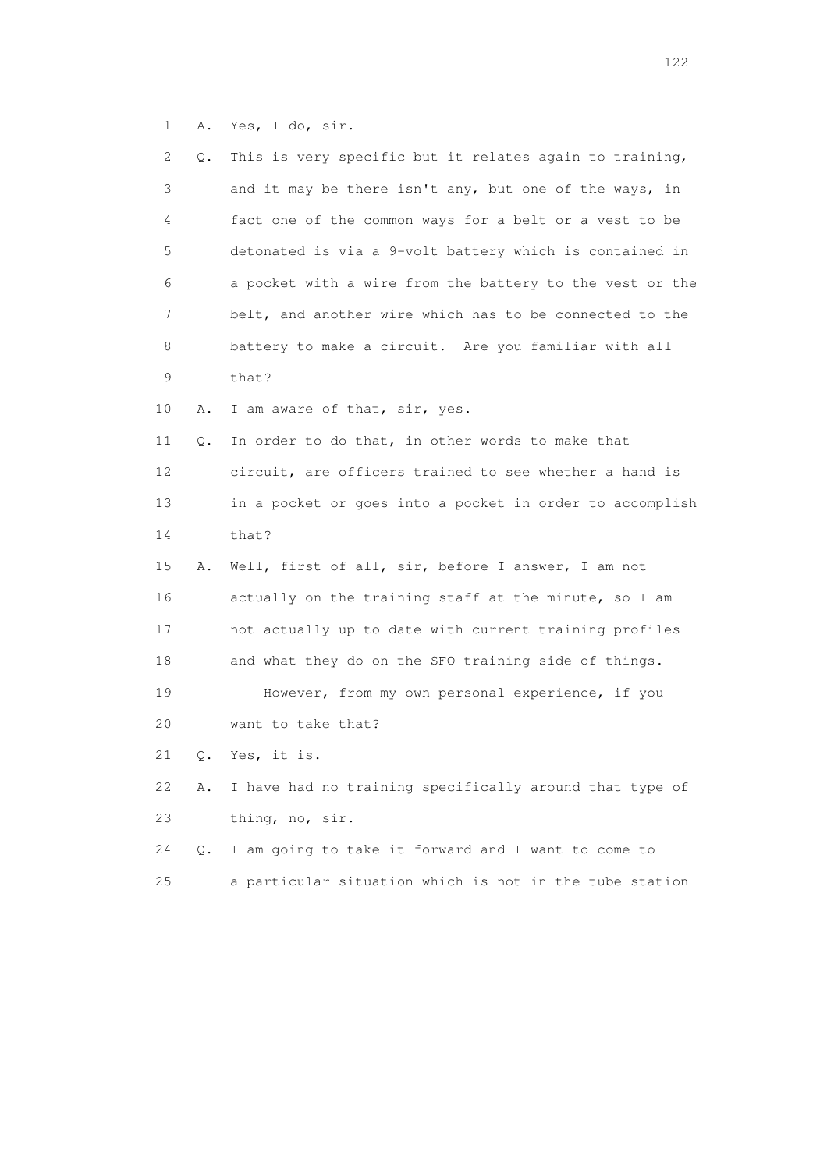1 A. Yes, I do, sir.

| 2  | Q. | This is very specific but it relates again to training,  |
|----|----|----------------------------------------------------------|
| 3  |    | and it may be there isn't any, but one of the ways, in   |
| 4  |    | fact one of the common ways for a belt or a vest to be   |
| 5  |    | detonated is via a 9-volt battery which is contained in  |
| 6  |    | a pocket with a wire from the battery to the vest or the |
| 7  |    | belt, and another wire which has to be connected to the  |
| 8  |    | battery to make a circuit. Are you familiar with all     |
| 9  |    | that?                                                    |
| 10 | Α. | I am aware of that, sir, yes.                            |
| 11 | Q. | In order to do that, in other words to make that         |
| 12 |    | circuit, are officers trained to see whether a hand is   |
| 13 |    | in a pocket or goes into a pocket in order to accomplish |
| 14 |    | that?                                                    |
| 15 | Α. | Well, first of all, sir, before I answer, I am not       |
| 16 |    | actually on the training staff at the minute, so I am    |
| 17 |    | not actually up to date with current training profiles   |
| 18 |    | and what they do on the SFO training side of things.     |
| 19 |    | However, from my own personal experience, if you         |
| 20 |    | want to take that?                                       |
| 21 | Q. | Yes, it is.                                              |
| 22 | Α. | I have had no training specifically around that type of  |
| 23 |    | thing, no, sir.                                          |
| 24 | О. | I am going to take it forward and I want to come to      |
| 25 |    | a particular situation which is not in the tube station  |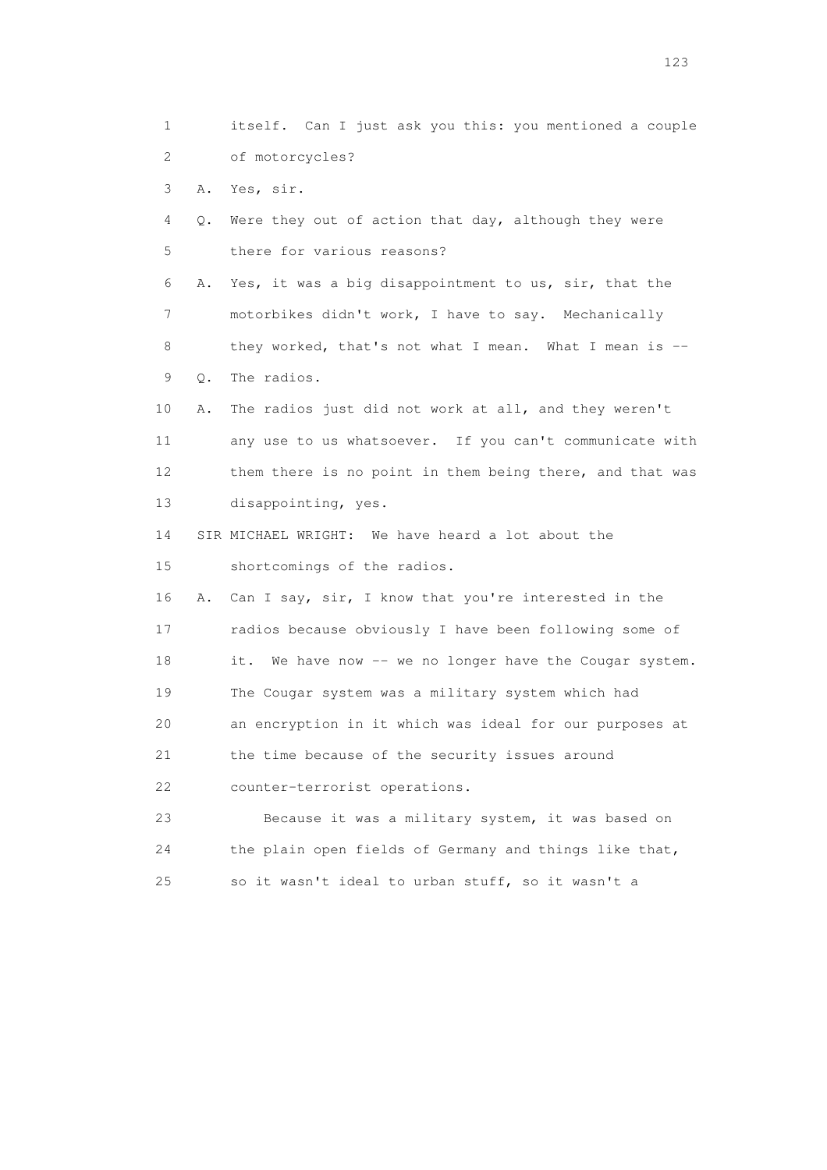1 itself. Can I just ask you this: you mentioned a couple 2 of motorcycles? 3 A. Yes, sir. 4 Q. Were they out of action that day, although they were 5 there for various reasons? 6 A. Yes, it was a big disappointment to us, sir, that the 7 motorbikes didn't work, I have to say. Mechanically 8 they worked, that's not what I mean. What I mean is -- 9 Q. The radios. 10 A. The radios just did not work at all, and they weren't 11 any use to us whatsoever. If you can't communicate with 12 them there is no point in them being there, and that was 13 disappointing, yes. 14 SIR MICHAEL WRIGHT: We have heard a lot about the 15 shortcomings of the radios. 16 A. Can I say, sir, I know that you're interested in the 17 radios because obviously I have been following some of 18 it. We have now -- we no longer have the Cougar system. 19 The Cougar system was a military system which had 20 an encryption in it which was ideal for our purposes at 21 the time because of the security issues around 22 counter-terrorist operations. 23 Because it was a military system, it was based on 24 the plain open fields of Germany and things like that, 25 so it wasn't ideal to urban stuff, so it wasn't a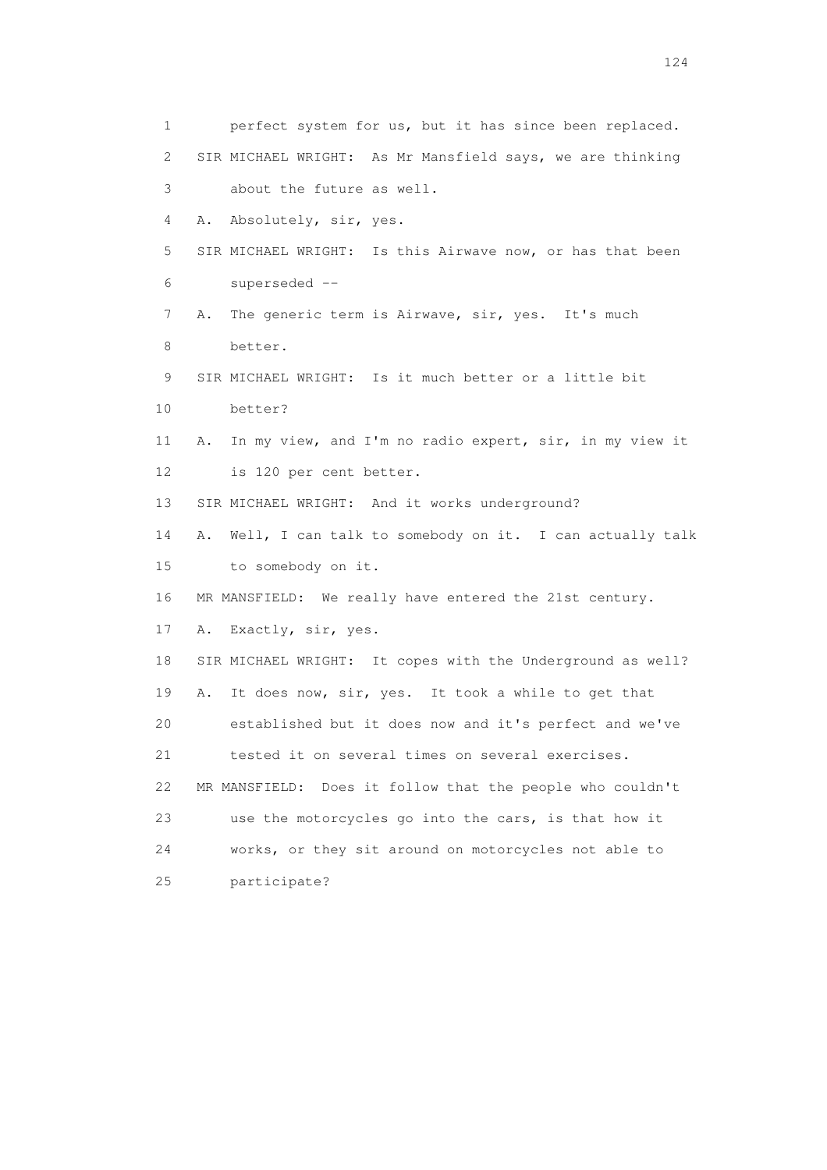1 perfect system for us, but it has since been replaced. 2 SIR MICHAEL WRIGHT: As Mr Mansfield says, we are thinking 3 about the future as well. 4 A. Absolutely, sir, yes. 5 SIR MICHAEL WRIGHT: Is this Airwave now, or has that been 6 superseded -- 7 A. The generic term is Airwave, sir, yes. It's much 8 better. 9 SIR MICHAEL WRIGHT: Is it much better or a little bit 10 better? 11 A. In my view, and I'm no radio expert, sir, in my view it 12 is 120 per cent better. 13 SIR MICHAEL WRIGHT: And it works underground? 14 A. Well, I can talk to somebody on it. I can actually talk 15 to somebody on it. 16 MR MANSFIELD: We really have entered the 21st century. 17 A. Exactly, sir, yes. 18 SIR MICHAEL WRIGHT: It copes with the Underground as well? 19 A. It does now, sir, yes. It took a while to get that 20 established but it does now and it's perfect and we've 21 tested it on several times on several exercises. 22 MR MANSFIELD: Does it follow that the people who couldn't 23 use the motorcycles go into the cars, is that how it 24 works, or they sit around on motorcycles not able to 25 participate?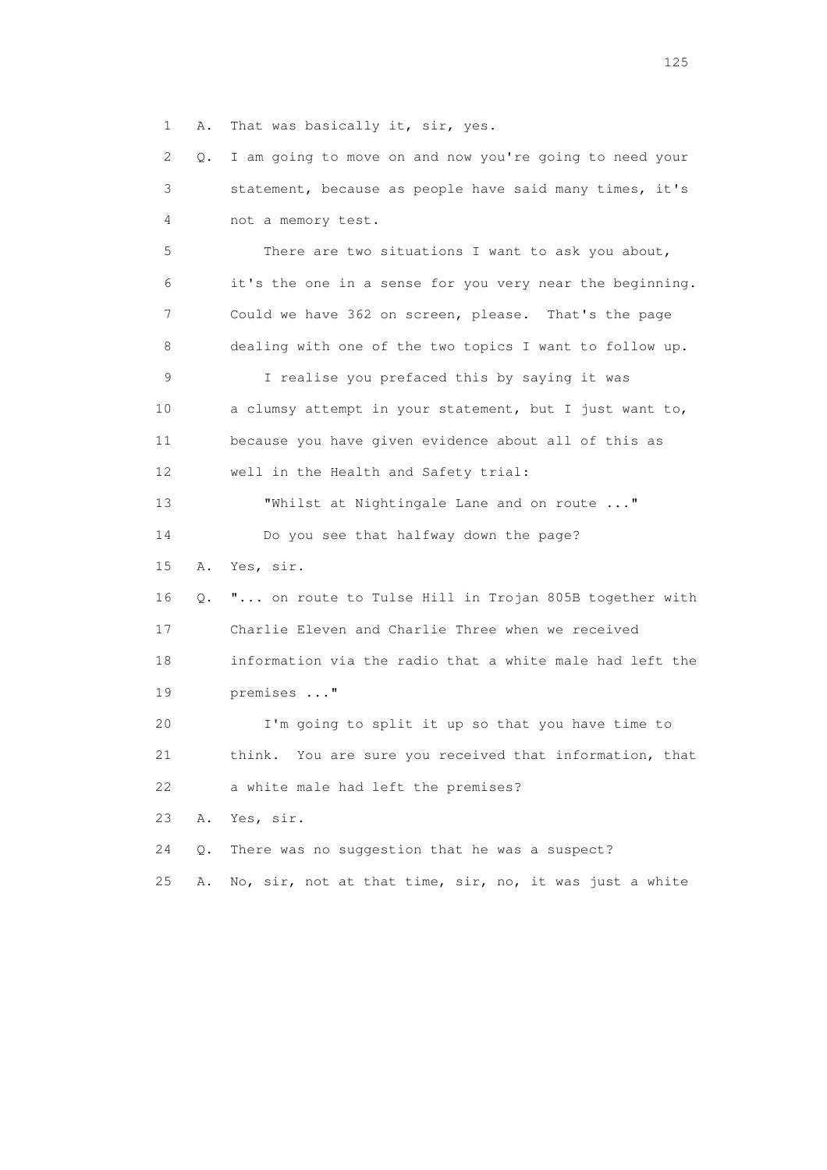1 A. That was basically it, sir, yes.

 2 Q. I am going to move on and now you're going to need your 3 statement, because as people have said many times, it's 4 not a memory test. 5 There are two situations I want to ask you about, 6 it's the one in a sense for you very near the beginning. 7 Could we have 362 on screen, please. That's the page 8 dealing with one of the two topics I want to follow up. 9 I realise you prefaced this by saying it was 10 a clumsy attempt in your statement, but I just want to, 11 because you have given evidence about all of this as 12 well in the Health and Safety trial: 13 Whilst at Nightingale Lane and on route ..." 14 Do you see that halfway down the page? 15 A. Yes, sir. 16 Q. "... on route to Tulse Hill in Trojan 805B together with 17 Charlie Eleven and Charlie Three when we received 18 information via the radio that a white male had left the 19 premises ..." 20 I'm going to split it up so that you have time to 21 think. You are sure you received that information, that 22 a white male had left the premises? 23 A. Yes, sir. 24 Q. There was no suggestion that he was a suspect? 25 A. No, sir, not at that time, sir, no, it was just a white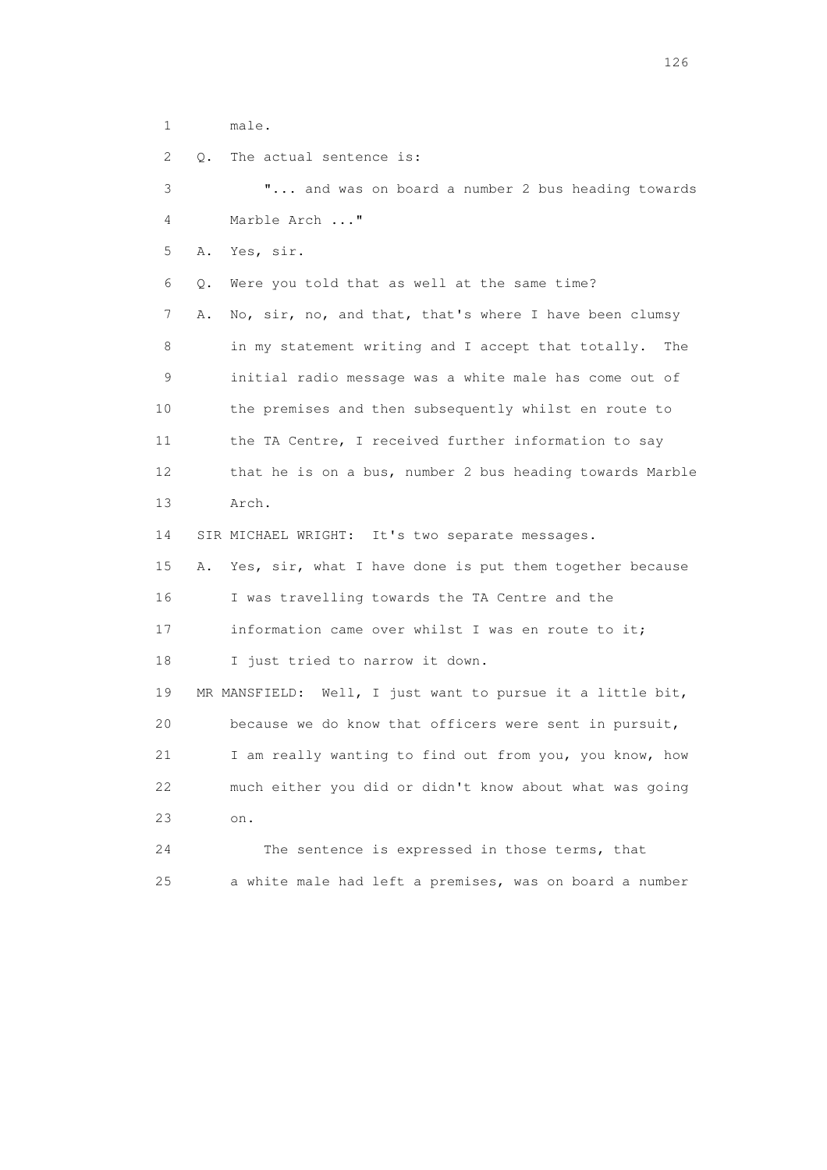1 male.

2 Q. The actual sentence is:

 3 "... and was on board a number 2 bus heading towards 4 Marble Arch ..." 5 A. Yes, sir. 6 Q. Were you told that as well at the same time? 7 A. No, sir, no, and that, that's where I have been clumsy 8 in my statement writing and I accept that totally. The 9 initial radio message was a white male has come out of 10 the premises and then subsequently whilst en route to 11 the TA Centre, I received further information to say 12 that he is on a bus, number 2 bus heading towards Marble 13 Arch. 14 SIR MICHAEL WRIGHT: It's two separate messages. 15 A. Yes, sir, what I have done is put them together because

 16 I was travelling towards the TA Centre and the 17 information came over whilst I was en route to it;

18 I just tried to narrow it down.

 19 MR MANSFIELD: Well, I just want to pursue it a little bit, 20 because we do know that officers were sent in pursuit, 21 I am really wanting to find out from you, you know, how 22 much either you did or didn't know about what was going 23 on.

 24 The sentence is expressed in those terms, that 25 a white male had left a premises, was on board a number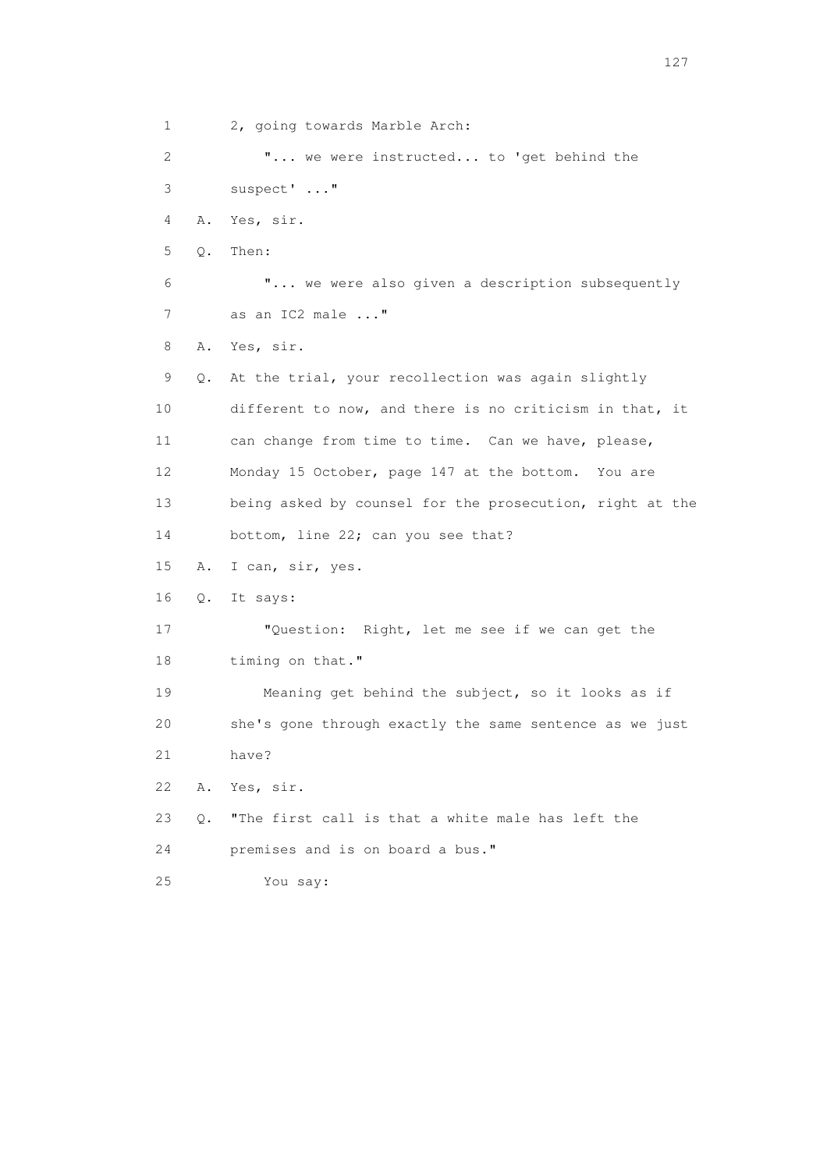1 2, going towards Marble Arch: 2 "... we were instructed... to 'get behind the 3 suspect' ..." 4 A. Yes, sir. 5 Q. Then: 6 "... we were also given a description subsequently 7 as an IC2 male ..." 8 A. Yes, sir. 9 Q. At the trial, your recollection was again slightly 10 different to now, and there is no criticism in that, it 11 can change from time to time. Can we have, please, 12 Monday 15 October, page 147 at the bottom. You are 13 being asked by counsel for the prosecution, right at the 14 bottom, line 22; can you see that? 15 A. I can, sir, yes. 16 Q. It says: 17 "Question: Right, let me see if we can get the 18 timing on that." 19 Meaning get behind the subject, so it looks as if 20 she's gone through exactly the same sentence as we just 21 have? 22 A. Yes, sir. 23 Q. "The first call is that a white male has left the 24 premises and is on board a bus." 25 You say: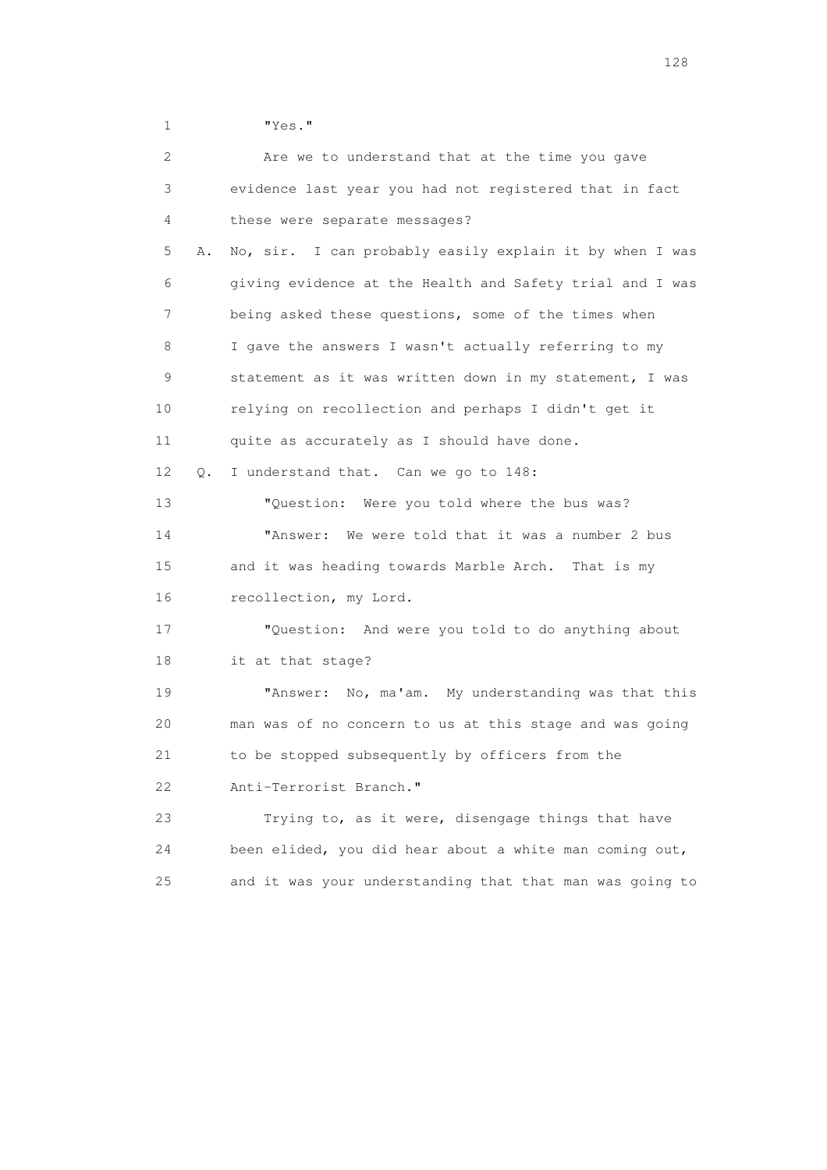1 "Yes."

| 2        | Are we to understand that at the time you gave           |
|----------|----------------------------------------------------------|
| 3        | evidence last year you had not registered that in fact   |
| 4        | these were separate messages?                            |
| 5<br>Α.  | No, sir. I can probably easily explain it by when I was  |
| 6        | giving evidence at the Health and Safety trial and I was |
| 7        | being asked these questions, some of the times when      |
| 8        | I gave the answers I wasn't actually referring to my     |
| 9        | statement as it was written down in my statement, I was  |
| 10       | relying on recollection and perhaps I didn't get it      |
| 11       | quite as accurately as I should have done.               |
| 12<br>О. | I understand that. Can we go to 148:                     |
| 13       | "Question: Were you told where the bus was?              |
| 14       | "Answer:<br>We were told that it was a number 2 bus      |
| 15       | and it was heading towards Marble Arch. That is my       |
| 16       | recollection, my Lord.                                   |
| 17       | "Question: And were you told to do anything about        |
| 18       | it at that stage?                                        |
| 19       | No, ma'am. My understanding was that this<br>"Answer:    |
| 20       | man was of no concern to us at this stage and was going  |
| 21       | to be stopped subsequently by officers from the          |
| 22       | Anti-Terrorist Branch."                                  |
| 23       | Trying to, as it were, disengage things that have        |
| 24       | been elided, you did hear about a white man coming out,  |
| 25       | and it was your understanding that that man was going to |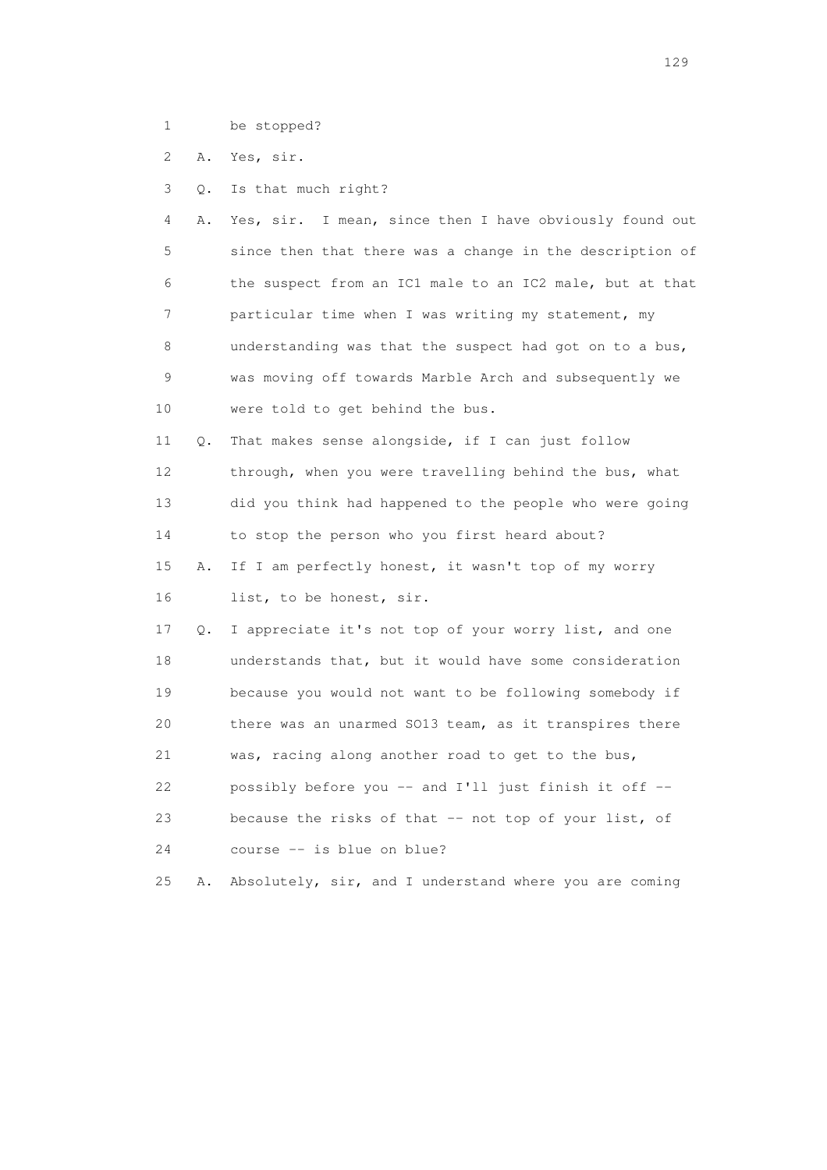1 be stopped?

2 A. Yes, sir.

3 Q. Is that much right?

 4 A. Yes, sir. I mean, since then I have obviously found out 5 since then that there was a change in the description of 6 the suspect from an IC1 male to an IC2 male, but at that 7 particular time when I was writing my statement, my 8 understanding was that the suspect had got on to a bus, 9 was moving off towards Marble Arch and subsequently we 10 were told to get behind the bus.

 11 Q. That makes sense alongside, if I can just follow 12 through, when you were travelling behind the bus, what 13 did you think had happened to the people who were going 14 to stop the person who you first heard about?

 15 A. If I am perfectly honest, it wasn't top of my worry 16 list, to be honest, sir.

 17 Q. I appreciate it's not top of your worry list, and one 18 understands that, but it would have some consideration 19 because you would not want to be following somebody if 20 there was an unarmed SO13 team, as it transpires there 21 was, racing along another road to get to the bus, 22 possibly before you -- and I'll just finish it off -- 23 because the risks of that -- not top of your list, of 24 course -- is blue on blue?

25 A. Absolutely, sir, and I understand where you are coming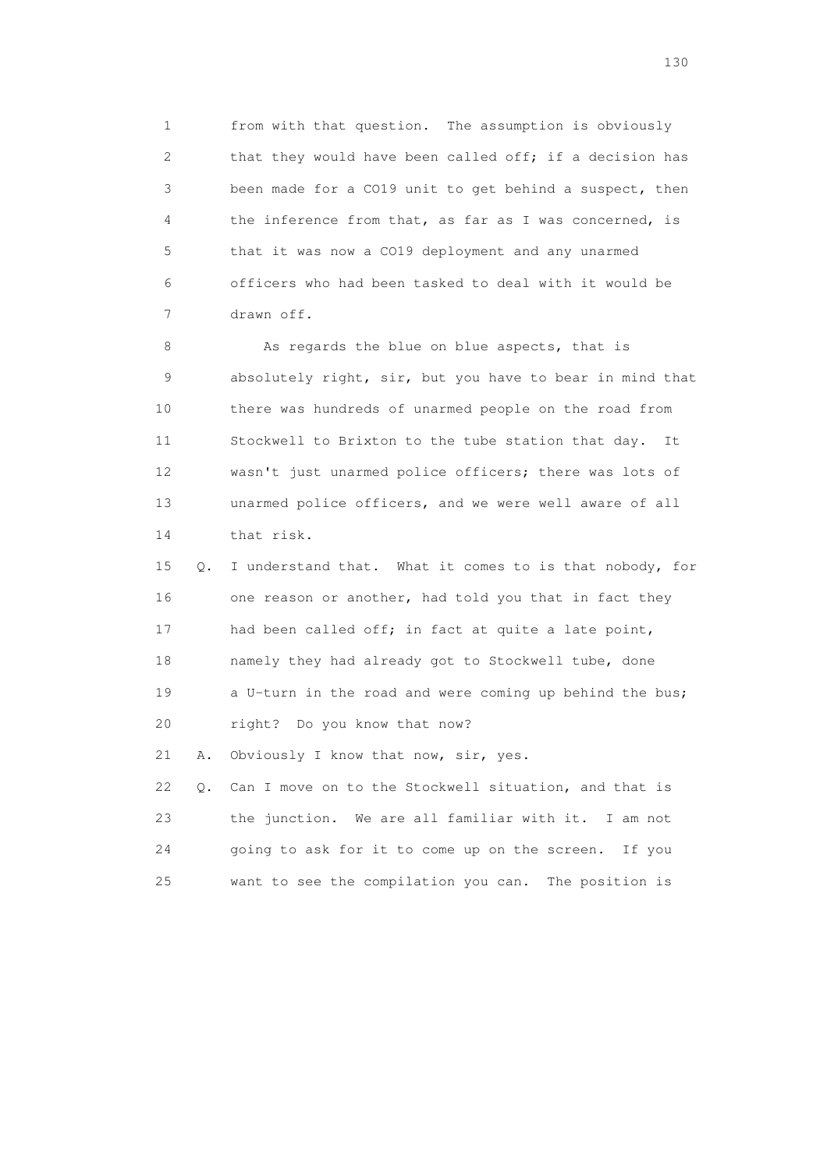1 from with that question. The assumption is obviously 2 that they would have been called off; if a decision has 3 been made for a CO19 unit to get behind a suspect, then 4 the inference from that, as far as I was concerned, is 5 that it was now a CO19 deployment and any unarmed 6 officers who had been tasked to deal with it would be 7 drawn off.

8 As regards the blue on blue aspects, that is 9 absolutely right, sir, but you have to bear in mind that 10 there was hundreds of unarmed people on the road from 11 Stockwell to Brixton to the tube station that day. It 12 wasn't just unarmed police officers; there was lots of 13 unarmed police officers, and we were well aware of all 14 that risk.

 15 Q. I understand that. What it comes to is that nobody, for 16 one reason or another, had told you that in fact they 17 had been called off; in fact at quite a late point, 18 namely they had already got to Stockwell tube, done 19 a U-turn in the road and were coming up behind the bus; 20 right? Do you know that now?

21 A. Obviously I know that now, sir, yes.

 22 Q. Can I move on to the Stockwell situation, and that is 23 the junction. We are all familiar with it. I am not 24 going to ask for it to come up on the screen. If you 25 want to see the compilation you can. The position is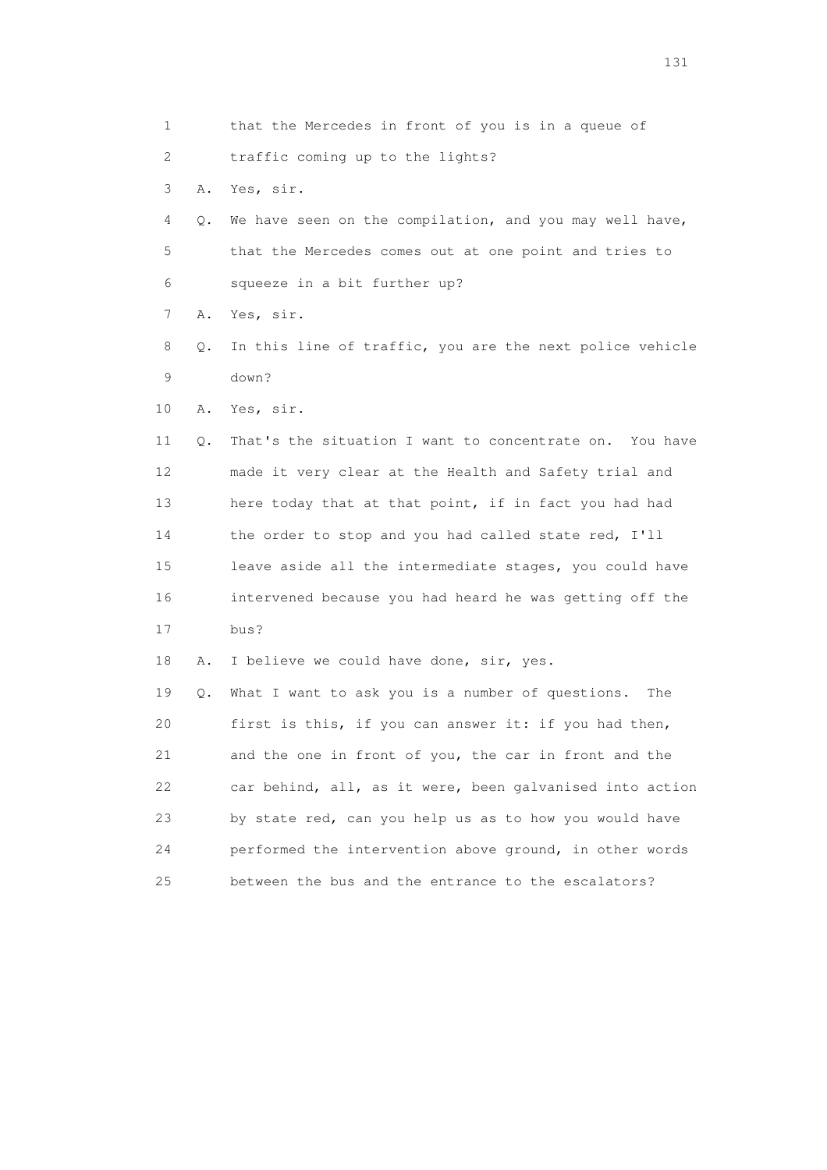| 1                         |    | that the Mercedes in front of you is in a queue of       |
|---------------------------|----|----------------------------------------------------------|
| $\mathbf{2}^{\mathsf{I}}$ |    | traffic coming up to the lights?                         |
| 3                         | Α. | Yes, sir.                                                |
| 4                         | Q. | We have seen on the compilation, and you may well have,  |
| 5                         |    | that the Mercedes comes out at one point and tries to    |
| 6                         |    | squeeze in a bit further up?                             |
| 7                         | Α. | Yes, sir.                                                |
| 8                         | Q. | In this line of traffic, you are the next police vehicle |
| 9                         |    | down?                                                    |
| 10                        | Α. | Yes, sir.                                                |
| 11                        | Q. | That's the situation I want to concentrate on. You have  |
| 12                        |    | made it very clear at the Health and Safety trial and    |
| 13                        |    | here today that at that point, if in fact you had had    |
| 14                        |    | the order to stop and you had called state red, I'll     |
| 15                        |    | leave aside all the intermediate stages, you could have  |
| 16                        |    | intervened because you had heard he was getting off the  |
| 17                        |    | bus?                                                     |
| 18                        | Α. | I believe we could have done, sir, yes.                  |
| 19                        | Q. | What I want to ask you is a number of questions.<br>The  |
| 20                        |    | first is this, if you can answer it: if you had then,    |
| 21                        |    | and the one in front of you, the car in front and the    |
| 22                        |    | car behind, all, as it were, been galvanised into action |
| 23                        |    | by state red, can you help us as to how you would have   |
| 24                        |    | performed the intervention above ground, in other words  |
| 25                        |    | between the bus and the entrance to the escalators?      |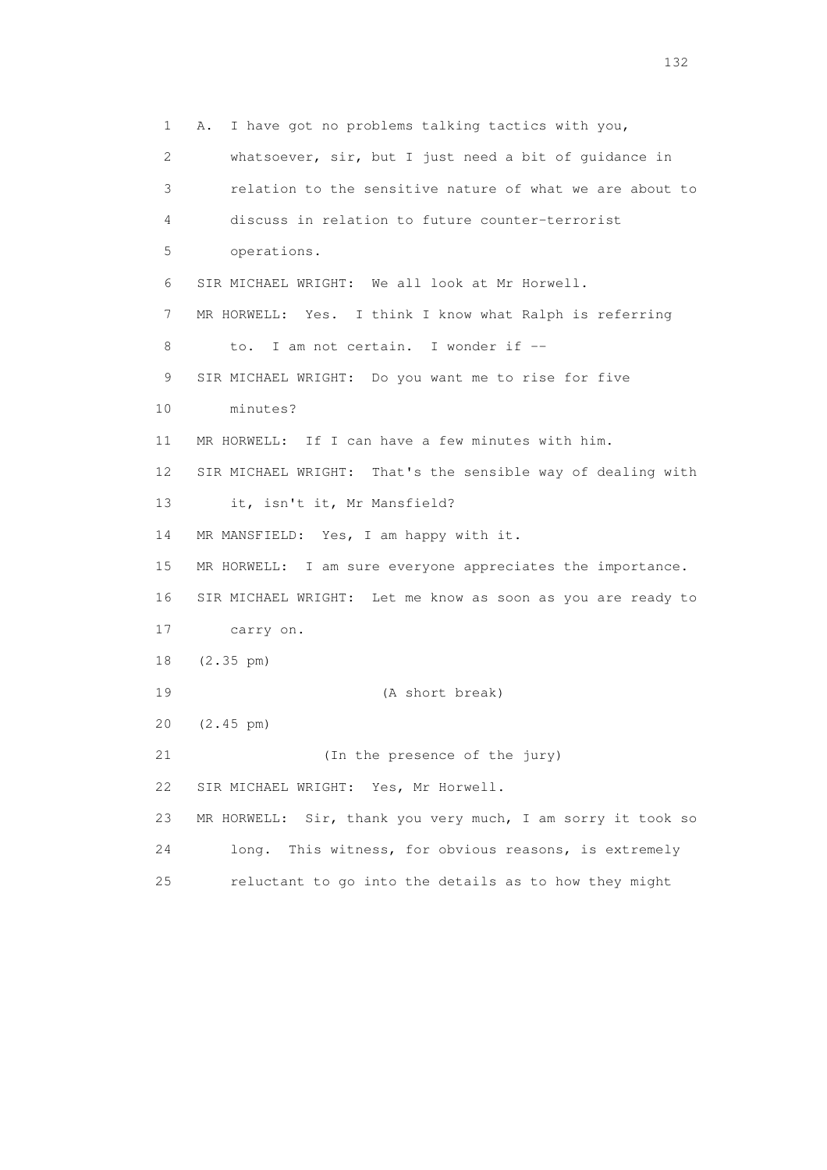1 A. I have got no problems talking tactics with you, 2 whatsoever, sir, but I just need a bit of guidance in 3 relation to the sensitive nature of what we are about to 4 discuss in relation to future counter-terrorist 5 operations. 6 SIR MICHAEL WRIGHT: We all look at Mr Horwell. 7 MR HORWELL: Yes. I think I know what Ralph is referring 8 to. I am not certain. I wonder if -- 9 SIR MICHAEL WRIGHT: Do you want me to rise for five 10 minutes? 11 MR HORWELL: If I can have a few minutes with him. 12 SIR MICHAEL WRIGHT: That's the sensible way of dealing with 13 it, isn't it, Mr Mansfield? 14 MR MANSFIELD: Yes, I am happy with it. 15 MR HORWELL: I am sure everyone appreciates the importance. 16 SIR MICHAEL WRIGHT: Let me know as soon as you are ready to 17 carry on. 18 (2.35 pm) 19 (A short break) 20 (2.45 pm) 21 (In the presence of the jury) 22 SIR MICHAEL WRIGHT: Yes, Mr Horwell. 23 MR HORWELL: Sir, thank you very much, I am sorry it took so 24 long. This witness, for obvious reasons, is extremely 25 reluctant to go into the details as to how they might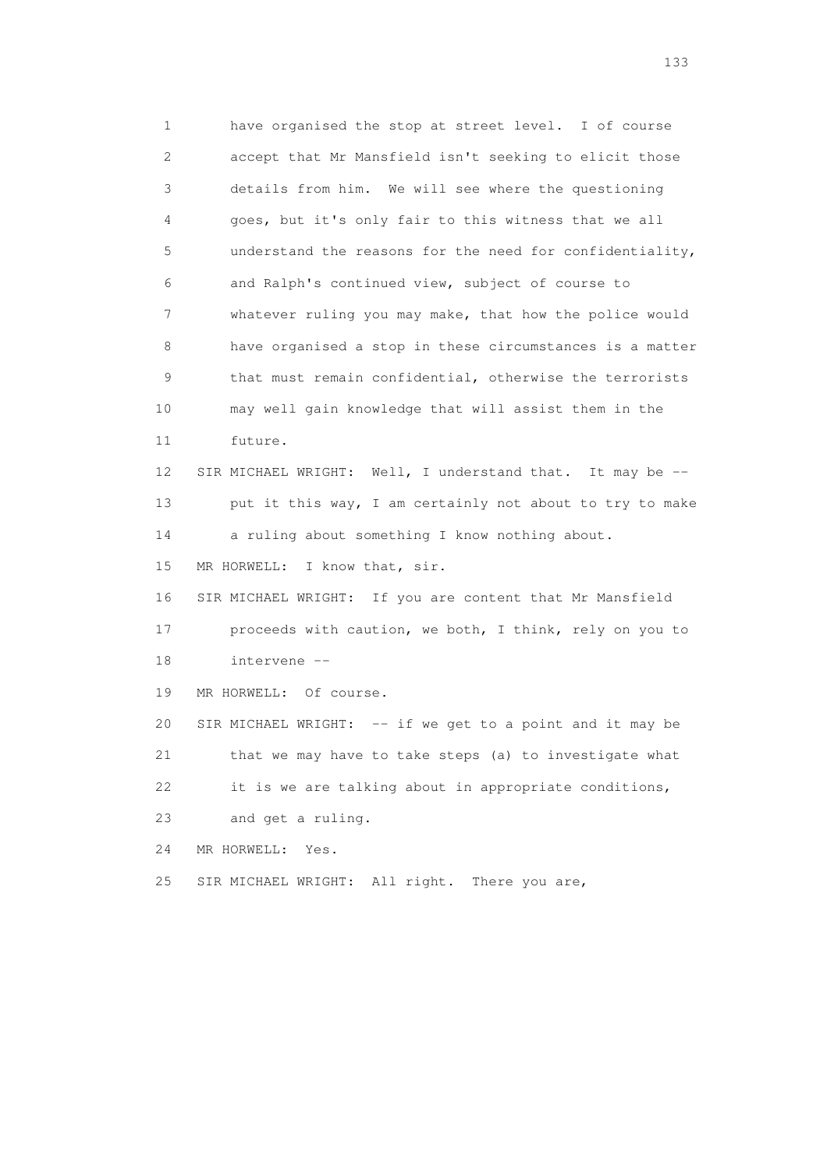1 have organised the stop at street level. I of course 2 accept that Mr Mansfield isn't seeking to elicit those 3 details from him. We will see where the questioning 4 goes, but it's only fair to this witness that we all 5 understand the reasons for the need for confidentiality, 6 and Ralph's continued view, subject of course to 7 whatever ruling you may make, that how the police would 8 have organised a stop in these circumstances is a matter 9 that must remain confidential, otherwise the terrorists 10 may well gain knowledge that will assist them in the 11 future. 12 SIR MICHAEL WRIGHT: Well, I understand that. It may be -- 13 put it this way, I am certainly not about to try to make 14 a ruling about something I know nothing about. 15 MR HORWELL: I know that, sir. 16 SIR MICHAEL WRIGHT: If you are content that Mr Mansfield 17 proceeds with caution, we both, I think, rely on you to 18 intervene -- 19 MR HORWELL: Of course. 20 SIR MICHAEL WRIGHT: -- if we get to a point and it may be 21 that we may have to take steps (a) to investigate what 22 it is we are talking about in appropriate conditions, 23 and get a ruling. 24 MR HORWELL: Yes. 25 SIR MICHAEL WRIGHT: All right. There you are,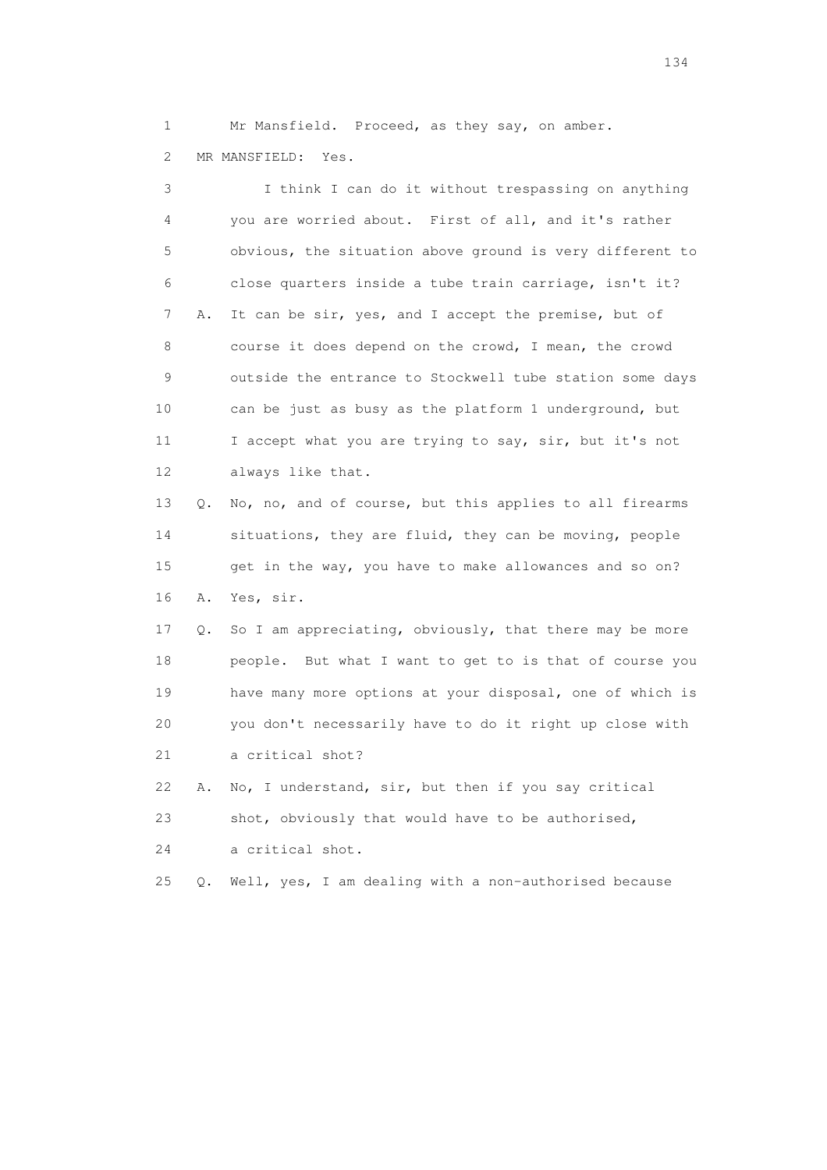1 Mr Mansfield. Proceed, as they say, on amber. 2 MR MANSFIELD: Yes.

 3 I think I can do it without trespassing on anything 4 you are worried about. First of all, and it's rather 5 obvious, the situation above ground is very different to 6 close quarters inside a tube train carriage, isn't it? 7 A. It can be sir, yes, and I accept the premise, but of 8 course it does depend on the crowd, I mean, the crowd 9 outside the entrance to Stockwell tube station some days 10 can be just as busy as the platform 1 underground, but 11 I accept what you are trying to say, sir, but it's not 12 always like that. 13 Q. No, no, and of course, but this applies to all firearms 14 situations, they are fluid, they can be moving, people 15 get in the way, you have to make allowances and so on? 16 A. Yes, sir. 17 Q. So I am appreciating, obviously, that there may be more 18 people. But what I want to get to is that of course you 19 have many more options at your disposal, one of which is 20 you don't necessarily have to do it right up close with 21 a critical shot? 22 A. No, I understand, sir, but then if you say critical 23 shot, obviously that would have to be authorised, 24 a critical shot. 25 Q. Well, yes, I am dealing with a non-authorised because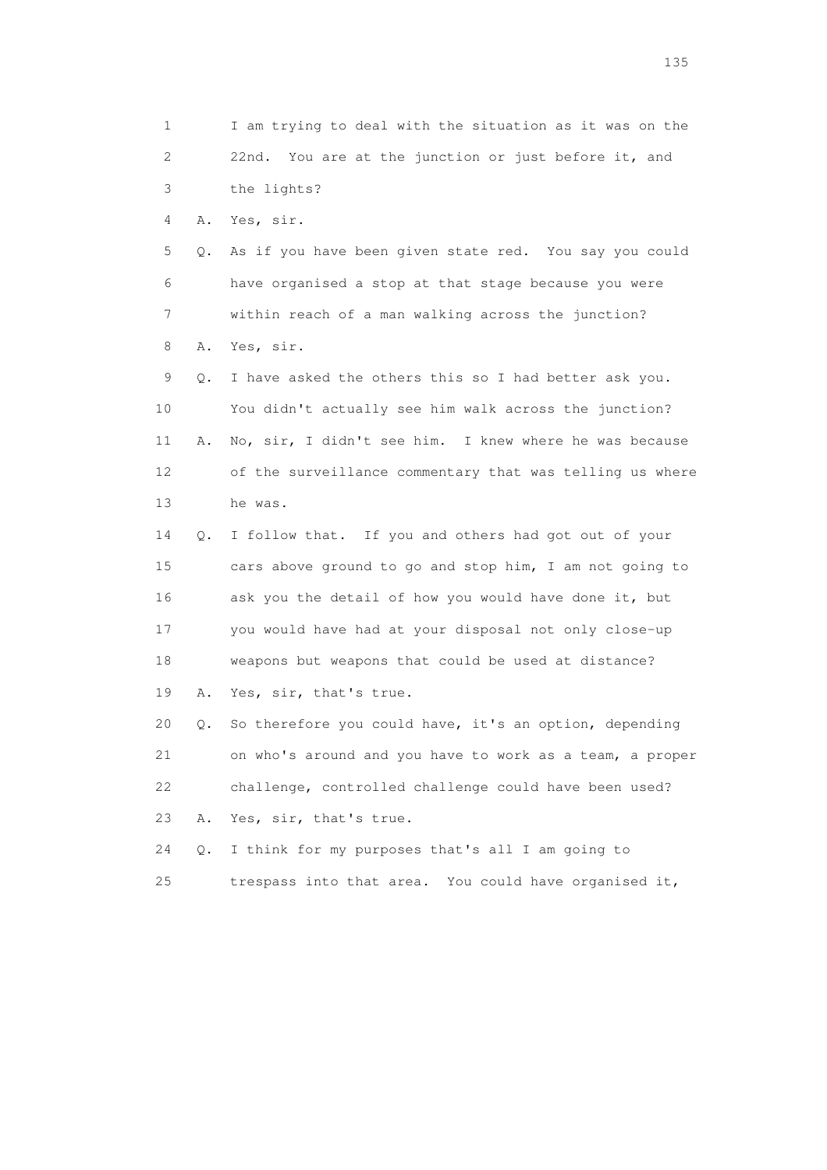1 I am trying to deal with the situation as it was on the 2 22nd. You are at the junction or just before it, and 3 the lights? 4 A. Yes, sir. 5 Q. As if you have been given state red. You say you could 6 have organised a stop at that stage because you were 7 within reach of a man walking across the junction? 8 A. Yes, sir. 9 Q. I have asked the others this so I had better ask you. 10 You didn't actually see him walk across the junction? 11 A. No, sir, I didn't see him. I knew where he was because 12 of the surveillance commentary that was telling us where 13 he was. 14 Q. I follow that. If you and others had got out of your 15 cars above ground to go and stop him, I am not going to 16 ask you the detail of how you would have done it, but 17 you would have had at your disposal not only close-up 18 weapons but weapons that could be used at distance? 19 A. Yes, sir, that's true. 20 Q. So therefore you could have, it's an option, depending 21 on who's around and you have to work as a team, a proper 22 challenge, controlled challenge could have been used? 23 A. Yes, sir, that's true. 24 Q. I think for my purposes that's all I am going to

25 trespass into that area. You could have organised it,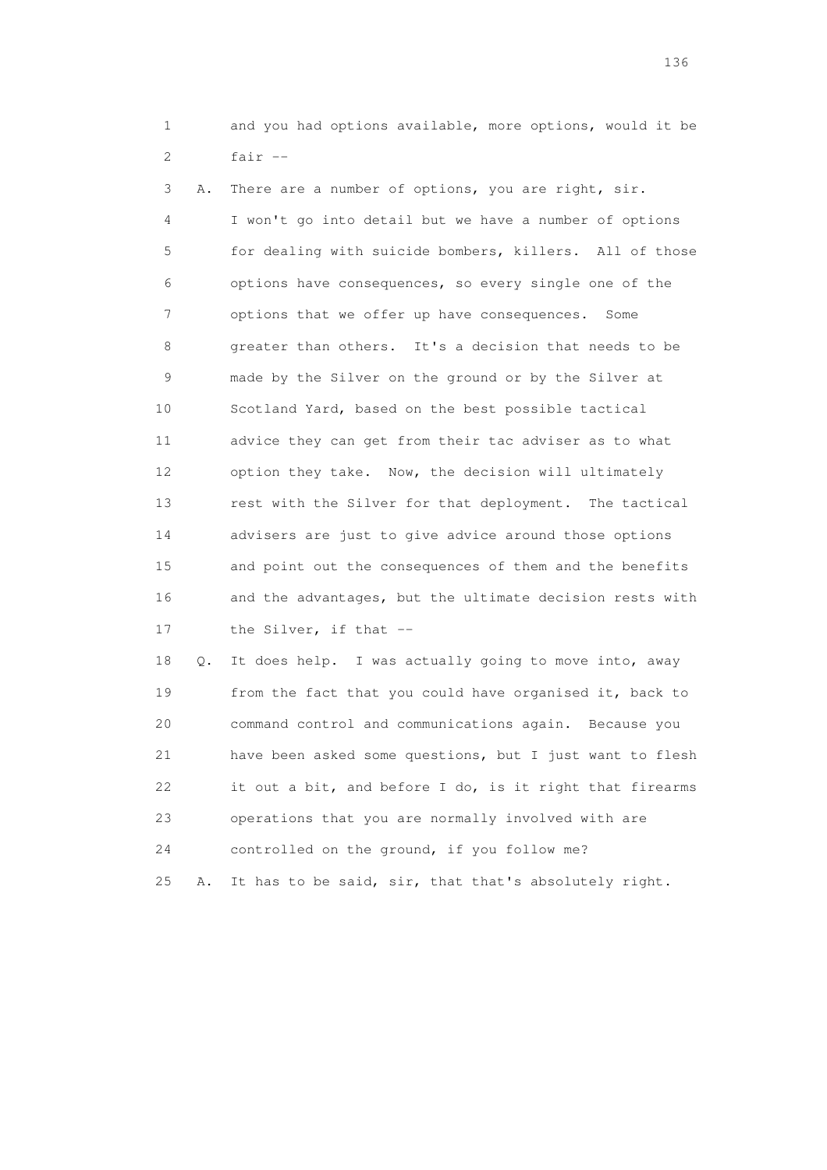1 and you had options available, more options, would it be  $2$  fair  $-$ 

 3 A. There are a number of options, you are right, sir. 4 I won't go into detail but we have a number of options 5 for dealing with suicide bombers, killers. All of those 6 options have consequences, so every single one of the 7 options that we offer up have consequences. Some 8 greater than others. It's a decision that needs to be 9 made by the Silver on the ground or by the Silver at 10 Scotland Yard, based on the best possible tactical 11 advice they can get from their tac adviser as to what 12 option they take. Now, the decision will ultimately 13 rest with the Silver for that deployment. The tactical 14 advisers are just to give advice around those options 15 and point out the consequences of them and the benefits 16 and the advantages, but the ultimate decision rests with 17 the Silver, if that --

 18 Q. It does help. I was actually going to move into, away 19 from the fact that you could have organised it, back to 20 command control and communications again. Because you 21 have been asked some questions, but I just want to flesh 22 it out a bit, and before I do, is it right that firearms 23 operations that you are normally involved with are 24 controlled on the ground, if you follow me? 25 A. It has to be said, sir, that that's absolutely right.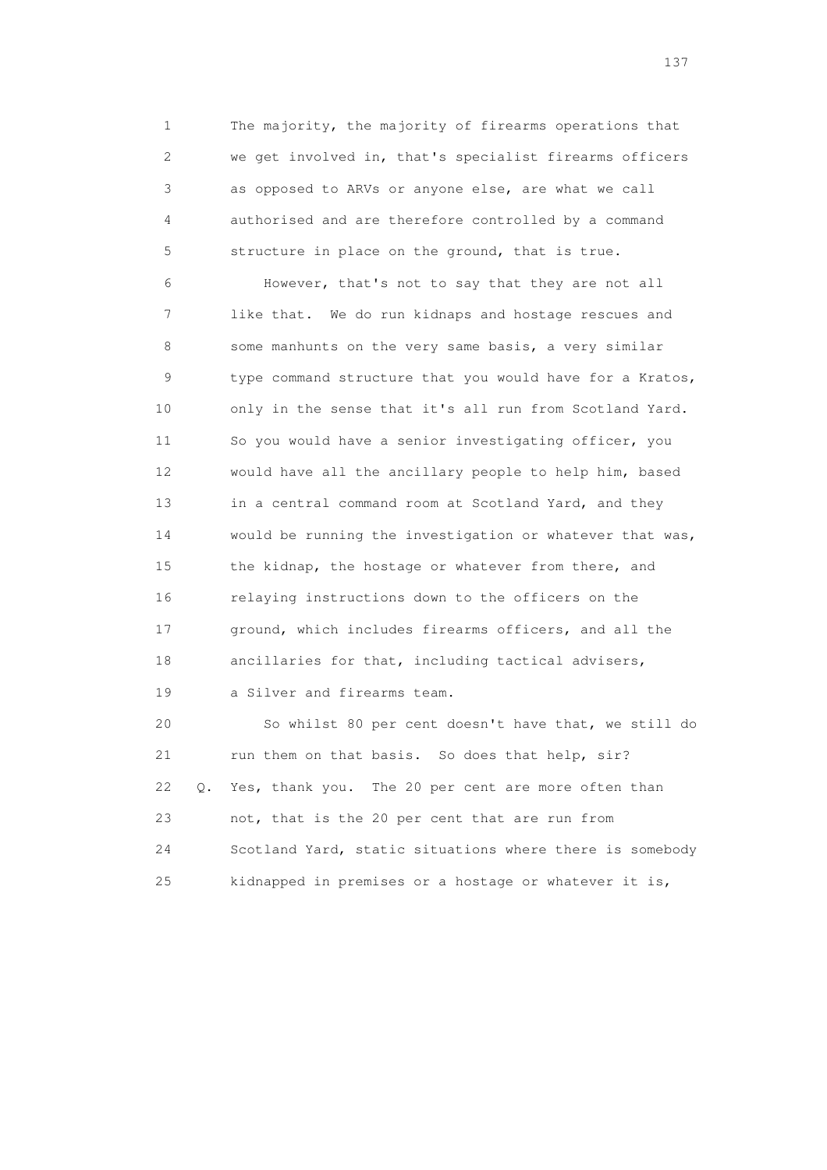1 The majority, the majority of firearms operations that 2 we get involved in, that's specialist firearms officers 3 as opposed to ARVs or anyone else, are what we call 4 authorised and are therefore controlled by a command 5 structure in place on the ground, that is true.

 6 However, that's not to say that they are not all 7 like that. We do run kidnaps and hostage rescues and 8 some manhunts on the very same basis, a very similar 9 type command structure that you would have for a Kratos, 10 only in the sense that it's all run from Scotland Yard. 11 So you would have a senior investigating officer, you 12 would have all the ancillary people to help him, based 13 in a central command room at Scotland Yard, and they 14 would be running the investigation or whatever that was, 15 the kidnap, the hostage or whatever from there, and 16 relaying instructions down to the officers on the 17 ground, which includes firearms officers, and all the 18 ancillaries for that, including tactical advisers, 19 a Silver and firearms team.

 20 So whilst 80 per cent doesn't have that, we still do 21 run them on that basis. So does that help, sir? 22 Q. Yes, thank you. The 20 per cent are more often than 23 not, that is the 20 per cent that are run from 24 Scotland Yard, static situations where there is somebody 25 kidnapped in premises or a hostage or whatever it is,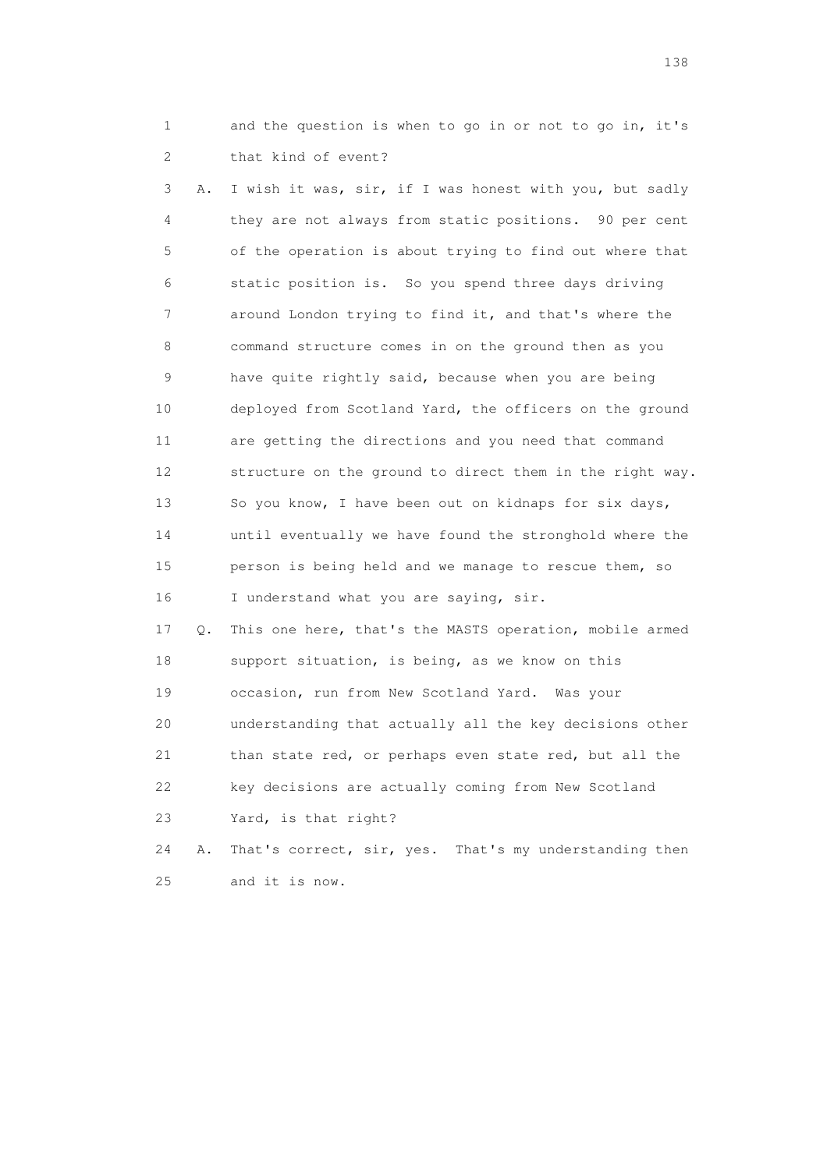1 and the question is when to go in or not to go in, it's 2 that kind of event?

 3 A. I wish it was, sir, if I was honest with you, but sadly 4 they are not always from static positions. 90 per cent 5 of the operation is about trying to find out where that 6 static position is. So you spend three days driving 7 around London trying to find it, and that's where the 8 command structure comes in on the ground then as you 9 have quite rightly said, because when you are being 10 deployed from Scotland Yard, the officers on the ground 11 are getting the directions and you need that command 12 structure on the ground to direct them in the right way. 13 So you know, I have been out on kidnaps for six days, 14 until eventually we have found the stronghold where the 15 person is being held and we manage to rescue them, so 16 I understand what you are saying, sir.

 17 Q. This one here, that's the MASTS operation, mobile armed 18 support situation, is being, as we know on this 19 occasion, run from New Scotland Yard. Was your 20 understanding that actually all the key decisions other 21 than state red, or perhaps even state red, but all the 22 key decisions are actually coming from New Scotland 23 Yard, is that right?

 24 A. That's correct, sir, yes. That's my understanding then 25 and it is now.

138 and 138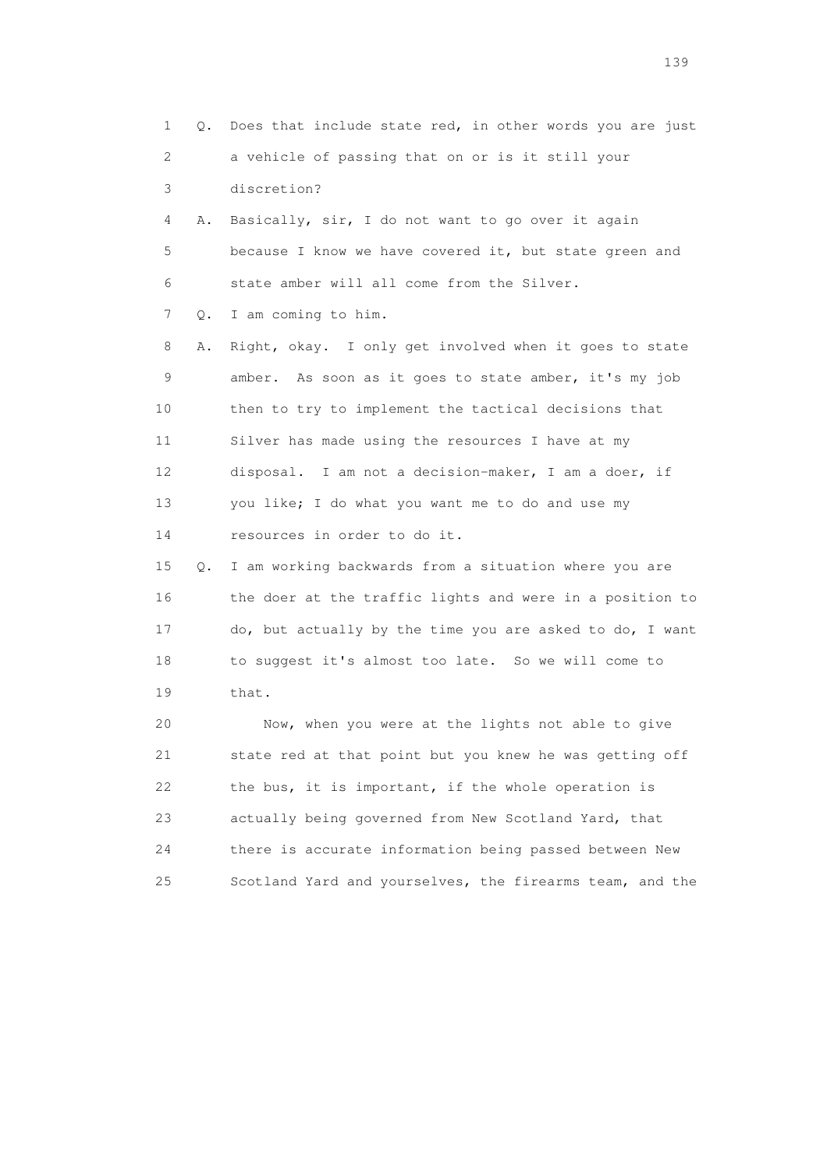1 Q. Does that include state red, in other words you are just 2 a vehicle of passing that on or is it still your 3 discretion? 4 A. Basically, sir, I do not want to go over it again 5 because I know we have covered it, but state green and 6 state amber will all come from the Silver. 7 Q. I am coming to him. 8 A. Right, okay. I only get involved when it goes to state 9 amber. As soon as it goes to state amber, it's my job 10 then to try to implement the tactical decisions that 11 Silver has made using the resources I have at my 12 disposal. I am not a decision-maker, I am a doer, if 13 you like; I do what you want me to do and use my 14 resources in order to do it. 15 Q. I am working backwards from a situation where you are 16 the doer at the traffic lights and were in a position to 17 do, but actually by the time you are asked to do, I want 18 to suggest it's almost too late. So we will come to 19 that. 20 Now, when you were at the lights not able to give 21 state red at that point but you knew he was getting off 22 the bus, it is important, if the whole operation is 23 actually being governed from New Scotland Yard, that 24 there is accurate information being passed between New

25 Scotland Yard and yourselves, the firearms team, and the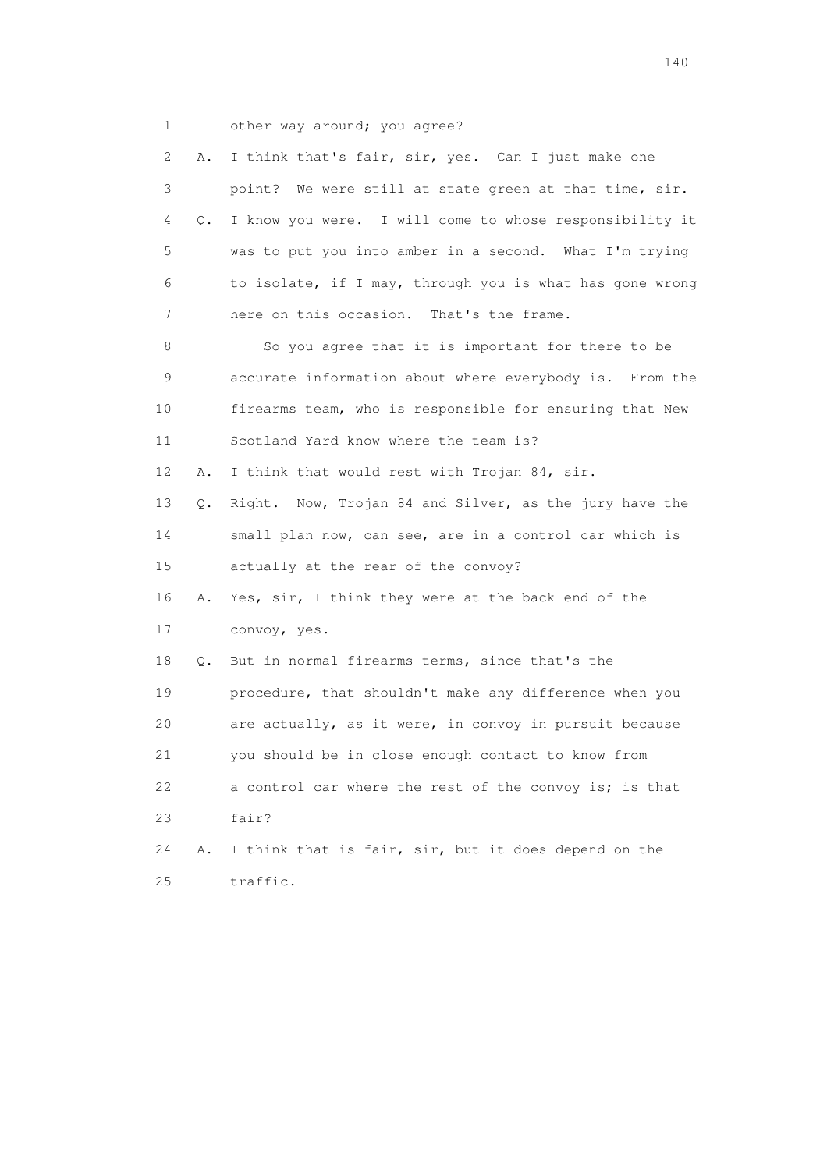1 other way around; you agree?

|    | 2<br>Α. | I think that's fair, sir, yes. Can I just make one       |  |
|----|---------|----------------------------------------------------------|--|
|    | 3       | point? We were still at state green at that time, sir.   |  |
|    | 4<br>Q. | I know you were. I will come to whose responsibility it  |  |
|    | 5       | was to put you into amber in a second. What I'm trying   |  |
|    | 6       | to isolate, if I may, through you is what has gone wrong |  |
|    | 7       | here on this occasion. That's the frame.                 |  |
|    | 8       | So you agree that it is important for there to be        |  |
|    | 9       | accurate information about where everybody is. From the  |  |
| 10 |         | firearms team, who is responsible for ensuring that New  |  |
| 11 |         | Scotland Yard know where the team is?                    |  |
| 12 | Α.      | I think that would rest with Trojan 84, sir.             |  |
| 13 | Q.      | Right. Now, Trojan 84 and Silver, as the jury have the   |  |
| 14 |         | small plan now, can see, are in a control car which is   |  |
| 15 |         | actually at the rear of the convoy?                      |  |
| 16 | Α.      | Yes, sir, I think they were at the back end of the       |  |
| 17 |         | convoy, yes.                                             |  |
| 18 | Q.      | But in normal firearms terms, since that's the           |  |
|    | 19      | procedure, that shouldn't make any difference when you   |  |
|    | 20      | are actually, as it were, in convoy in pursuit because   |  |
| 21 |         | you should be in close enough contact to know from       |  |
| 22 |         | a control car where the rest of the convoy is; is that   |  |
| 23 |         | fair?                                                    |  |
| 24 | Α.      | I think that is fair, sir, but it does depend on the     |  |
| 25 |         | traffic.                                                 |  |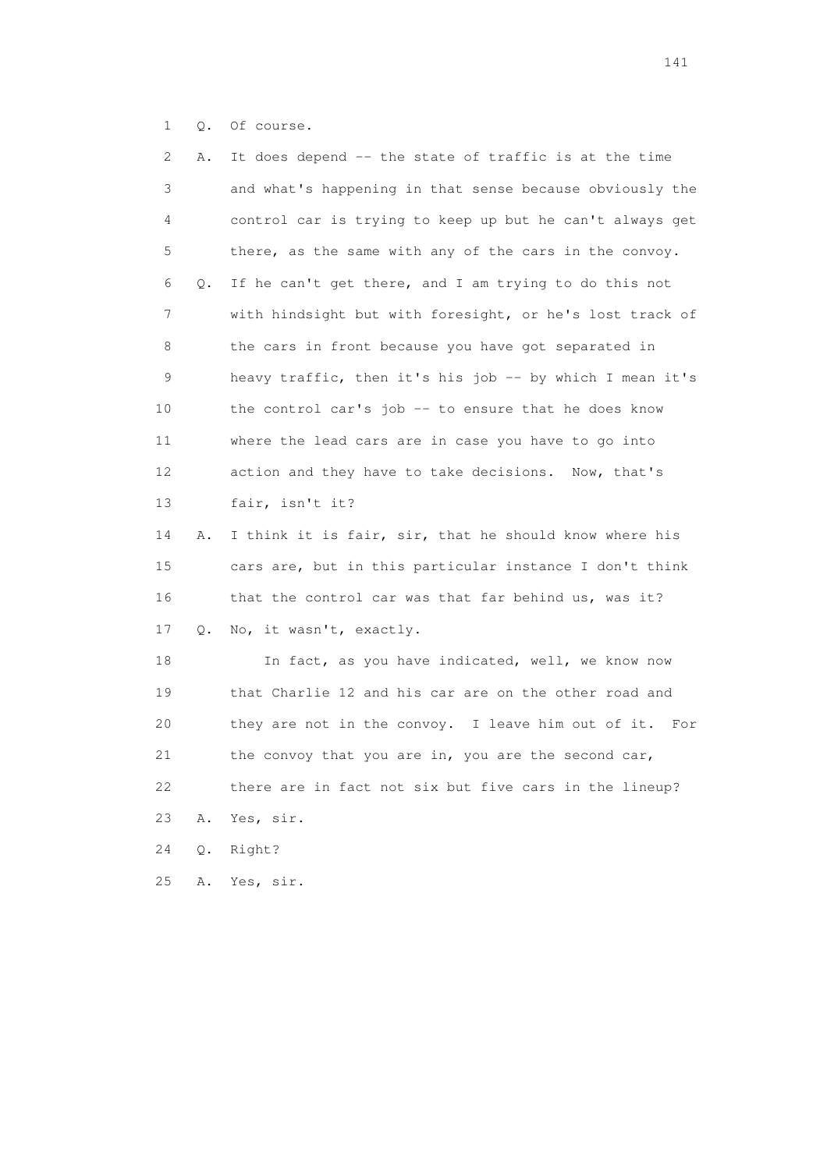1 Q. Of course.

| 2  | Α.    | It does depend -- the state of traffic is at the time    |
|----|-------|----------------------------------------------------------|
| 3  |       | and what's happening in that sense because obviously the |
| 4  |       | control car is trying to keep up but he can't always get |
| 5  |       | there, as the same with any of the cars in the convoy.   |
| 6  | Q.    | If he can't get there, and I am trying to do this not    |
| 7  |       | with hindsight but with foresight, or he's lost track of |
| 8  |       | the cars in front because you have got separated in      |
| 9  |       | heavy traffic, then it's his job -- by which I mean it's |
| 10 |       | the control car's job -- to ensure that he does know     |
| 11 |       | where the lead cars are in case you have to go into      |
| 12 |       | action and they have to take decisions. Now, that's      |
| 13 |       | fair, isn't it?                                          |
| 14 | Α.    | I think it is fair, sir, that he should know where his   |
| 15 |       | cars are, but in this particular instance I don't think  |
| 16 |       | that the control car was that far behind us, was it?     |
| 17 | Q.    | No, it wasn't, exactly.                                  |
| 18 |       | In fact, as you have indicated, well, we know now        |
| 19 |       | that Charlie 12 and his car are on the other road and    |
| 20 |       | they are not in the convoy. I leave him out of it. For   |
| 21 |       | the convoy that you are in, you are the second car,      |
| 22 |       | there are in fact not six but five cars in the lineup?   |
| 23 | Α.    | Yes, sir.                                                |
| 24 | $Q$ . | Right?                                                   |
| 25 | Α.    | Yes, sir.                                                |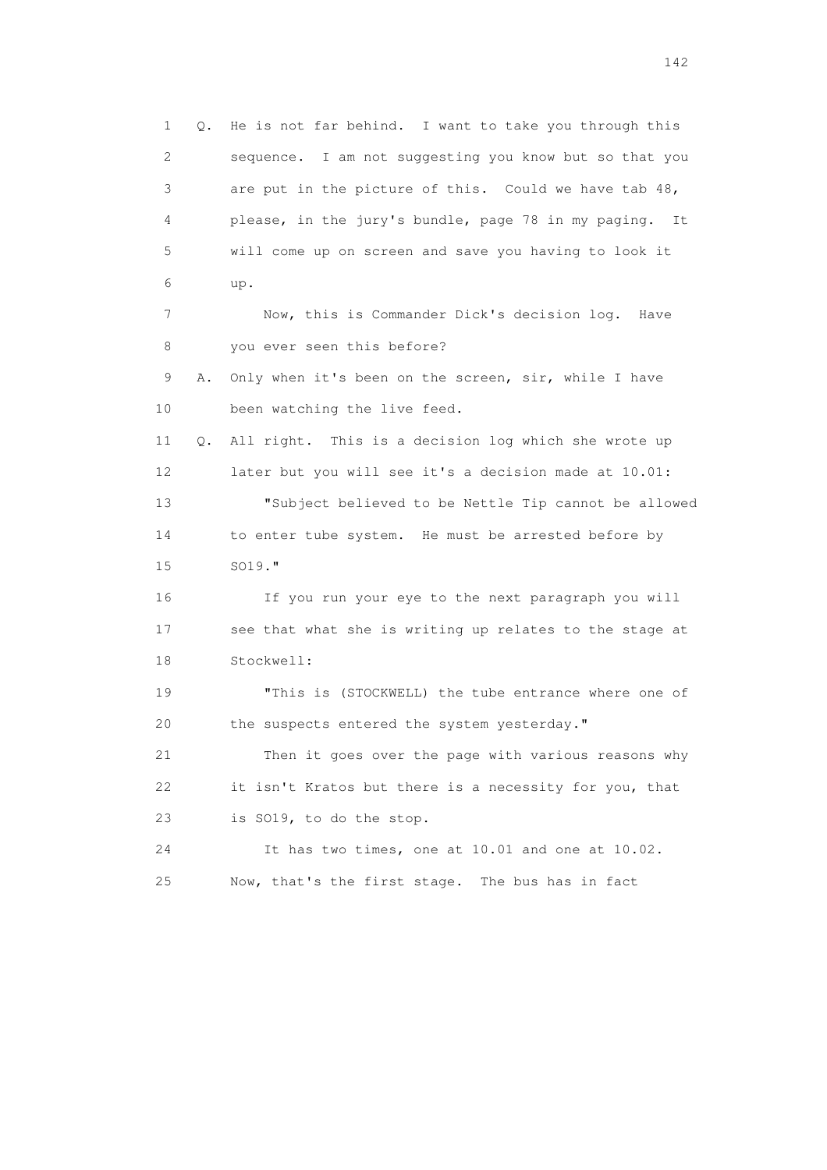1 Q. He is not far behind. I want to take you through this 2 sequence. I am not suggesting you know but so that you 3 are put in the picture of this. Could we have tab 48, 4 please, in the jury's bundle, page 78 in my paging. It 5 will come up on screen and save you having to look it 6 up. 7 Now, this is Commander Dick's decision log. Have 8 you ever seen this before? 9 A. Only when it's been on the screen, sir, while I have 10 been watching the live feed. 11 Q. All right. This is a decision log which she wrote up 12 later but you will see it's a decision made at 10.01: 13 "Subject believed to be Nettle Tip cannot be allowed 14 to enter tube system. He must be arrested before by 15 SO19." 16 If you run your eye to the next paragraph you will 17 see that what she is writing up relates to the stage at 18 Stockwell: 19 "This is (STOCKWELL) the tube entrance where one of 20 the suspects entered the system yesterday." 21 Then it goes over the page with various reasons why 22 it isn't Kratos but there is a necessity for you, that 23 is SO19, to do the stop. 24 It has two times, one at 10.01 and one at 10.02. 25 Now, that's the first stage. The bus has in fact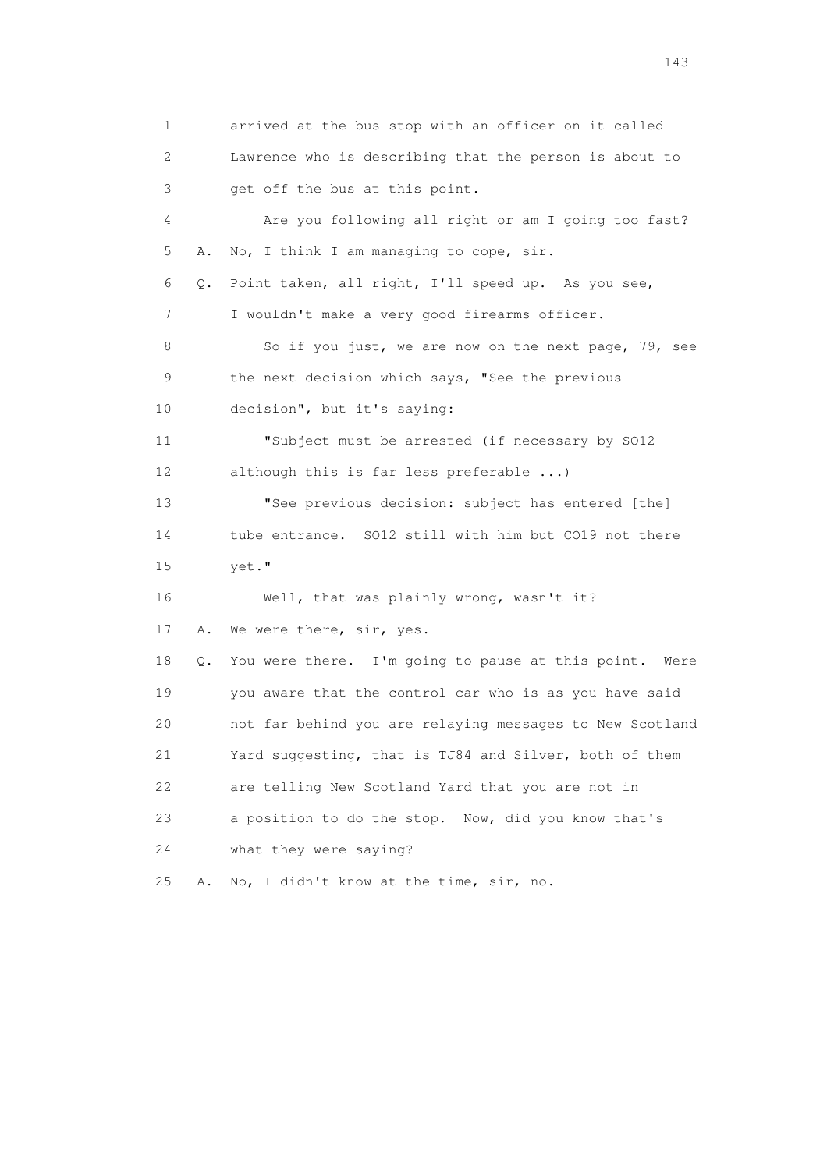1 arrived at the bus stop with an officer on it called 2 Lawrence who is describing that the person is about to 3 get off the bus at this point. 4 Are you following all right or am I going too fast? 5 A. No, I think I am managing to cope, sir. 6 Q. Point taken, all right, I'll speed up. As you see, 7 I wouldn't make a very good firearms officer. 8 So if you just, we are now on the next page, 79, see 9 the next decision which says, "See the previous 10 decision", but it's saying: 11 "Subject must be arrested (if necessary by SO12 12 although this is far less preferable ...) 13 "See previous decision: subject has entered [the] 14 tube entrance. SO12 still with him but CO19 not there 15 yet." 16 Well, that was plainly wrong, wasn't it? 17 A. We were there, sir, yes. 18 Q. You were there. I'm going to pause at this point. Were 19 you aware that the control car who is as you have said 20 not far behind you are relaying messages to New Scotland 21 Yard suggesting, that is TJ84 and Silver, both of them 22 are telling New Scotland Yard that you are not in 23 a position to do the stop. Now, did you know that's 24 what they were saying? 25 A. No, I didn't know at the time, sir, no.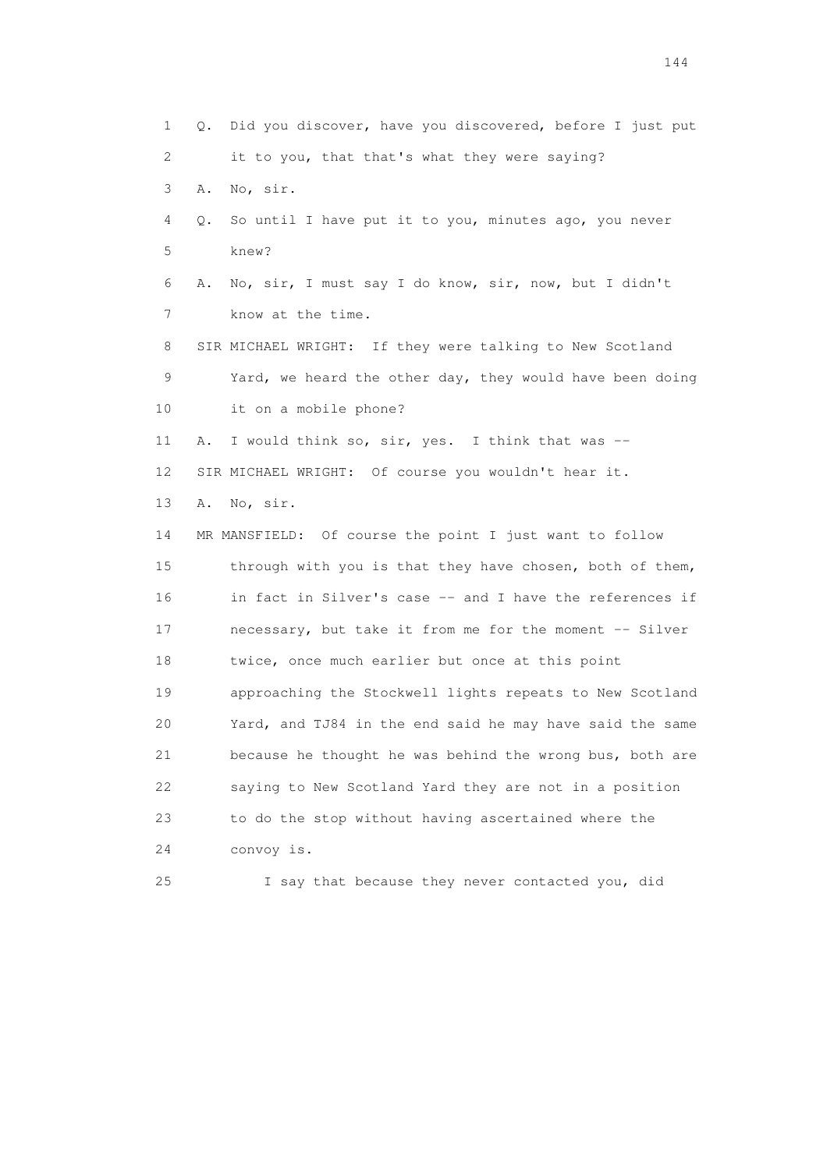1 Q. Did you discover, have you discovered, before I just put 2 it to you, that that's what they were saying? 3 A. No, sir. 4 Q. So until I have put it to you, minutes ago, you never 5 knew? 6 A. No, sir, I must say I do know, sir, now, but I didn't 7 know at the time. 8 SIR MICHAEL WRIGHT: If they were talking to New Scotland 9 Yard, we heard the other day, they would have been doing 10 it on a mobile phone? 11 A. I would think so, sir, yes. I think that was -- 12 SIR MICHAEL WRIGHT: Of course you wouldn't hear it. 13 A. No, sir. 14 MR MANSFIELD: Of course the point I just want to follow 15 through with you is that they have chosen, both of them, 16 in fact in Silver's case -- and I have the references if 17 necessary, but take it from me for the moment -- Silver 18 twice, once much earlier but once at this point 19 approaching the Stockwell lights repeats to New Scotland 20 Yard, and TJ84 in the end said he may have said the same 21 because he thought he was behind the wrong bus, both are 22 saying to New Scotland Yard they are not in a position 23 to do the stop without having ascertained where the 24 convoy is. 25 I say that because they never contacted you, did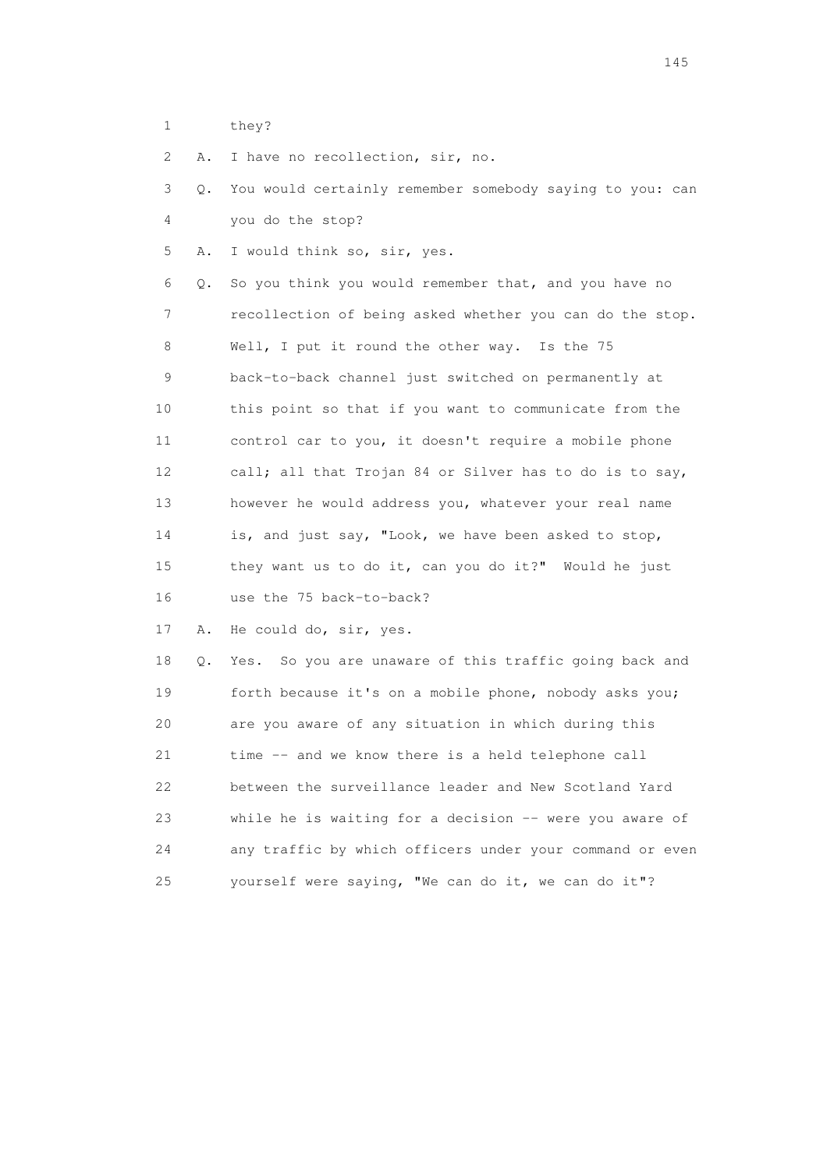1 they?

2 A. I have no recollection, sir, no.

 3 Q. You would certainly remember somebody saying to you: can 4 you do the stop?

5 A. I would think so, sir, yes.

 6 Q. So you think you would remember that, and you have no 7 recollection of being asked whether you can do the stop. 8 Well, I put it round the other way. Is the 75 9 back-to-back channel just switched on permanently at 10 this point so that if you want to communicate from the 11 control car to you, it doesn't require a mobile phone 12 call; all that Trojan 84 or Silver has to do is to say, 13 however he would address you, whatever your real name 14 is, and just say, "Look, we have been asked to stop, 15 they want us to do it, can you do it?" Would he just 16 use the 75 back-to-back?

17 A. He could do, sir, yes.

 18 Q. Yes. So you are unaware of this traffic going back and 19 forth because it's on a mobile phone, nobody asks you; 20 are you aware of any situation in which during this 21 time -- and we know there is a held telephone call 22 between the surveillance leader and New Scotland Yard 23 while he is waiting for a decision -- were you aware of 24 any traffic by which officers under your command or even 25 yourself were saying, "We can do it, we can do it"?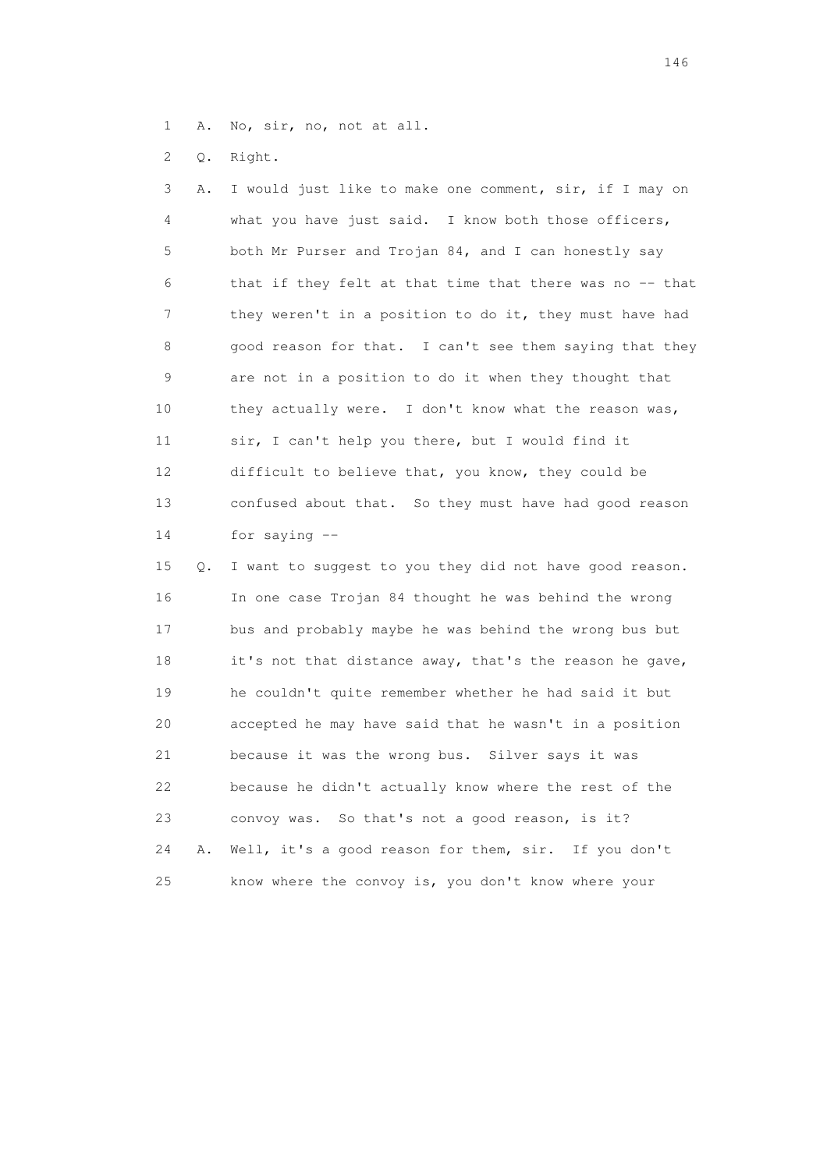1 A. No, sir, no, not at all.

2 Q. Right.

 3 A. I would just like to make one comment, sir, if I may on 4 what you have just said. I know both those officers, 5 both Mr Purser and Trojan 84, and I can honestly say 6 that if they felt at that time that there was no -- that 7 they weren't in a position to do it, they must have had 8 good reason for that. I can't see them saying that they 9 are not in a position to do it when they thought that 10 they actually were. I don't know what the reason was, 11 sir, I can't help you there, but I would find it 12 difficult to believe that, you know, they could be 13 confused about that. So they must have had good reason 14 for saying --

 15 Q. I want to suggest to you they did not have good reason. 16 In one case Trojan 84 thought he was behind the wrong 17 bus and probably maybe he was behind the wrong bus but 18 it's not that distance away, that's the reason he gave, 19 he couldn't quite remember whether he had said it but 20 accepted he may have said that he wasn't in a position 21 because it was the wrong bus. Silver says it was 22 because he didn't actually know where the rest of the 23 convoy was. So that's not a good reason, is it? 24 A. Well, it's a good reason for them, sir. If you don't 25 know where the convoy is, you don't know where your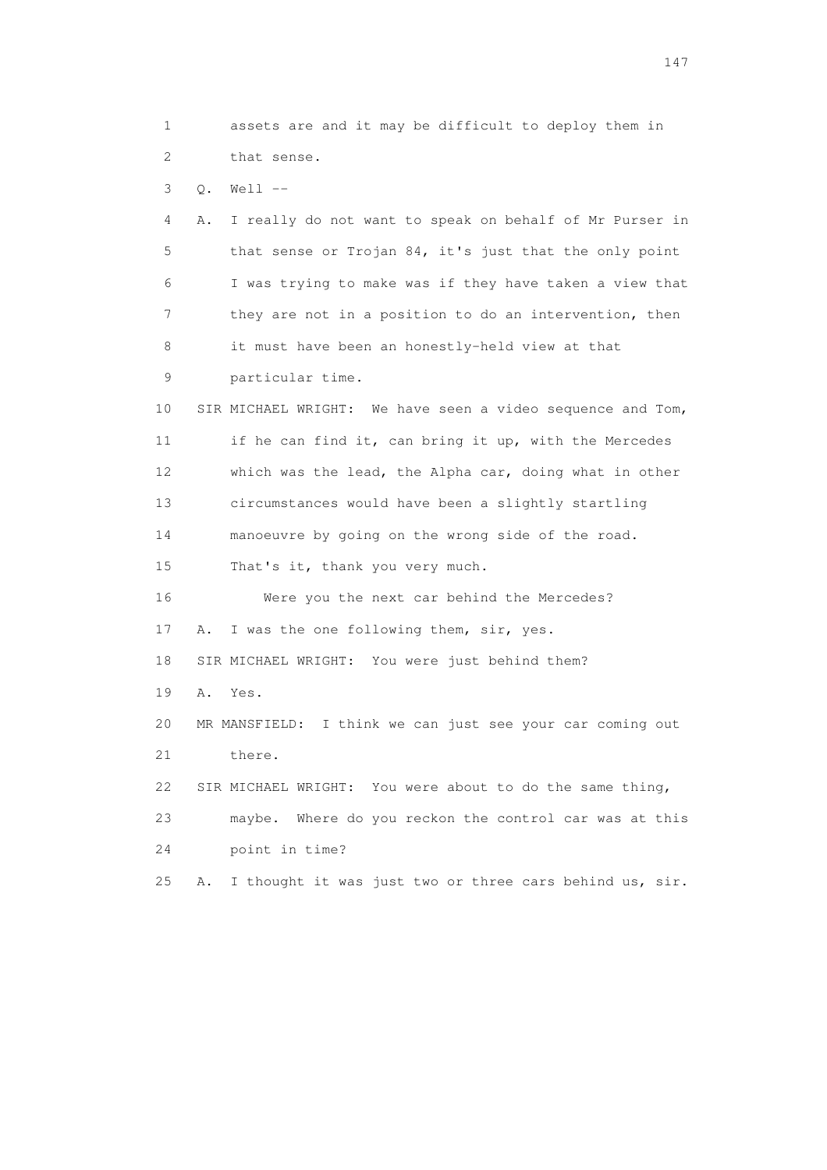1 assets are and it may be difficult to deploy them in 2 that sense. 3 Q. Well -- 4 A. I really do not want to speak on behalf of Mr Purser in 5 that sense or Trojan 84, it's just that the only point 6 I was trying to make was if they have taken a view that 7 they are not in a position to do an intervention, then 8 it must have been an honestly-held view at that 9 particular time. 10 SIR MICHAEL WRIGHT: We have seen a video sequence and Tom, 11 if he can find it, can bring it up, with the Mercedes 12 which was the lead, the Alpha car, doing what in other 13 circumstances would have been a slightly startling 14 manoeuvre by going on the wrong side of the road. 15 That's it, thank you very much. 16 Were you the next car behind the Mercedes? 17 A. I was the one following them, sir, yes. 18 SIR MICHAEL WRIGHT: You were just behind them? 19 A. Yes. 20 MR MANSFIELD: I think we can just see your car coming out 21 there. 22 SIR MICHAEL WRIGHT: You were about to do the same thing, 23 maybe. Where do you reckon the control car was at this 24 point in time? 25 A. I thought it was just two or three cars behind us, sir.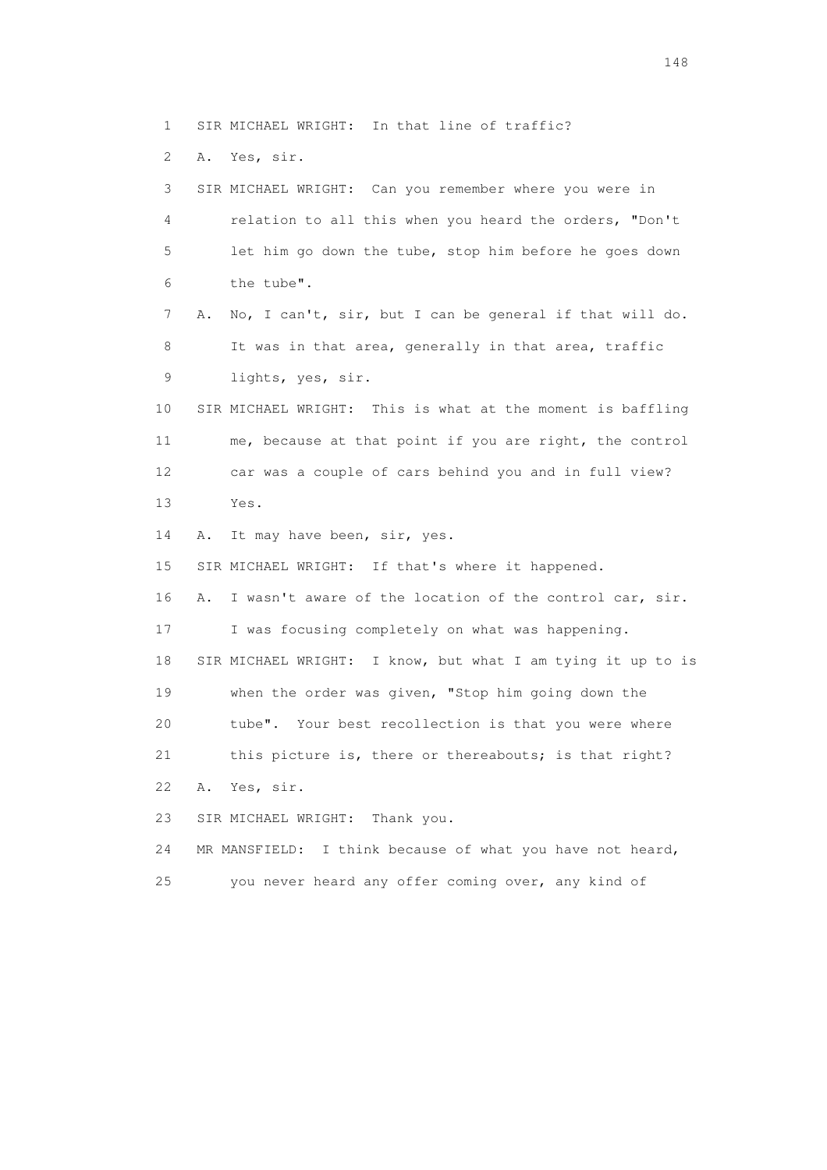1 SIR MICHAEL WRIGHT: In that line of traffic?

2 A. Yes, sir.

 3 SIR MICHAEL WRIGHT: Can you remember where you were in 4 relation to all this when you heard the orders, "Don't 5 let him go down the tube, stop him before he goes down 6 the tube". 7 A. No, I can't, sir, but I can be general if that will do. 8 It was in that area, generally in that area, traffic 9 lights, yes, sir. 10 SIR MICHAEL WRIGHT: This is what at the moment is baffling 11 me, because at that point if you are right, the control 12 car was a couple of cars behind you and in full view? 13 Yes. 14 A. It may have been, sir, yes. 15 SIR MICHAEL WRIGHT: If that's where it happened. 16 A. I wasn't aware of the location of the control car, sir. 17 I was focusing completely on what was happening. 18 SIR MICHAEL WRIGHT: I know, but what I am tying it up to is 19 when the order was given, "Stop him going down the 20 tube". Your best recollection is that you were where 21 this picture is, there or thereabouts; is that right? 22 A. Yes, sir. 23 SIR MICHAEL WRIGHT: Thank you. 24 MR MANSFIELD: I think because of what you have not heard, 25 you never heard any offer coming over, any kind of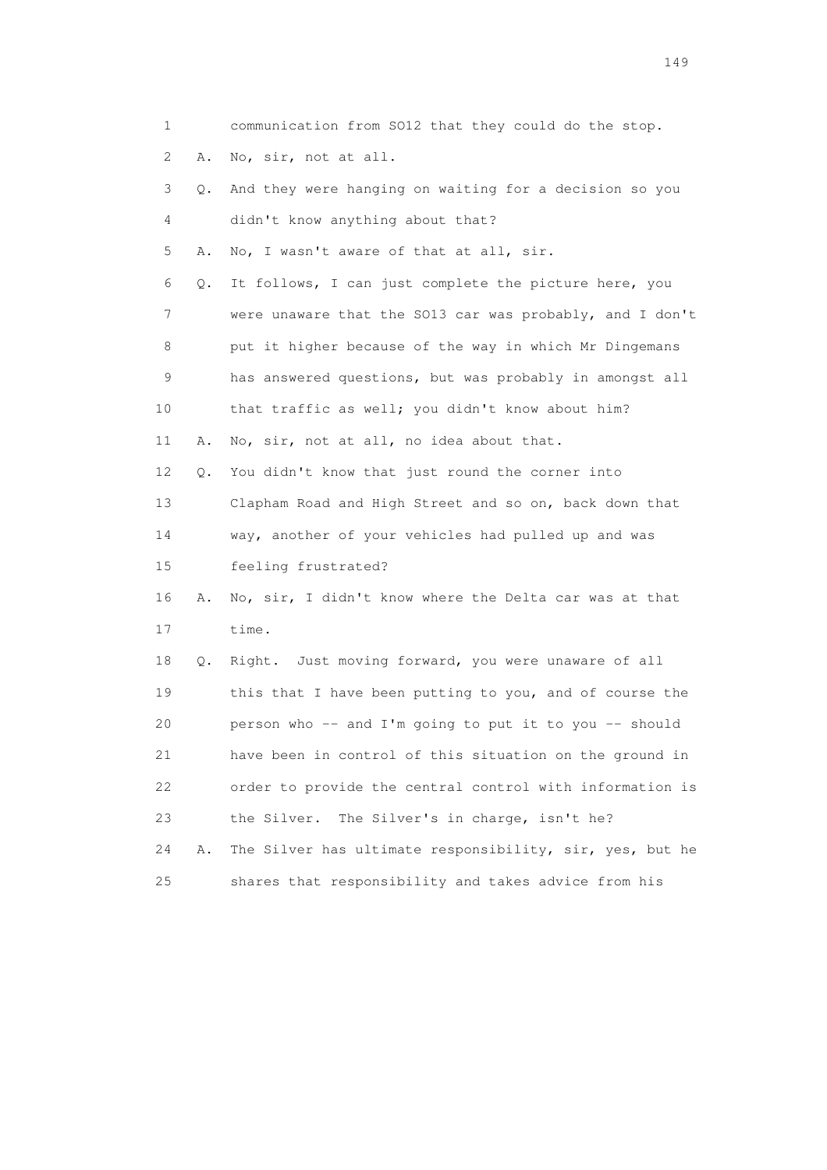| $\mathbf 1$ |    | communication from SO12 that they could do the stop.     |
|-------------|----|----------------------------------------------------------|
| 2           | Α. | No, sir, not at all.                                     |
| 3           | Q. | And they were hanging on waiting for a decision so you   |
| 4           |    | didn't know anything about that?                         |
| 5           | Α. | No, I wasn't aware of that at all, sir.                  |
| 6           | Q. | It follows, I can just complete the picture here, you    |
| 7           |    | were unaware that the SO13 car was probably, and I don't |
| 8           |    | put it higher because of the way in which Mr Dingemans   |
| 9           |    | has answered questions, but was probably in amongst all  |
| 10          |    | that traffic as well; you didn't know about him?         |
| 11          | Α. | No, sir, not at all, no idea about that.                 |
| 12          | Q. | You didn't know that just round the corner into          |
| 13          |    | Clapham Road and High Street and so on, back down that   |
| 14          |    | way, another of your vehicles had pulled up and was      |
| 15          |    | feeling frustrated?                                      |
| 16          | Α. | No, sir, I didn't know where the Delta car was at that   |
| 17          |    | time.                                                    |
| 18          | Q. | Right. Just moving forward, you were unaware of all      |
| 19          |    | this that I have been putting to you, and of course the  |
| 20          |    | person who -- and I'm going to put it to you -- should   |
| 21          |    | have been in control of this situation on the ground in  |
| 22          |    | order to provide the central control with information is |
| 23          |    | The Silver's in charge, isn't he?<br>the Silver.         |
| 24          | Α. | The Silver has ultimate responsibility, sir, yes, but he |
| 25          |    | shares that responsibility and takes advice from his     |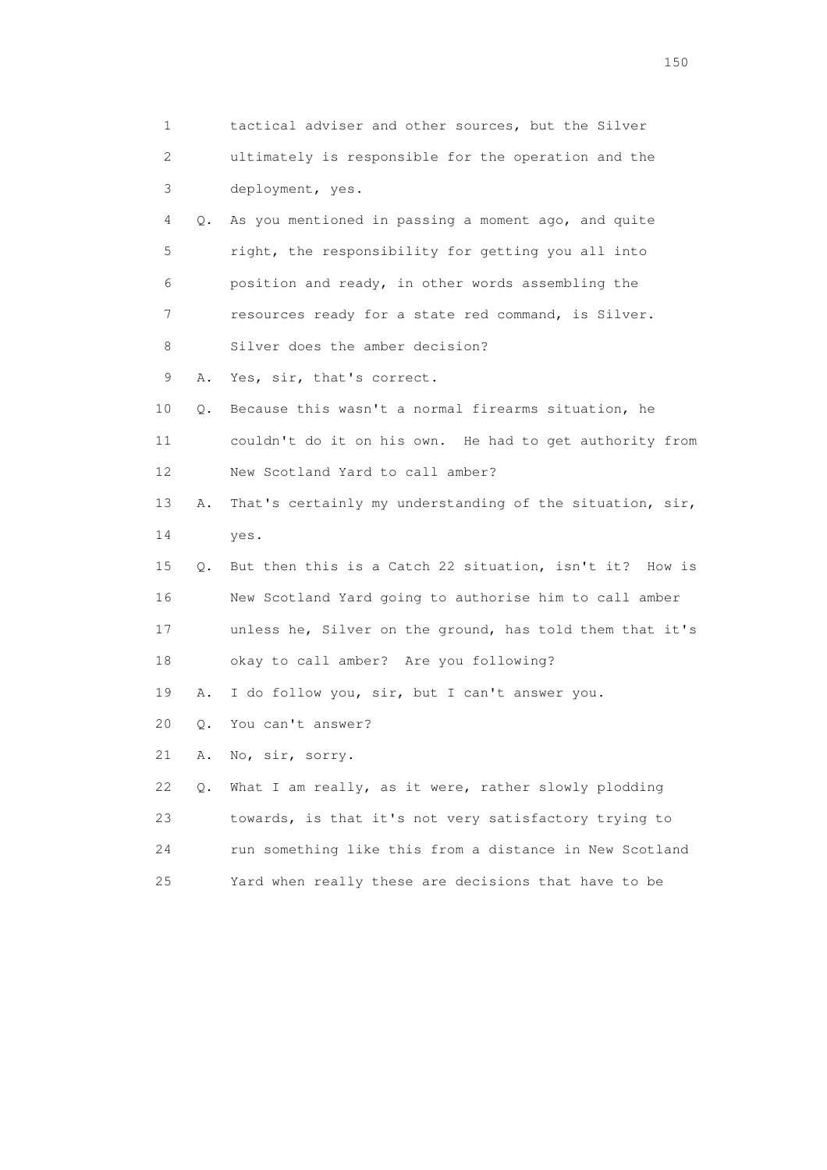|    | 1       | tactical adviser and other sources, but the Silver       |
|----|---------|----------------------------------------------------------|
|    | 2       | ultimately is responsible for the operation and the      |
|    | 3       | deployment, yes.                                         |
|    | 4<br>Q. | As you mentioned in passing a moment ago, and quite      |
|    | 5       | right, the responsibility for getting you all into       |
| 6  |         | position and ready, in other words assembling the        |
|    | 7       | resources ready for a state red command, is Silver.      |
|    | 8       | Silver does the amber decision?                          |
|    | 9<br>Α. | Yes, sir, that's correct.                                |
| 10 | Q.      | Because this wasn't a normal firearms situation, he      |
| 11 |         | couldn't do it on his own. He had to get authority from  |
| 12 |         | New Scotland Yard to call amber?                         |
| 13 | Α.      | That's certainly my understanding of the situation, sir, |
| 14 |         | yes.                                                     |
| 15 | Q.      | But then this is a Catch 22 situation, isn't it? How is  |
| 16 |         | New Scotland Yard going to authorise him to call amber   |
| 17 |         | unless he, Silver on the ground, has told them that it's |
| 18 |         | okay to call amber? Are you following?                   |
| 19 | Α.      | I do follow you, sir, but I can't answer you.            |
| 20 | Q.      | You can't answer?                                        |
| 21 | Α.      | No, sir, sorry.                                          |
| 22 | Q.      | What I am really, as it were, rather slowly plodding     |
| 23 |         | towards, is that it's not very satisfactory trying to    |
| 24 |         | run something like this from a distance in New Scotland  |
| 25 |         | Yard when really these are decisions that have to be     |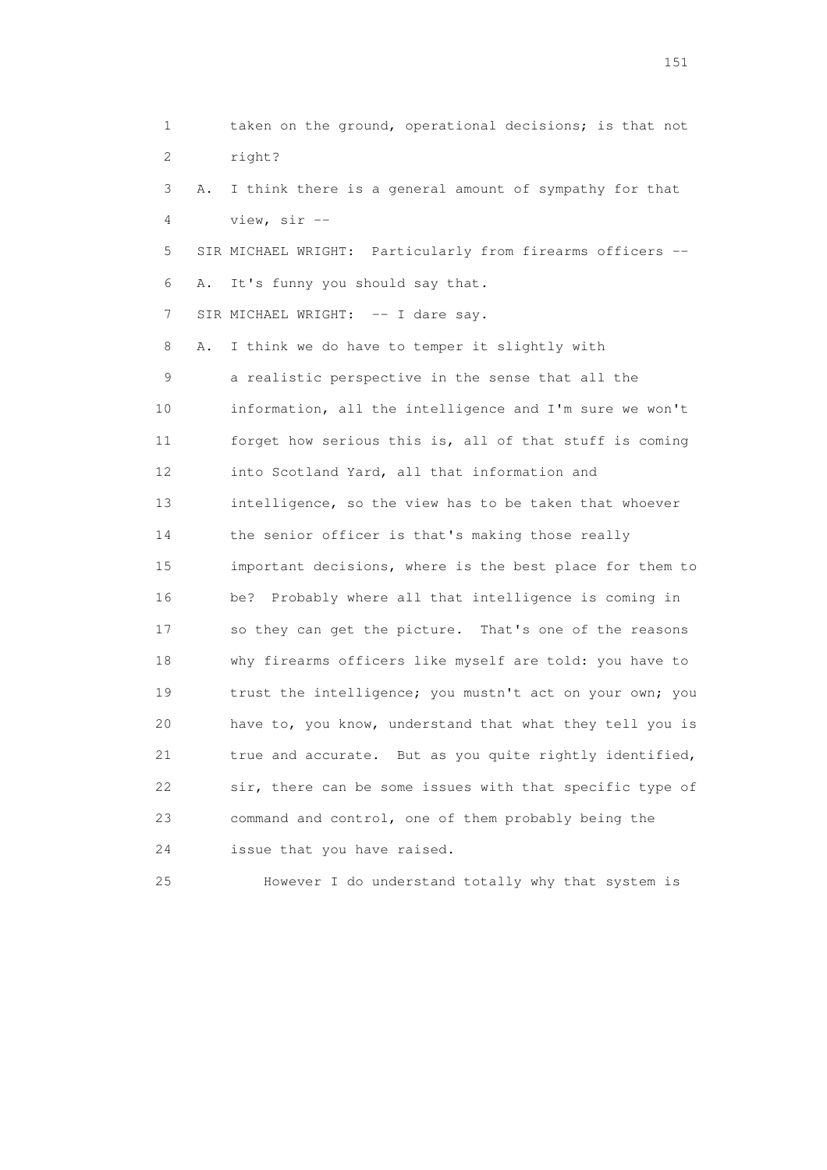1 taken on the ground, operational decisions; is that not 2 right? 3 A. I think there is a general amount of sympathy for that 4 view, sir -- 5 SIR MICHAEL WRIGHT: Particularly from firearms officers -- 6 A. It's funny you should say that. 7 SIR MICHAEL WRIGHT: -- I dare say. 8 A. I think we do have to temper it slightly with 9 a realistic perspective in the sense that all the 10 information, all the intelligence and I'm sure we won't 11 forget how serious this is, all of that stuff is coming 12 into Scotland Yard, all that information and 13 intelligence, so the view has to be taken that whoever 14 the senior officer is that's making those really 15 important decisions, where is the best place for them to 16 be? Probably where all that intelligence is coming in 17 so they can get the picture. That's one of the reasons 18 why firearms officers like myself are told: you have to 19 trust the intelligence; you mustn't act on your own; you 20 have to, you know, understand that what they tell you is 21 true and accurate. But as you quite rightly identified, 22 sir, there can be some issues with that specific type of 23 command and control, one of them probably being the 24 issue that you have raised.

25 However I do understand totally why that system is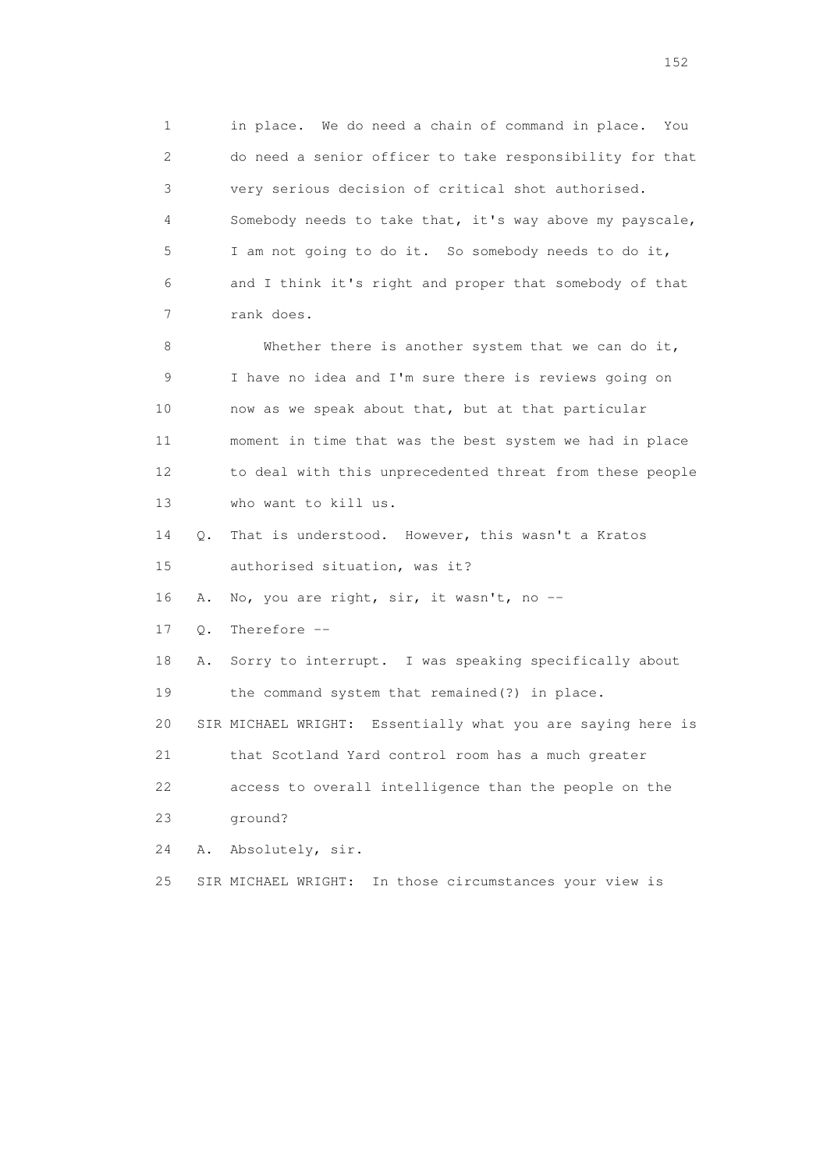1 in place. We do need a chain of command in place. You 2 do need a senior officer to take responsibility for that 3 very serious decision of critical shot authorised. 4 Somebody needs to take that, it's way above my payscale, 5 I am not going to do it. So somebody needs to do it, 6 and I think it's right and proper that somebody of that 7 rank does.

 8 Whether there is another system that we can do it, 9 I have no idea and I'm sure there is reviews going on 10 now as we speak about that, but at that particular 11 moment in time that was the best system we had in place 12 to deal with this unprecedented threat from these people 13 who want to kill us.

 14 Q. That is understood. However, this wasn't a Kratos 15 authorised situation, was it?

16 A. No, you are right, sir, it wasn't, no --

17 Q. Therefore --

 18 A. Sorry to interrupt. I was speaking specifically about 19 the command system that remained(?) in place.

20 SIR MICHAEL WRIGHT: Essentially what you are saying here is

21 that Scotland Yard control room has a much greater

 22 access to overall intelligence than the people on the 23 ground?

24 A. Absolutely, sir.

25 SIR MICHAEL WRIGHT: In those circumstances your view is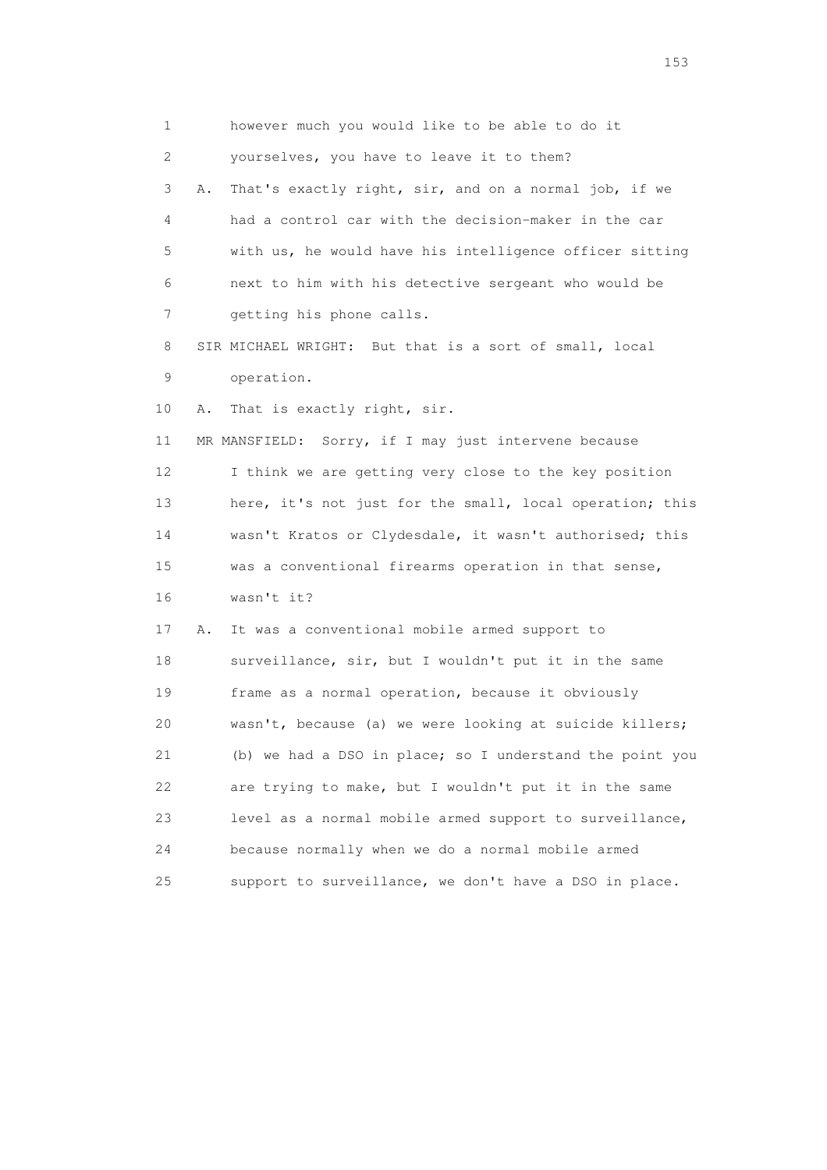1 however much you would like to be able to do it 2 yourselves, you have to leave it to them? 3 A. That's exactly right, sir, and on a normal job, if we 4 had a control car with the decision-maker in the car 5 with us, he would have his intelligence officer sitting 6 next to him with his detective sergeant who would be 7 getting his phone calls. 8 SIR MICHAEL WRIGHT: But that is a sort of small, local 9 operation. 10 A. That is exactly right, sir. 11 MR MANSFIELD: Sorry, if I may just intervene because 12 I think we are getting very close to the key position 13 here, it's not just for the small, local operation; this 14 wasn't Kratos or Clydesdale, it wasn't authorised; this 15 was a conventional firearms operation in that sense, 16 wasn't it? 17 A. It was a conventional mobile armed support to 18 surveillance, sir, but I wouldn't put it in the same 19 frame as a normal operation, because it obviously 20 wasn't, because (a) we were looking at suicide killers; 21 (b) we had a DSO in place; so I understand the point you 22 are trying to make, but I wouldn't put it in the same 23 level as a normal mobile armed support to surveillance, 24 because normally when we do a normal mobile armed 25 support to surveillance, we don't have a DSO in place.

<u>153</u>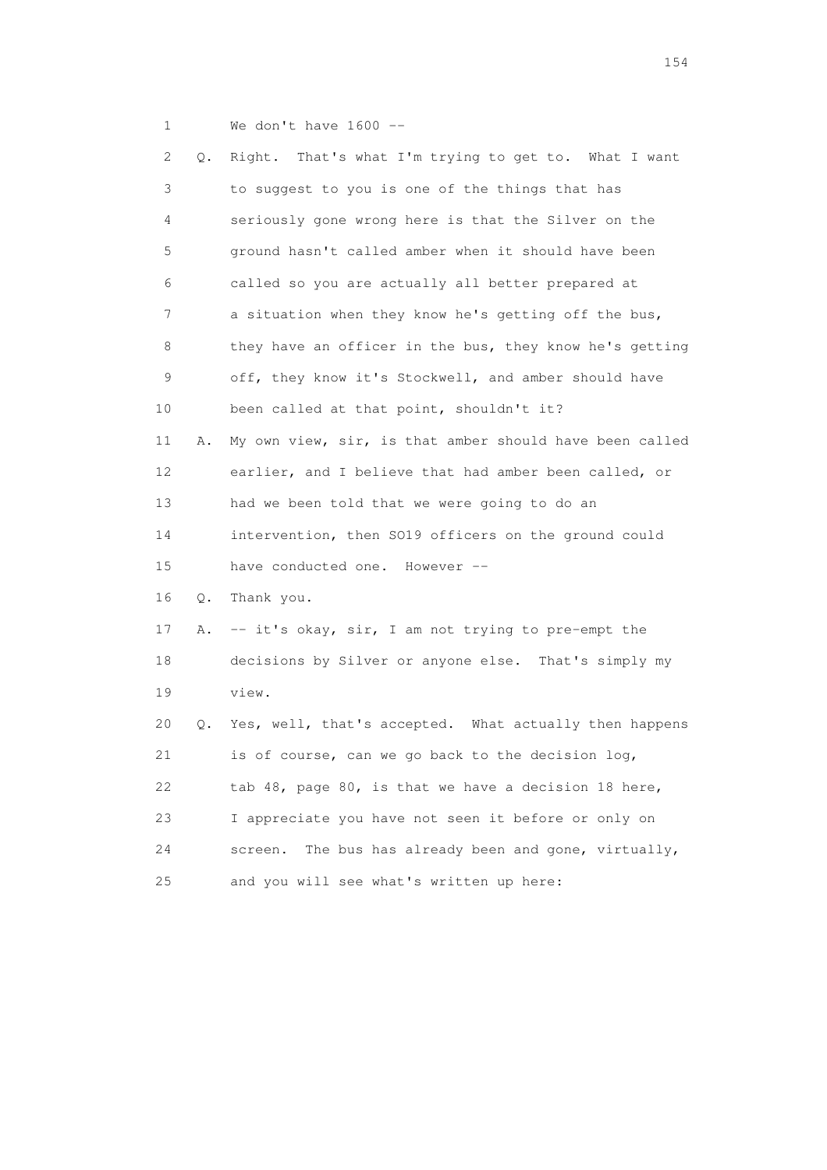1 We don't have 1600 --

| 2  | Q. | Right. That's what I'm trying to get to. What I want     |
|----|----|----------------------------------------------------------|
| 3  |    | to suggest to you is one of the things that has          |
| 4  |    | seriously gone wrong here is that the Silver on the      |
| 5  |    | ground hasn't called amber when it should have been      |
| 6  |    | called so you are actually all better prepared at        |
| 7  |    | a situation when they know he's getting off the bus,     |
| 8  |    | they have an officer in the bus, they know he's getting  |
| 9  |    | off, they know it's Stockwell, and amber should have     |
| 10 |    | been called at that point, shouldn't it?                 |
| 11 | Α. | My own view, sir, is that amber should have been called  |
| 12 |    | earlier, and I believe that had amber been called, or    |
| 13 |    | had we been told that we were going to do an             |
| 14 |    | intervention, then SO19 officers on the ground could     |
| 15 |    | have conducted one. However --                           |
| 16 | Q. | Thank you.                                               |
| 17 | Α. | -- it's okay, sir, I am not trying to pre-empt the       |
| 18 |    | decisions by Silver or anyone else. That's simply my     |
| 19 |    | view.                                                    |
| 20 | Q. | Yes, well, that's accepted. What actually then happens   |
| 21 |    | is of course, can we go back to the decision log,        |
| 22 |    | tab 48, page 80, is that we have a decision 18 here,     |
| 23 |    | I appreciate you have not seen it before or only on      |
| 24 |    | The bus has already been and gone, virtually,<br>screen. |
| 25 |    | and you will see what's written up here:                 |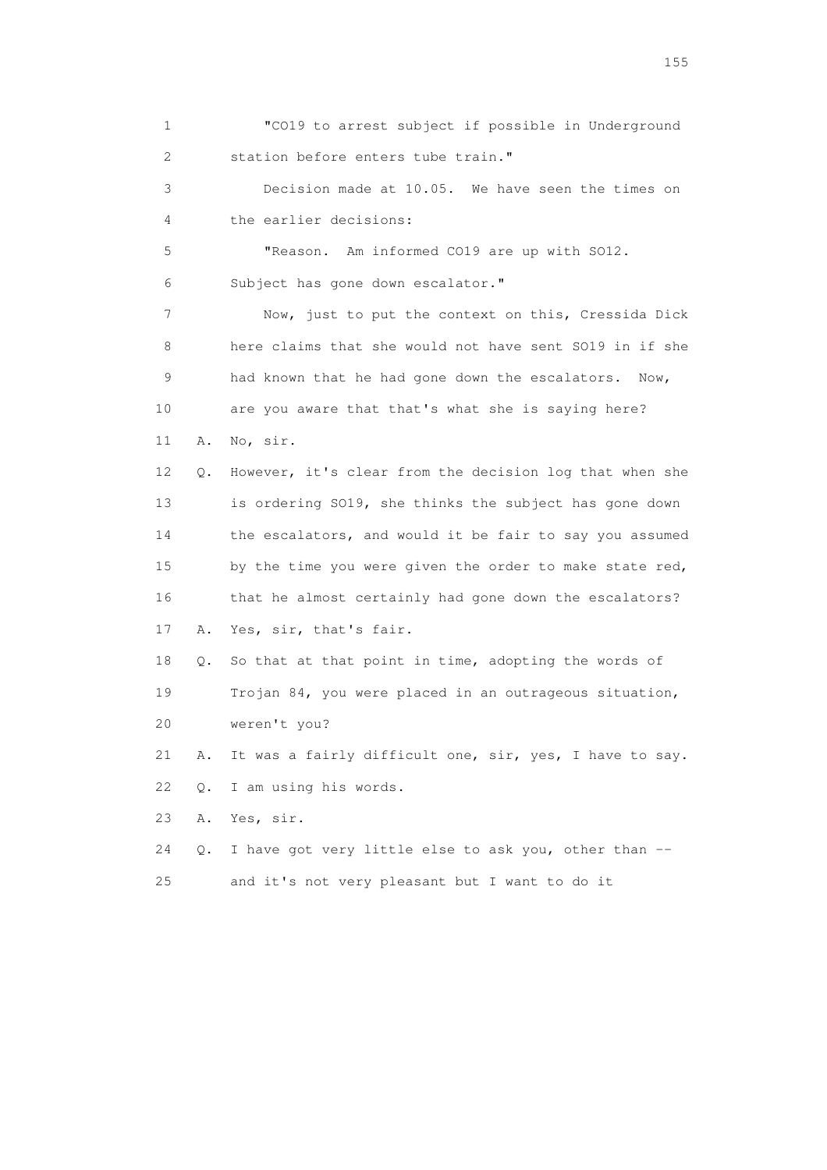1 "CO19 to arrest subject if possible in Underground 2 station before enters tube train." 3 Decision made at 10.05. We have seen the times on 4 the earlier decisions: 5 "Reason. Am informed CO19 are up with SO12. 6 Subject has gone down escalator." 7 Now, just to put the context on this, Cressida Dick 8 here claims that she would not have sent SO19 in if she 9 had known that he had gone down the escalators. Now, 10 are you aware that that's what she is saying here? 11 A. No, sir. 12 Q. However, it's clear from the decision log that when she 13 is ordering SO19, she thinks the subject has gone down 14 the escalators, and would it be fair to say you assumed 15 by the time you were given the order to make state red, 16 that he almost certainly had gone down the escalators? 17 A. Yes, sir, that's fair. 18 Q. So that at that point in time, adopting the words of 19 Trojan 84, you were placed in an outrageous situation, 20 weren't you? 21 A. It was a fairly difficult one, sir, yes, I have to say. 22 Q. I am using his words. 23 A. Yes, sir. 24 Q. I have got very little else to ask you, other than -- 25 and it's not very pleasant but I want to do it

n 155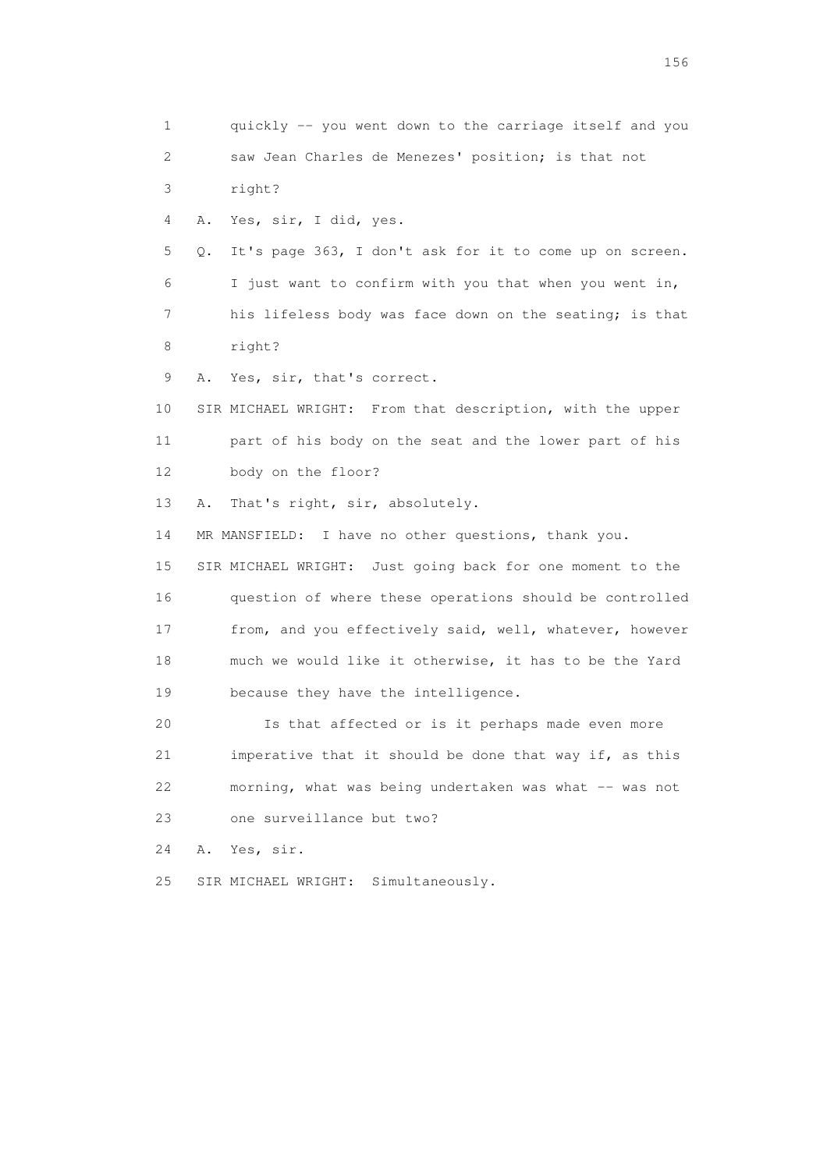1 quickly -- you went down to the carriage itself and you 2 saw Jean Charles de Menezes' position; is that not 3 right? 4 A. Yes, sir, I did, yes. 5 Q. It's page 363, I don't ask for it to come up on screen. 6 I just want to confirm with you that when you went in, 7 his lifeless body was face down on the seating; is that 8 right? 9 A. Yes, sir, that's correct. 10 SIR MICHAEL WRIGHT: From that description, with the upper 11 part of his body on the seat and the lower part of his 12 body on the floor? 13 A. That's right, sir, absolutely. 14 MR MANSFIELD: I have no other questions, thank you. 15 SIR MICHAEL WRIGHT: Just going back for one moment to the 16 question of where these operations should be controlled 17 from, and you effectively said, well, whatever, however 18 much we would like it otherwise, it has to be the Yard 19 because they have the intelligence. 20 Is that affected or is it perhaps made even more 21 imperative that it should be done that way if, as this 22 morning, what was being undertaken was what -- was not 23 one surveillance but two? 24 A. Yes, sir. 25 SIR MICHAEL WRIGHT: Simultaneously.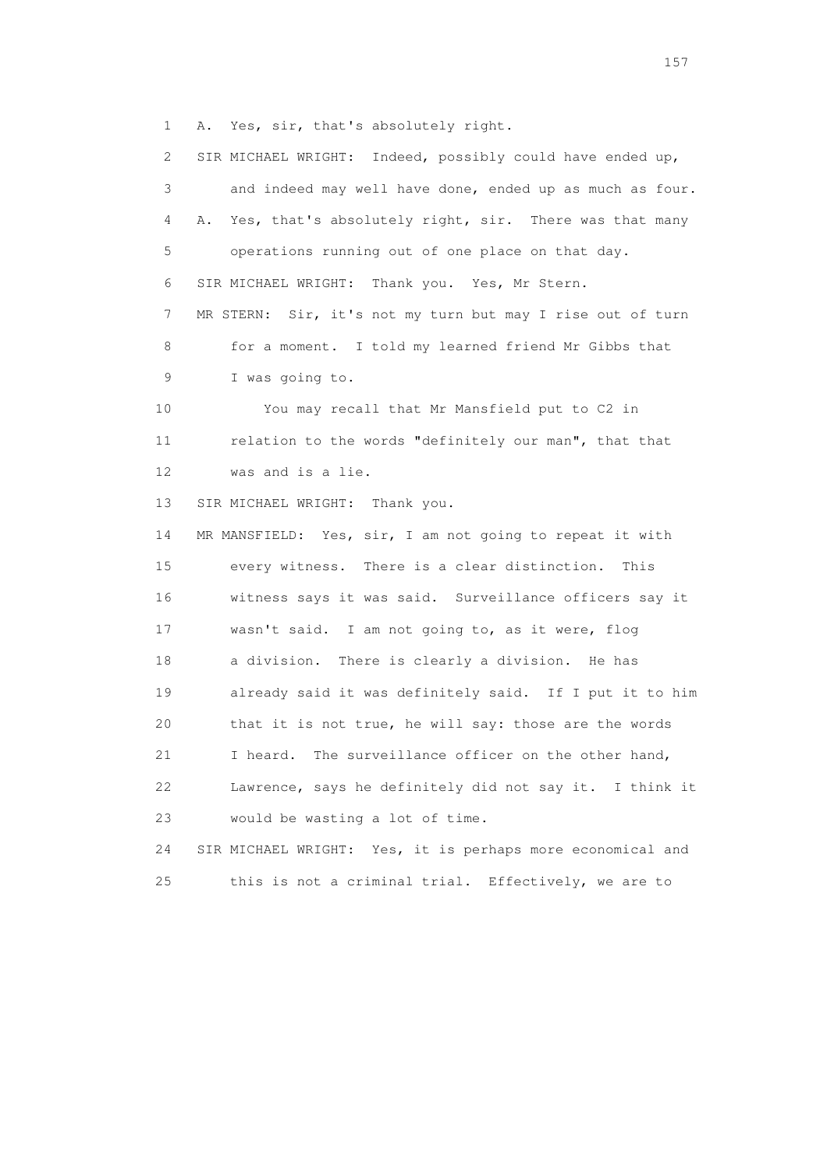1 A. Yes, sir, that's absolutely right.

 2 SIR MICHAEL WRIGHT: Indeed, possibly could have ended up, 3 and indeed may well have done, ended up as much as four. 4 A. Yes, that's absolutely right, sir. There was that many 5 operations running out of one place on that day. 6 SIR MICHAEL WRIGHT: Thank you. Yes, Mr Stern. 7 MR STERN: Sir, it's not my turn but may I rise out of turn 8 for a moment. I told my learned friend Mr Gibbs that 9 I was going to. 10 You may recall that Mr Mansfield put to C2 in 11 relation to the words "definitely our man", that that 12 was and is a lie. 13 SIR MICHAEL WRIGHT: Thank you. 14 MR MANSFIELD: Yes, sir, I am not going to repeat it with 15 every witness. There is a clear distinction. This 16 witness says it was said. Surveillance officers say it 17 wasn't said. I am not going to, as it were, flog 18 a division. There is clearly a division. He has 19 already said it was definitely said. If I put it to him 20 that it is not true, he will say: those are the words 21 I heard. The surveillance officer on the other hand, 22 Lawrence, says he definitely did not say it. I think it 23 would be wasting a lot of time. 24 SIR MICHAEL WRIGHT: Yes, it is perhaps more economical and 25 this is not a criminal trial. Effectively, we are to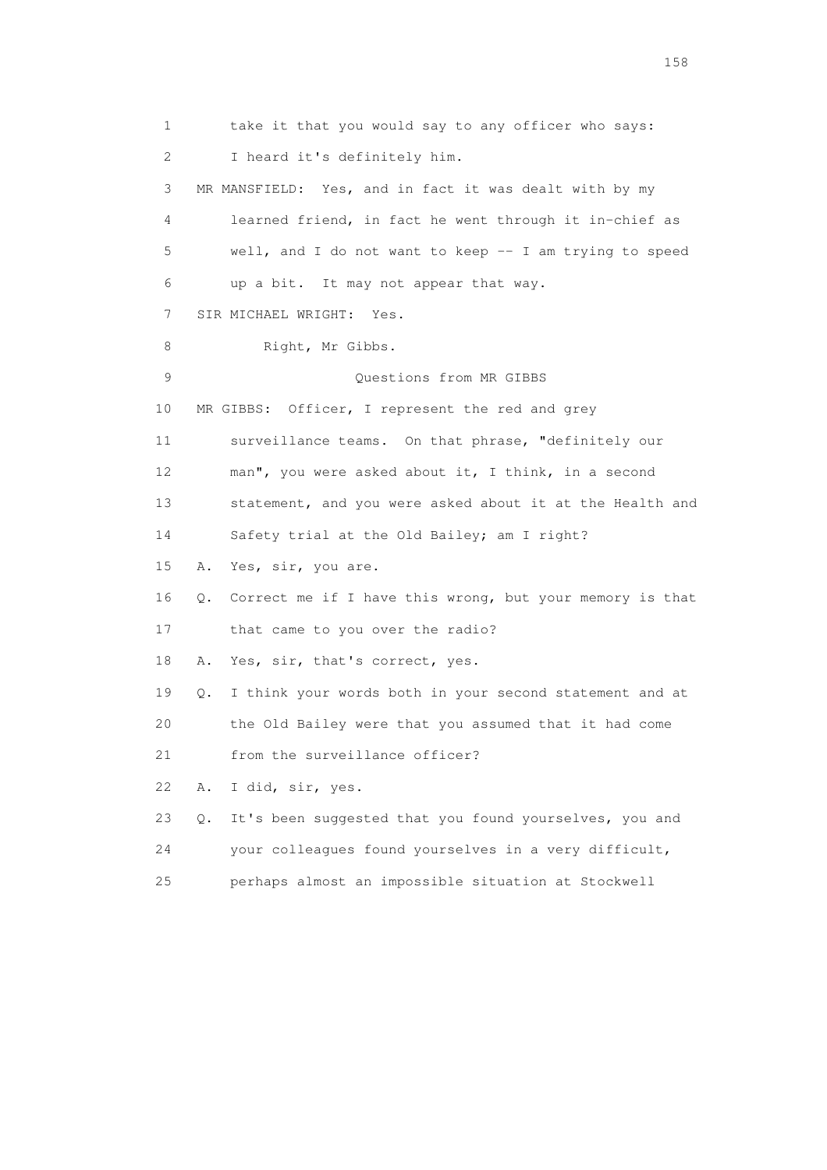1 take it that you would say to any officer who says: 2 I heard it's definitely him. 3 MR MANSFIELD: Yes, and in fact it was dealt with by my 4 learned friend, in fact he went through it in-chief as 5 well, and I do not want to keep -- I am trying to speed 6 up a bit. It may not appear that way. 7 SIR MICHAEL WRIGHT: Yes. 8 Right, Mr Gibbs. 9 Questions from MR GIBBS 10 MR GIBBS: Officer, I represent the red and grey 11 surveillance teams. On that phrase, "definitely our 12 man", you were asked about it, I think, in a second 13 statement, and you were asked about it at the Health and 14 Safety trial at the Old Bailey; am I right? 15 A. Yes, sir, you are. 16 Q. Correct me if I have this wrong, but your memory is that 17 that came to you over the radio? 18 A. Yes, sir, that's correct, yes. 19 Q. I think your words both in your second statement and at 20 the Old Bailey were that you assumed that it had come 21 from the surveillance officer? 22 A. I did, sir, yes. 23 Q. It's been suggested that you found yourselves, you and 24 your colleagues found yourselves in a very difficult, 25 perhaps almost an impossible situation at Stockwell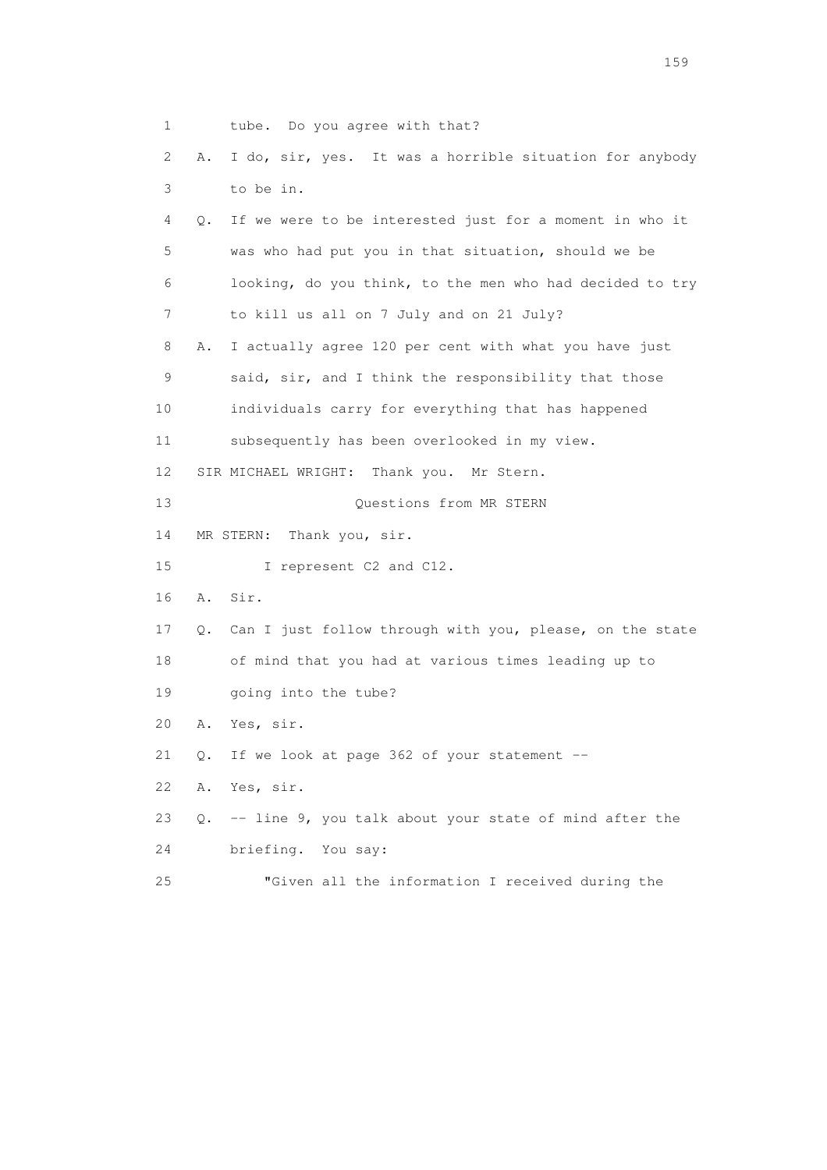1 tube. Do you agree with that? 2 A. I do, sir, yes. It was a horrible situation for anybody 3 to be in. 4 Q. If we were to be interested just for a moment in who it 5 was who had put you in that situation, should we be 6 looking, do you think, to the men who had decided to try 7 to kill us all on 7 July and on 21 July? 8 A. I actually agree 120 per cent with what you have just 9 said, sir, and I think the responsibility that those 10 individuals carry for everything that has happened 11 subsequently has been overlooked in my view. 12 SIR MICHAEL WRIGHT: Thank you. Mr Stern. 13 Ouestions from MR STERN 14 MR STERN: Thank you, sir. 15 I represent C2 and C12. 16 A. Sir. 17 Q. Can I just follow through with you, please, on the state 18 of mind that you had at various times leading up to 19 going into the tube? 20 A. Yes, sir. 21 Q. If we look at page 362 of your statement -- 22 A. Yes, sir. 23 Q. -- line 9, you talk about your state of mind after the 24 briefing. You say: 25 "Given all the information I received during the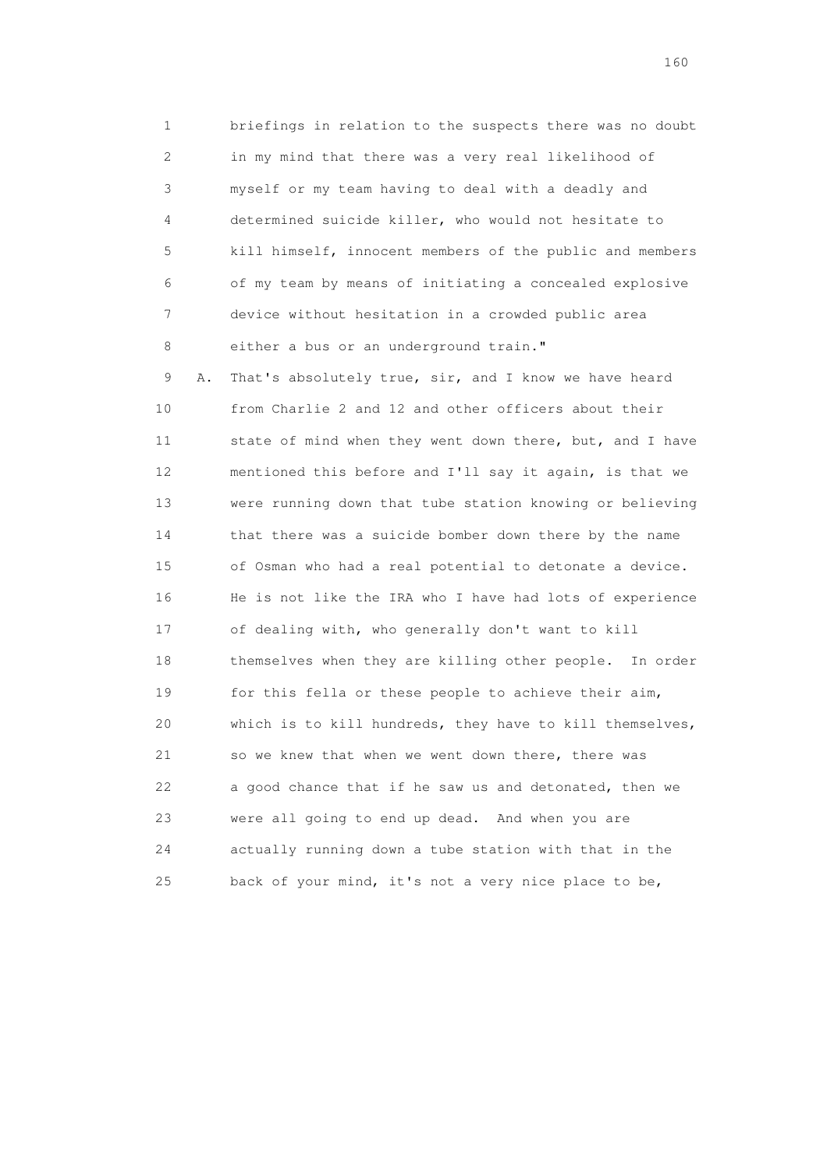1 briefings in relation to the suspects there was no doubt 2 in my mind that there was a very real likelihood of 3 myself or my team having to deal with a deadly and 4 determined suicide killer, who would not hesitate to 5 kill himself, innocent members of the public and members 6 of my team by means of initiating a concealed explosive 7 device without hesitation in a crowded public area 8 either a bus or an underground train."

 9 A. That's absolutely true, sir, and I know we have heard 10 from Charlie 2 and 12 and other officers about their 11 state of mind when they went down there, but, and I have 12 mentioned this before and I'll say it again, is that we 13 were running down that tube station knowing or believing 14 that there was a suicide bomber down there by the name 15 of Osman who had a real potential to detonate a device. 16 He is not like the IRA who I have had lots of experience 17 of dealing with, who generally don't want to kill 18 themselves when they are killing other people. In order 19 for this fella or these people to achieve their aim, 20 which is to kill hundreds, they have to kill themselves, 21 so we knew that when we went down there, there was 22 a good chance that if he saw us and detonated, then we 23 were all going to end up dead. And when you are 24 actually running down a tube station with that in the 25 back of your mind, it's not a very nice place to be,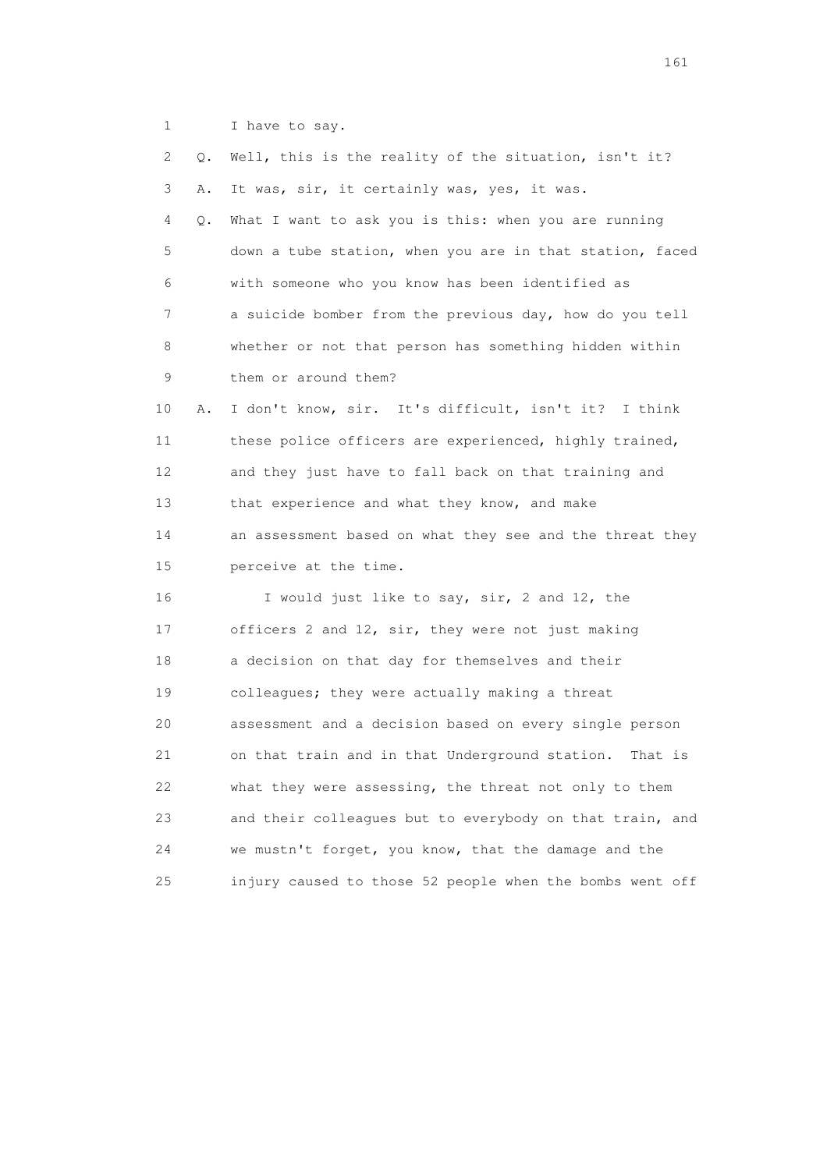1 I have to say.

| 2  | Q. | Well, this is the reality of the situation, isn't it?     |
|----|----|-----------------------------------------------------------|
| 3  | Α. | It was, sir, it certainly was, yes, it was.               |
| 4  | Q. | What I want to ask you is this: when you are running      |
| 5  |    | down a tube station, when you are in that station, faced  |
| 6  |    | with someone who you know has been identified as          |
| 7  |    | a suicide bomber from the previous day, how do you tell   |
| 8  |    | whether or not that person has something hidden within    |
| 9  |    | them or around them?                                      |
| 10 | Α. | I don't know, sir. It's difficult, isn't it? I think      |
| 11 |    | these police officers are experienced, highly trained,    |
| 12 |    | and they just have to fall back on that training and      |
| 13 |    | that experience and what they know, and make              |
| 14 |    | an assessment based on what they see and the threat they  |
| 15 |    | perceive at the time.                                     |
| 16 |    | I would just like to say, sir, 2 and 12, the              |
| 17 |    | officers 2 and 12, sir, they were not just making         |
| 18 |    | a decision on that day for themselves and their           |
| 19 |    | colleagues; they were actually making a threat            |
| 20 |    | assessment and a decision based on every single person    |
| 21 |    | on that train and in that Underground station.<br>That is |
| 22 |    | what they were assessing, the threat not only to them     |
| 23 |    | and their colleagues but to everybody on that train, and  |
| 24 |    | we mustn't forget, you know, that the damage and the      |
| 25 |    | injury caused to those 52 people when the bombs went off  |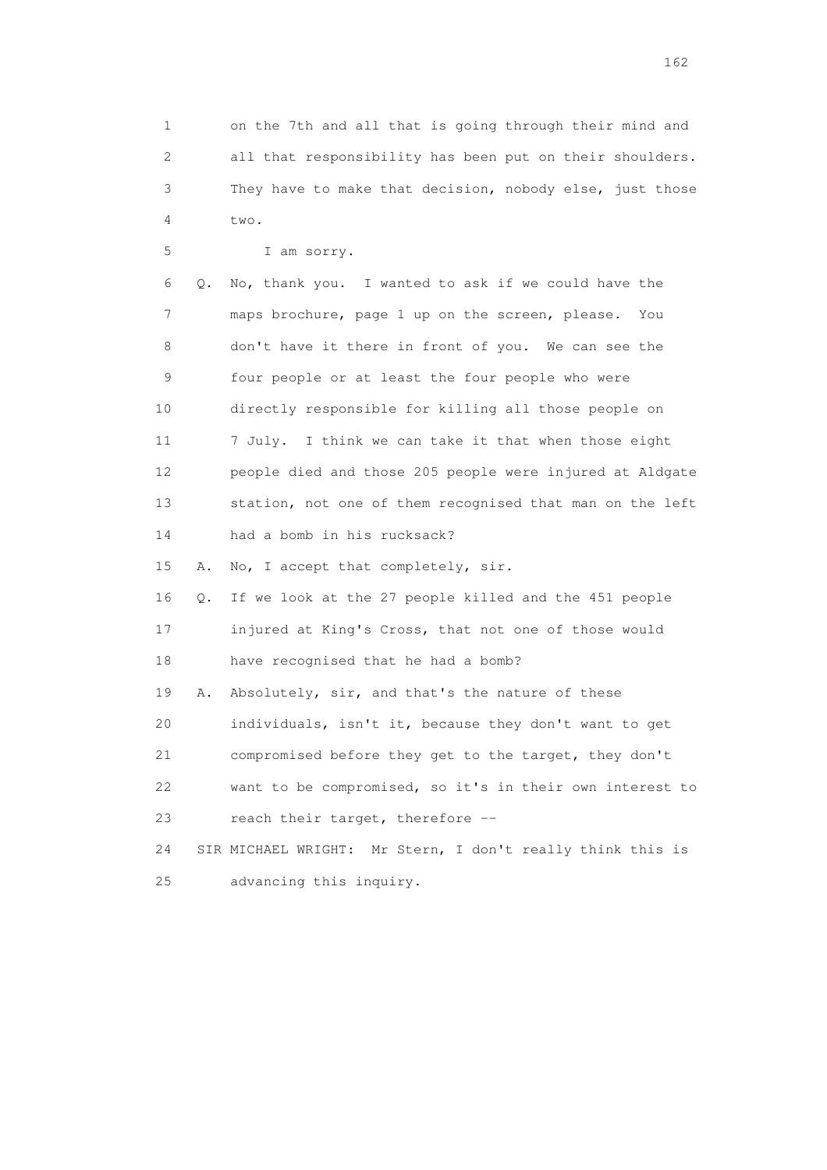1 on the 7th and all that is going through their mind and 2 all that responsibility has been put on their shoulders. 3 They have to make that decision, nobody else, just those 4  $t_{WQ}$ .

 5 I am sorry. 6 Q. No, thank you. I wanted to ask if we could have the 7 maps brochure, page 1 up on the screen, please. You 8 don't have it there in front of you. We can see the 9 four people or at least the four people who were 10 directly responsible for killing all those people on 11 7 July. I think we can take it that when those eight 12 people died and those 205 people were injured at Aldgate 13 station, not one of them recognised that man on the left 14 had a bomb in his rucksack? 15 A. No, I accept that completely, sir. 16 Q. If we look at the 27 people killed and the 451 people 17 injured at King's Cross, that not one of those would

 18 have recognised that he had a bomb? 19 A. Absolutely, sir, and that's the nature of these

 20 individuals, isn't it, because they don't want to get 21 compromised before they get to the target, they don't 22 want to be compromised, so it's in their own interest to 23 reach their target, therefore --

 24 SIR MICHAEL WRIGHT: Mr Stern, I don't really think this is 25 advancing this inquiry.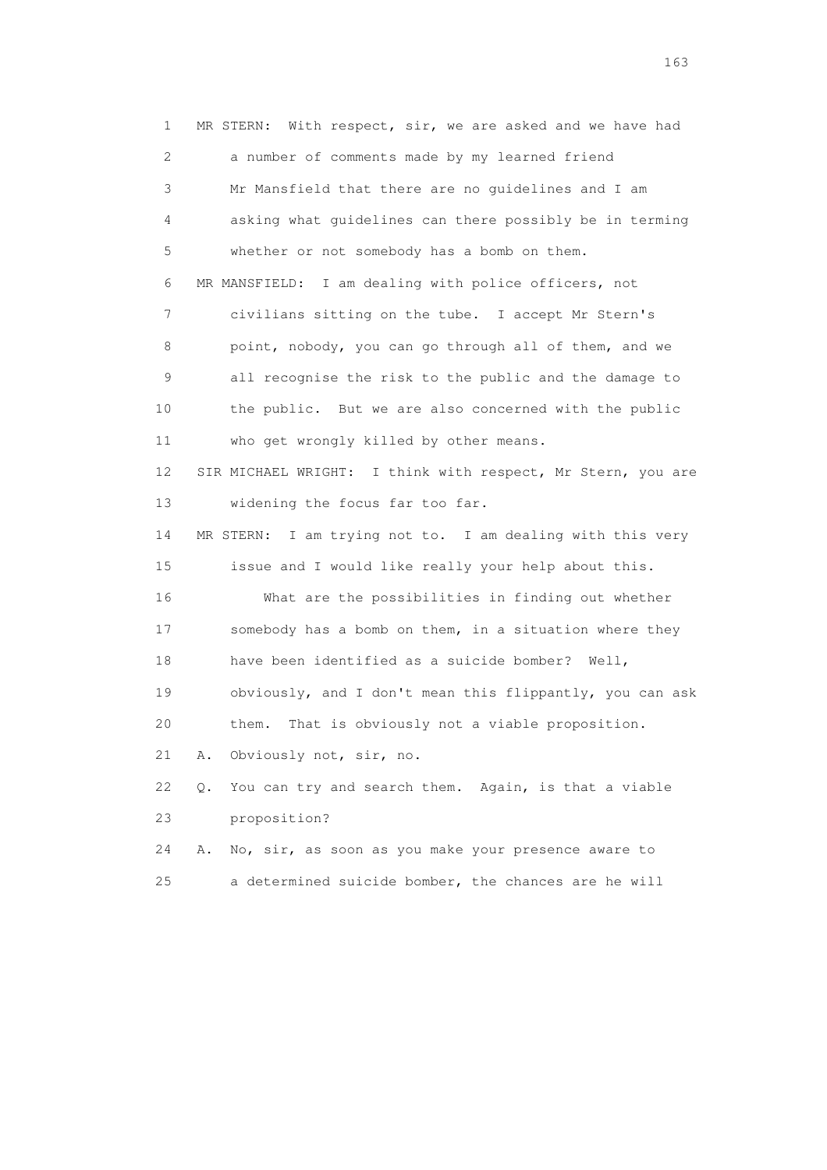1 MR STERN: With respect, sir, we are asked and we have had 2 a number of comments made by my learned friend 3 Mr Mansfield that there are no guidelines and I am 4 asking what guidelines can there possibly be in terming 5 whether or not somebody has a bomb on them. 6 MR MANSFIELD: I am dealing with police officers, not 7 civilians sitting on the tube. I accept Mr Stern's 8 point, nobody, you can go through all of them, and we 9 all recognise the risk to the public and the damage to 10 the public. But we are also concerned with the public 11 who get wrongly killed by other means. 12 SIR MICHAEL WRIGHT: I think with respect, Mr Stern, you are 13 widening the focus far too far. 14 MR STERN: I am trying not to. I am dealing with this very 15 issue and I would like really your help about this. 16 What are the possibilities in finding out whether 17 somebody has a bomb on them, in a situation where they 18 have been identified as a suicide bomber? Well, 19 obviously, and I don't mean this flippantly, you can ask 20 them. That is obviously not a viable proposition. 21 A. Obviously not, sir, no. 22 Q. You can try and search them. Again, is that a viable 23 proposition? 24 A. No, sir, as soon as you make your presence aware to 25 a determined suicide bomber, the chances are he will

<u>163</u>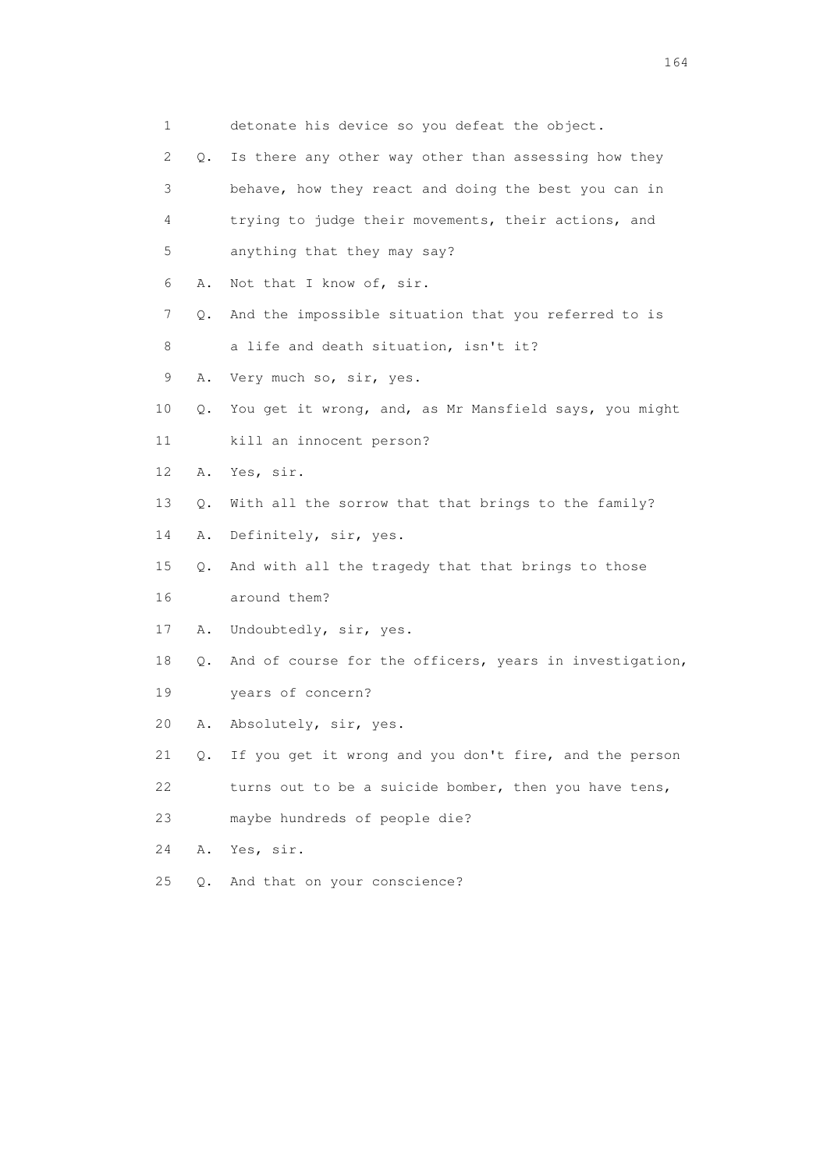1 detonate his device so you defeat the object. 2 Q. Is there any other way other than assessing how they 3 behave, how they react and doing the best you can in 4 trying to judge their movements, their actions, and 5 anything that they may say? 6 A. Not that I know of, sir. 7 Q. And the impossible situation that you referred to is 8 a life and death situation, isn't it? 9 A. Very much so, sir, yes. 10 Q. You get it wrong, and, as Mr Mansfield says, you might 11 kill an innocent person? 12 A. Yes, sir. 13 Q. With all the sorrow that that brings to the family? 14 A. Definitely, sir, yes. 15 Q. And with all the tragedy that that brings to those 16 around them? 17 A. Undoubtedly, sir, yes. 18 Q. And of course for the officers, years in investigation, 19 years of concern? 20 A. Absolutely, sir, yes. 21 Q. If you get it wrong and you don't fire, and the person 22 turns out to be a suicide bomber, then you have tens, 23 maybe hundreds of people die? 24 A. Yes, sir. 25 Q. And that on your conscience?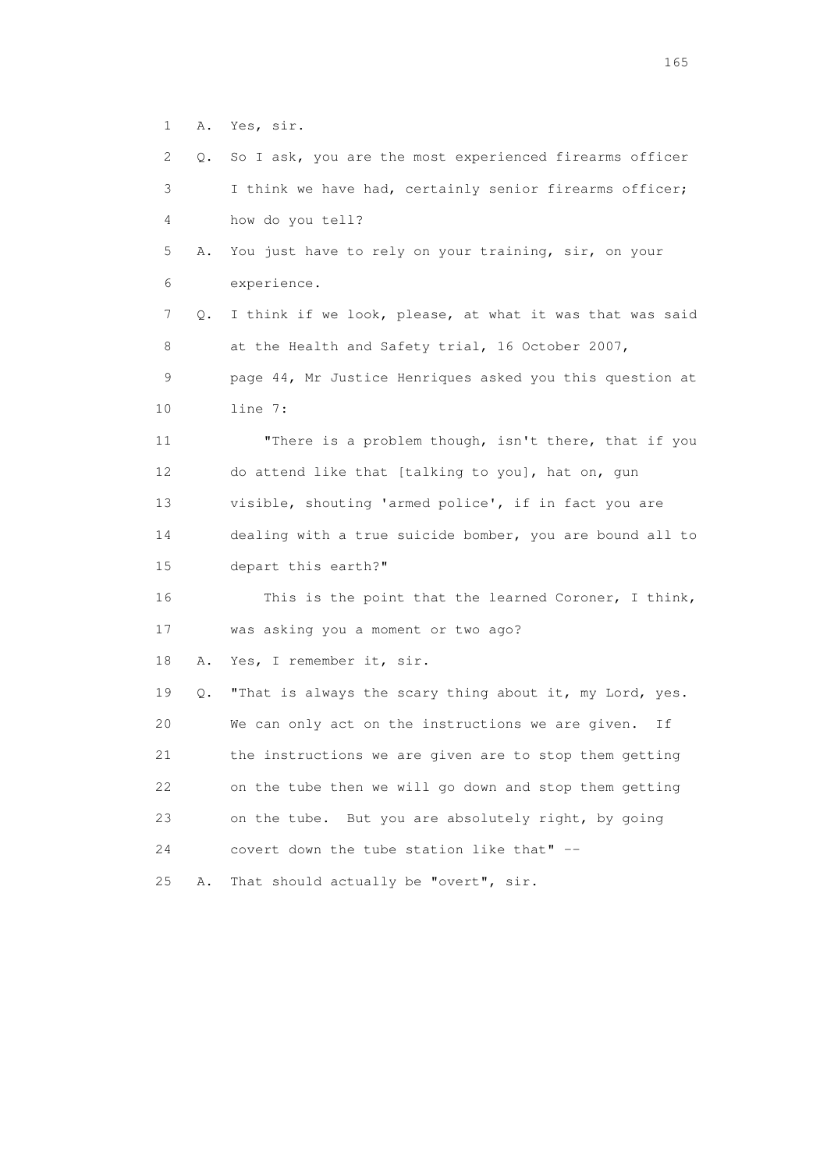1 A. Yes, sir.

 2 Q. So I ask, you are the most experienced firearms officer 3 I think we have had, certainly senior firearms officer; 4 how do you tell? 5 A. You just have to rely on your training, sir, on your 6 experience. 7 Q. I think if we look, please, at what it was that was said 8 at the Health and Safety trial, 16 October 2007, 9 page 44, Mr Justice Henriques asked you this question at 10 line 7: 11 "There is a problem though, isn't there, that if you 12 do attend like that [talking to you], hat on, gun 13 visible, shouting 'armed police', if in fact you are 14 dealing with a true suicide bomber, you are bound all to 15 depart this earth?" 16 This is the point that the learned Coroner, I think, 17 was asking you a moment or two ago? 18 A. Yes, I remember it, sir. 19 Q. "That is always the scary thing about it, my Lord, yes. 20 We can only act on the instructions we are given. If 21 the instructions we are given are to stop them getting 22 on the tube then we will go down and stop them getting 23 on the tube. But you are absolutely right, by going 24 covert down the tube station like that" -- 25 A. That should actually be "overt", sir.

<u>165</u>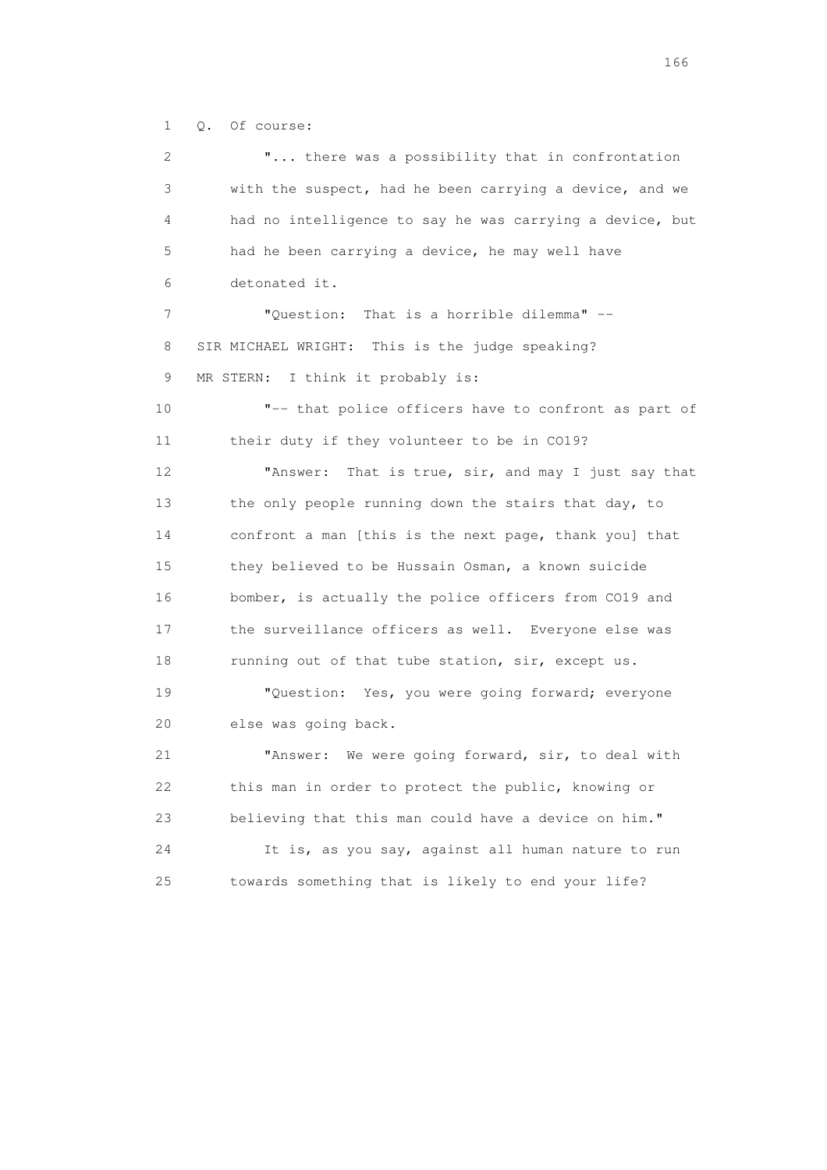1 Q. Of course:

 2 "... there was a possibility that in confrontation 3 with the suspect, had he been carrying a device, and we 4 had no intelligence to say he was carrying a device, but 5 had he been carrying a device, he may well have 6 detonated it. 7 "Question: That is a horrible dilemma" -- 8 SIR MICHAEL WRIGHT: This is the judge speaking? 9 MR STERN: I think it probably is: 10 "-- that police officers have to confront as part of 11 their duty if they volunteer to be in CO19? 12 "Answer: That is true, sir, and may I just say that 13 the only people running down the stairs that day, to 14 confront a man [this is the next page, thank you] that 15 they believed to be Hussain Osman, a known suicide 16 bomber, is actually the police officers from CO19 and 17 the surveillance officers as well. Everyone else was 18 running out of that tube station, sir, except us. 19 "Question: Yes, you were going forward; everyone 20 else was going back. 21 "Answer: We were going forward, sir, to deal with 22 this man in order to protect the public, knowing or 23 believing that this man could have a device on him." 24 It is, as you say, against all human nature to run 25 towards something that is likely to end your life?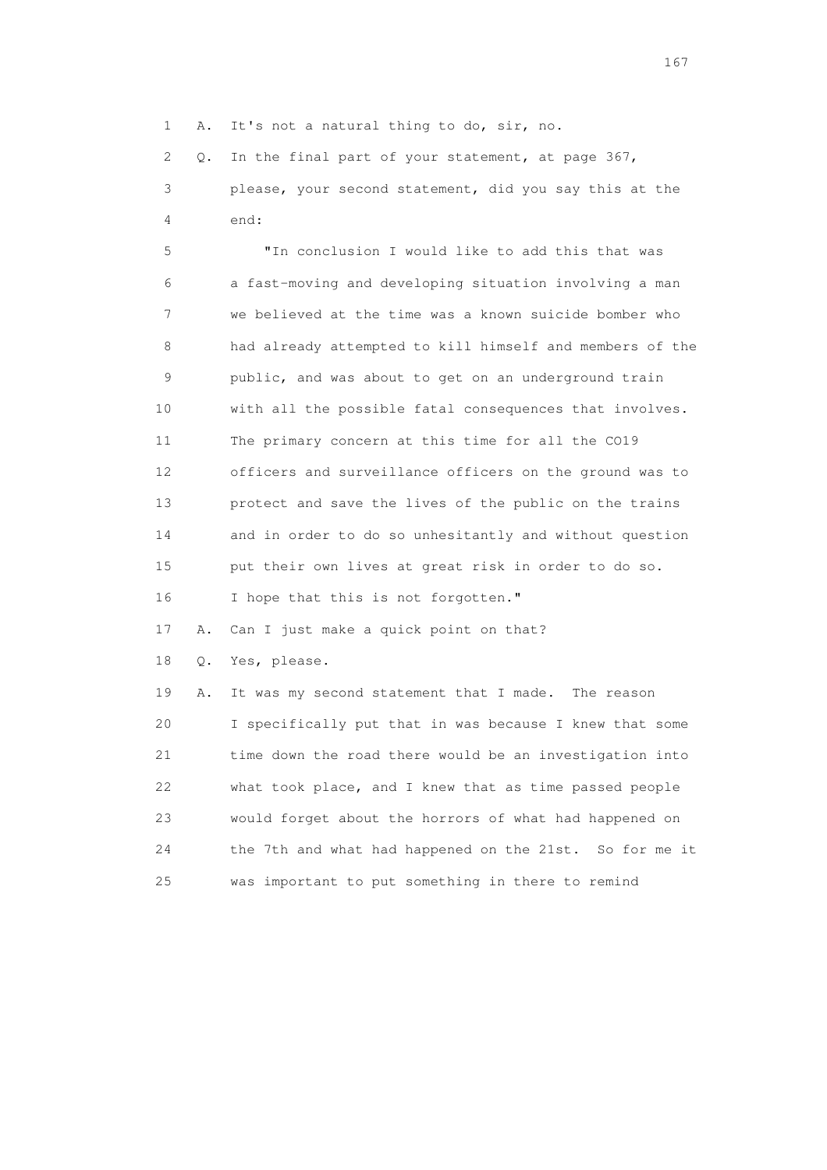1 A. It's not a natural thing to do, sir, no.

 2 Q. In the final part of your statement, at page 367, 3 please, your second statement, did you say this at the 4 end:

 5 "In conclusion I would like to add this that was 6 a fast-moving and developing situation involving a man 7 we believed at the time was a known suicide bomber who 8 had already attempted to kill himself and members of the 9 public, and was about to get on an underground train 10 with all the possible fatal consequences that involves. 11 The primary concern at this time for all the CO19 12 officers and surveillance officers on the ground was to 13 protect and save the lives of the public on the trains 14 and in order to do so unhesitantly and without question 15 put their own lives at great risk in order to do so. 16 I hope that this is not forgotten."

17 A. Can I just make a quick point on that?

18 Q. Yes, please.

 19 A. It was my second statement that I made. The reason 20 I specifically put that in was because I knew that some 21 time down the road there would be an investigation into 22 what took place, and I knew that as time passed people 23 would forget about the horrors of what had happened on 24 the 7th and what had happened on the 21st. So for me it 25 was important to put something in there to remind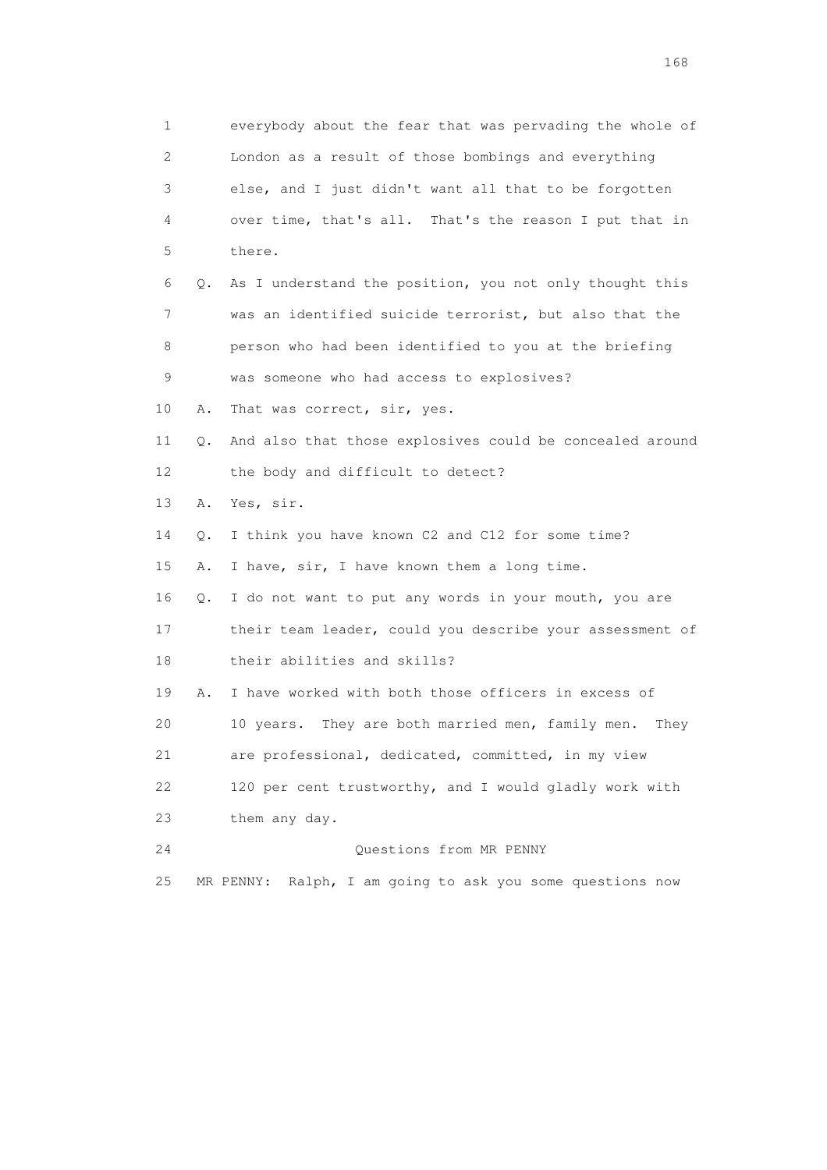| 1  |    | everybody about the fear that was pervading the whole of     |
|----|----|--------------------------------------------------------------|
| 2  |    | London as a result of those bombings and everything          |
| 3  |    | else, and I just didn't want all that to be forgotten        |
| 4  |    | over time, that's all. That's the reason I put that in       |
| 5  |    | there.                                                       |
| 6  | Q. | As I understand the position, you not only thought this      |
| 7  |    | was an identified suicide terrorist, but also that the       |
| 8  |    | person who had been identified to you at the briefing        |
| 9  |    | was someone who had access to explosives?                    |
| 10 | Α. | That was correct, sir, yes.                                  |
| 11 | Q. | And also that those explosives could be concealed around     |
| 12 |    | the body and difficult to detect?                            |
| 13 | Α. | Yes, sir.                                                    |
| 14 | Q. | I think you have known C2 and C12 for some time?             |
| 15 | Α. | I have, sir, I have known them a long time.                  |
| 16 | Q. | I do not want to put any words in your mouth, you are        |
| 17 |    | their team leader, could you describe your assessment of     |
| 18 |    | their abilities and skills?                                  |
| 19 | Α. | I have worked with both those officers in excess of          |
| 20 |    | They are both married men, family men.<br>10 years.<br>They  |
| 21 |    | are professional, dedicated, committed, in my view           |
| 22 |    | 120 per cent trustworthy, and I would gladly work with       |
| 23 |    | them any day.                                                |
| 24 |    | Questions from MR PENNY                                      |
| 25 |    | Ralph, I am going to ask you some questions now<br>MR PENNY: |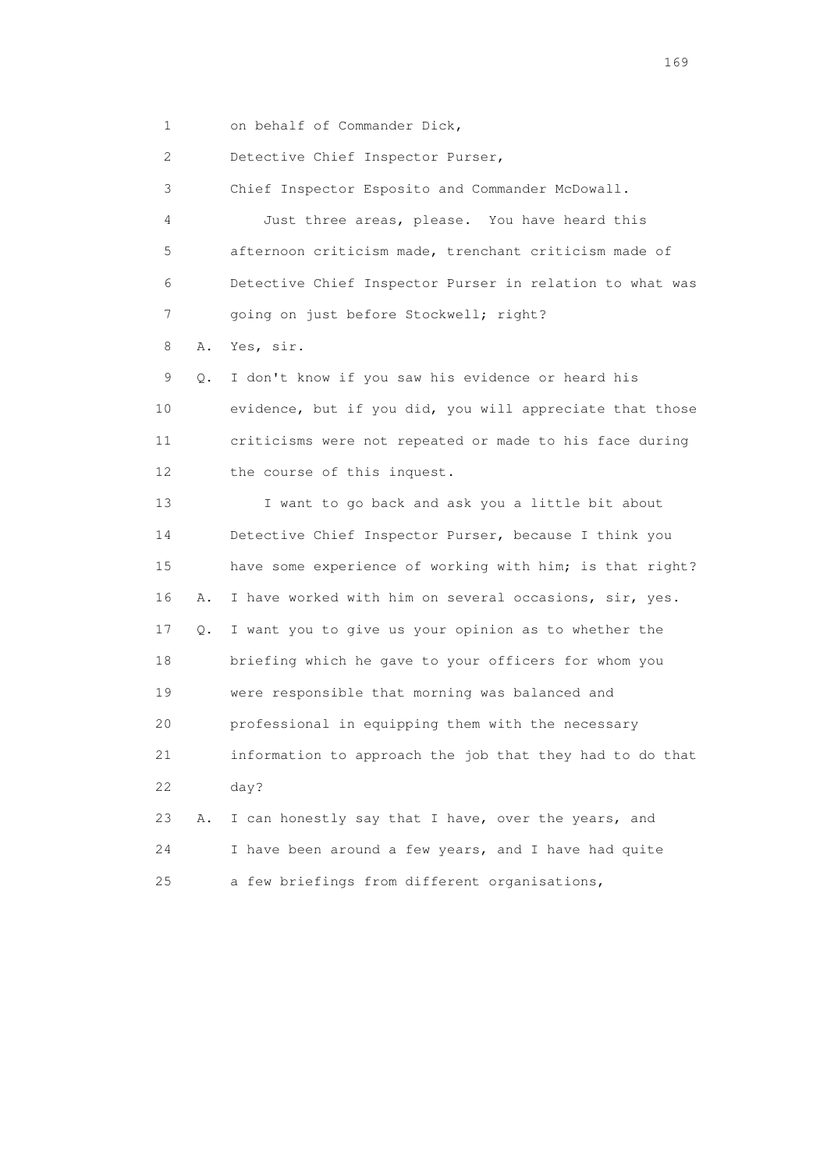1 on behalf of Commander Dick,

2 Detective Chief Inspector Purser,

3 Chief Inspector Esposito and Commander McDowall.

 4 Just three areas, please. You have heard this 5 afternoon criticism made, trenchant criticism made of 6 Detective Chief Inspector Purser in relation to what was 7 going on just before Stockwell; right?

8 A. Yes, sir.

 9 Q. I don't know if you saw his evidence or heard his 10 evidence, but if you did, you will appreciate that those 11 criticisms were not repeated or made to his face during 12 the course of this inquest.

 13 I want to go back and ask you a little bit about 14 Detective Chief Inspector Purser, because I think you 15 have some experience of working with him; is that right? 16 A. I have worked with him on several occasions, sir, yes. 17 Q. I want you to give us your opinion as to whether the 18 briefing which he gave to your officers for whom you 19 were responsible that morning was balanced and 20 professional in equipping them with the necessary 21 information to approach the job that they had to do that 22 day? 23 A. I can honestly say that I have, over the years, and 24 I have been around a few years, and I have had quite

25 a few briefings from different organisations,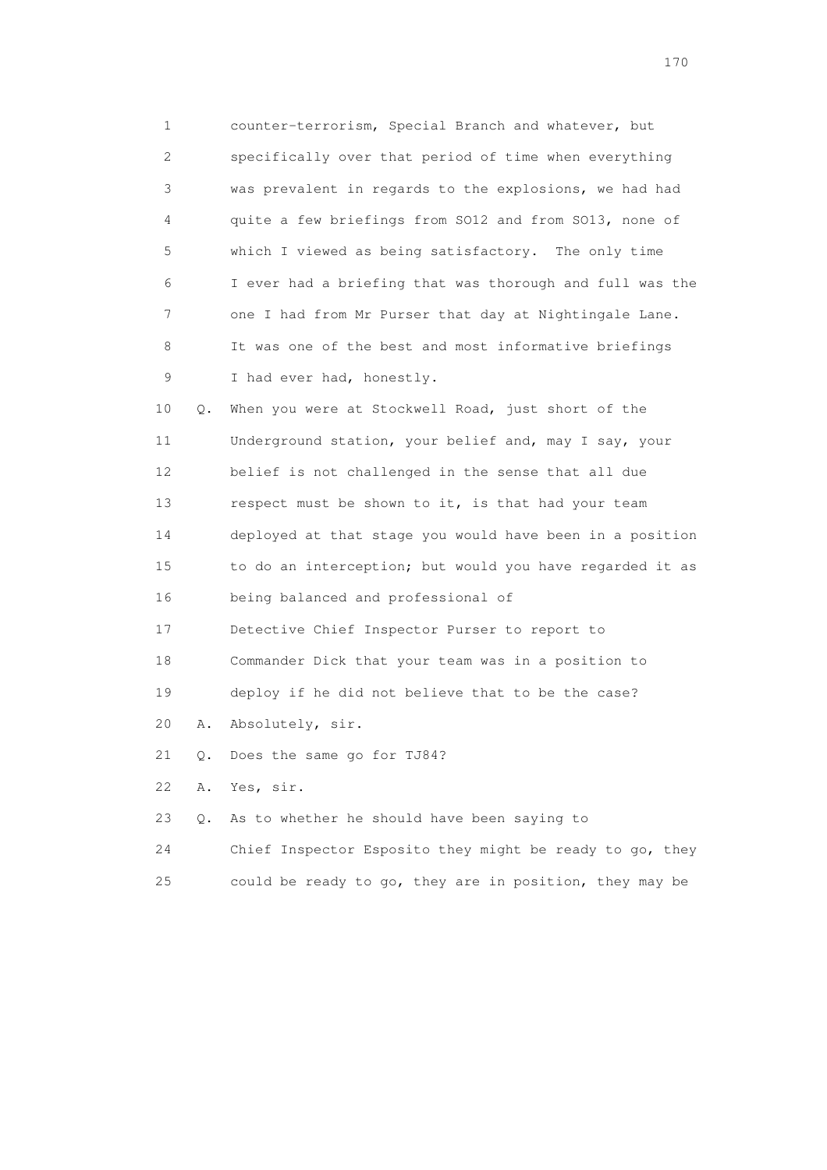1 counter-terrorism, Special Branch and whatever, but 2 specifically over that period of time when everything 3 was prevalent in regards to the explosions, we had had 4 quite a few briefings from SO12 and from SO13, none of 5 which I viewed as being satisfactory. The only time 6 I ever had a briefing that was thorough and full was the 7 one I had from Mr Purser that day at Nightingale Lane. 8 It was one of the best and most informative briefings 9 I had ever had, honestly.

 10 Q. When you were at Stockwell Road, just short of the 11 Underground station, your belief and, may I say, your 12 belief is not challenged in the sense that all due 13 respect must be shown to it, is that had your team 14 deployed at that stage you would have been in a position 15 to do an interception; but would you have regarded it as 16 being balanced and professional of

17 Detective Chief Inspector Purser to report to

18 Commander Dick that your team was in a position to

19 deploy if he did not believe that to be the case?

20 A. Absolutely, sir.

21 Q. Does the same go for TJ84?

22 A. Yes, sir.

23 Q. As to whether he should have been saying to

24 Chief Inspector Esposito they might be ready to go, they

25 could be ready to go, they are in position, they may be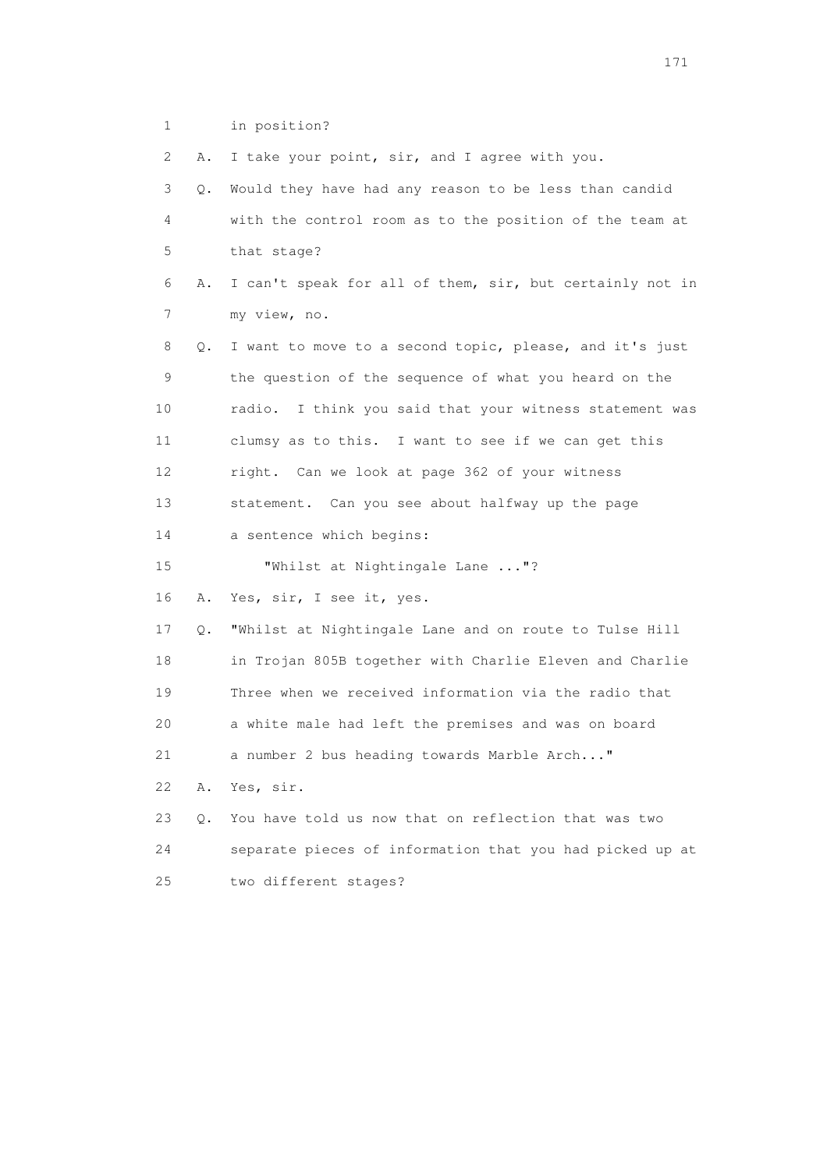1 in position?

| 2  | Α. | I take your point, sir, and I agree with you.              |
|----|----|------------------------------------------------------------|
| 3  | Q. | Would they have had any reason to be less than candid      |
| 4  |    | with the control room as to the position of the team at    |
| 5  |    | that stage?                                                |
| 6  | Α. | I can't speak for all of them, sir, but certainly not in   |
| 7  |    | my view, no.                                               |
| 8  | Q. | I want to move to a second topic, please, and it's just    |
| 9  |    | the question of the sequence of what you heard on the      |
| 10 |    | I think you said that your witness statement was<br>radio. |
| 11 |    | clumsy as to this. I want to see if we can get this        |
| 12 |    | right. Can we look at page 362 of your witness             |
| 13 |    | statement. Can you see about halfway up the page           |
| 14 |    | a sentence which begins:                                   |
| 15 |    | "Whilst at Nightingale Lane "?                             |
| 16 | Α. | Yes, sir, I see it, yes.                                   |
| 17 | Q. | "Whilst at Nightingale Lane and on route to Tulse Hill     |
| 18 |    | in Trojan 805B together with Charlie Eleven and Charlie    |
| 19 |    | Three when we received information via the radio that      |
| 20 |    | a white male had left the premises and was on board        |
| 21 |    | a number 2 bus heading towards Marble Arch"                |
| 22 | Α. | Yes, sir.                                                  |
| 23 | О. | You have told us now that on reflection that was two       |
| 24 |    | separate pieces of information that you had picked up at   |
| 25 |    | two different stages?                                      |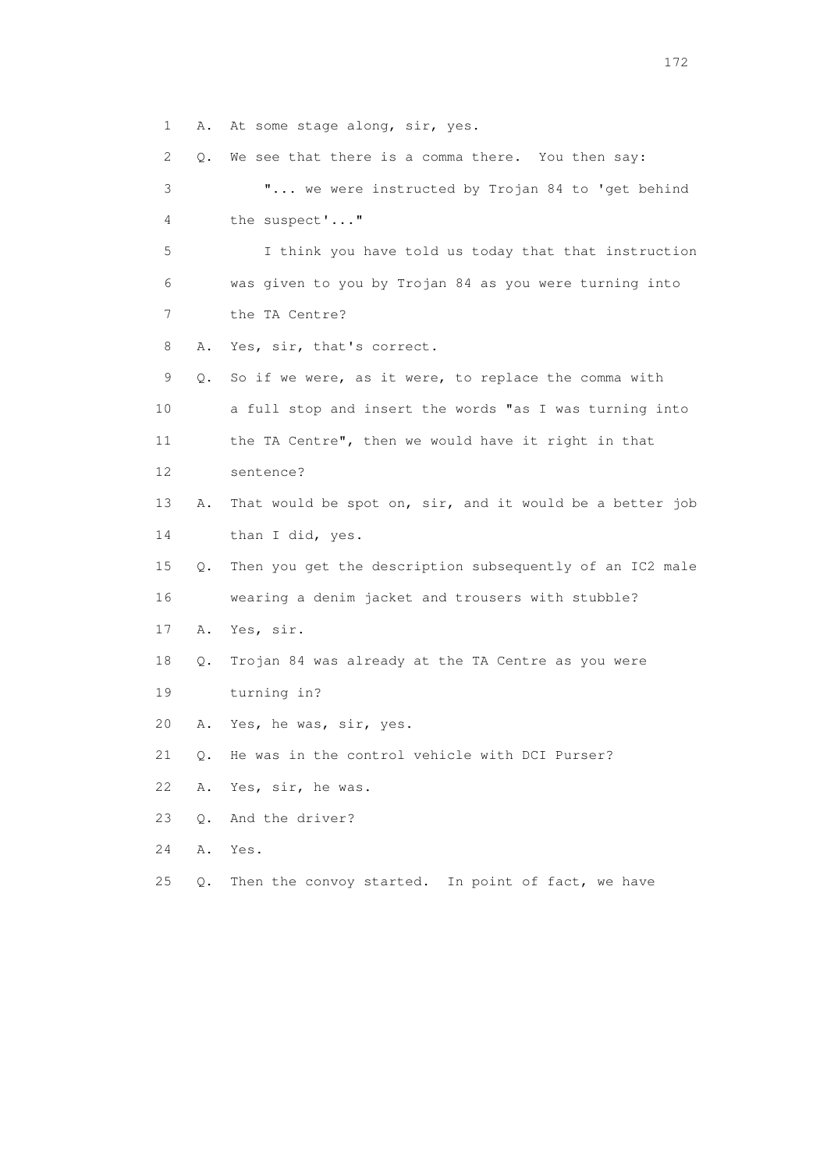1 A. At some stage along, sir, yes.

 2 Q. We see that there is a comma there. You then say: 3 "... we were instructed by Trojan 84 to 'get behind 4 the suspect'..." 5 I think you have told us today that that instruction 6 was given to you by Trojan 84 as you were turning into 7 the TA Centre? 8 A. Yes, sir, that's correct. 9 Q. So if we were, as it were, to replace the comma with 10 a full stop and insert the words "as I was turning into 11 the TA Centre", then we would have it right in that 12 sentence? 13 A. That would be spot on, sir, and it would be a better job 14 than I did, yes. 15 Q. Then you get the description subsequently of an IC2 male 16 wearing a denim jacket and trousers with stubble? 17 A. Yes, sir. 18 Q. Trojan 84 was already at the TA Centre as you were 19 turning in? 20 A. Yes, he was, sir, yes. 21 Q. He was in the control vehicle with DCI Purser? 22 A. Yes, sir, he was. 23 Q. And the driver? 24 A. Yes. 25 Q. Then the convoy started. In point of fact, we have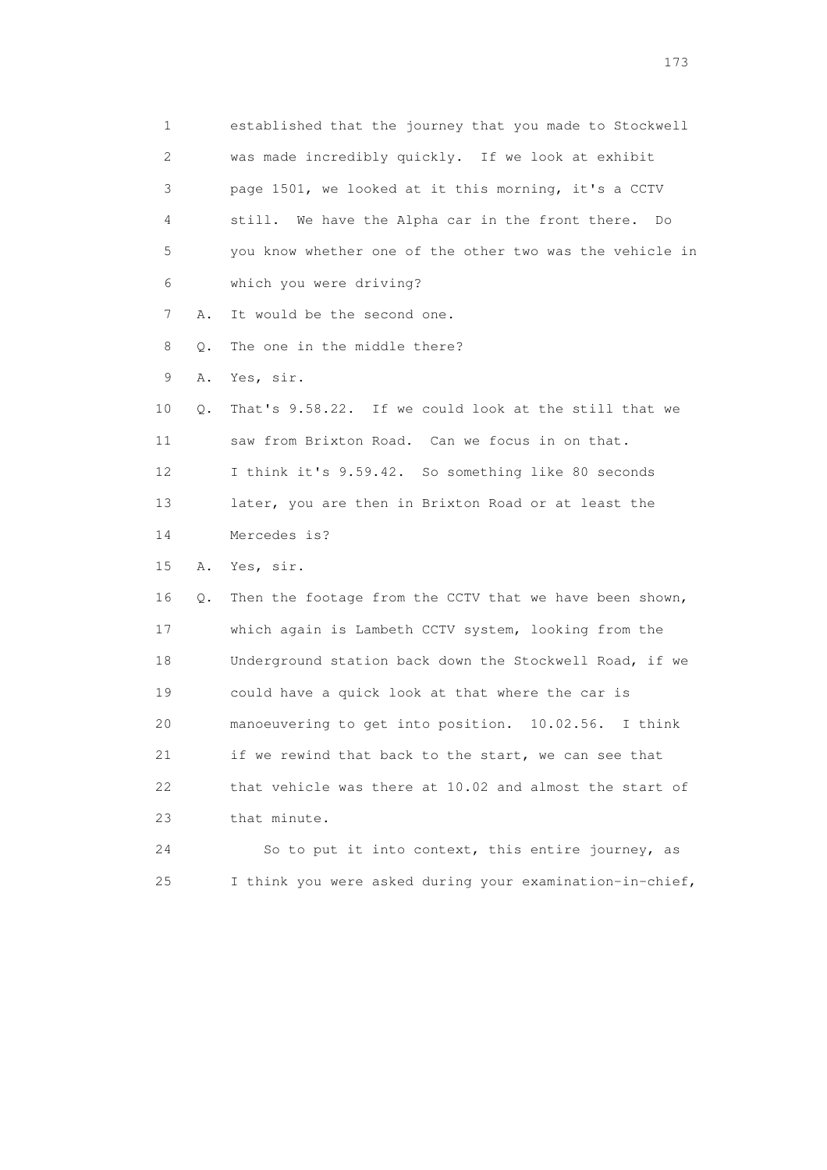1 established that the journey that you made to Stockwell 2 was made incredibly quickly. If we look at exhibit 3 page 1501, we looked at it this morning, it's a CCTV 4 still. We have the Alpha car in the front there. Do 5 you know whether one of the other two was the vehicle in 6 which you were driving? 7 A. It would be the second one. 8 Q. The one in the middle there? 9 A. Yes, sir. 10 Q. That's 9.58.22. If we could look at the still that we 11 saw from Brixton Road. Can we focus in on that. 12 I think it's 9.59.42. So something like 80 seconds 13 later, you are then in Brixton Road or at least the 14 Mercedes is? 15 A. Yes, sir. 16 Q. Then the footage from the CCTV that we have been shown, 17 which again is Lambeth CCTV system, looking from the 18 Underground station back down the Stockwell Road, if we 19 could have a quick look at that where the car is 20 manoeuvering to get into position. 10.02.56. I think 21 if we rewind that back to the start, we can see that 22 that vehicle was there at 10.02 and almost the start of 23 that minute. 24 So to put it into context, this entire journey, as 25 I think you were asked during your examination-in-chief,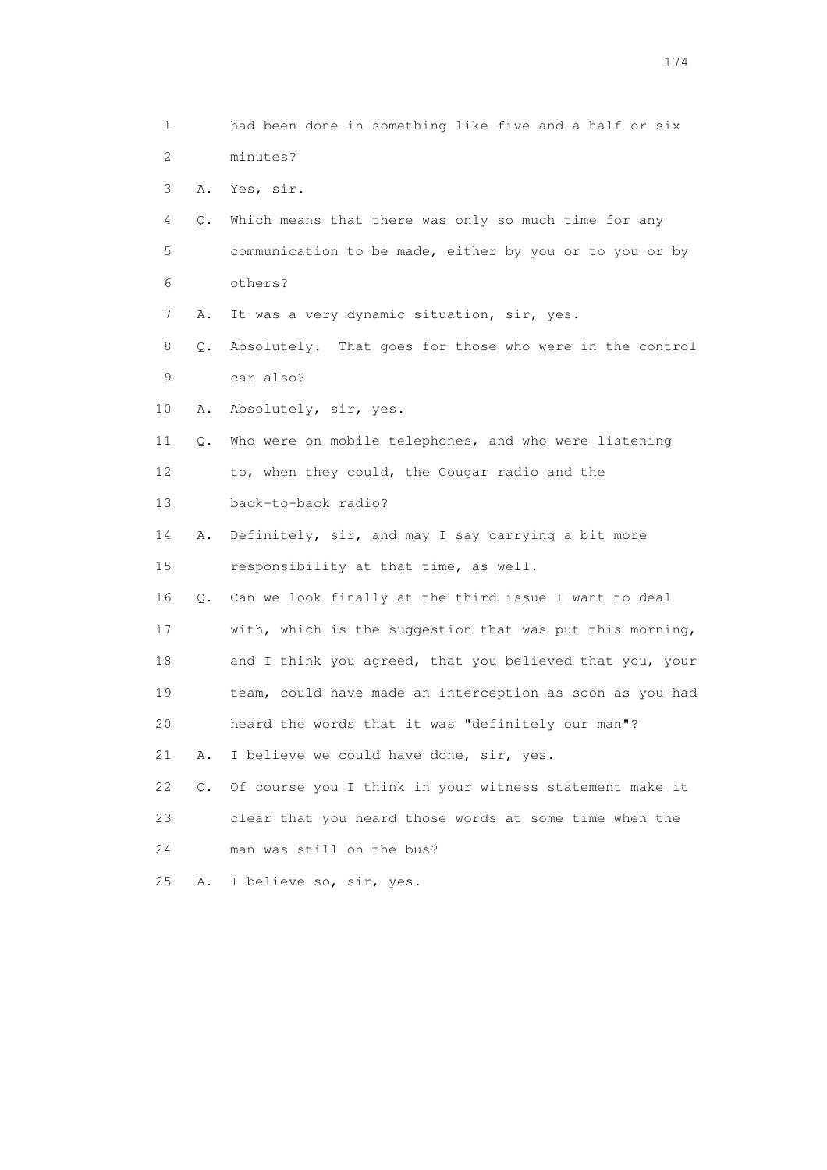1 had been done in something like five and a half or six 2 minutes? 3 A. Yes, sir. 4 Q. Which means that there was only so much time for any 5 communication to be made, either by you or to you or by 6 others? 7 A. It was a very dynamic situation, sir, yes. 8 Q. Absolutely. That goes for those who were in the control 9 car also? 10 A. Absolutely, sir, yes. 11 Q. Who were on mobile telephones, and who were listening 12 to, when they could, the Cougar radio and the 13 back-to-back radio? 14 A. Definitely, sir, and may I say carrying a bit more 15 responsibility at that time, as well. 16 Q. Can we look finally at the third issue I want to deal 17 with, which is the suggestion that was put this morning, 18 and I think you agreed, that you believed that you, your 19 team, could have made an interception as soon as you had 20 heard the words that it was "definitely our man"? 21 A. I believe we could have done, sir, yes. 22 Q. Of course you I think in your witness statement make it 23 clear that you heard those words at some time when the 24 man was still on the bus? 25 A. I believe so, sir, yes.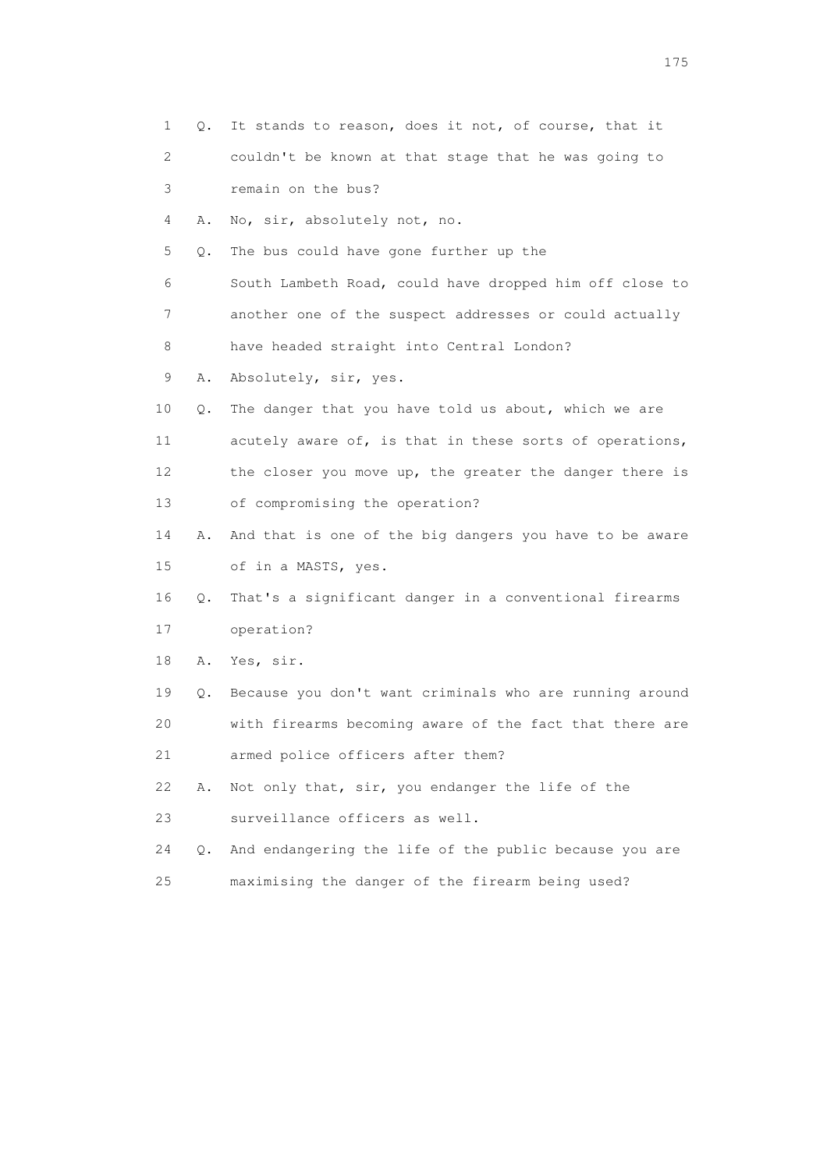| $\mathbf{1}$ | Q.        | It stands to reason, does it not, of course, that it    |
|--------------|-----------|---------------------------------------------------------|
| 2            |           | couldn't be known at that stage that he was going to    |
| 3            |           | remain on the bus?                                      |
| 4            | Α.        | No, sir, absolutely not, no.                            |
| 5            | Q.        | The bus could have gone further up the                  |
| 6            |           | South Lambeth Road, could have dropped him off close to |
| 7            |           | another one of the suspect addresses or could actually  |
| 8            |           | have headed straight into Central London?               |
| 9            | Α.        | Absolutely, sir, yes.                                   |
| 10           | Q.        | The danger that you have told us about, which we are    |
| 11           |           | acutely aware of, is that in these sorts of operations, |
| 12           |           | the closer you move up, the greater the danger there is |
| 13           |           | of compromising the operation?                          |
| 14           | Α.        | And that is one of the big dangers you have to be aware |
| 15           |           | of in a MASTS, yes.                                     |
| 16           | Q.        | That's a significant danger in a conventional firearms  |
| 17           |           | operation?                                              |
| 18           | Α.        | Yes, sir.                                               |
| 19           | Q.        | Because you don't want criminals who are running around |
| 20           |           | with firearms becoming aware of the fact that there are |
| 21           |           | armed police officers after them?                       |
| 22           | Α.        | Not only that, sir, you endanger the life of the        |
| 23           |           | surveillance officers as well.                          |
| 24           | $\circ$ . | And endangering the life of the public because you are  |
| 25           |           | maximising the danger of the firearm being used?        |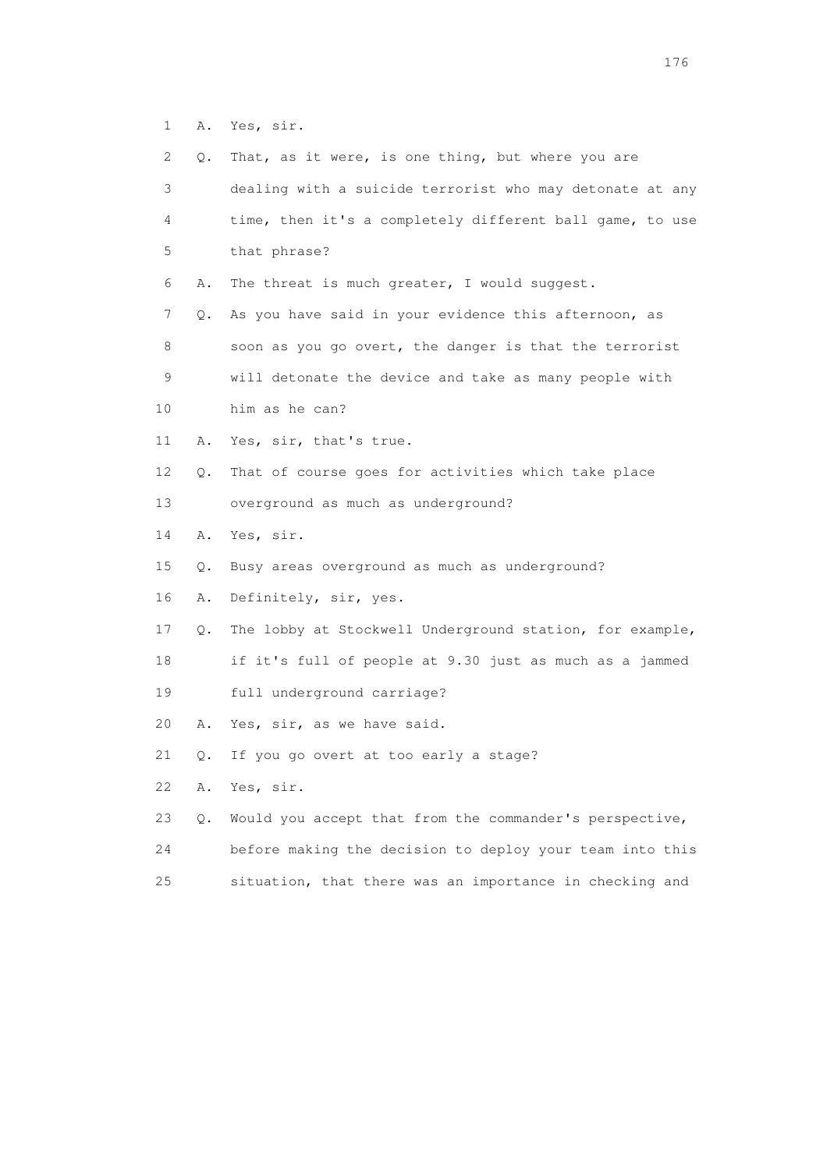1 A. Yes, sir.

| 2       | Q.    | That, as it were, is one thing, but where you are        |
|---------|-------|----------------------------------------------------------|
| 3       |       | dealing with a suicide terrorist who may detonate at any |
| 4       |       | time, then it's a completely different ball game, to use |
| 5       |       | that phrase?                                             |
| 6       | Α.    | The threat is much greater, I would suggest.             |
| 7       | Q.    | As you have said in your evidence this afternoon, as     |
| $\,8\,$ |       | soon as you go overt, the danger is that the terrorist   |
| 9       |       | will detonate the device and take as many people with    |
| 10      |       | him as he can?                                           |
| 11      | Α.    | Yes, sir, that's true.                                   |
| 12      | Q.    | That of course goes for activities which take place      |
| 13      |       | overground as much as underground?                       |
| 14      | Α.    | Yes, sir.                                                |
| 15      | Q.    | Busy areas overground as much as underground?            |
| 16      | Α.    | Definitely, sir, yes.                                    |
| 17      | Q.    | The lobby at Stockwell Underground station, for example, |
| 18      |       | if it's full of people at 9.30 just as much as a jammed  |
| 19      |       | full underground carriage?                               |
| 20      | Α.    | Yes, sir, as we have said.                               |
| 21      | О.    | If you go overt at too early a stage?                    |
| 22      | Α.    | Yes, sir.                                                |
| 23      | $Q$ . | Would you accept that from the commander's perspective,  |
| 24      |       | before making the decision to deploy your team into this |
| 25      |       | situation, that there was an importance in checking and  |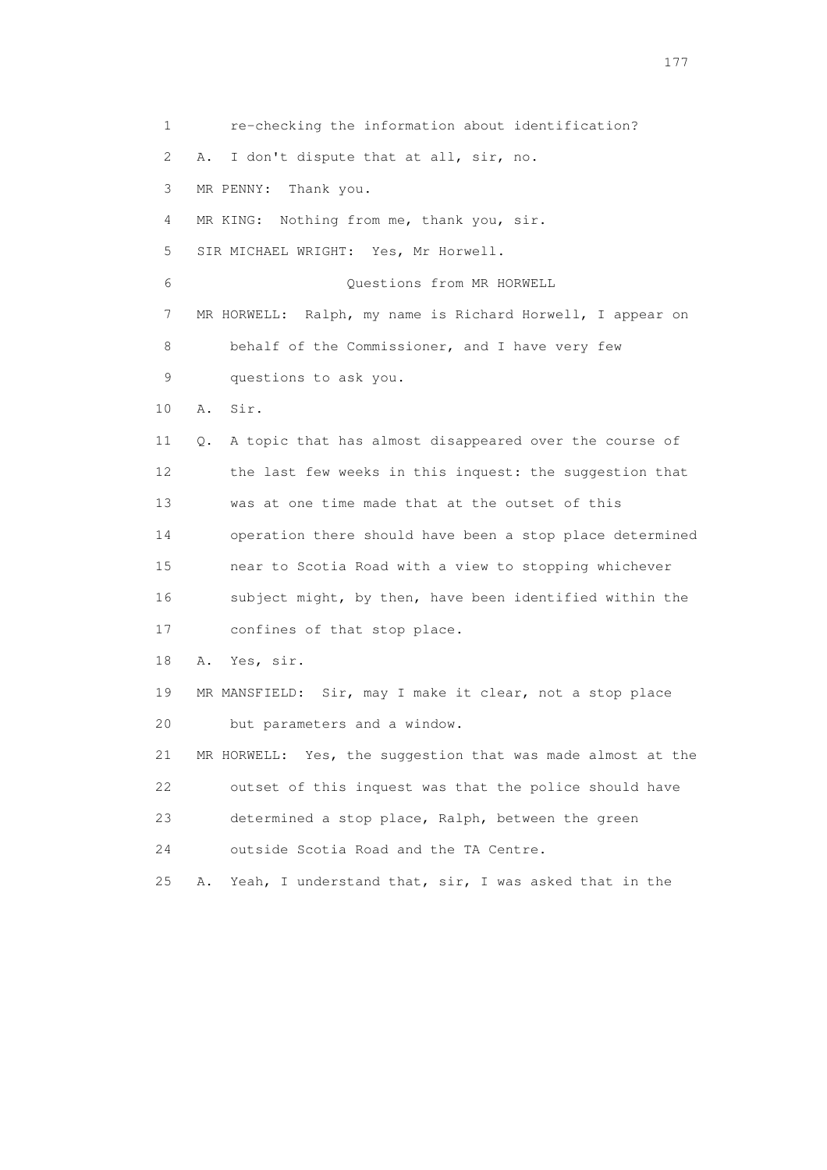1 re-checking the information about identification? 2 A. I don't dispute that at all, sir, no. 3 MR PENNY: Thank you. 4 MR KING: Nothing from me, thank you, sir. 5 SIR MICHAEL WRIGHT: Yes, Mr Horwell. 6 Questions from MR HORWELL 7 MR HORWELL: Ralph, my name is Richard Horwell, I appear on 8 behalf of the Commissioner, and I have very few 9 questions to ask you. 10 A. Sir. 11 Q. A topic that has almost disappeared over the course of 12 the last few weeks in this inquest: the suggestion that 13 was at one time made that at the outset of this 14 operation there should have been a stop place determined 15 near to Scotia Road with a view to stopping whichever 16 subject might, by then, have been identified within the 17 confines of that stop place. 18 A. Yes, sir. 19 MR MANSFIELD: Sir, may I make it clear, not a stop place 20 but parameters and a window. 21 MR HORWELL: Yes, the suggestion that was made almost at the 22 outset of this inquest was that the police should have 23 determined a stop place, Ralph, between the green 24 outside Scotia Road and the TA Centre. 25 A. Yeah, I understand that, sir, I was asked that in the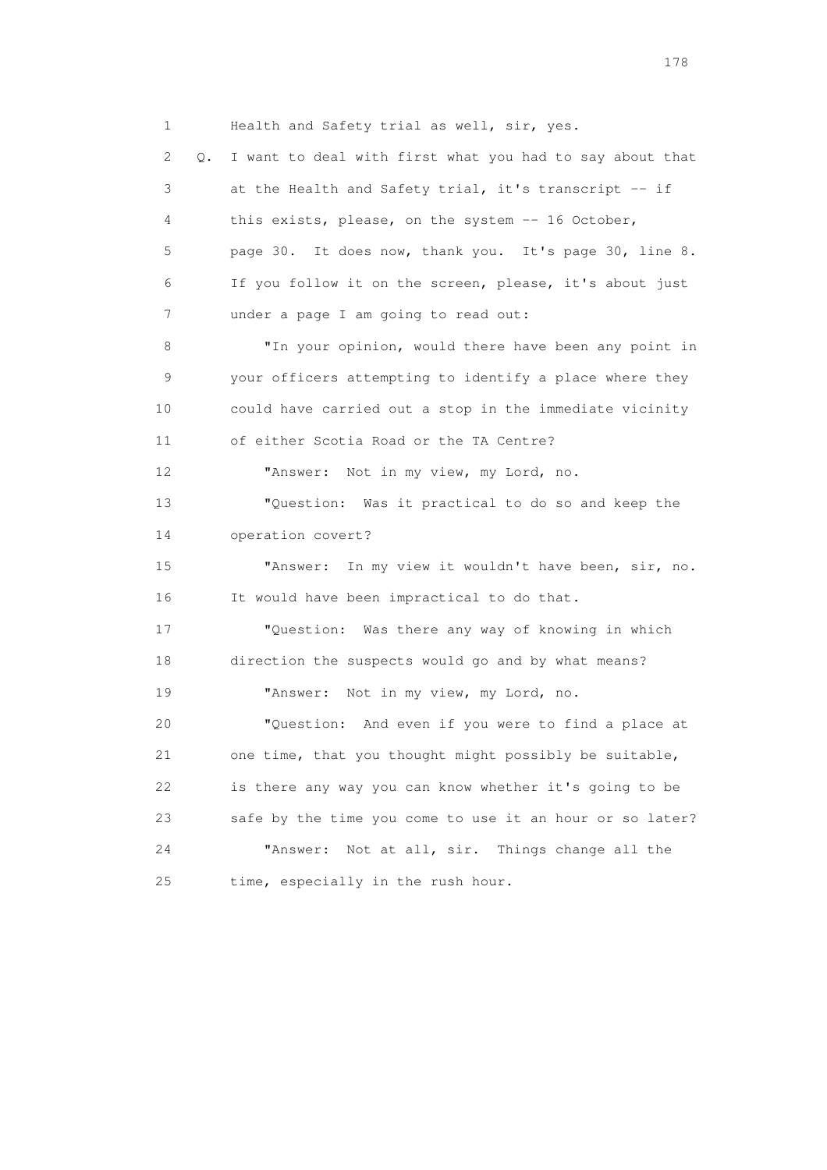1 Health and Safety trial as well, sir, yes. 2 Q. I want to deal with first what you had to say about that 3 at the Health and Safety trial, it's transcript -- if 4 this exists, please, on the system -- 16 October, 5 page 30. It does now, thank you. It's page 30, line 8. 6 If you follow it on the screen, please, it's about just 7 under a page I am going to read out: 8 "In your opinion, would there have been any point in 9 your officers attempting to identify a place where they 10 could have carried out a stop in the immediate vicinity 11 of either Scotia Road or the TA Centre? 12 "Answer: Not in my view, my Lord, no. 13 "Question: Was it practical to do so and keep the 14 operation covert? 15 "Answer: In my view it wouldn't have been, sir, no. 16 It would have been impractical to do that. 17 "Question: Was there any way of knowing in which 18 direction the suspects would go and by what means? 19 "Answer: Not in my view, my Lord, no. 20 "Question: And even if you were to find a place at 21 one time, that you thought might possibly be suitable, 22 is there any way you can know whether it's going to be 23 safe by the time you come to use it an hour or so later? 24 "Answer: Not at all, sir. Things change all the 25 time, especially in the rush hour.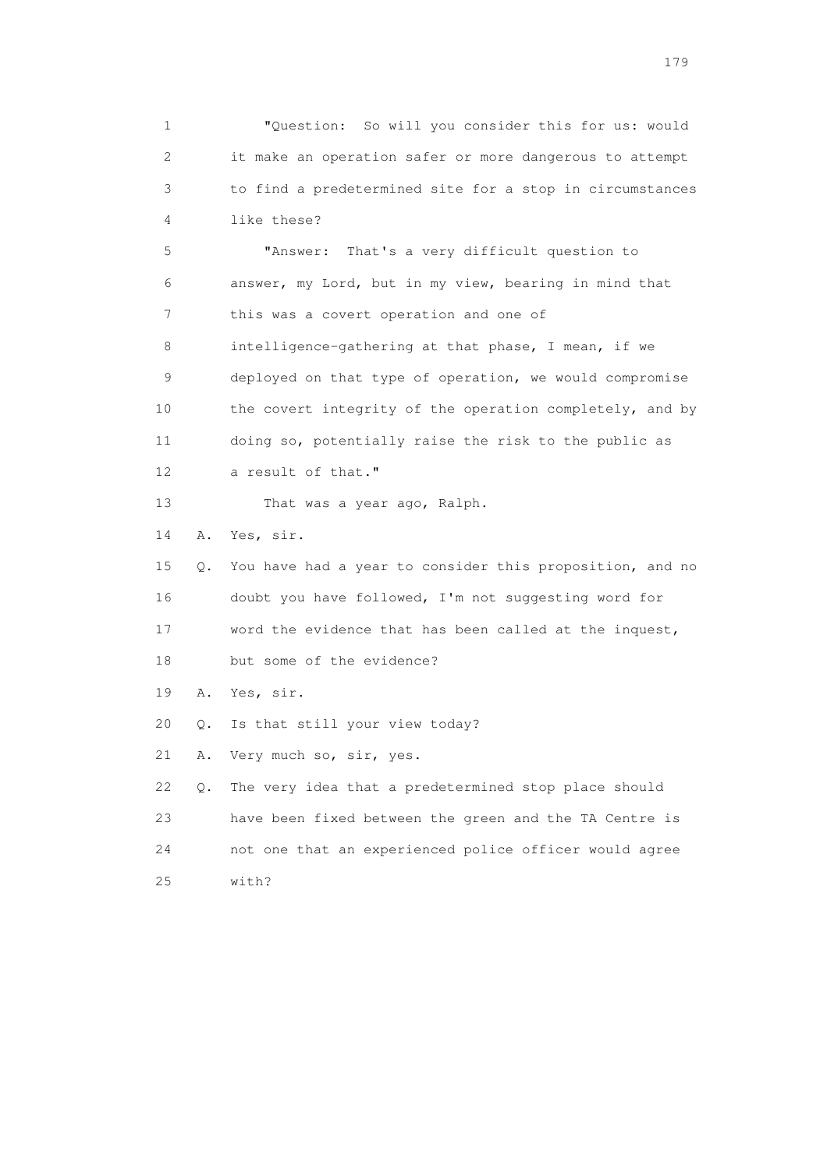1 "Question: So will you consider this for us: would 2 it make an operation safer or more dangerous to attempt 3 to find a predetermined site for a stop in circumstances 4 like these? 5 "Answer: That's a very difficult question to 6 answer, my Lord, but in my view, bearing in mind that 7 this was a covert operation and one of

 8 intelligence-gathering at that phase, I mean, if we 9 deployed on that type of operation, we would compromise 10 the covert integrity of the operation completely, and by 11 doing so, potentially raise the risk to the public as 12 a result of that."

13 That was a year ago, Ralph.

14 A. Yes, sir.

 15 Q. You have had a year to consider this proposition, and no 16 doubt you have followed, I'm not suggesting word for 17 word the evidence that has been called at the inquest, 18 but some of the evidence?

19 A. Yes, sir.

20 Q. Is that still your view today?

21 A. Very much so, sir, yes.

 22 Q. The very idea that a predetermined stop place should 23 have been fixed between the green and the TA Centre is 24 not one that an experienced police officer would agree 25 with?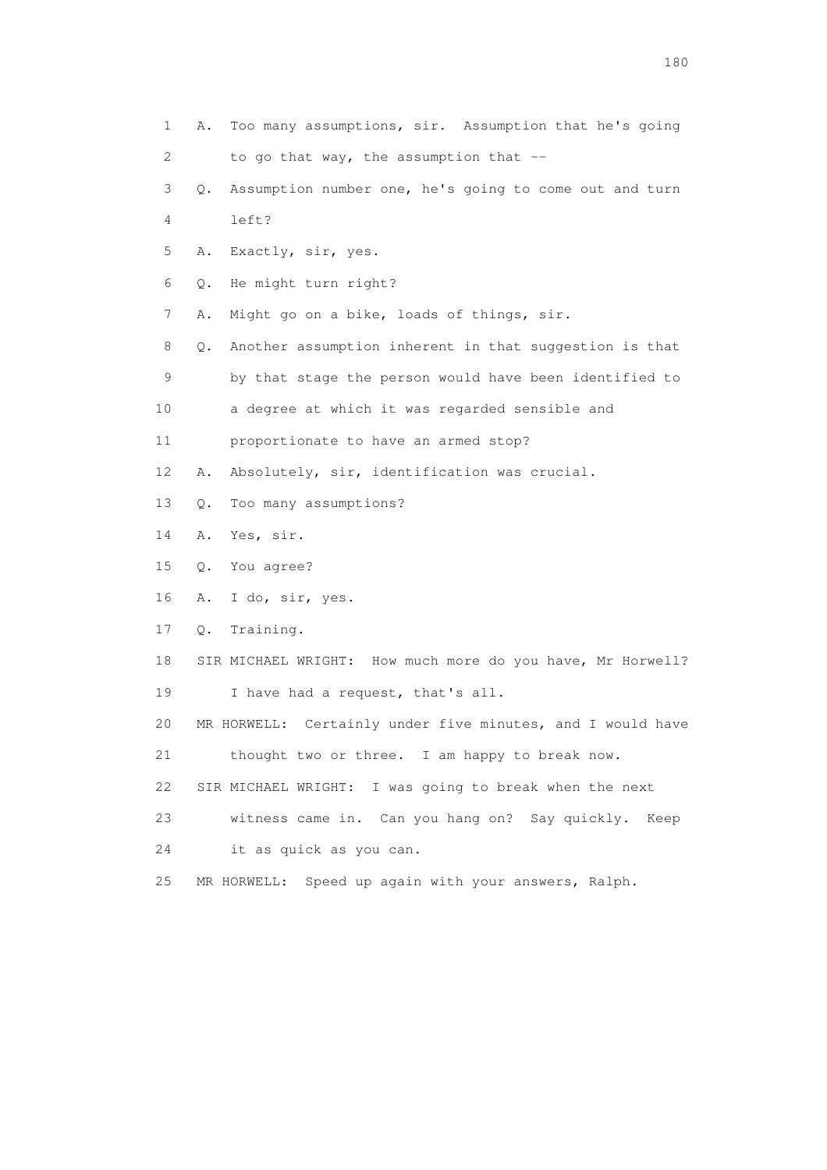- 1 A. Too many assumptions, sir. Assumption that he's going 2 to go that way, the assumption that --
- 3 Q. Assumption number one, he's going to come out and turn 4 left?
- 5 A. Exactly, sir, yes.
- 6 Q. He might turn right?
- 7 A. Might go on a bike, loads of things, sir.
- 8 Q. Another assumption inherent in that suggestion is that 9 by that stage the person would have been identified to
- 10 a degree at which it was regarded sensible and
- 11 proportionate to have an armed stop?
- 12 A. Absolutely, sir, identification was crucial.
- 13 Q. Too many assumptions?
- 14 A. Yes, sir.
- 15 Q. You agree?
- 16 A. I do, sir, yes.
- 17 Q. Training.
- 18 SIR MICHAEL WRIGHT: How much more do you have, Mr Horwell? 19 I have had a request, that's all.
- 20 MR HORWELL: Certainly under five minutes, and I would have
- 21 thought two or three. I am happy to break now.
- 22 SIR MICHAEL WRIGHT: I was going to break when the next
- 23 witness came in. Can you hang on? Say quickly. Keep
- 24 it as quick as you can.
- 25 MR HORWELL: Speed up again with your answers, Ralph.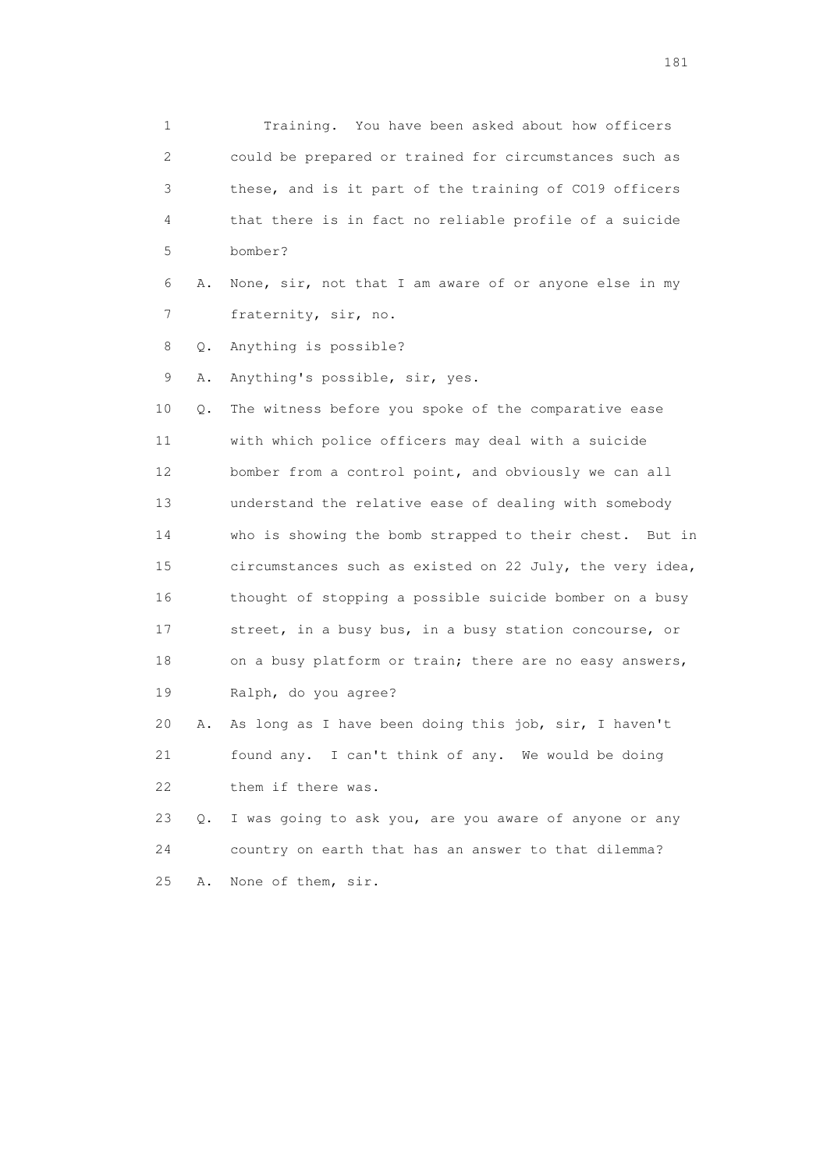1 Training. You have been asked about how officers 2 could be prepared or trained for circumstances such as 3 these, and is it part of the training of CO19 officers 4 that there is in fact no reliable profile of a suicide 5 bomber? 6 A. None, sir, not that I am aware of or anyone else in my 7 fraternity, sir, no. 8 Q. Anything is possible? 9 A. Anything's possible, sir, yes. 10 Q. The witness before you spoke of the comparative ease 11 with which police officers may deal with a suicide 12 bomber from a control point, and obviously we can all 13 understand the relative ease of dealing with somebody 14 who is showing the bomb strapped to their chest. But in 15 circumstances such as existed on 22 July, the very idea, 16 thought of stopping a possible suicide bomber on a busy 17 street, in a busy bus, in a busy station concourse, or 18 on a busy platform or train; there are no easy answers, 19 Ralph, do you agree? 20 A. As long as I have been doing this job, sir, I haven't 21 found any. I can't think of any. We would be doing 22 them if there was. 23 Q. I was going to ask you, are you aware of anyone or any 24 country on earth that has an answer to that dilemma? 25 A. None of them, sir.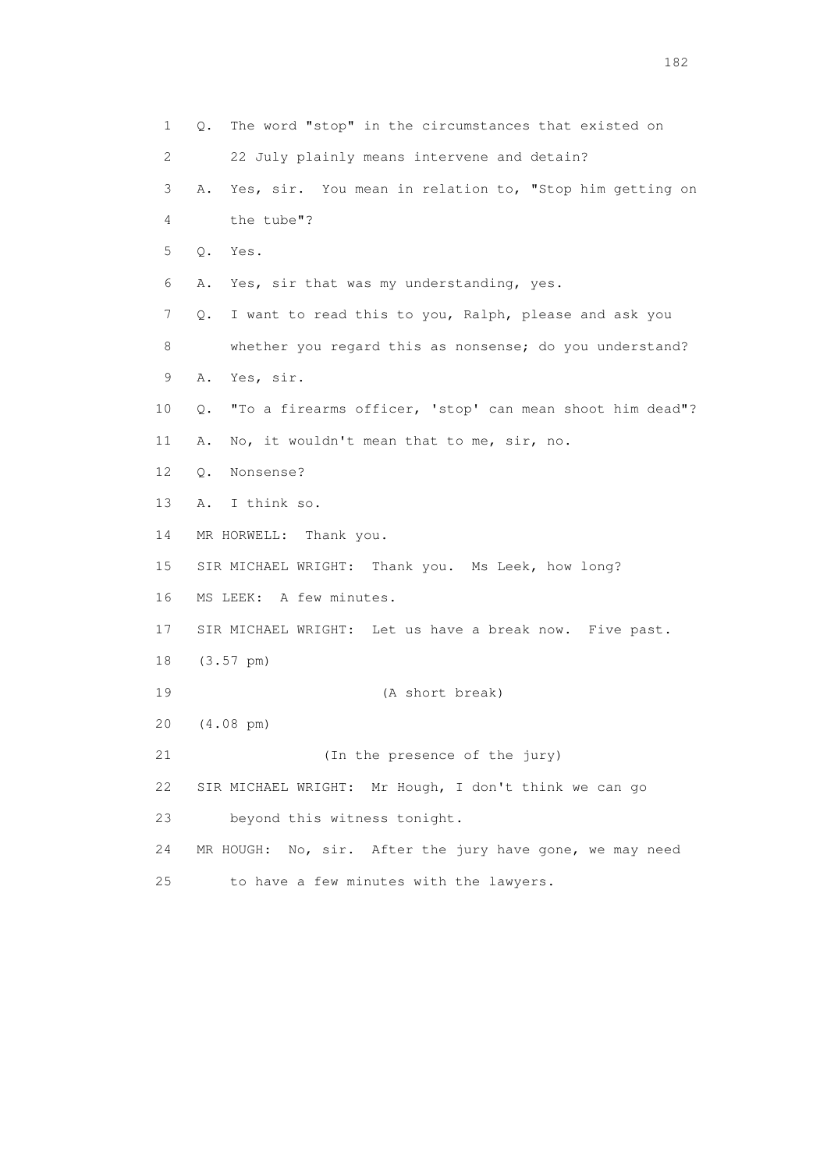1 Q. The word "stop" in the circumstances that existed on 2 22 July plainly means intervene and detain? 3 A. Yes, sir. You mean in relation to, "Stop him getting on 4 the tube"? 5 Q. Yes. 6 A. Yes, sir that was my understanding, yes. 7 Q. I want to read this to you, Ralph, please and ask you 8 whether you regard this as nonsense; do you understand? 9 A. Yes, sir. 10 Q. "To a firearms officer, 'stop' can mean shoot him dead"? 11 A. No, it wouldn't mean that to me, sir, no. 12 Q. Nonsense? 13 A. I think so. 14 MR HORWELL: Thank you. 15 SIR MICHAEL WRIGHT: Thank you. Ms Leek, how long? 16 MS LEEK: A few minutes. 17 SIR MICHAEL WRIGHT: Let us have a break now. Five past. 18 (3.57 pm) 19 (A short break) 20 (4.08 pm) 21 (In the presence of the jury) 22 SIR MICHAEL WRIGHT: Mr Hough, I don't think we can go 23 beyond this witness tonight. 24 MR HOUGH: No, sir. After the jury have gone, we may need 25 to have a few minutes with the lawyers.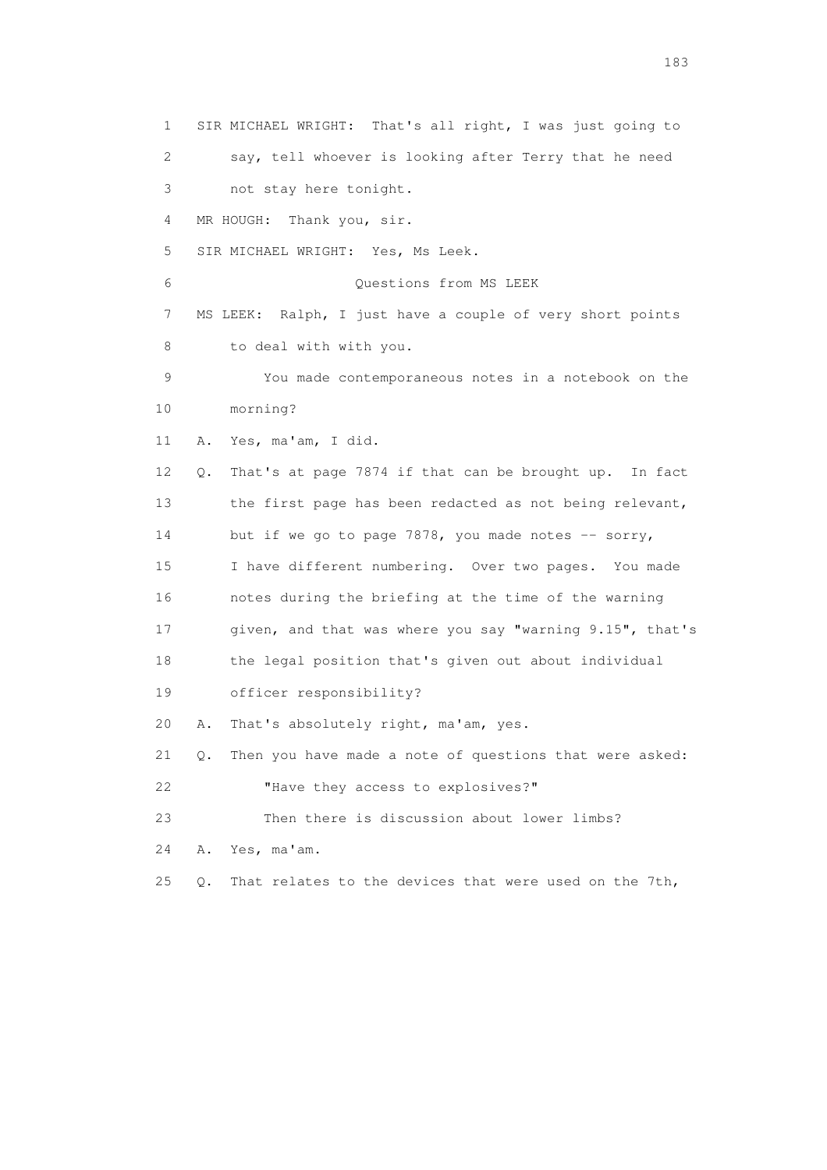1 SIR MICHAEL WRIGHT: That's all right, I was just going to 2 say, tell whoever is looking after Terry that he need 3 not stay here tonight. 4 MR HOUGH: Thank you, sir. 5 SIR MICHAEL WRIGHT: Yes, Ms Leek. 6 Questions from MS LEEK 7 MS LEEK: Ralph, I just have a couple of very short points 8 to deal with with you. 9 You made contemporaneous notes in a notebook on the 10 morning? 11 A. Yes, ma'am, I did. 12 Q. That's at page 7874 if that can be brought up. In fact 13 the first page has been redacted as not being relevant, 14 but if we go to page 7878, you made notes -- sorry, 15 I have different numbering. Over two pages. You made 16 notes during the briefing at the time of the warning 17 given, and that was where you say "warning 9.15", that's 18 the legal position that's given out about individual 19 officer responsibility? 20 A. That's absolutely right, ma'am, yes. 21 Q. Then you have made a note of questions that were asked: 22 **"**Have they access to explosives?" 23 Then there is discussion about lower limbs? 24 A. Yes, ma'am. 25 Q. That relates to the devices that were used on the 7th,

183 and the contract of the contract of the contract of the contract of the contract of the contract of the contract of the contract of the contract of the contract of the contract of the contract of the contract of the co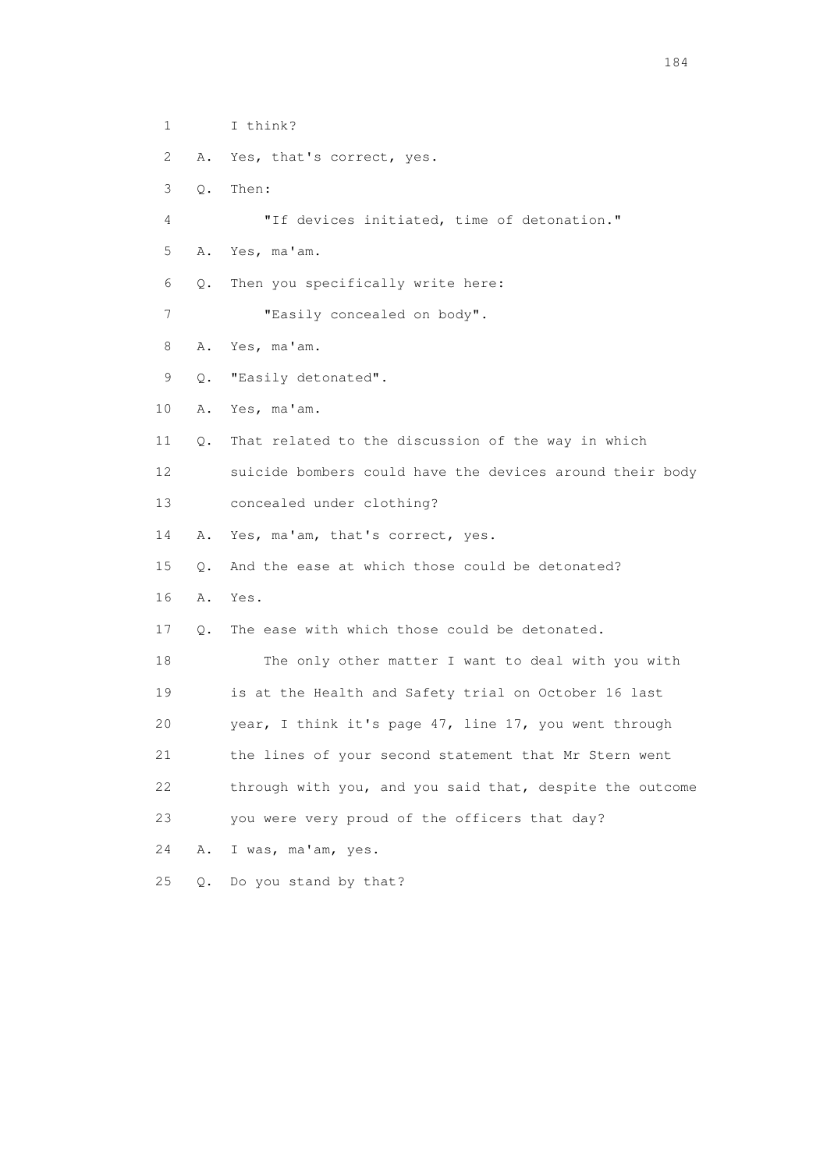1 I think? 2 A. Yes, that's correct, yes. 3 Q. Then: 4 "If devices initiated, time of detonation." 5 A. Yes, ma'am. 6 Q. Then you specifically write here: 7 "Easily concealed on body". 8 A. Yes, ma'am. 9 Q. "Easily detonated". 10 A. Yes, ma'am. 11 Q. That related to the discussion of the way in which 12 suicide bombers could have the devices around their body 13 concealed under clothing? 14 A. Yes, ma'am, that's correct, yes. 15 Q. And the ease at which those could be detonated? 16 A. Yes. 17 Q. The ease with which those could be detonated. 18 The only other matter I want to deal with you with 19 is at the Health and Safety trial on October 16 last 20 year, I think it's page 47, line 17, you went through 21 the lines of your second statement that Mr Stern went 22 through with you, and you said that, despite the outcome 23 you were very proud of the officers that day? 24 A. I was, ma'am, yes. 25 Q. Do you stand by that?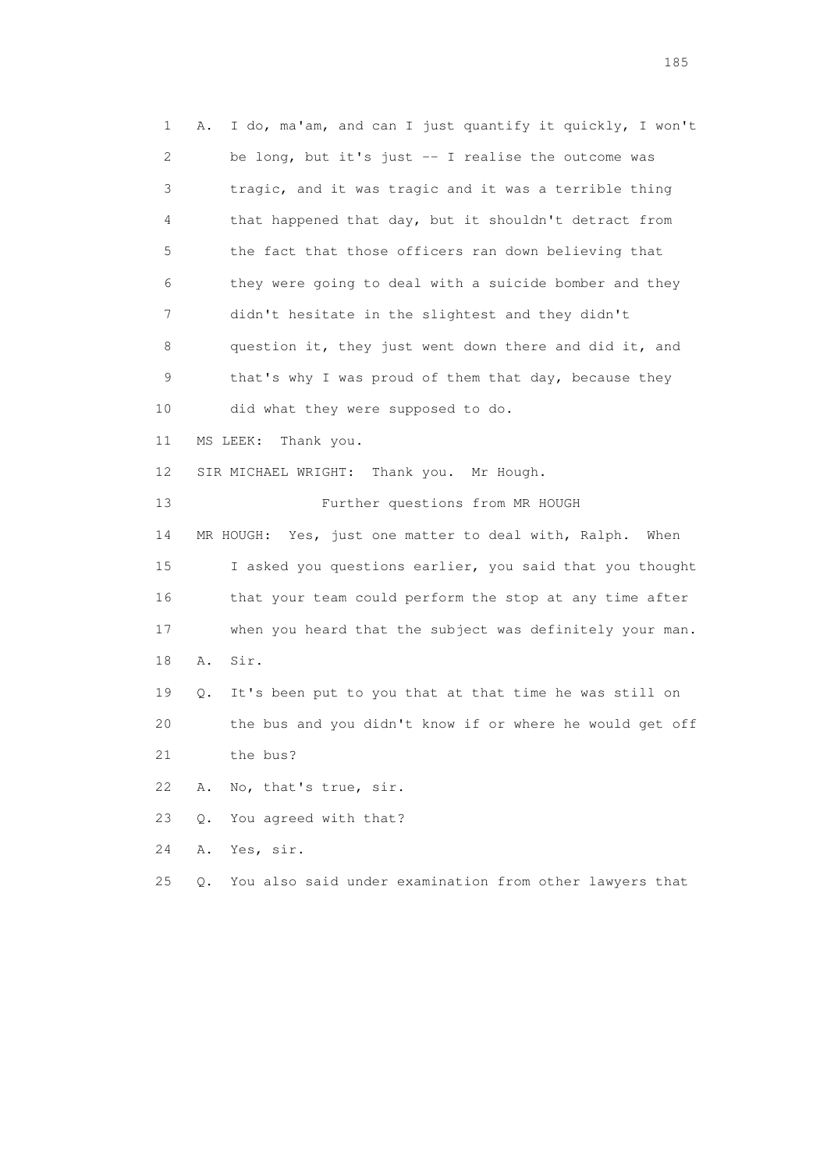1 A. I do, ma'am, and can I just quantify it quickly, I won't 2 be long, but it's just -- I realise the outcome was 3 tragic, and it was tragic and it was a terrible thing 4 that happened that day, but it shouldn't detract from 5 the fact that those officers ran down believing that 6 they were going to deal with a suicide bomber and they 7 didn't hesitate in the slightest and they didn't 8 question it, they just went down there and did it, and 9 that's why I was proud of them that day, because they 10 did what they were supposed to do. 11 MS LEEK: Thank you. 12 SIR MICHAEL WRIGHT: Thank you. Mr Hough. 13 Further questions from MR HOUGH 14 MR HOUGH: Yes, just one matter to deal with, Ralph. When 15 I asked you questions earlier, you said that you thought 16 that your team could perform the stop at any time after 17 when you heard that the subject was definitely your man. 18 A. Sir. 19 Q. It's been put to you that at that time he was still on 20 the bus and you didn't know if or where he would get off 21 the bus? 22 A. No, that's true, sir. 23 Q. You agreed with that? 24 A. Yes, sir. 25 Q. You also said under examination from other lawyers that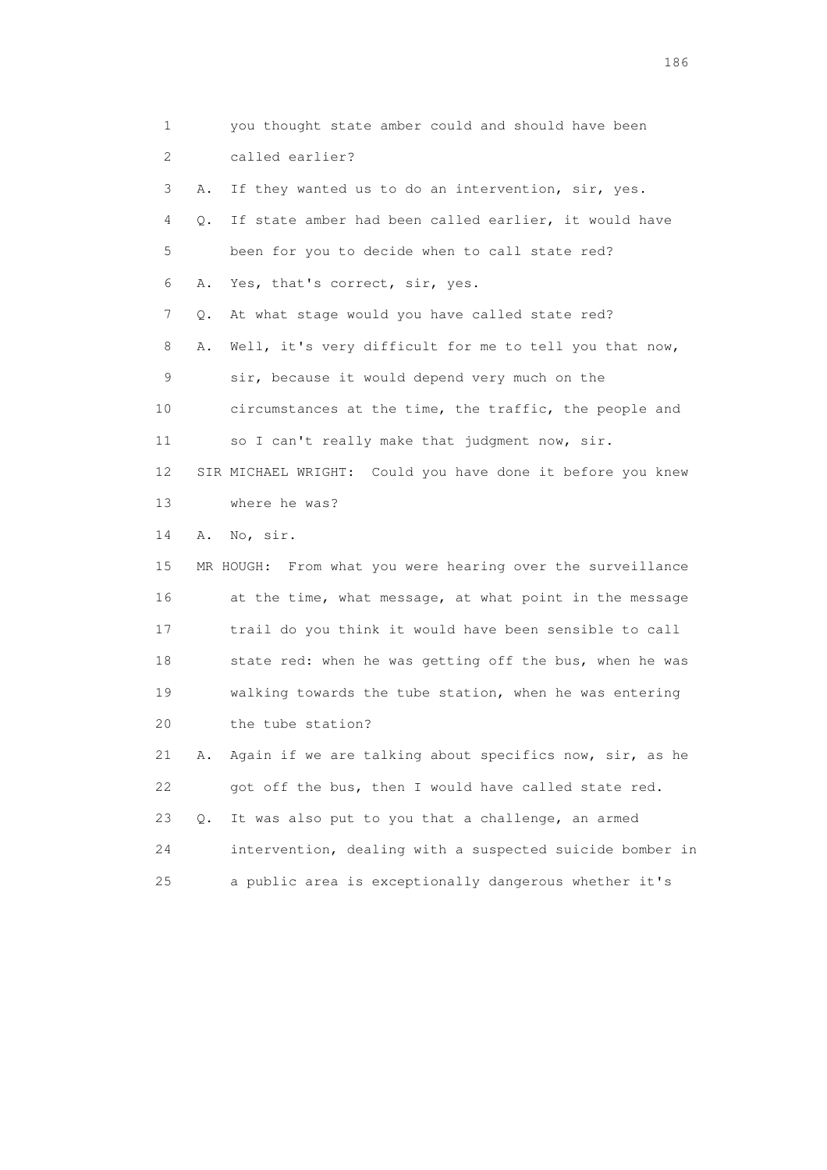1 you thought state amber could and should have been 2 called earlier? 3 A. If they wanted us to do an intervention, sir, yes. 4 Q. If state amber had been called earlier, it would have 5 been for you to decide when to call state red? 6 A. Yes, that's correct, sir, yes. 7 Q. At what stage would you have called state red? 8 A. Well, it's very difficult for me to tell you that now, 9 sir, because it would depend very much on the 10 circumstances at the time, the traffic, the people and 11 so I can't really make that judgment now, sir. 12 SIR MICHAEL WRIGHT: Could you have done it before you knew 13 where he was? 14 A. No, sir. 15 MR HOUGH: From what you were hearing over the surveillance 16 at the time, what message, at what point in the message 17 trail do you think it would have been sensible to call 18 state red: when he was getting off the bus, when he was 19 walking towards the tube station, when he was entering 20 the tube station? 21 A. Again if we are talking about specifics now, sir, as he 22 got off the bus, then I would have called state red. 23 Q. It was also put to you that a challenge, an armed 24 intervention, dealing with a suspected suicide bomber in 25 a public area is exceptionally dangerous whether it's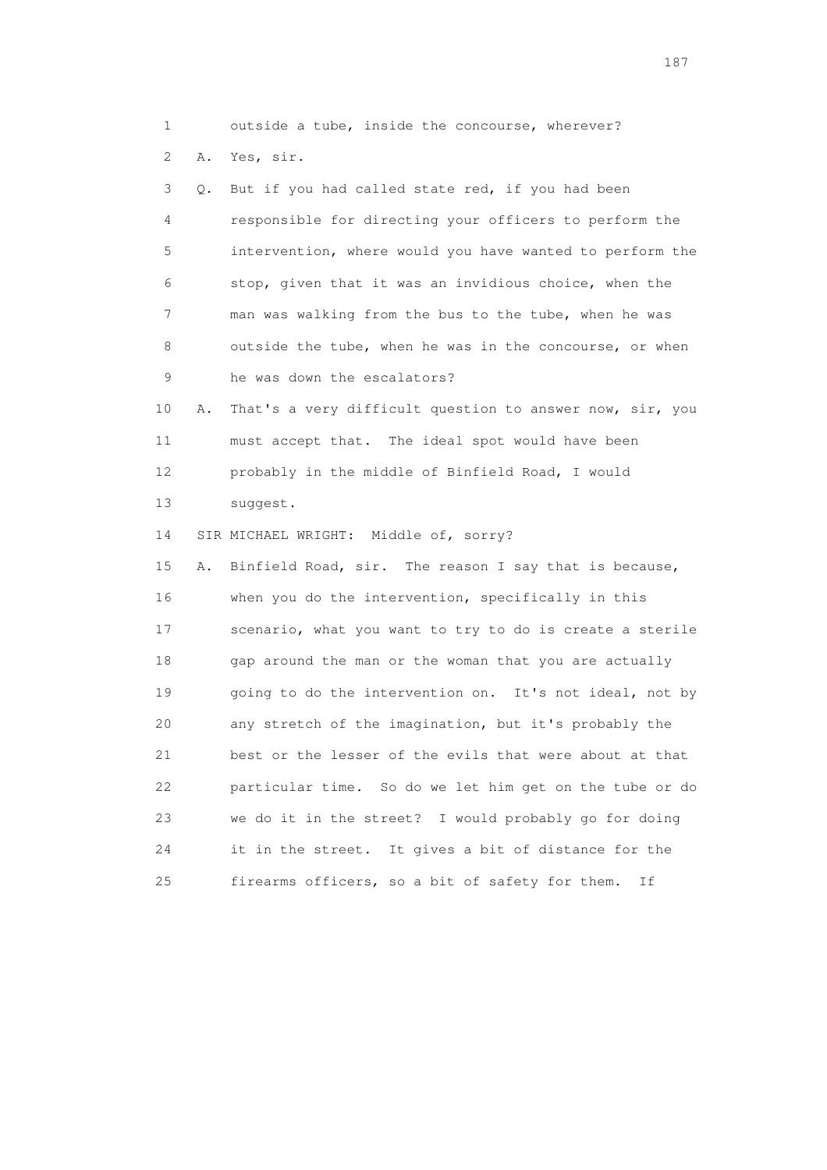1 outside a tube, inside the concourse, wherever?

2 A. Yes, sir.

 3 Q. But if you had called state red, if you had been 4 responsible for directing your officers to perform the 5 intervention, where would you have wanted to perform the 6 stop, given that it was an invidious choice, when the 7 man was walking from the bus to the tube, when he was 8 outside the tube, when he was in the concourse, or when 9 he was down the escalators?

 10 A. That's a very difficult question to answer now, sir, you 11 must accept that. The ideal spot would have been 12 probably in the middle of Binfield Road, I would 13 suggest.

14 SIR MICHAEL WRIGHT: Middle of, sorry?

 15 A. Binfield Road, sir. The reason I say that is because, 16 when you do the intervention, specifically in this 17 scenario, what you want to try to do is create a sterile 18 gap around the man or the woman that you are actually 19 going to do the intervention on. It's not ideal, not by 20 any stretch of the imagination, but it's probably the 21 best or the lesser of the evils that were about at that 22 particular time. So do we let him get on the tube or do 23 we do it in the street? I would probably go for doing 24 it in the street. It gives a bit of distance for the 25 firearms officers, so a bit of safety for them. If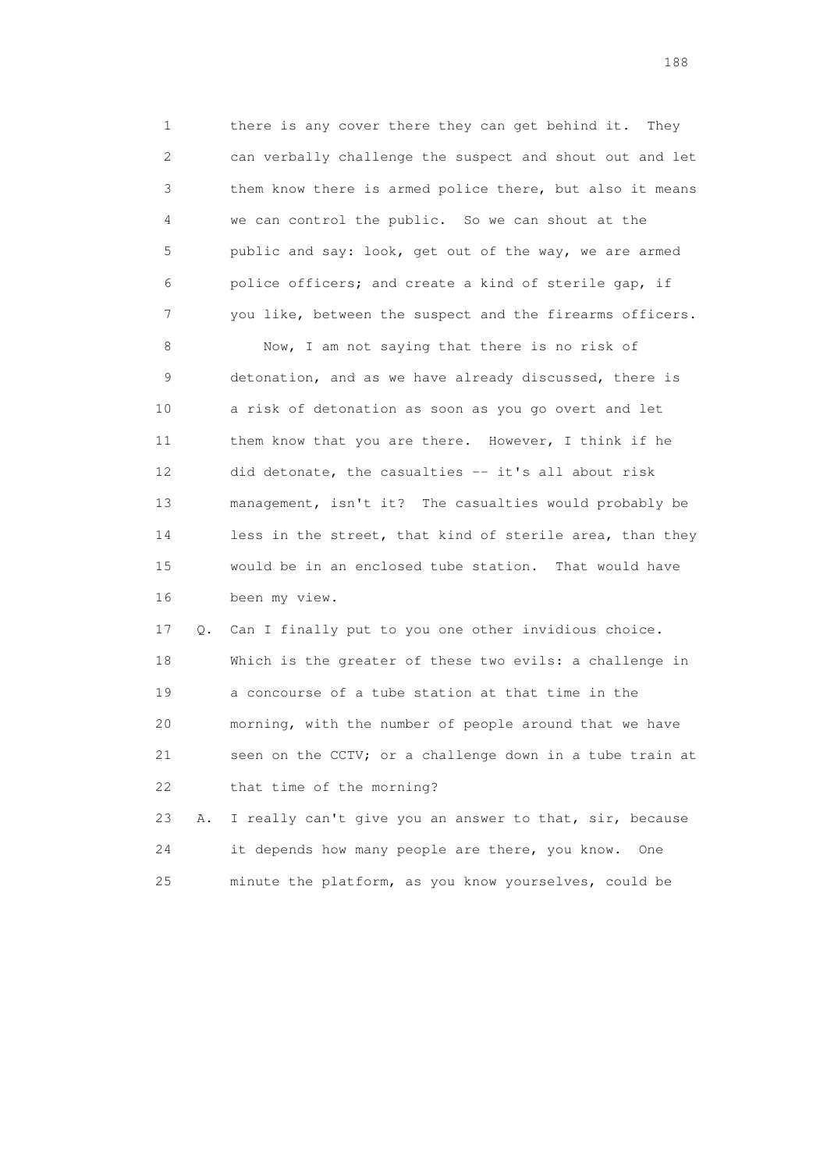1 there is any cover there they can get behind it. They 2 can verbally challenge the suspect and shout out and let 3 them know there is armed police there, but also it means 4 we can control the public. So we can shout at the 5 public and say: look, get out of the way, we are armed 6 police officers; and create a kind of sterile gap, if 7 you like, between the suspect and the firearms officers.

 8 Now, I am not saying that there is no risk of 9 detonation, and as we have already discussed, there is 10 a risk of detonation as soon as you go overt and let 11 them know that you are there. However, I think if he 12 did detonate, the casualties -- it's all about risk 13 management, isn't it? The casualties would probably be 14 less in the street, that kind of sterile area, than they 15 would be in an enclosed tube station. That would have 16 been my view.

 17 Q. Can I finally put to you one other invidious choice. 18 Which is the greater of these two evils: a challenge in 19 a concourse of a tube station at that time in the 20 morning, with the number of people around that we have 21 seen on the CCTV; or a challenge down in a tube train at 22 that time of the morning?

 23 A. I really can't give you an answer to that, sir, because 24 it depends how many people are there, you know. One 25 minute the platform, as you know yourselves, could be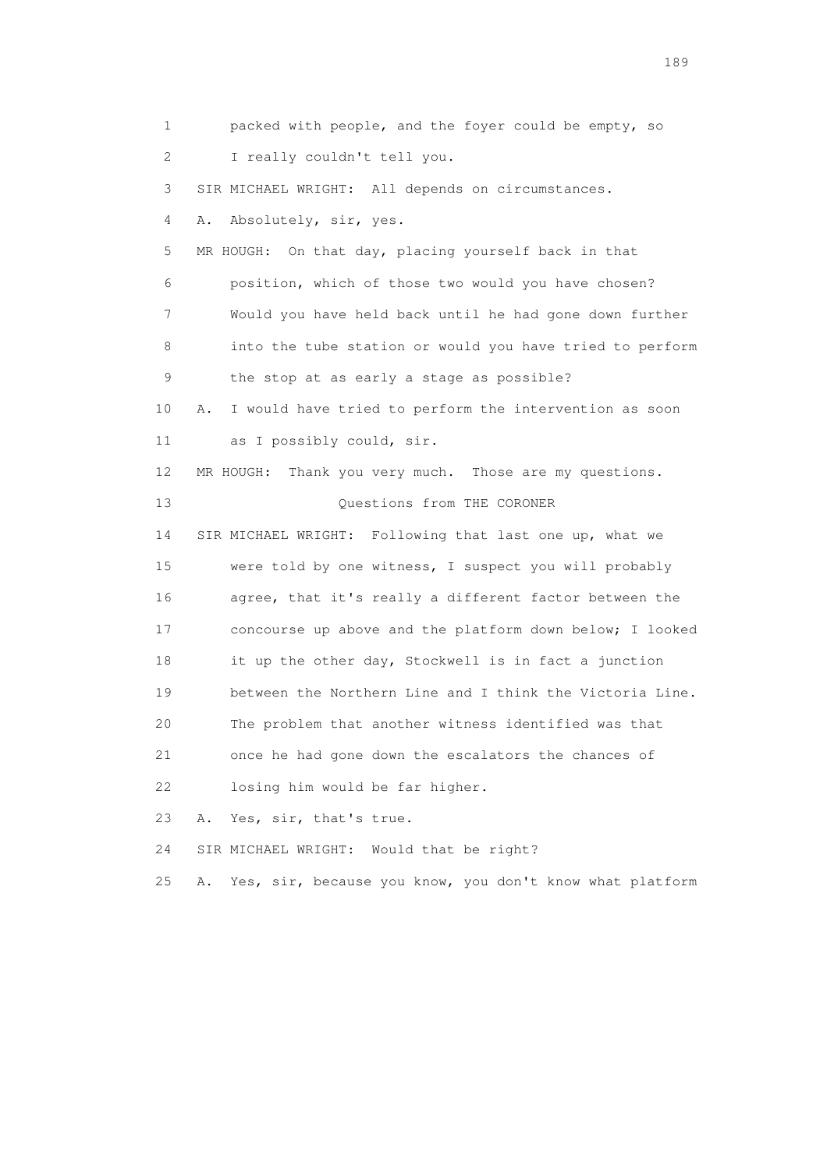1 packed with people, and the foyer could be empty, so 2 I really couldn't tell you. 3 SIR MICHAEL WRIGHT: All depends on circumstances. 4 A. Absolutely, sir, yes. 5 MR HOUGH: On that day, placing yourself back in that 6 position, which of those two would you have chosen? 7 Would you have held back until he had gone down further 8 into the tube station or would you have tried to perform 9 the stop at as early a stage as possible? 10 A. I would have tried to perform the intervention as soon 11 as I possibly could, sir. 12 MR HOUGH: Thank you very much. Those are my questions. 13 Ouestions from THE CORONER 14 SIR MICHAEL WRIGHT: Following that last one up, what we 15 were told by one witness, I suspect you will probably 16 agree, that it's really a different factor between the 17 concourse up above and the platform down below; I looked 18 it up the other day, Stockwell is in fact a junction 19 between the Northern Line and I think the Victoria Line. 20 The problem that another witness identified was that 21 once he had gone down the escalators the chances of 22 losing him would be far higher. 23 A. Yes, sir, that's true. 24 SIR MICHAEL WRIGHT: Would that be right? 25 A. Yes, sir, because you know, you don't know what platform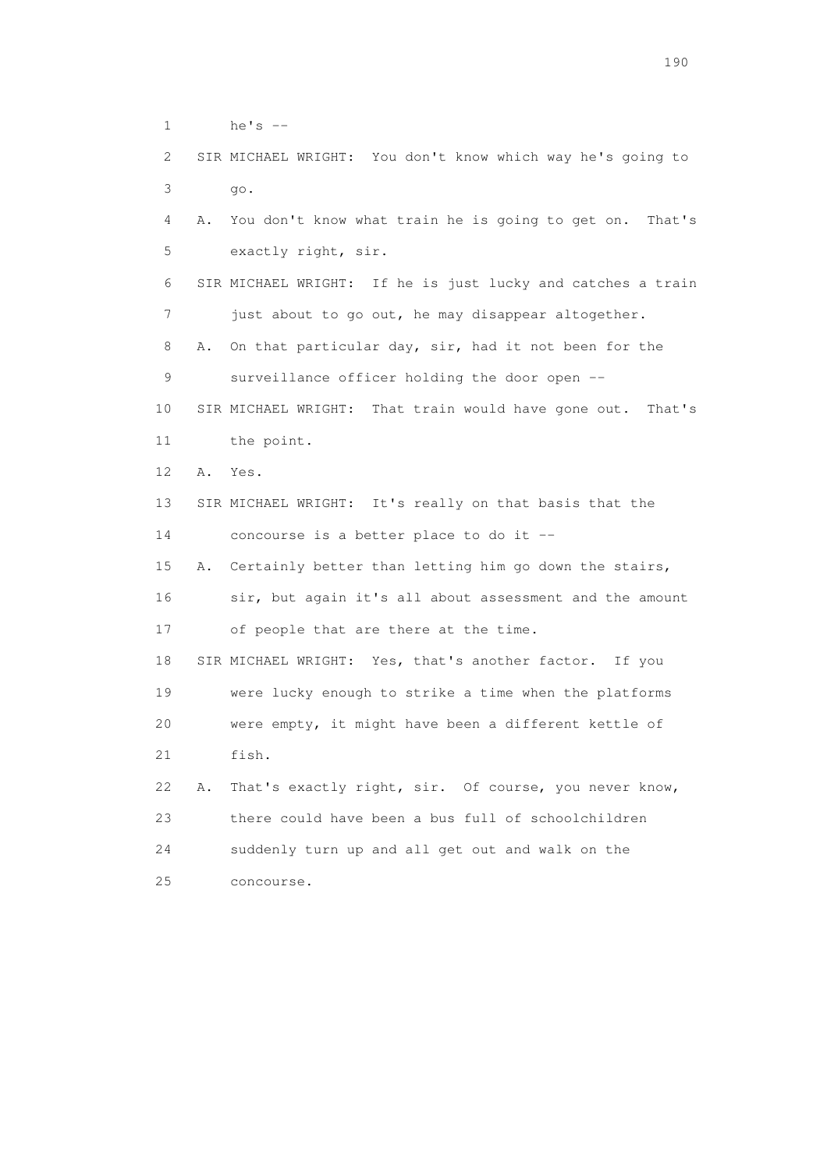1 he's --

 2 SIR MICHAEL WRIGHT: You don't know which way he's going to 3 go.

 4 A. You don't know what train he is going to get on. That's 5 exactly right, sir.

 6 SIR MICHAEL WRIGHT: If he is just lucky and catches a train 7 just about to go out, he may disappear altogether.

 8 A. On that particular day, sir, had it not been for the 9 surveillance officer holding the door open --

 10 SIR MICHAEL WRIGHT: That train would have gone out. That's 11 the point.

12 A. Yes.

13 SIR MICHAEL WRIGHT: It's really on that basis that the

14 concourse is a better place to do it --

 15 A. Certainly better than letting him go down the stairs, 16 sir, but again it's all about assessment and the amount 17 of people that are there at the time.

 18 SIR MICHAEL WRIGHT: Yes, that's another factor. If you 19 were lucky enough to strike a time when the platforms 20 were empty, it might have been a different kettle of 21 fish.

 22 A. That's exactly right, sir. Of course, you never know, 23 there could have been a bus full of schoolchildren 24 suddenly turn up and all get out and walk on the 25 concourse.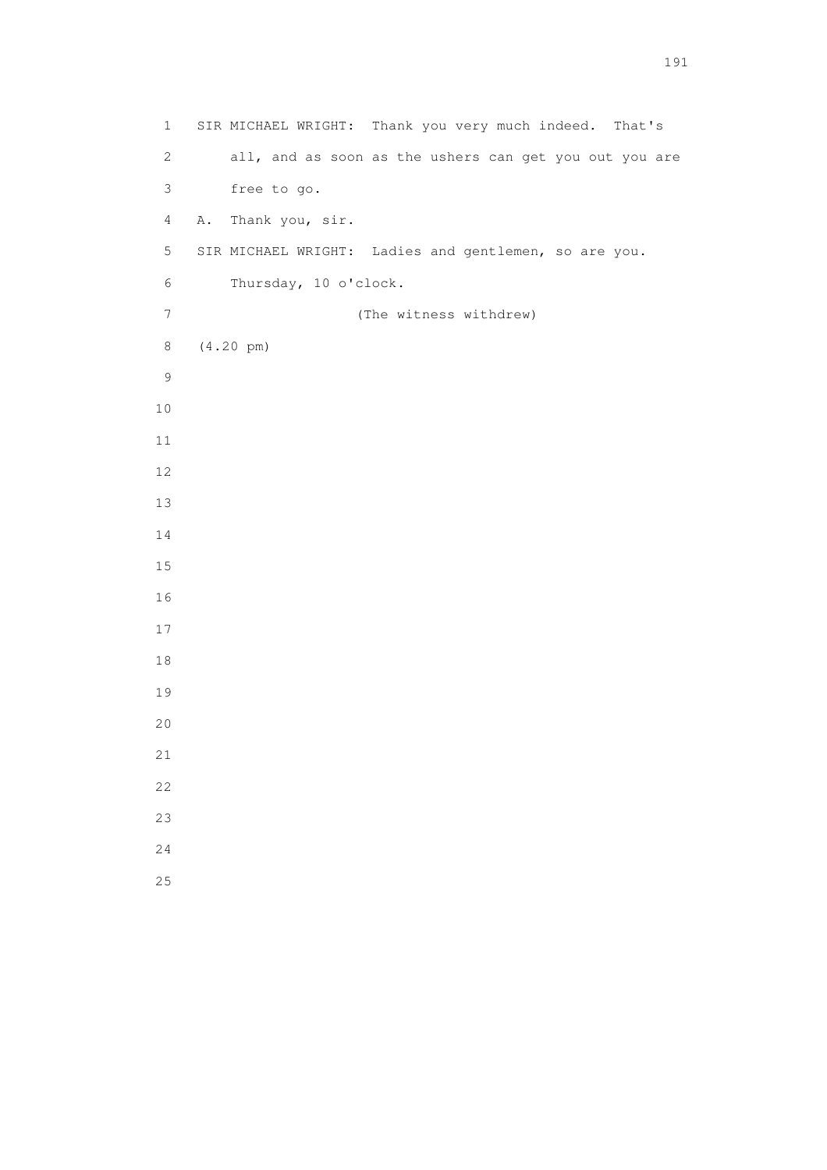1 SIR MICHAEL WRIGHT: Thank you very much indeed. That's 2 all, and as soon as the ushers can get you out you are 3 free to go. 4 A. Thank you, sir. 5 SIR MICHAEL WRIGHT: Ladies and gentlemen, so are you. 6 Thursday, 10 o'clock. 7 (The witness withdrew) 8 (4.20 pm)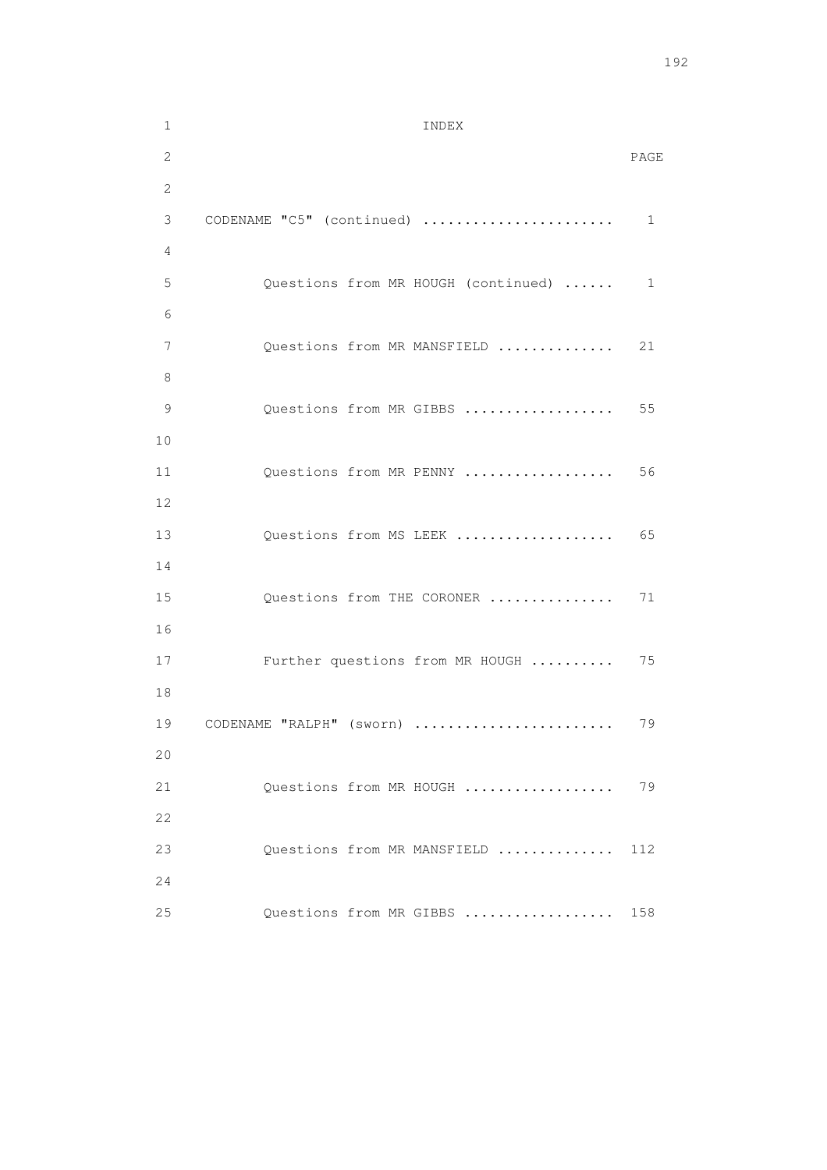| $\mathbf 1$  | INDEX                               |      |
|--------------|-------------------------------------|------|
| $\mathbf{2}$ |                                     | PAGE |
| $\mathbf{2}$ |                                     |      |
| 3            | CODENAME "C5" (continued)           | 1    |
| 4            |                                     |      |
| 5            | Questions from MR HOUGH (continued) | 1    |
| 6            |                                     |      |
| 7            | Questions from MR MANSFIELD         | 21   |
| 8            |                                     |      |
| 9            | Questions from MR GIBBS             | 55   |
| 10           |                                     |      |
| 11           | Questions from MR PENNY             | 56   |
| 12           |                                     |      |
| 13           | Questions from MS LEEK              | 65   |
| 14           |                                     |      |
| 15           | Questions from THE CORONER          | 71   |
| 16           |                                     |      |
| 17           | Further questions from MR HOUGH     | 75   |
| 18           |                                     |      |
| 19           | CODENAME "RALPH" (sworn)            | 79   |
| 20           |                                     |      |
| 21           | Ouestions from MR HOUGH             | 79   |
| 22           |                                     |      |
| 23           | Questions from MR MANSFIELD         | 112  |
| 24           |                                     |      |
| 25           | Questions from MR GIBBS             | 158  |